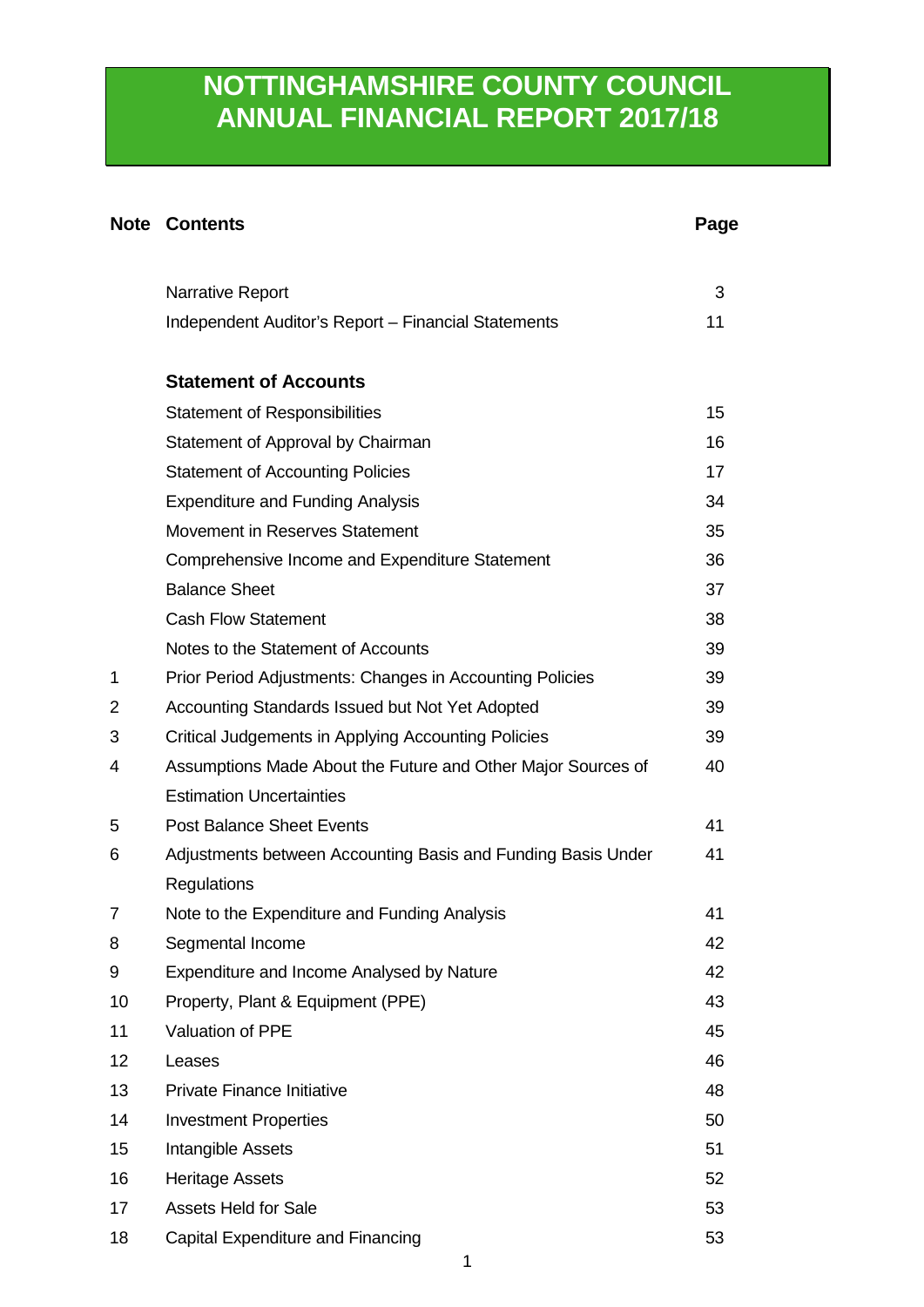# **NOTTINGHAMSHIRE COUNTY COUNCIL ANNUAL FINANCIAL REPORT 2017/18**

# **Note Contents Page**

|    | <b>Narrative Report</b>                                      | 3  |
|----|--------------------------------------------------------------|----|
|    | Independent Auditor's Report - Financial Statements          | 11 |
|    | <b>Statement of Accounts</b>                                 |    |
|    | <b>Statement of Responsibilities</b>                         | 15 |
|    | Statement of Approval by Chairman                            | 16 |
|    | <b>Statement of Accounting Policies</b>                      | 17 |
|    | <b>Expenditure and Funding Analysis</b>                      | 34 |
|    | Movement in Reserves Statement                               | 35 |
|    | Comprehensive Income and Expenditure Statement               | 36 |
|    | <b>Balance Sheet</b>                                         | 37 |
|    | <b>Cash Flow Statement</b>                                   | 38 |
|    | Notes to the Statement of Accounts                           | 39 |
| 1  | Prior Period Adjustments: Changes in Accounting Policies     | 39 |
| 2  | Accounting Standards Issued but Not Yet Adopted              | 39 |
| 3  | Critical Judgements in Applying Accounting Policies          | 39 |
| 4  | Assumptions Made About the Future and Other Major Sources of | 40 |
|    | <b>Estimation Uncertainties</b>                              |    |
| 5  | <b>Post Balance Sheet Events</b>                             | 41 |
| 6  | Adjustments between Accounting Basis and Funding Basis Under | 41 |
|    | <b>Regulations</b>                                           |    |
| 7  | Note to the Expenditure and Funding Analysis                 | 41 |
| 8  | Segmental Income                                             | 42 |
| 9  | Expenditure and Income Analysed by Nature                    | 42 |
| 10 | Property, Plant & Equipment (PPE)                            | 43 |
| 11 | Valuation of PPE                                             | 45 |
| 12 | Leases                                                       | 46 |
| 13 | <b>Private Finance Initiative</b>                            | 48 |
| 14 | <b>Investment Properties</b>                                 | 50 |
| 15 | Intangible Assets                                            | 51 |
| 16 | <b>Heritage Assets</b>                                       | 52 |
| 17 | <b>Assets Held for Sale</b>                                  | 53 |
| 18 | Capital Expenditure and Financing                            | 53 |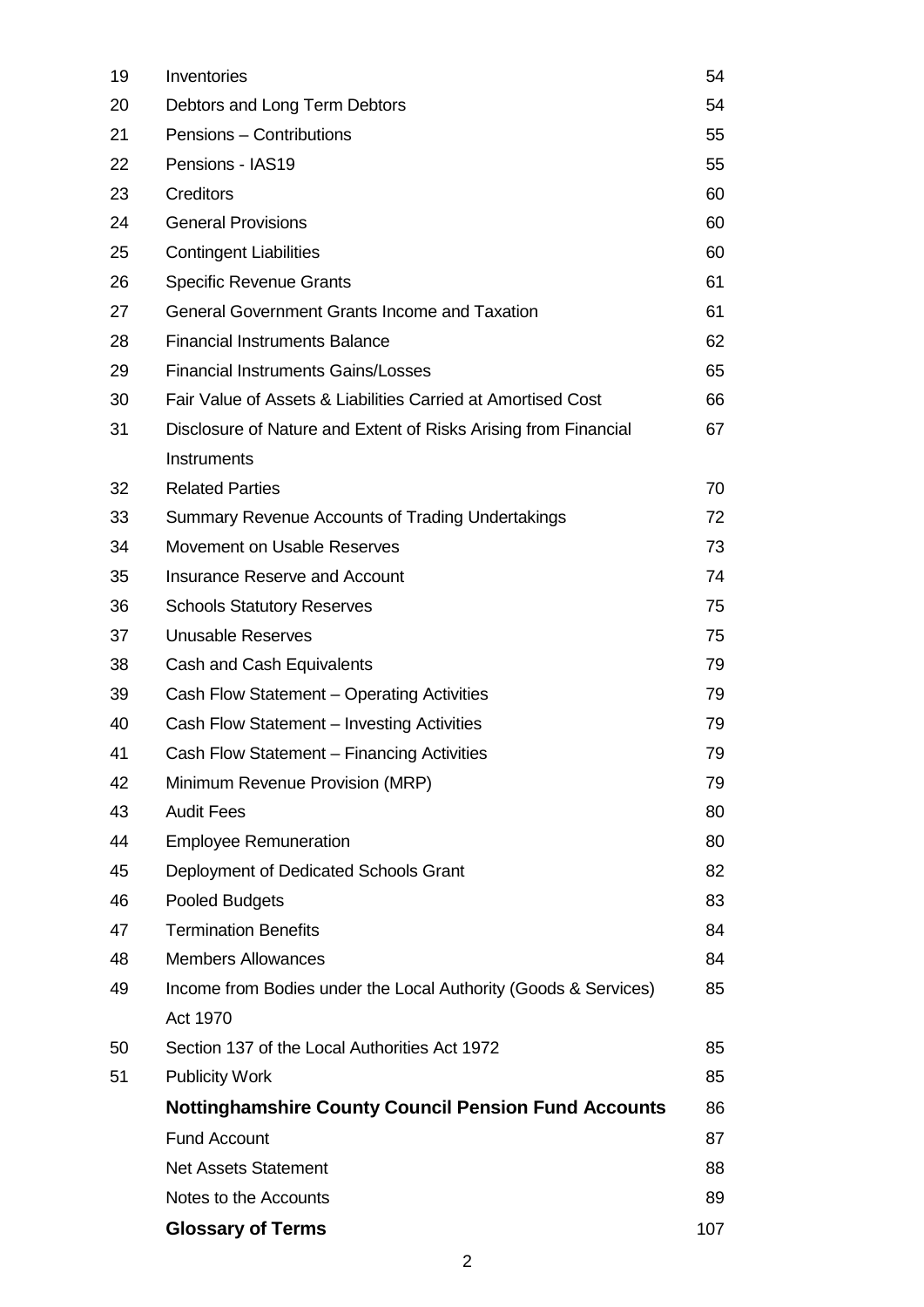| 19 | Inventories                                                     | 54  |
|----|-----------------------------------------------------------------|-----|
| 20 | Debtors and Long Term Debtors                                   | 54  |
| 21 | Pensions - Contributions                                        | 55  |
| 22 | Pensions - IAS19                                                | 55  |
| 23 | <b>Creditors</b>                                                | 60  |
| 24 | <b>General Provisions</b>                                       | 60  |
| 25 | <b>Contingent Liabilities</b>                                   | 60  |
| 26 | <b>Specific Revenue Grants</b>                                  | 61  |
| 27 | <b>General Government Grants Income and Taxation</b>            | 61  |
| 28 | <b>Financial Instruments Balance</b>                            | 62  |
| 29 | <b>Financial Instruments Gains/Losses</b>                       | 65  |
| 30 | Fair Value of Assets & Liabilities Carried at Amortised Cost    | 66  |
| 31 | Disclosure of Nature and Extent of Risks Arising from Financial | 67  |
|    | Instruments                                                     |     |
| 32 | <b>Related Parties</b>                                          | 70  |
| 33 | Summary Revenue Accounts of Trading Undertakings                | 72  |
| 34 | Movement on Usable Reserves                                     | 73  |
| 35 | <b>Insurance Reserve and Account</b>                            | 74  |
| 36 | <b>Schools Statutory Reserves</b>                               | 75  |
| 37 | <b>Unusable Reserves</b>                                        | 75  |
| 38 | Cash and Cash Equivalents                                       | 79  |
| 39 | Cash Flow Statement - Operating Activities                      | 79  |
| 40 | Cash Flow Statement - Investing Activities                      | 79  |
| 41 | Cash Flow Statement - Financing Activities                      | 79  |
| 42 | Minimum Revenue Provision (MRP)                                 | 79  |
| 43 | <b>Audit Fees</b>                                               | 80  |
| 44 | <b>Employee Remuneration</b>                                    | 80  |
| 45 | Deployment of Dedicated Schools Grant                           | 82  |
| 46 | <b>Pooled Budgets</b>                                           | 83  |
| 47 | <b>Termination Benefits</b>                                     | 84  |
| 48 | <b>Members Allowances</b>                                       | 84  |
| 49 | Income from Bodies under the Local Authority (Goods & Services) | 85  |
|    | Act 1970                                                        |     |
| 50 | Section 137 of the Local Authorities Act 1972                   | 85  |
| 51 | <b>Publicity Work</b>                                           | 85  |
|    | <b>Nottinghamshire County Council Pension Fund Accounts</b>     | 86  |
|    | <b>Fund Account</b>                                             | 87  |
|    | <b>Net Assets Statement</b>                                     | 88  |
|    | Notes to the Accounts                                           | 89  |
|    | <b>Glossary of Terms</b>                                        | 107 |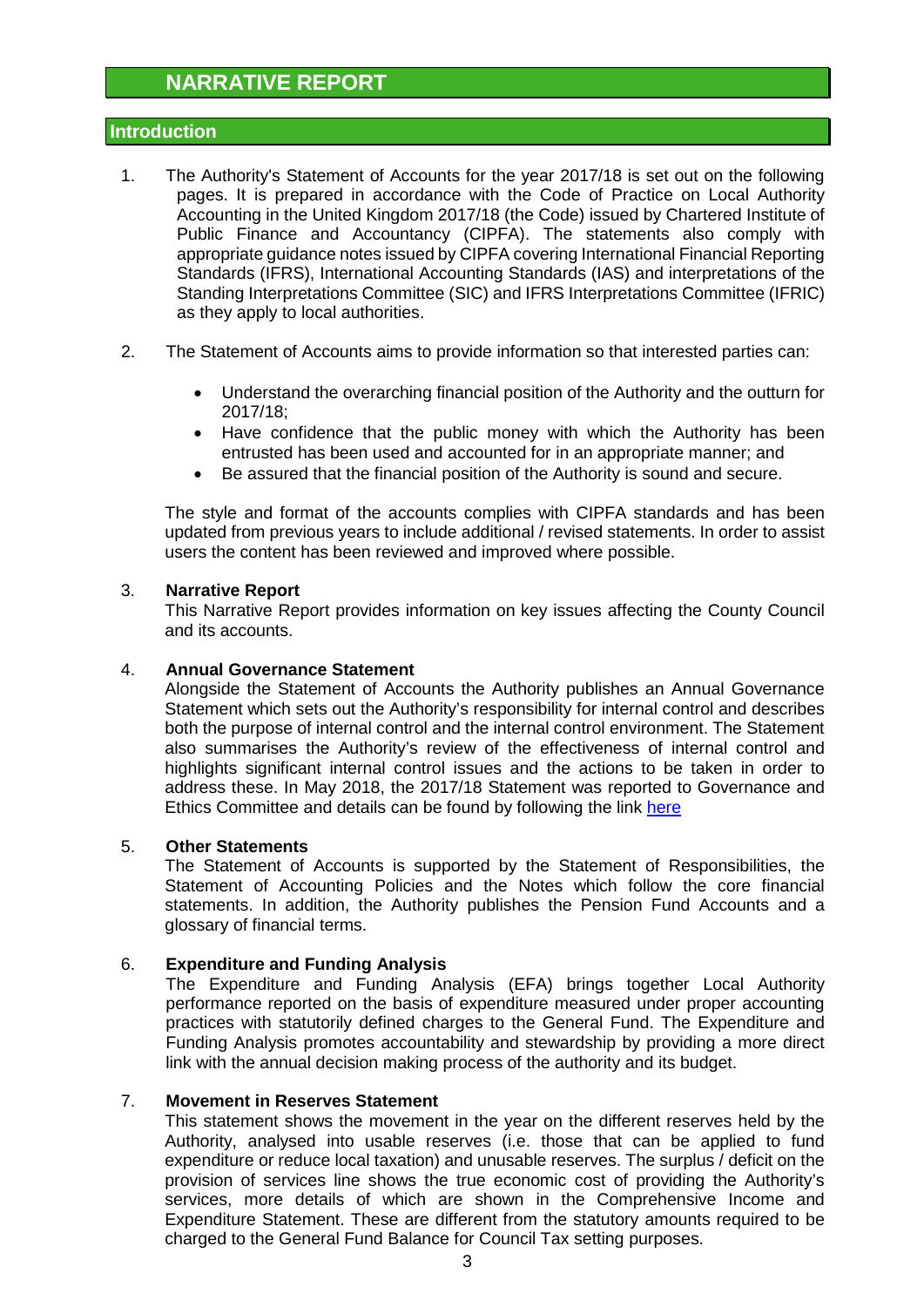# **NARRATIVE REPORT**

# **Introduction**

- 1. The Authority's Statement of Accounts for the year 2017/18 is set out on the following pages. It is prepared in accordance with the Code of Practice on Local Authority Accounting in the United Kingdom 2017/18 (the Code) issued by Chartered Institute of Public Finance and Accountancy (CIPFA). The statements also comply with appropriate guidance notes issued by CIPFA covering International Financial Reporting Standards (IFRS), International Accounting Standards (IAS) and interpretations of the Standing Interpretations Committee (SIC) and IFRS Interpretations Committee (IFRIC) as they apply to local authorities.
- 2. The Statement of Accounts aims to provide information so that interested parties can:
	- Understand the overarching financial position of the Authority and the outturn for 2017/18;
	- Have confidence that the public money with which the Authority has been entrusted has been used and accounted for in an appropriate manner; and
	- Be assured that the financial position of the Authority is sound and secure.

The style and format of the accounts complies with CIPFA standards and has been updated from previous years to include additional / revised statements. In order to assist users the content has been reviewed and improved where possible.

#### 3. **Narrative Report**

This Narrative Report provides information on key issues affecting the County Council and its accounts.

## 4. **Annual Governance Statement**

Alongside the Statement of Accounts the Authority publishes an Annual Governance Statement which sets out the Authority's responsibility for internal control and describes both the purpose of internal control and the internal control environment. The Statement also summarises the Authority's review of the effectiveness of internal control and highlights significant internal control issues and the actions to be taken in order to address these. In May 2018, the 2017/18 Statement was reported to Governance and Ethics Committee and details can be found by following the link [here](http://www.nottinghamshire.gov.uk/dmsadmin/Meetings/tabid/70/ctl/ViewMeetingPublic/mid/397/Meeting/4020/Committee/521/SelectedTab/Documents/Default.aspx)

#### 5. **Other Statements**

The Statement of Accounts is supported by the Statement of Responsibilities, the Statement of Accounting Policies and the Notes which follow the core financial statements. In addition, the Authority publishes the Pension Fund Accounts and a glossary of financial terms.

## 6. **Expenditure and Funding Analysis**

The Expenditure and Funding Analysis (EFA) brings together Local Authority performance reported on the basis of expenditure measured under proper accounting practices with statutorily defined charges to the General Fund. The Expenditure and Funding Analysis promotes accountability and stewardship by providing a more direct link with the annual decision making process of the authority and its budget.

## 7. **Movement in Reserves Statement**

This statement shows the movement in the year on the different reserves held by the Authority, analysed into usable reserves (i.e. those that can be applied to fund expenditure or reduce local taxation) and unusable reserves. The surplus / deficit on the provision of services line shows the true economic cost of providing the Authority's services, more details of which are shown in the Comprehensive Income and Expenditure Statement. These are different from the statutory amounts required to be charged to the General Fund Balance for Council Tax setting purposes.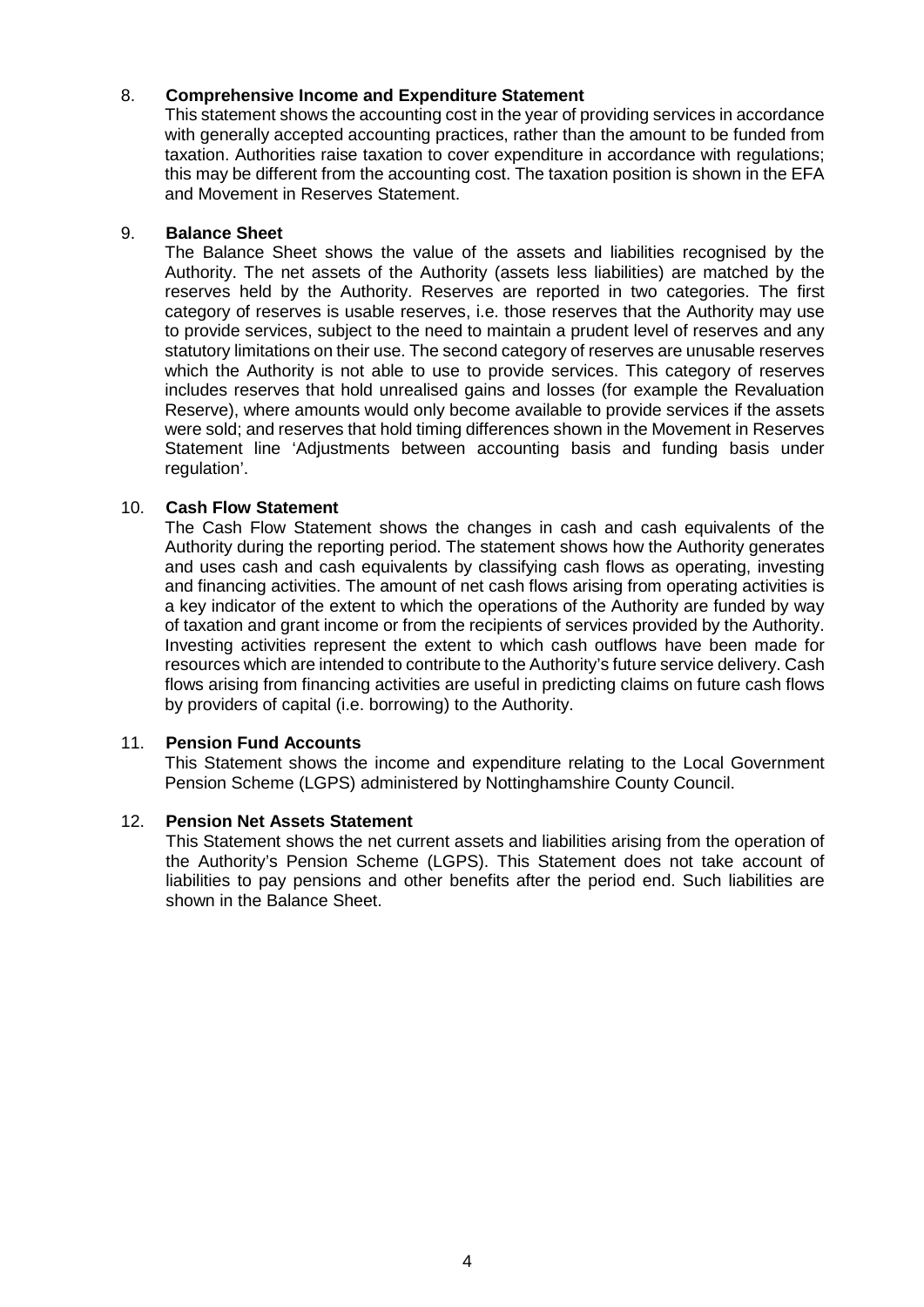## 8. **Comprehensive Income and Expenditure Statement**

This statement shows the accounting cost in the year of providing services in accordance with generally accepted accounting practices, rather than the amount to be funded from taxation. Authorities raise taxation to cover expenditure in accordance with regulations; this may be different from the accounting cost. The taxation position is shown in the EFA and Movement in Reserves Statement.

#### 9. **Balance Sheet**

The Balance Sheet shows the value of the assets and liabilities recognised by the Authority. The net assets of the Authority (assets less liabilities) are matched by the reserves held by the Authority. Reserves are reported in two categories. The first category of reserves is usable reserves, i.e. those reserves that the Authority may use to provide services, subject to the need to maintain a prudent level of reserves and any statutory limitations on their use. The second category of reserves are unusable reserves which the Authority is not able to use to provide services. This category of reserves includes reserves that hold unrealised gains and losses (for example the Revaluation Reserve), where amounts would only become available to provide services if the assets were sold; and reserves that hold timing differences shown in the Movement in Reserves Statement line 'Adjustments between accounting basis and funding basis under regulation'.

## 10. **Cash Flow Statement**

The Cash Flow Statement shows the changes in cash and cash equivalents of the Authority during the reporting period. The statement shows how the Authority generates and uses cash and cash equivalents by classifying cash flows as operating, investing and financing activities. The amount of net cash flows arising from operating activities is a key indicator of the extent to which the operations of the Authority are funded by way of taxation and grant income or from the recipients of services provided by the Authority. Investing activities represent the extent to which cash outflows have been made for resources which are intended to contribute to the Authority's future service delivery. Cash flows arising from financing activities are useful in predicting claims on future cash flows by providers of capital (i.e. borrowing) to the Authority.

## 11. **Pension Fund Accounts**

This Statement shows the income and expenditure relating to the Local Government Pension Scheme (LGPS) administered by Nottinghamshire County Council.

## 12. **Pension Net Assets Statement**

This Statement shows the net current assets and liabilities arising from the operation of the Authority's Pension Scheme (LGPS). This Statement does not take account of liabilities to pay pensions and other benefits after the period end. Such liabilities are shown in the Balance Sheet.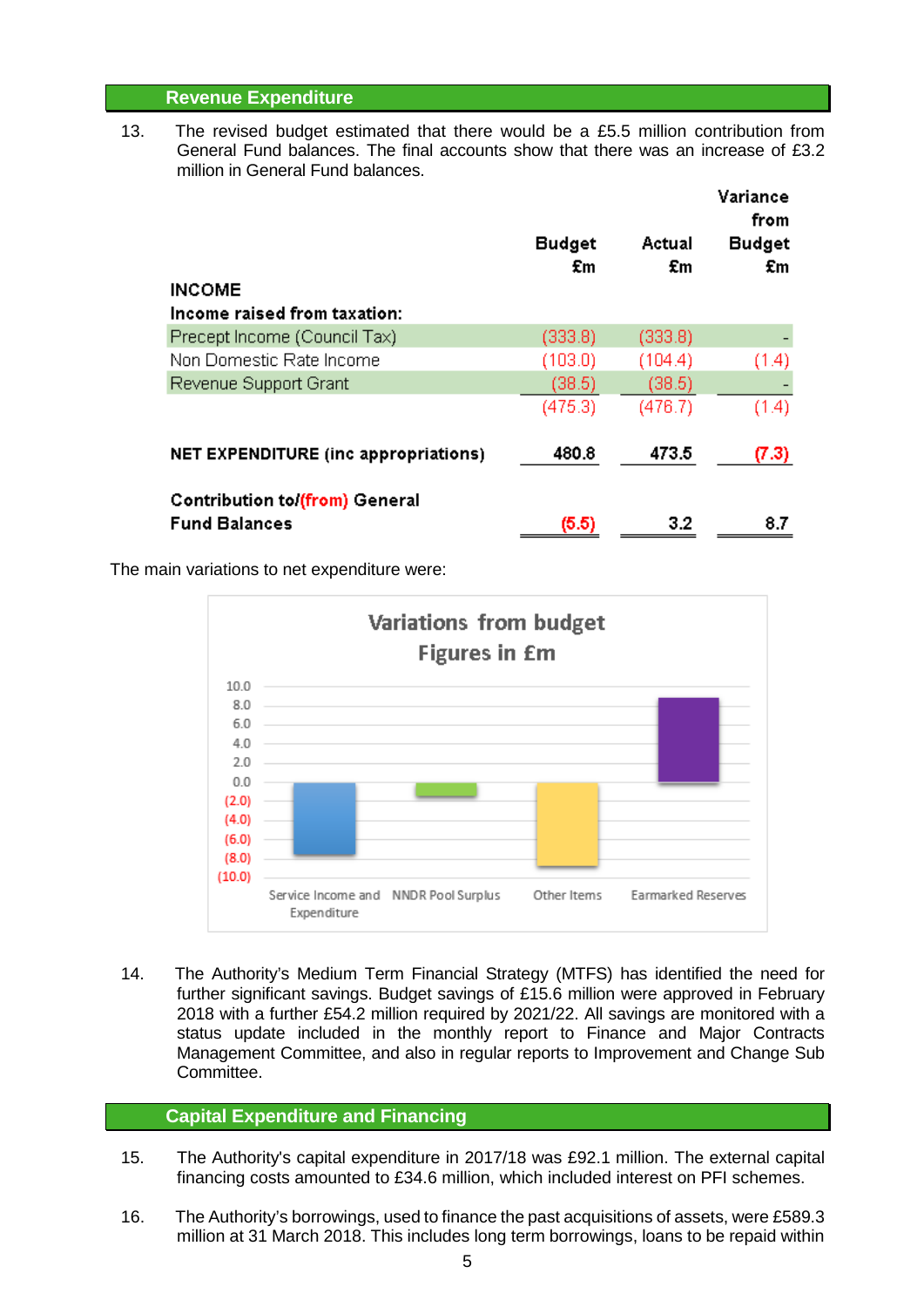# **Revenue Expenditure**

13. The revised budget estimated that there would be a £5.5 million contribution from General Fund balances. The final accounts show that there was an increase of £3.2 million in General Fund balances.

|                                                               | <b>Budget</b><br>£m | Actual<br>£m | Variance<br>from<br><b>Budget</b><br>£m |
|---------------------------------------------------------------|---------------------|--------------|-----------------------------------------|
| <b>INCOME</b>                                                 |                     |              |                                         |
| Income raised from taxation:                                  |                     |              |                                         |
| Precept Income (Council Tax)                                  | (333.8)             | (333.8)      |                                         |
| Non Domestic Rate Income                                      | (103.0)             | (104.4)      | (1.4)                                   |
| Revenue Support Grant                                         | (38.5)              | (38.5)       |                                         |
|                                                               | (475.3)             | (476.7)      | (1.4)                                   |
| NET EXPENDITURE (inc appropriations)                          | 480.8               | 473.5        | (7.3)                                   |
| <b>Contribution to (from) General</b><br><b>Fund Balances</b> |                     | 3.2          | 8.7                                     |
|                                                               | (5.5)               |              |                                         |

The main variations to net expenditure were:



14. The Authority's Medium Term Financial Strategy (MTFS) has identified the need for further significant savings. Budget savings of £15.6 million were approved in February 2018 with a further £54.2 million required by 2021/22. All savings are monitored with a status update included in the monthly report to Finance and Major Contracts Management Committee, and also in regular reports to Improvement and Change Sub Committee.

# **Capital Expenditure and Financing**

- 15. The Authority's capital expenditure in 2017/18 was £92.1 million. The external capital financing costs amounted to £34.6 million, which included interest on PFI schemes.
- 16. The Authority's borrowings, used to finance the past acquisitions of assets, were £589.3 million at 31 March 2018. This includes long term borrowings, loans to be repaid within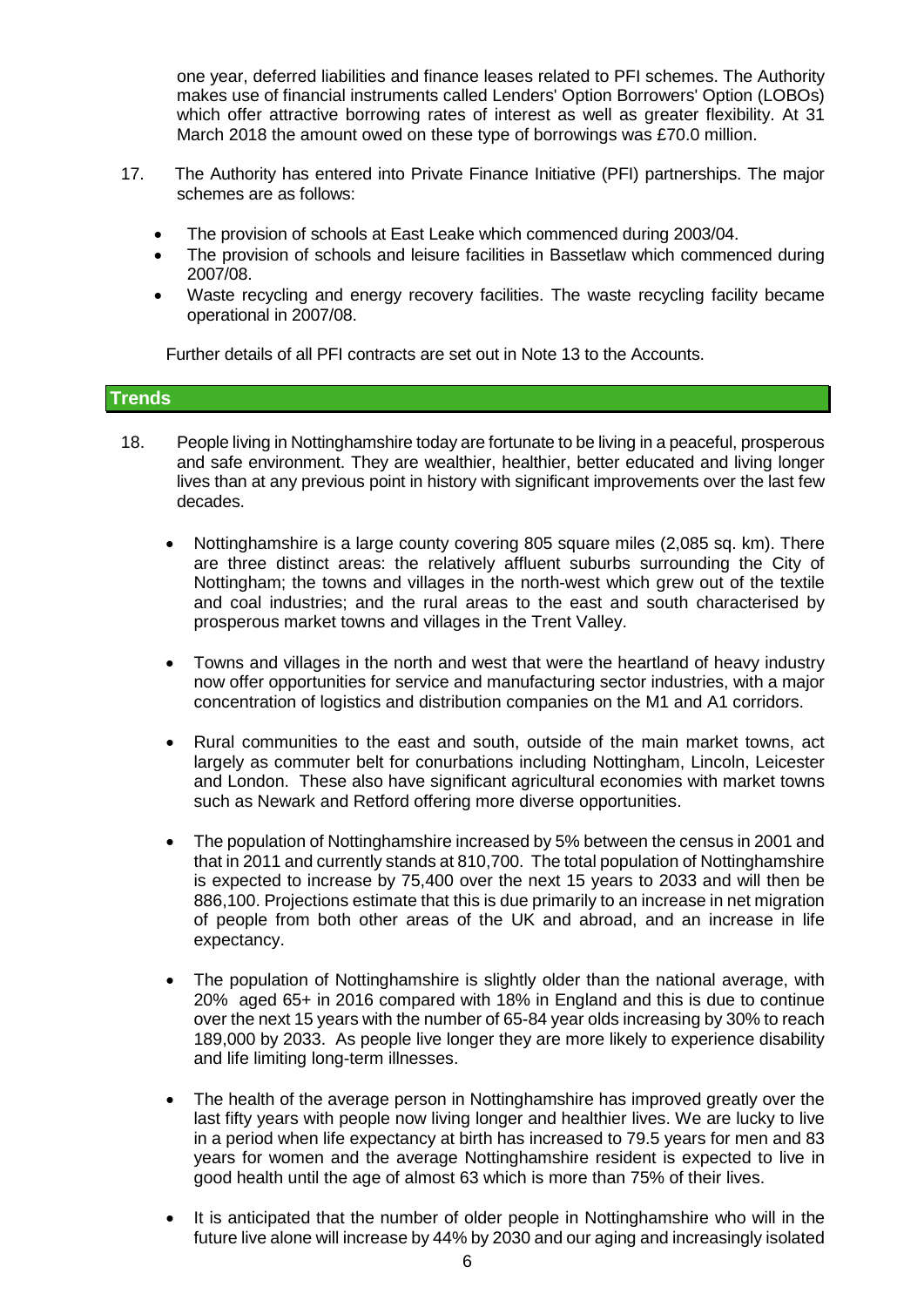one year, deferred liabilities and finance leases related to PFI schemes. The Authority makes use of financial instruments called Lenders' Option Borrowers' Option (LOBOs) which offer attractive borrowing rates of interest as well as greater flexibility. At 31 March 2018 the amount owed on these type of borrowings was £70.0 million.

- 17. The Authority has entered into Private Finance Initiative (PFI) partnerships. The major schemes are as follows:
	- The provision of schools at East Leake which commenced during 2003/04.
	- The provision of schools and leisure facilities in Bassetlaw which commenced during 2007/08.
	- Waste recycling and energy recovery facilities. The waste recycling facility became operational in 2007/08.

Further details of all PFI contracts are set out in Note 13 to the Accounts.

## **Trends**

- 18. People living in Nottinghamshire today are fortunate to be living in a peaceful, prosperous and safe environment. They are wealthier, healthier, better educated and living longer lives than at any previous point in history with significant improvements over the last few decades.
	- Nottinghamshire is a large county covering 805 square miles (2,085 sq. km). There are three distinct areas: the relatively affluent suburbs surrounding the City of Nottingham; the towns and villages in the north-west which grew out of the textile and coal industries; and the rural areas to the east and south characterised by prosperous market towns and villages in the Trent Valley.
	- Towns and villages in the north and west that were the heartland of heavy industry now offer opportunities for service and manufacturing sector industries, with a major concentration of logistics and distribution companies on the M1 and A1 corridors.
	- Rural communities to the east and south, outside of the main market towns, act largely as commuter belt for conurbations including Nottingham, Lincoln, Leicester and London. These also have significant agricultural economies with market towns such as Newark and Retford offering more diverse opportunities.
	- The population of Nottinghamshire increased by 5% between the census in 2001 and that in 2011 and currently stands at 810,700. The total population of Nottinghamshire is expected to increase by 75,400 over the next 15 years to 2033 and will then be 886,100. Projections estimate that this is due primarily to an increase in net migration of people from both other areas of the UK and abroad, and an increase in life expectancy.
	- The population of Nottinghamshire is slightly older than the national average, with 20% aged 65+ in 2016 compared with 18% in England and this is due to continue over the next 15 years with the number of 65-84 year olds increasing by 30% to reach 189,000 by 2033. As people live longer they are more likely to experience disability and life limiting long-term illnesses.
	- The health of the average person in Nottinghamshire has improved greatly over the last fifty years with people now living longer and healthier lives. We are lucky to live in a period when life expectancy at birth has increased to 79.5 years for men and 83 years for women and the average Nottinghamshire resident is expected to live in good health until the age of almost 63 which is more than 75% of their lives.
	- It is anticipated that the number of older people in Nottinghamshire who will in the future live alone will increase by 44% by 2030 and our aging and increasingly isolated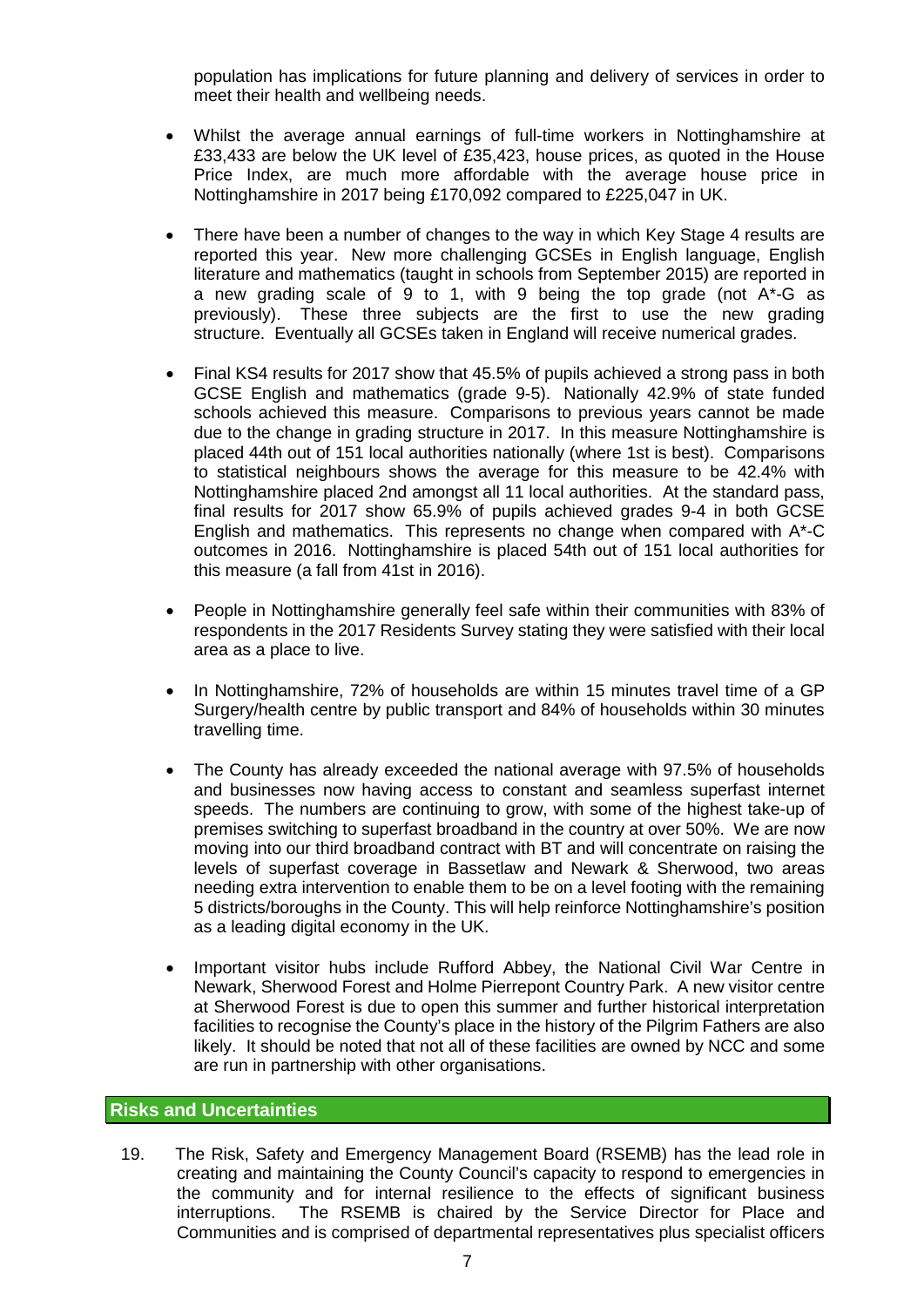population has implications for future planning and delivery of services in order to meet their health and wellbeing needs.

- Whilst the average annual earnings of full-time workers in Nottinghamshire at £33,433 are below the UK level of £35,423, house prices, as quoted in the House Price Index, are much more affordable with the average house price in Nottinghamshire in 2017 being £170,092 compared to £225,047 in UK.
- There have been a number of changes to the way in which Key Stage 4 results are reported this year. New more challenging GCSEs in English language, English literature and mathematics (taught in schools from September 2015) are reported in a new grading scale of 9 to 1, with 9 being the top grade (not A\*-G as previously). These three subjects are the first to use the new grading structure. Eventually all GCSEs taken in England will receive numerical grades.
- Final KS4 results for 2017 show that 45.5% of pupils achieved a strong pass in both GCSE English and mathematics (grade 9-5). Nationally 42.9% of state funded schools achieved this measure. Comparisons to previous years cannot be made due to the change in grading structure in 2017. In this measure Nottinghamshire is placed 44th out of 151 local authorities nationally (where 1st is best). Comparisons to statistical neighbours shows the average for this measure to be 42.4% with Nottinghamshire placed 2nd amongst all 11 local authorities. At the standard pass, final results for 2017 show 65.9% of pupils achieved grades 9-4 in both GCSE English and mathematics. This represents no change when compared with A\*-C outcomes in 2016. Nottinghamshire is placed 54th out of 151 local authorities for this measure (a fall from 41st in 2016).
- People in Nottinghamshire generally feel safe within their communities with 83% of respondents in the 2017 Residents Survey stating they were satisfied with their local area as a place to live.
- In Nottinghamshire, 72% of households are within 15 minutes travel time of a GP Surgery/health centre by public transport and 84% of households within 30 minutes travelling time.
- The County has already exceeded the national average with 97.5% of households and businesses now having access to constant and seamless superfast internet speeds. The numbers are continuing to grow, with some of the highest take-up of premises switching to superfast broadband in the country at over 50%. We are now moving into our third broadband contract with BT and will concentrate on raising the levels of superfast coverage in Bassetlaw and Newark & Sherwood, two areas needing extra intervention to enable them to be on a level footing with the remaining 5 districts/boroughs in the County. This will help reinforce Nottinghamshire's position as a leading digital economy in the UK.
- Important visitor hubs include Rufford Abbey, the National Civil War Centre in Newark, Sherwood Forest and Holme Pierrepont Country Park. A new visitor centre at Sherwood Forest is due to open this summer and further historical interpretation facilities to recognise the County's place in the history of the Pilgrim Fathers are also likely. It should be noted that not all of these facilities are owned by NCC and some are run in partnership with other organisations.

# **Risks and Uncertainties**

19. The Risk, Safety and Emergency Management Board (RSEMB) has the lead role in creating and maintaining the County Council's capacity to respond to emergencies in the community and for internal resilience to the effects of significant business interruptions. The RSEMB is chaired by the Service Director for Place and Communities and is comprised of departmental representatives plus specialist officers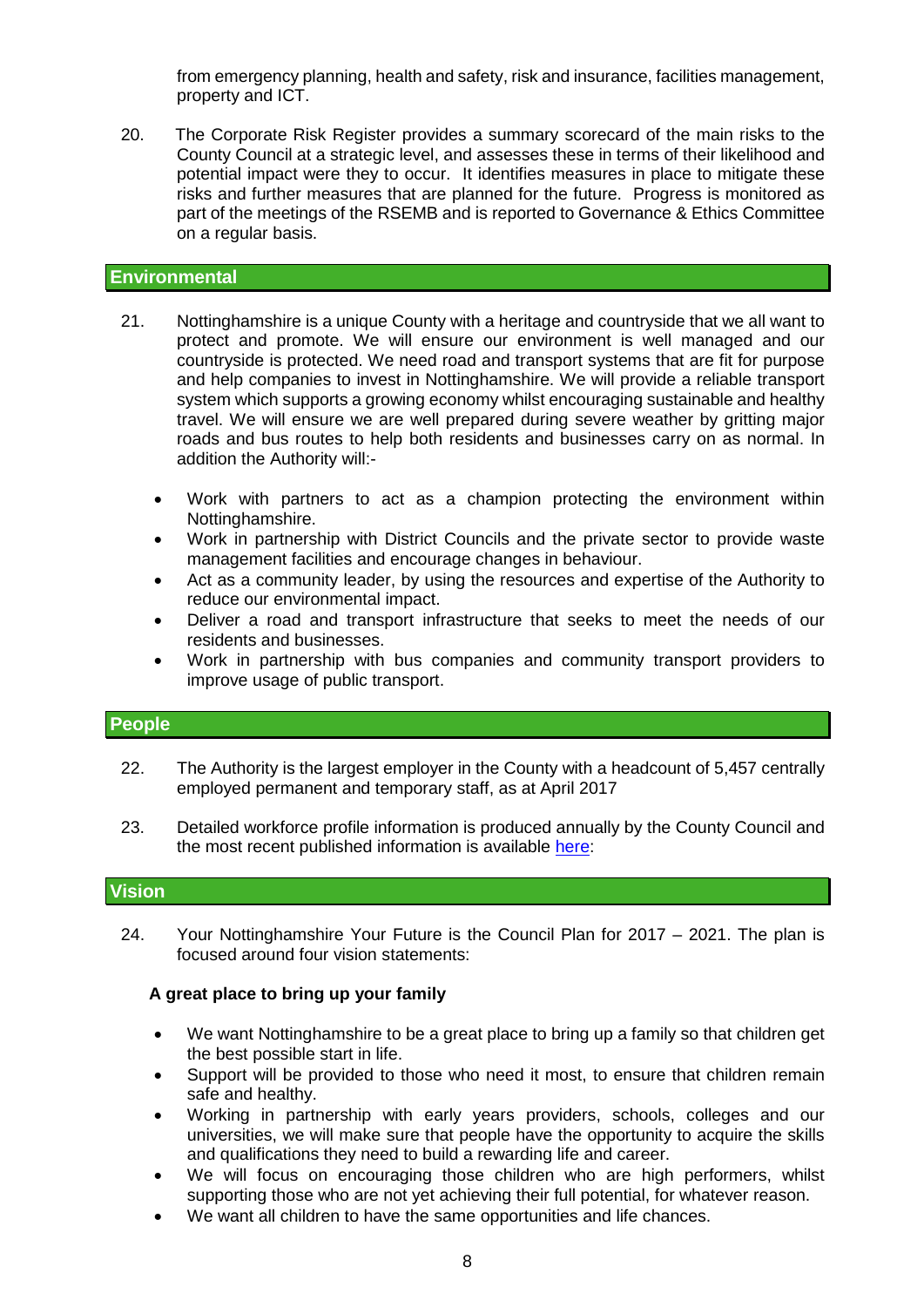from emergency planning, health and safety, risk and insurance, facilities management, property and ICT.

20. The Corporate Risk Register provides a summary scorecard of the main risks to the County Council at a strategic level, and assesses these in terms of their likelihood and potential impact were they to occur. It identifies measures in place to mitigate these risks and further measures that are planned for the future. Progress is monitored as part of the meetings of the RSEMB and is reported to Governance & Ethics Committee on a regular basis.

#### **Environmental**

- 21. Nottinghamshire is a unique County with a heritage and countryside that we all want to protect and promote. We will ensure our environment is well managed and our countryside is protected. We need road and transport systems that are fit for purpose and help companies to invest in Nottinghamshire. We will provide a reliable transport system which supports a growing economy whilst encouraging sustainable and healthy travel. We will ensure we are well prepared during severe weather by gritting major roads and bus routes to help both residents and businesses carry on as normal. In addition the Authority will:-
	- Work with partners to act as a champion protecting the environment within Nottinghamshire.
	- Work in partnership with District Councils and the private sector to provide waste management facilities and encourage changes in behaviour.
	- Act as a community leader, by using the resources and expertise of the Authority to reduce our environmental impact.
	- Deliver a road and transport infrastructure that seeks to meet the needs of our residents and businesses.
	- Work in partnership with bus companies and community transport providers to improve usage of public transport.

#### **People**

- 22. The Authority is the largest employer in the County with a headcount of 5,457 centrally employed permanent and temporary staff, as at April 2017
- 23. Detailed workforce profile information is produced annually by the County Council and the most recent published information is available [here:](http://www.nottinghamshire.gov.uk/dms/Meetings/tabid/70/ctl/ViewMeetingPublic/mid/397/Meeting/4075/Committee/522/Default.aspx)

# **Vision**

24. Your Nottinghamshire Your Future is the Council Plan for 2017 – 2021. The plan is focused around four vision statements:

#### **A great place to bring up your family**

- We want Nottinghamshire to be a great place to bring up a family so that children get the best possible start in life.
- Support will be provided to those who need it most, to ensure that children remain safe and healthy.
- Working in partnership with early years providers, schools, colleges and our universities, we will make sure that people have the opportunity to acquire the skills and qualifications they need to build a rewarding life and career.
- We will focus on encouraging those children who are high performers, whilst supporting those who are not yet achieving their full potential, for whatever reason.
- We want all children to have the same opportunities and life chances.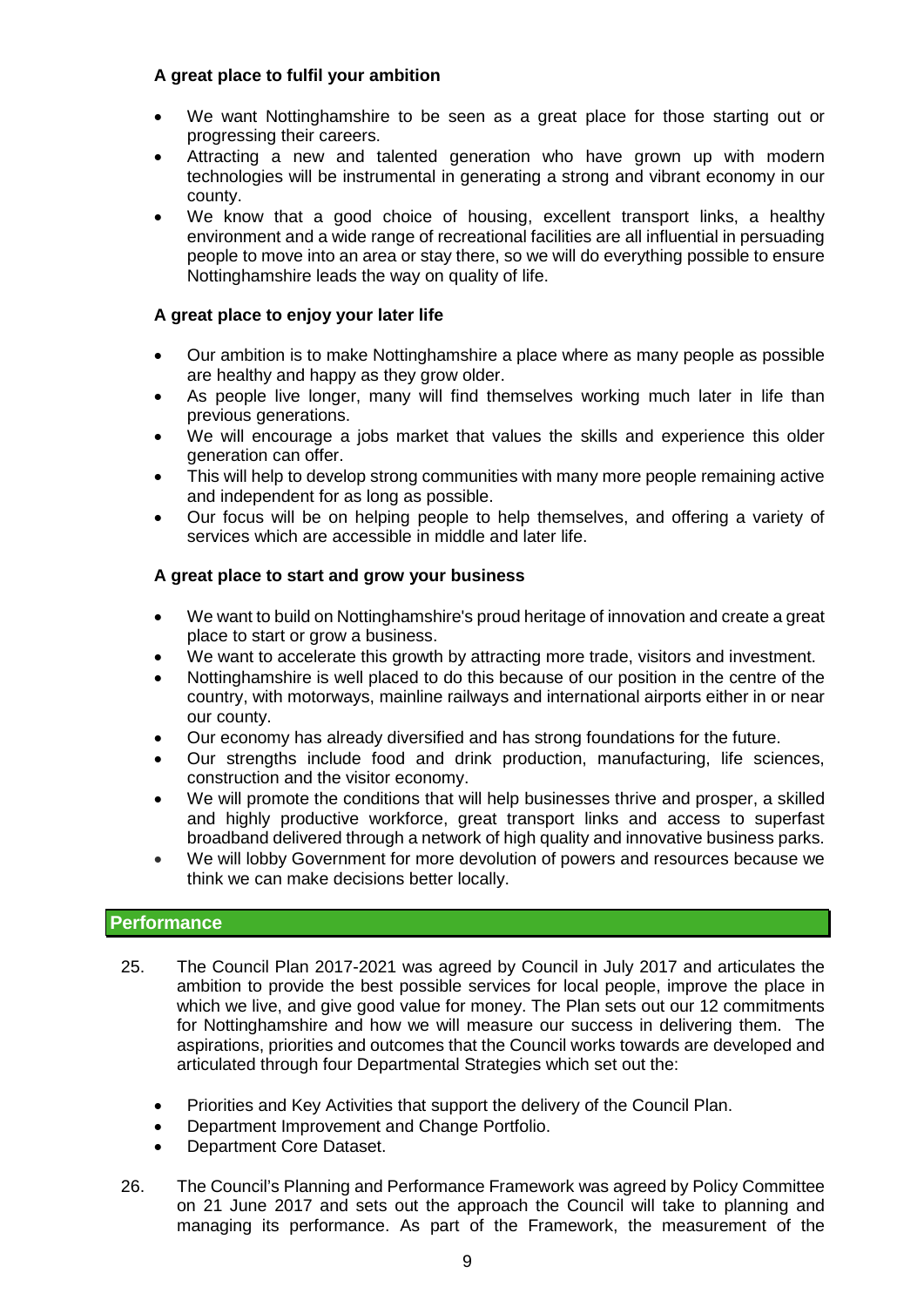# **A great place to fulfil your ambition**

- We want Nottinghamshire to be seen as a great place for those starting out or progressing their careers.
- Attracting a new and talented generation who have grown up with modern technologies will be instrumental in generating a strong and vibrant economy in our county.
- We know that a good choice of housing, excellent transport links, a healthy environment and a wide range of recreational facilities are all influential in persuading people to move into an area or stay there, so we will do everything possible to ensure Nottinghamshire leads the way on quality of life.

# **A great place to enjoy your later life**

- Our ambition is to make Nottinghamshire a place where as many people as possible are healthy and happy as they grow older.
- As people live longer, many will find themselves working much later in life than previous generations.
- We will encourage a jobs market that values the skills and experience this older generation can offer.
- This will help to develop strong communities with many more people remaining active and independent for as long as possible.
- Our focus will be on helping people to help themselves, and offering a variety of services which are accessible in middle and later life.

# **A great place to start and grow your business**

- We want to build on Nottinghamshire's proud heritage of innovation and create a great place to start or grow a business.
- We want to accelerate this growth by attracting more trade, visitors and investment.
- Nottinghamshire is well placed to do this because of our position in the centre of the country, with motorways, mainline railways and international airports either in or near our county.
- Our economy has already diversified and has strong foundations for the future.
- Our strengths include food and drink production, manufacturing, life sciences, construction and the visitor economy.
- We will promote the conditions that will help businesses thrive and prosper, a skilled and highly productive workforce, great transport links and access to superfast broadband delivered through a network of high quality and innovative business parks.
- We will lobby Government for more devolution of powers and resources because we think we can make decisions better locally.

## **Performance**

- 25. The Council Plan 2017-2021 was agreed by Council in July 2017 and articulates the ambition to provide the best possible services for local people, improve the place in which we live, and give good value for money. The Plan sets out our 12 commitments for Nottinghamshire and how we will measure our success in delivering them. The aspirations, priorities and outcomes that the Council works towards are developed and articulated through four Departmental Strategies which set out the:
	- Priorities and Key Activities that support the delivery of the Council Plan.
	- Department Improvement and Change Portfolio.
	- Department Core Dataset.
- 26. The Council's Planning and Performance Framework was agreed by Policy Committee on 21 June 2017 and sets out the approach the Council will take to planning and managing its performance. As part of the Framework, the measurement of the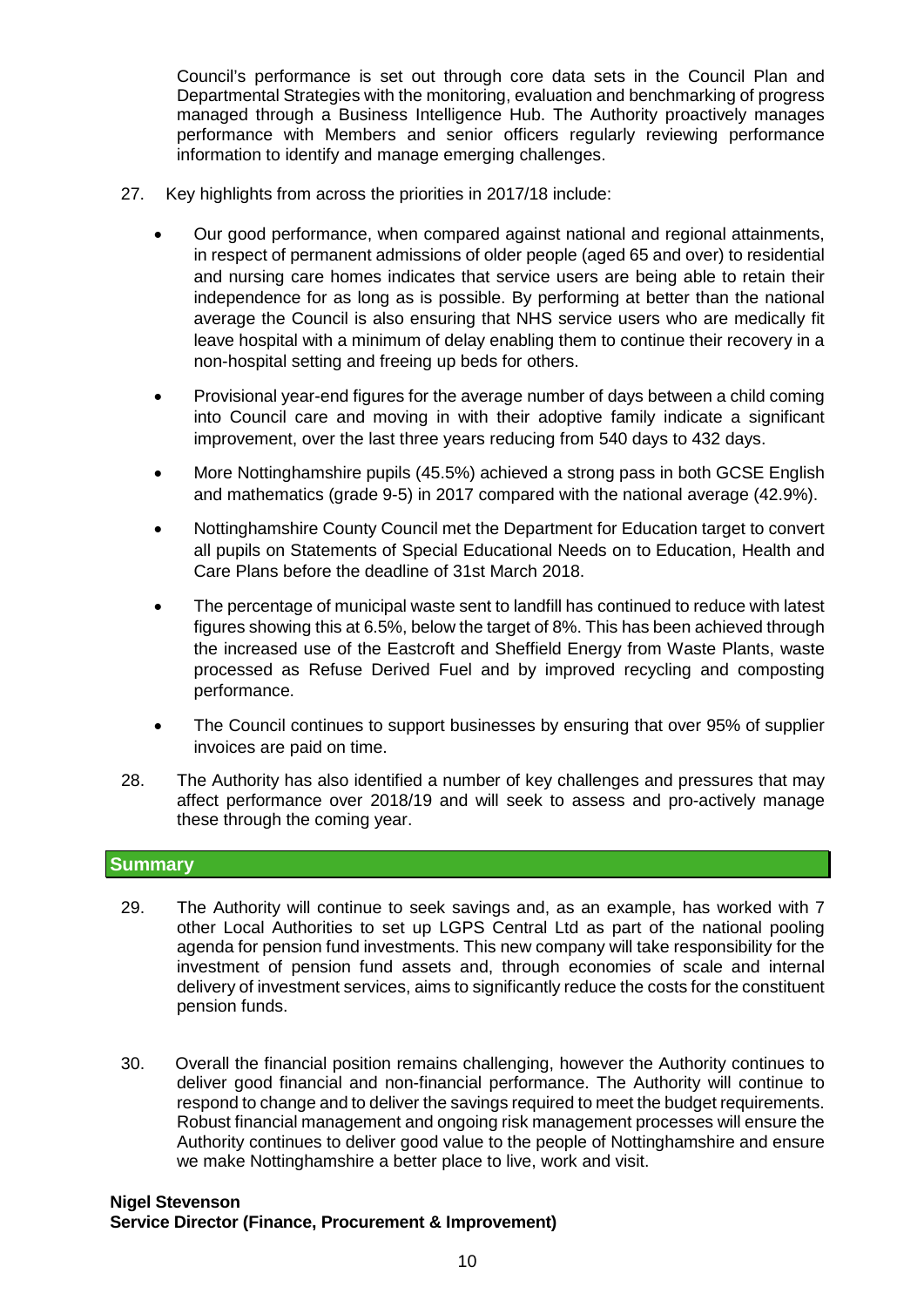Council's performance is set out through core data sets in the Council Plan and Departmental Strategies with the monitoring, evaluation and benchmarking of progress managed through a Business Intelligence Hub. The Authority proactively manages performance with Members and senior officers regularly reviewing performance information to identify and manage emerging challenges.

- 27. Key highlights from across the priorities in 2017/18 include:
	- Our good performance, when compared against national and regional attainments, in respect of permanent admissions of older people (aged 65 and over) to residential and nursing care homes indicates that service users are being able to retain their independence for as long as is possible. By performing at better than the national average the Council is also ensuring that NHS service users who are medically fit leave hospital with a minimum of delay enabling them to continue their recovery in a non-hospital setting and freeing up beds for others.
	- Provisional year-end figures for the average number of days between a child coming into Council care and moving in with their adoptive family indicate a significant improvement, over the last three years reducing from 540 days to 432 days.
	- More Nottinghamshire pupils (45.5%) achieved a strong pass in both GCSE English and mathematics (grade 9-5) in 2017 compared with the national average (42.9%).
	- Nottinghamshire County Council met the Department for Education target to convert all pupils on Statements of Special Educational Needs on to Education, Health and Care Plans before the deadline of 31st March 2018.
	- The percentage of municipal waste sent to landfill has continued to reduce with latest figures showing this at 6.5%, below the target of 8%. This has been achieved through the increased use of the Eastcroft and Sheffield Energy from Waste Plants, waste processed as Refuse Derived Fuel and by improved recycling and composting performance.
	- The Council continues to support businesses by ensuring that over 95% of supplier invoices are paid on time.
- 28. The Authority has also identified a number of key challenges and pressures that may affect performance over 2018/19 and will seek to assess and pro-actively manage these through the coming year.

## **Summary**

- 29. The Authority will continue to seek savings and, as an example, has worked with 7 other Local Authorities to set up LGPS Central Ltd as part of the national pooling agenda for pension fund investments. This new company will take responsibility for the investment of pension fund assets and, through economies of scale and internal delivery of investment services, aims to significantly reduce the costs for the constituent pension funds.
- 30. Overall the financial position remains challenging, however the Authority continues to deliver good financial and non-financial performance. The Authority will continue to respond to change and to deliver the savings required to meet the budget requirements. Robust financial management and ongoing risk management processes will ensure the Authority continues to deliver good value to the people of Nottinghamshire and ensure we make Nottinghamshire a better place to live, work and visit.

#### **Nigel Stevenson Service Director (Finance, Procurement & Improvement)**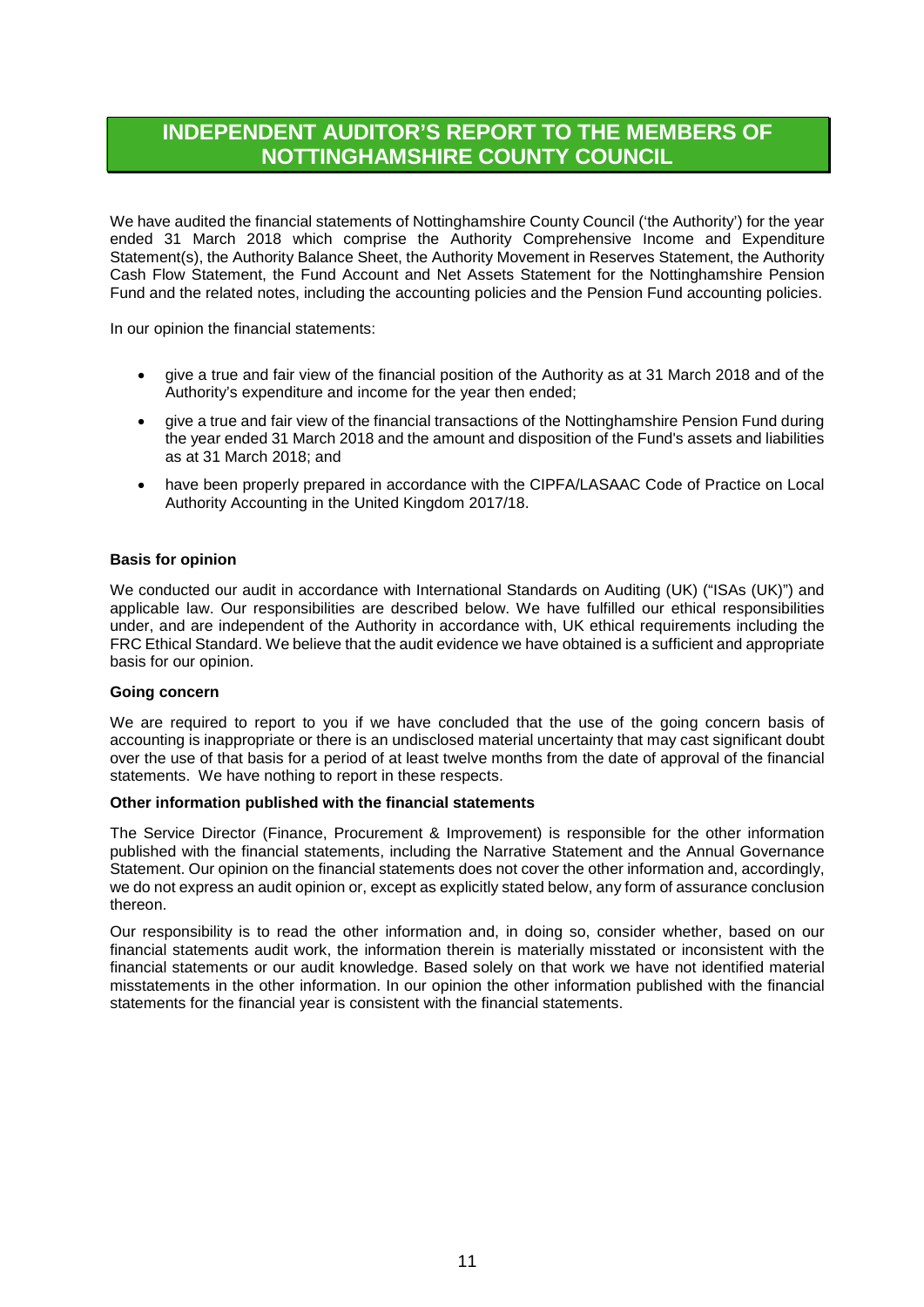# **INDEPENDENT AUDITOR'S REPORT TO THE MEMBERS OF NOTTINGHAMSHIRE COUNTY COUNCIL**

We have audited the financial statements of Nottinghamshire County Council ('the Authority') for the year ended 31 March 2018 which comprise the Authority Comprehensive Income and Expenditure Statement(s), the Authority Balance Sheet, the Authority Movement in Reserves Statement, the Authority Cash Flow Statement, the Fund Account and Net Assets Statement for the Nottinghamshire Pension Fund and the related notes, including the accounting policies and the Pension Fund accounting policies.

In our opinion the financial statements:

- give a true and fair view of the financial position of the Authority as at 31 March 2018 and of the Authority's expenditure and income for the year then ended;
- give a true and fair view of the financial transactions of the Nottinghamshire Pension Fund during the year ended 31 March 2018 and the amount and disposition of the Fund's assets and liabilities as at 31 March 2018; and
- have been properly prepared in accordance with the CIPFA/LASAAC Code of Practice on Local Authority Accounting in the United Kingdom 2017/18.

#### **Basis for opinion**

We conducted our audit in accordance with International Standards on Auditing (UK) ("ISAs (UK)") and applicable law. Our responsibilities are described below. We have fulfilled our ethical responsibilities under, and are independent of the Authority in accordance with, UK ethical requirements including the FRC Ethical Standard. We believe that the audit evidence we have obtained is a sufficient and appropriate basis for our opinion.

#### **Going concern**

We are required to report to you if we have concluded that the use of the going concern basis of accounting is inappropriate or there is an undisclosed material uncertainty that may cast significant doubt over the use of that basis for a period of at least twelve months from the date of approval of the financial statements. We have nothing to report in these respects.

#### **Other information published with the financial statements**

The Service Director (Finance, Procurement & Improvement) is responsible for the other information published with the financial statements, including the Narrative Statement and the Annual Governance Statement. Our opinion on the financial statements does not cover the other information and, accordingly, we do not express an audit opinion or, except as explicitly stated below, any form of assurance conclusion thereon.

Our responsibility is to read the other information and, in doing so, consider whether, based on our financial statements audit work, the information therein is materially misstated or inconsistent with the financial statements or our audit knowledge. Based solely on that work we have not identified material misstatements in the other information. In our opinion the other information published with the financial statements for the financial year is consistent with the financial statements.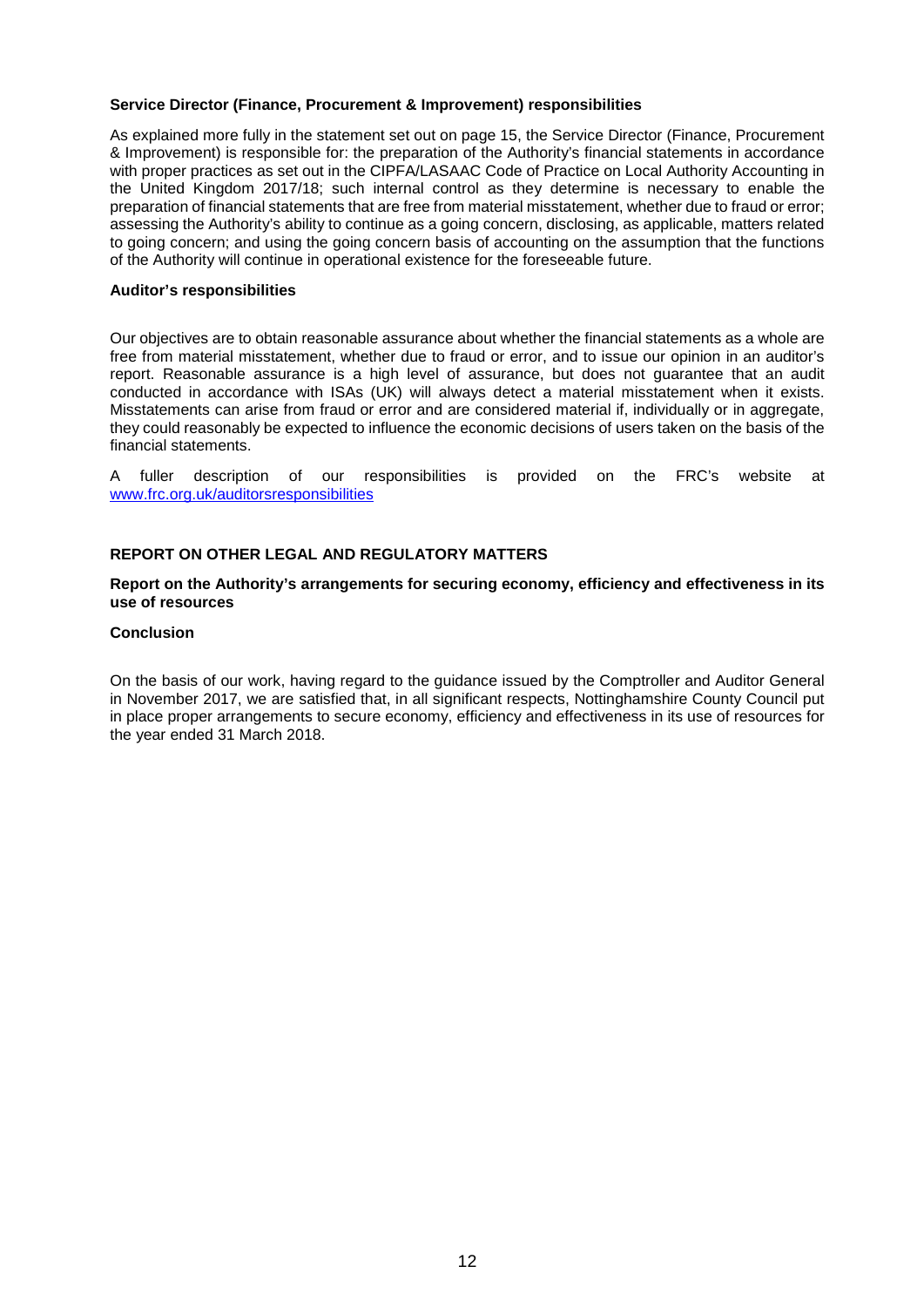#### **Service Director (Finance, Procurement & Improvement) responsibilities**

As explained more fully in the statement set out on page 15, the Service Director (Finance, Procurement & Improvement) is responsible for: the preparation of the Authority's financial statements in accordance with proper practices as set out in the CIPFA/LASAAC Code of Practice on Local Authority Accounting in the United Kingdom 2017/18; such internal control as they determine is necessary to enable the preparation of financial statements that are free from material misstatement, whether due to fraud or error; assessing the Authority's ability to continue as a going concern, disclosing, as applicable, matters related to going concern; and using the going concern basis of accounting on the assumption that the functions of the Authority will continue in operational existence for the foreseeable future.

#### **Auditor's responsibilities**

Our objectives are to obtain reasonable assurance about whether the financial statements as a whole are free from material misstatement, whether due to fraud or error, and to issue our opinion in an auditor's report. Reasonable assurance is a high level of assurance, but does not guarantee that an audit conducted in accordance with ISAs (UK) will always detect a material misstatement when it exists. Misstatements can arise from fraud or error and are considered material if, individually or in aggregate, they could reasonably be expected to influence the economic decisions of users taken on the basis of the financial statements.

A fuller description of our responsibilities is provided on the FRC's website at [www.frc.org.uk/auditorsresponsibilities](http://www.frc.org.uk/auditorsresponsibilities)

#### **REPORT ON OTHER LEGAL AND REGULATORY MATTERS**

#### **Report on the Authority's arrangements for securing economy, efficiency and effectiveness in its use of resources**

#### **Conclusion**

On the basis of our work, having regard to the guidance issued by the Comptroller and Auditor General in November 2017, we are satisfied that, in all significant respects, Nottinghamshire County Council put in place proper arrangements to secure economy, efficiency and effectiveness in its use of resources for the year ended 31 March 2018.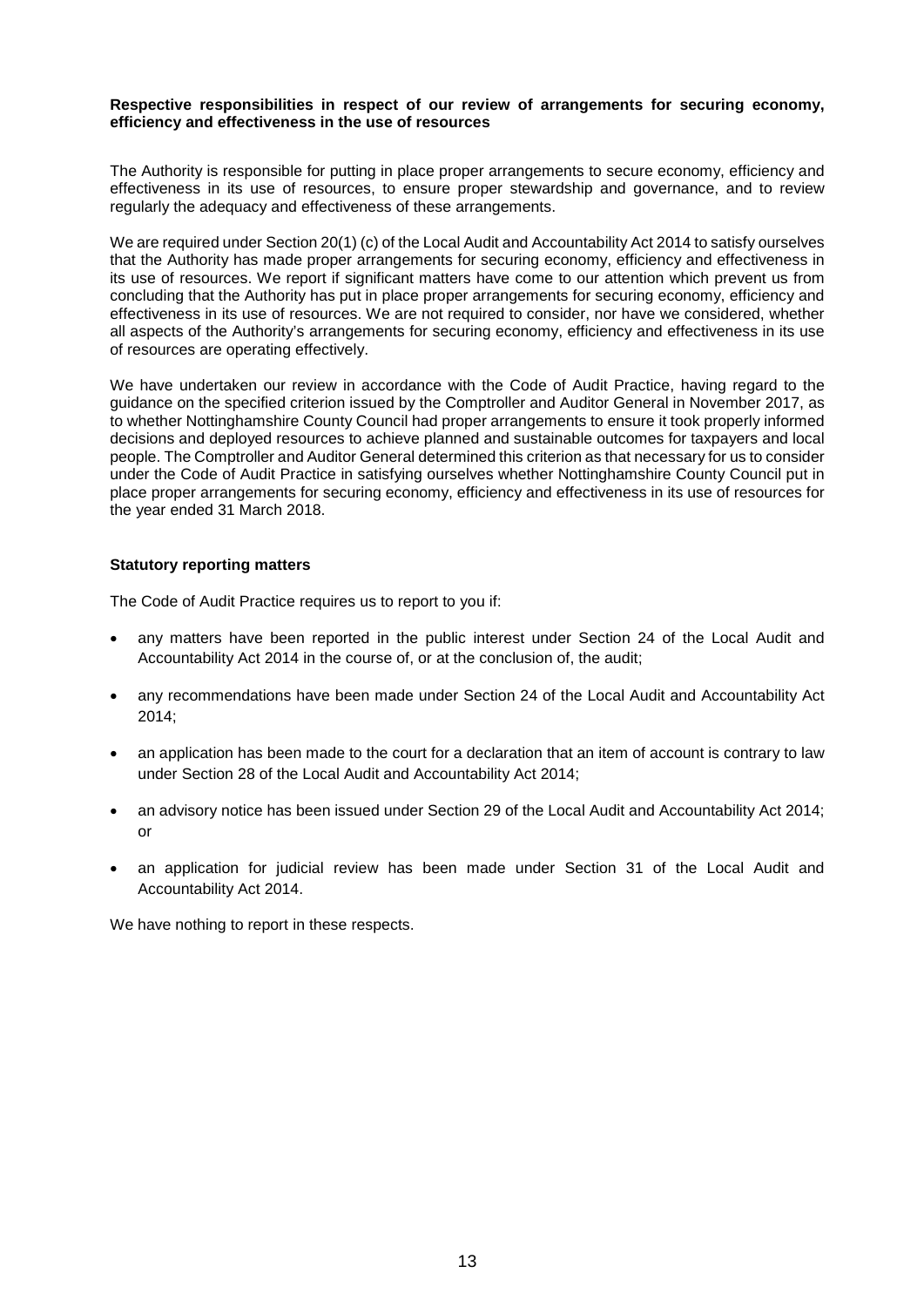#### **Respective responsibilities in respect of our review of arrangements for securing economy, efficiency and effectiveness in the use of resources**

The Authority is responsible for putting in place proper arrangements to secure economy, efficiency and effectiveness in its use of resources, to ensure proper stewardship and governance, and to review regularly the adequacy and effectiveness of these arrangements.

We are required under Section 20(1) (c) of the Local Audit and Accountability Act 2014 to satisfy ourselves that the Authority has made proper arrangements for securing economy, efficiency and effectiveness in its use of resources. We report if significant matters have come to our attention which prevent us from concluding that the Authority has put in place proper arrangements for securing economy, efficiency and effectiveness in its use of resources. We are not required to consider, nor have we considered, whether all aspects of the Authority's arrangements for securing economy, efficiency and effectiveness in its use of resources are operating effectively.

We have undertaken our review in accordance with the Code of Audit Practice, having regard to the guidance on the specified criterion issued by the Comptroller and Auditor General in November 2017, as to whether Nottinghamshire County Council had proper arrangements to ensure it took properly informed decisions and deployed resources to achieve planned and sustainable outcomes for taxpayers and local people. The Comptroller and Auditor General determined this criterion as that necessary for us to consider under the Code of Audit Practice in satisfying ourselves whether Nottinghamshire County Council put in place proper arrangements for securing economy, efficiency and effectiveness in its use of resources for the year ended 31 March 2018.

#### **Statutory reporting matters**

The Code of Audit Practice requires us to report to you if:

- any matters have been reported in the public interest under Section 24 of the Local Audit and Accountability Act 2014 in the course of, or at the conclusion of, the audit;
- any recommendations have been made under Section 24 of the Local Audit and Accountability Act 2014;
- an application has been made to the court for a declaration that an item of account is contrary to law under Section 28 of the Local Audit and Accountability Act 2014;
- an advisory notice has been issued under Section 29 of the Local Audit and Accountability Act 2014; or
- an application for judicial review has been made under Section 31 of the Local Audit and Accountability Act 2014.

We have nothing to report in these respects.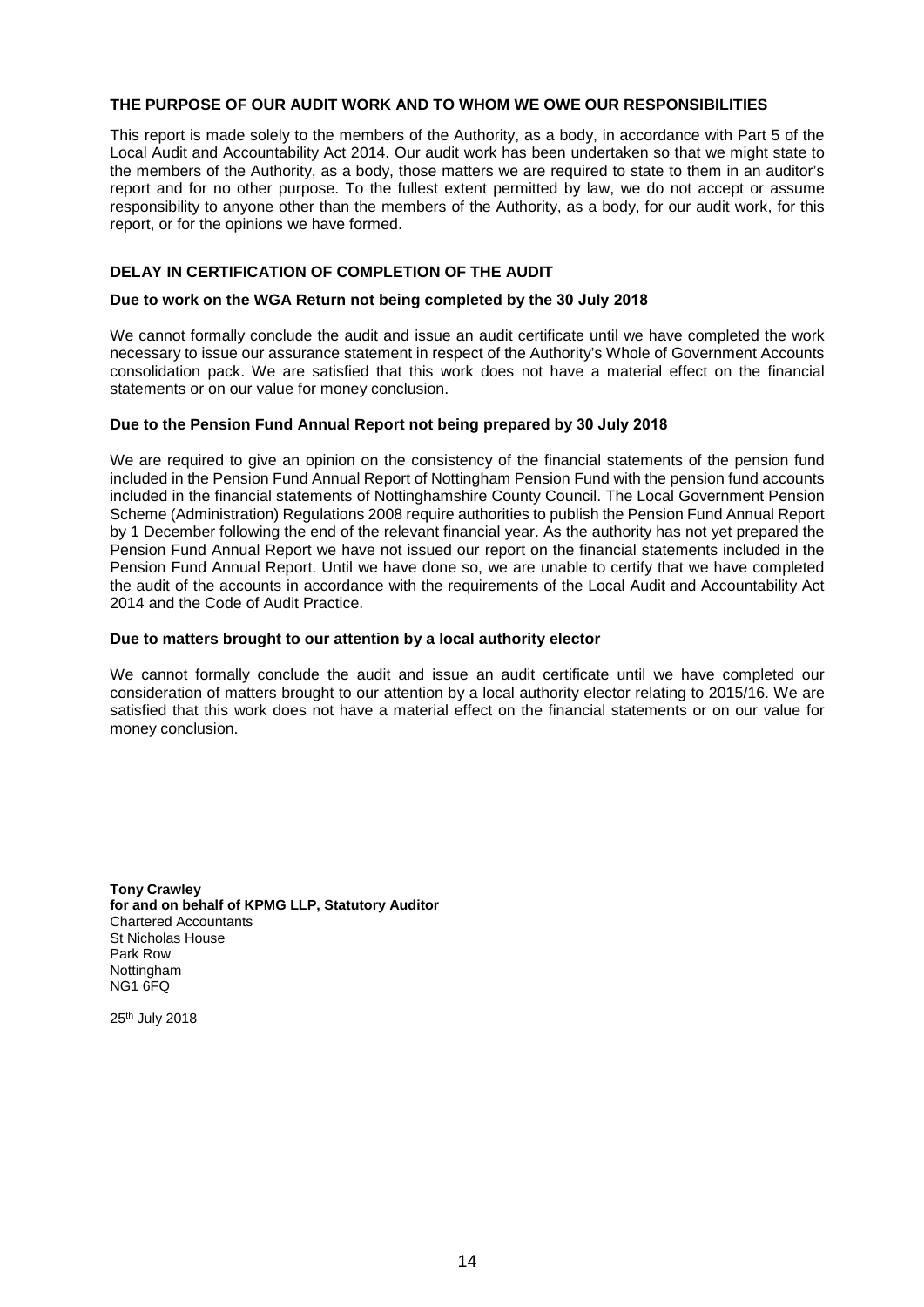#### **THE PURPOSE OF OUR AUDIT WORK AND TO WHOM WE OWE OUR RESPONSIBILITIES**

This report is made solely to the members of the Authority, as a body, in accordance with Part 5 of the Local Audit and Accountability Act 2014. Our audit work has been undertaken so that we might state to the members of the Authority, as a body, those matters we are required to state to them in an auditor's report and for no other purpose. To the fullest extent permitted by law, we do not accept or assume responsibility to anyone other than the members of the Authority, as a body, for our audit work, for this report, or for the opinions we have formed.

#### **DELAY IN CERTIFICATION OF COMPLETION OF THE AUDIT**

#### **Due to work on the WGA Return not being completed by the 30 July 2018**

We cannot formally conclude the audit and issue an audit certificate until we have completed the work necessary to issue our assurance statement in respect of the Authority's Whole of Government Accounts consolidation pack. We are satisfied that this work does not have a material effect on the financial statements or on our value for money conclusion.

#### **Due to the Pension Fund Annual Report not being prepared by 30 July 2018**

We are required to give an opinion on the consistency of the financial statements of the pension fund included in the Pension Fund Annual Report of Nottingham Pension Fund with the pension fund accounts included in the financial statements of Nottinghamshire County Council. The Local Government Pension Scheme (Administration) Regulations 2008 require authorities to publish the Pension Fund Annual Report by 1 December following the end of the relevant financial year. As the authority has not yet prepared the Pension Fund Annual Report we have not issued our report on the financial statements included in the Pension Fund Annual Report. Until we have done so, we are unable to certify that we have completed the audit of the accounts in accordance with the requirements of the Local Audit and Accountability Act 2014 and the Code of Audit Practice.

#### **Due to matters brought to our attention by a local authority elector**

We cannot formally conclude the audit and issue an audit certificate until we have completed our consideration of matters brought to our attention by a local authority elector relating to 2015/16. We are satisfied that this work does not have a material effect on the financial statements or on our value for money conclusion.

**Tony Crawley for and on behalf of KPMG LLP, Statutory Auditor** Chartered Accountants St Nicholas House Park Row Nottingham NG1 6FQ

25th July 2018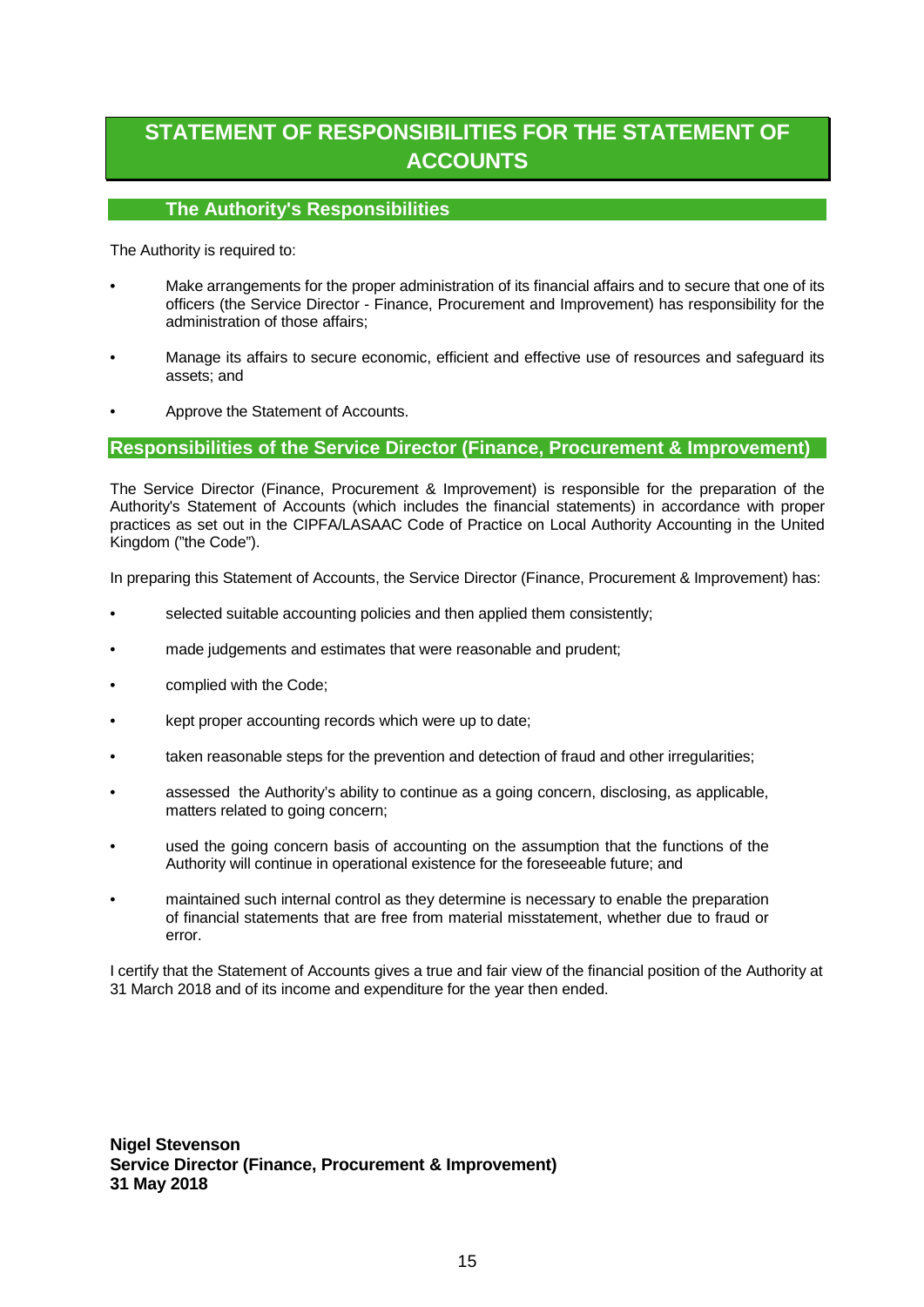# **STATEMENT OF RESPONSIBILITIES FOR THE STATEMENT OF ACCOUNTS**

## **The Authority's Responsibilities**

The Authority is required to:

- Make arrangements for the proper administration of its financial affairs and to secure that one of its officers (the Service Director - Finance, Procurement and Improvement) has responsibility for the administration of those affairs;
- Manage its affairs to secure economic, efficient and effective use of resources and safeguard its assets; and
- Approve the Statement of Accounts.

#### **Responsibilities of the Service Director (Finance, Procurement & Improvement)**

The Service Director (Finance, Procurement & Improvement) is responsible for the preparation of the Authority's Statement of Accounts (which includes the financial statements) in accordance with proper practices as set out in the CIPFA/LASAAC Code of Practice on Local Authority Accounting in the United Kingdom ("the Code").

In preparing this Statement of Accounts, the Service Director (Finance, Procurement & Improvement) has:

- selected suitable accounting policies and then applied them consistently;
- made judgements and estimates that were reasonable and prudent;
- complied with the Code:
- kept proper accounting records which were up to date;
- taken reasonable steps for the prevention and detection of fraud and other irregularities;
- assessed the Authority's ability to continue as a going concern, disclosing, as applicable, matters related to going concern:
- used the going concern basis of accounting on the assumption that the functions of the Authority will continue in operational existence for the foreseeable future; and
- maintained such internal control as they determine is necessary to enable the preparation of financial statements that are free from material misstatement, whether due to fraud or error.

I certify that the Statement of Accounts gives a true and fair view of the financial position of the Authority at 31 March 2018 and of its income and expenditure for the year then ended.

**Nigel Stevenson Service Director (Finance, Procurement & Improvement) 31 May 2018**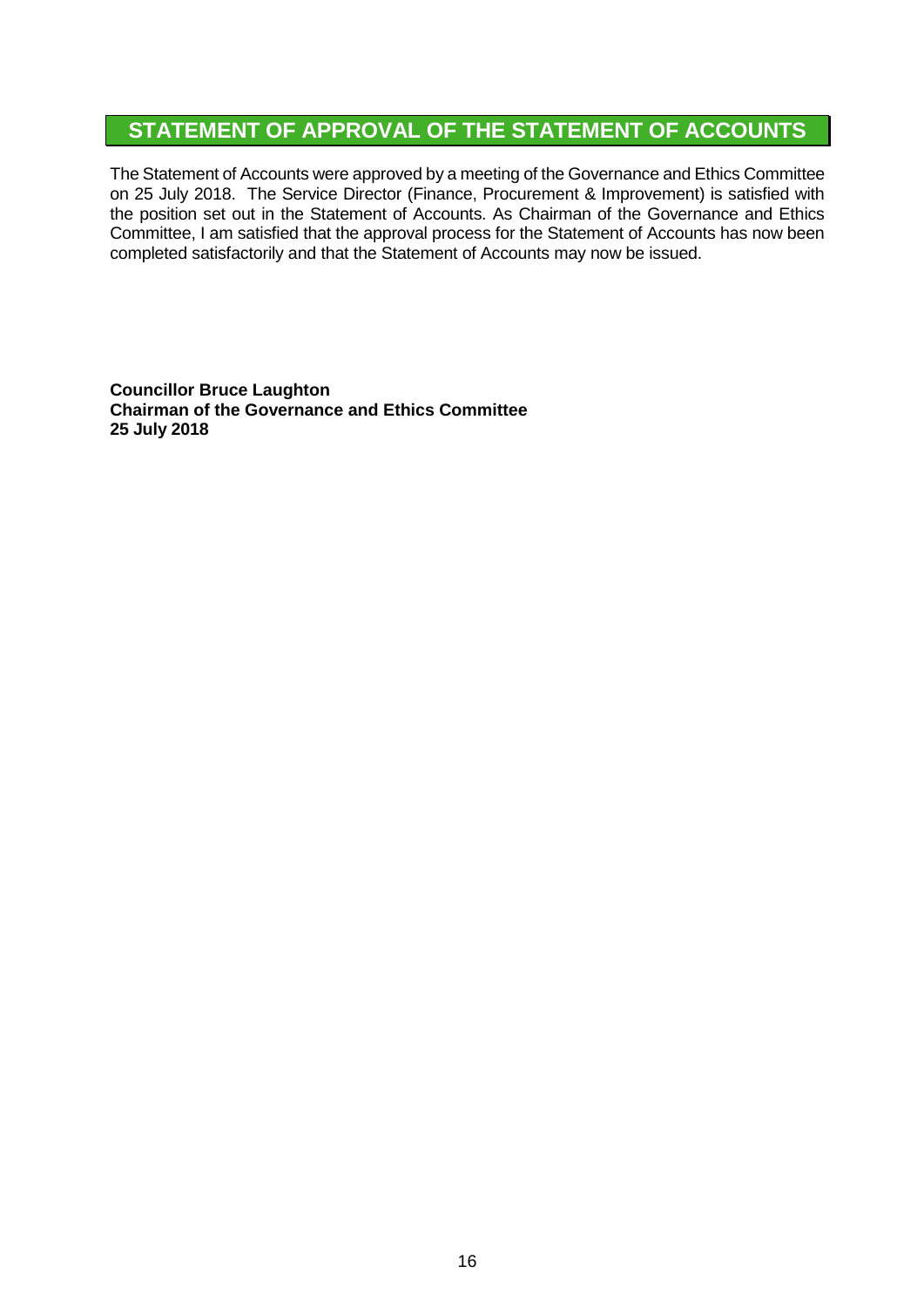# **STATEMENT OF APPROVAL OF THE STATEMENT OF ACCOUNTS**

The Statement of Accounts were approved by a meeting of the Governance and Ethics Committee on 25 July 2018. The Service Director (Finance, Procurement & Improvement) is satisfied with the position set out in the Statement of Accounts. As Chairman of the Governance and Ethics Committee, I am satisfied that the approval process for the Statement of Accounts has now been completed satisfactorily and that the Statement of Accounts may now be issued.

**Councillor Bruce Laughton Chairman of the Governance and Ethics Committee 25 July 2018**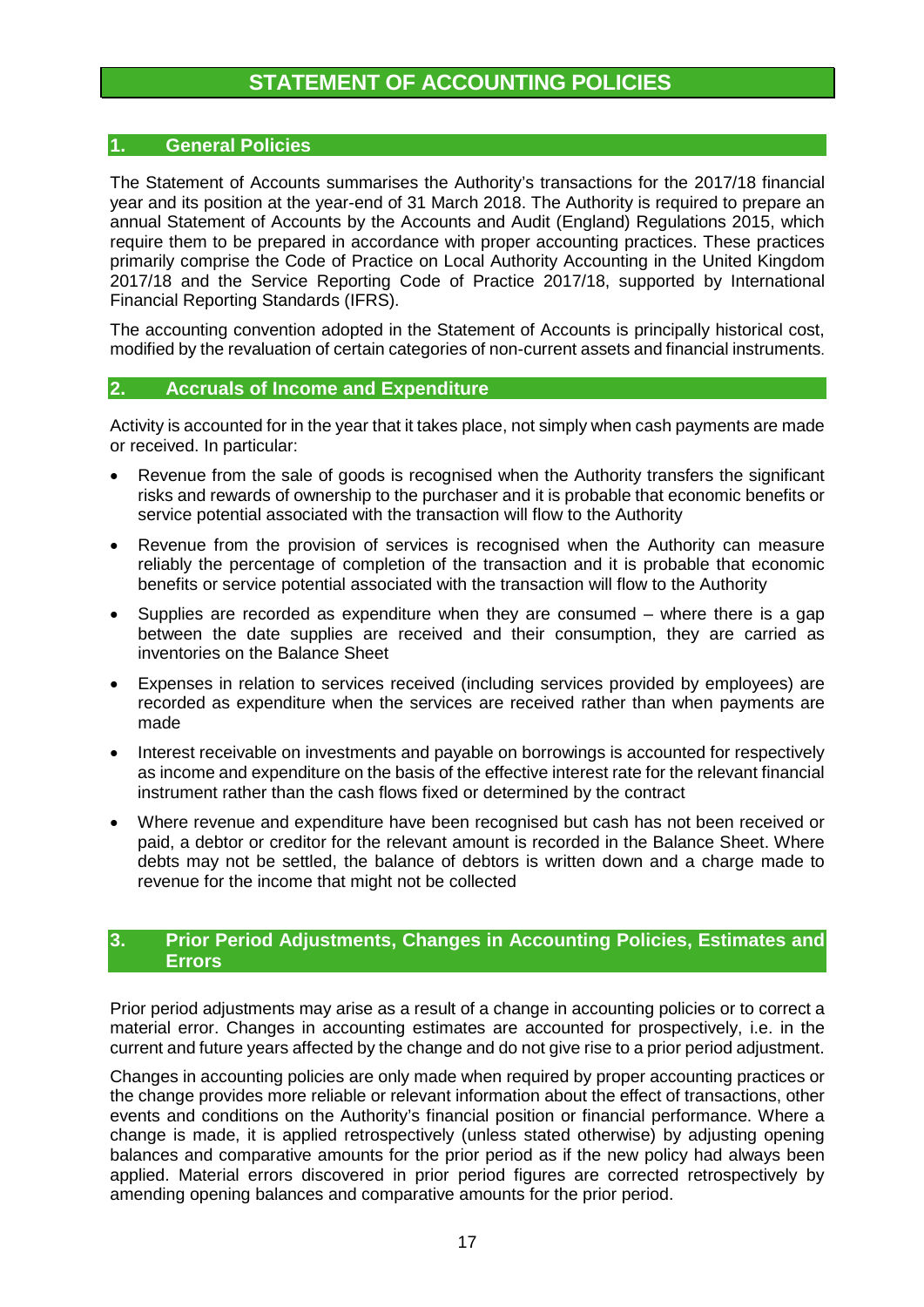# **STATEMENT OF ACCOUNTING POLICIES**

# **1. General Policies**

The Statement of Accounts summarises the Authority's transactions for the 2017/18 financial year and its position at the year-end of 31 March 2018. The Authority is required to prepare an annual Statement of Accounts by the Accounts and Audit (England) Regulations 2015, which require them to be prepared in accordance with proper accounting practices. These practices primarily comprise the Code of Practice on Local Authority Accounting in the United Kingdom 2017/18 and the Service Reporting Code of Practice 2017/18, supported by International Financial Reporting Standards (IFRS).

The accounting convention adopted in the Statement of Accounts is principally historical cost, modified by the revaluation of certain categories of non-current assets and financial instruments.

## **2. Accruals of Income and Expenditure**

Activity is accounted for in the year that it takes place, not simply when cash payments are made or received. In particular:

- Revenue from the sale of goods is recognised when the Authority transfers the significant risks and rewards of ownership to the purchaser and it is probable that economic benefits or service potential associated with the transaction will flow to the Authority
- Revenue from the provision of services is recognised when the Authority can measure reliably the percentage of completion of the transaction and it is probable that economic benefits or service potential associated with the transaction will flow to the Authority
- Supplies are recorded as expenditure when they are consumed where there is a gap between the date supplies are received and their consumption, they are carried as inventories on the Balance Sheet
- Expenses in relation to services received (including services provided by employees) are recorded as expenditure when the services are received rather than when payments are made
- Interest receivable on investments and payable on borrowings is accounted for respectively as income and expenditure on the basis of the effective interest rate for the relevant financial instrument rather than the cash flows fixed or determined by the contract
- Where revenue and expenditure have been recognised but cash has not been received or paid, a debtor or creditor for the relevant amount is recorded in the Balance Sheet. Where debts may not be settled, the balance of debtors is written down and a charge made to revenue for the income that might not be collected

# **3. Prior Period Adjustments, Changes in Accounting Policies, Estimates and Errors**

Prior period adjustments may arise as a result of a change in accounting policies or to correct a material error. Changes in accounting estimates are accounted for prospectively, i.e. in the current and future years affected by the change and do not give rise to a prior period adjustment.

Changes in accounting policies are only made when required by proper accounting practices or the change provides more reliable or relevant information about the effect of transactions, other events and conditions on the Authority's financial position or financial performance. Where a change is made, it is applied retrospectively (unless stated otherwise) by adjusting opening balances and comparative amounts for the prior period as if the new policy had always been applied. Material errors discovered in prior period figures are corrected retrospectively by amending opening balances and comparative amounts for the prior period.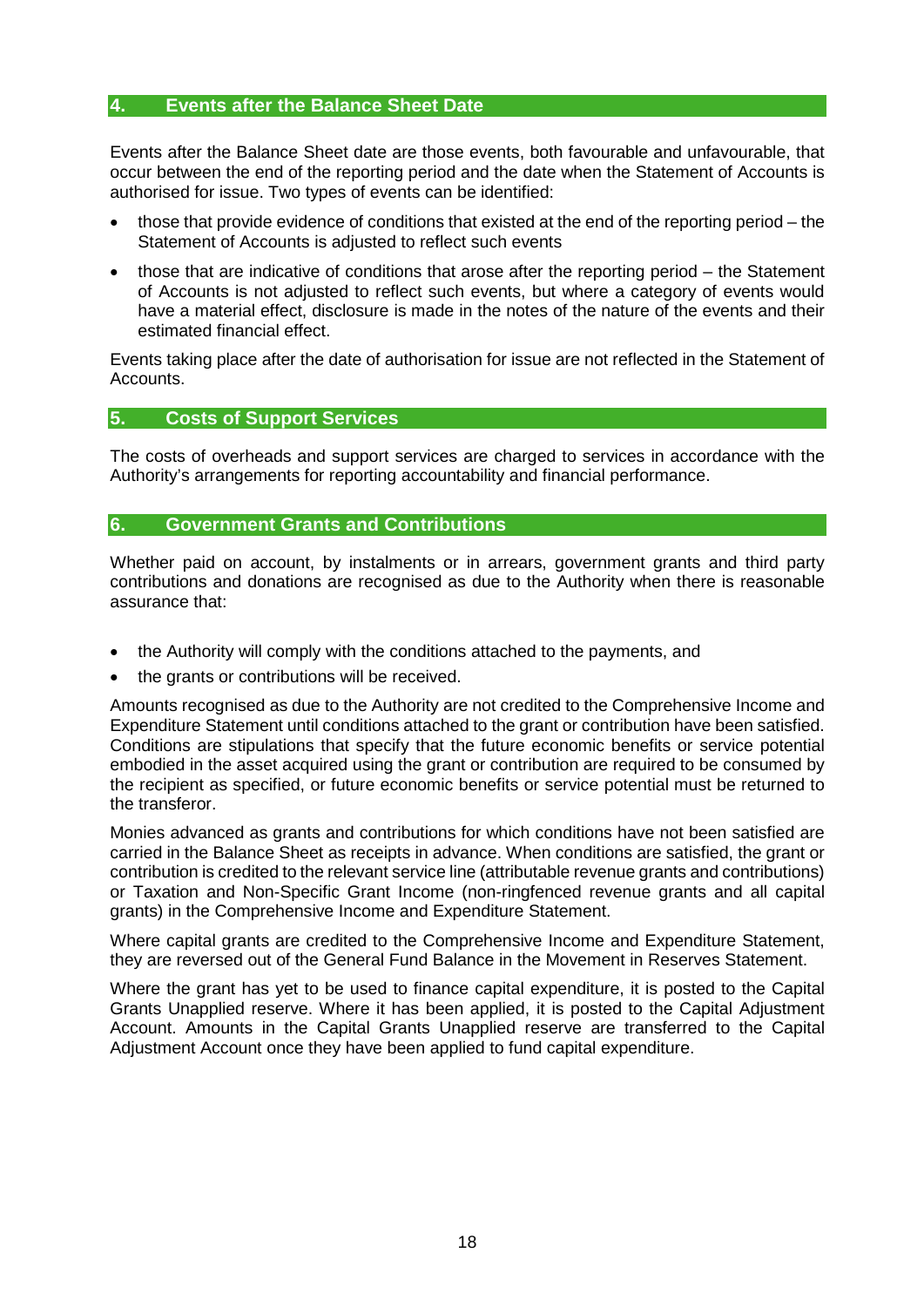# **4. Events after the Balance Sheet Date**

Events after the Balance Sheet date are those events, both favourable and unfavourable, that occur between the end of the reporting period and the date when the Statement of Accounts is authorised for issue. Two types of events can be identified:

- those that provide evidence of conditions that existed at the end of the reporting period the Statement of Accounts is adjusted to reflect such events
- those that are indicative of conditions that arose after the reporting period the Statement of Accounts is not adjusted to reflect such events, but where a category of events would have a material effect, disclosure is made in the notes of the nature of the events and their estimated financial effect.

Events taking place after the date of authorisation for issue are not reflected in the Statement of Accounts.

# **5. Costs of Support Services**

The costs of overheads and support services are charged to services in accordance with the Authority's arrangements for reporting accountability and financial performance.

#### **6. Government Grants and Contributions**

Whether paid on account, by instalments or in arrears, government grants and third party contributions and donations are recognised as due to the Authority when there is reasonable assurance that:

- the Authority will comply with the conditions attached to the payments, and
- the grants or contributions will be received.

Amounts recognised as due to the Authority are not credited to the Comprehensive Income and Expenditure Statement until conditions attached to the grant or contribution have been satisfied. Conditions are stipulations that specify that the future economic benefits or service potential embodied in the asset acquired using the grant or contribution are required to be consumed by the recipient as specified, or future economic benefits or service potential must be returned to the transferor.

Monies advanced as grants and contributions for which conditions have not been satisfied are carried in the Balance Sheet as receipts in advance. When conditions are satisfied, the grant or contribution is credited to the relevant service line (attributable revenue grants and contributions) or Taxation and Non-Specific Grant Income (non-ringfenced revenue grants and all capital grants) in the Comprehensive Income and Expenditure Statement.

Where capital grants are credited to the Comprehensive Income and Expenditure Statement, they are reversed out of the General Fund Balance in the Movement in Reserves Statement.

Where the grant has yet to be used to finance capital expenditure, it is posted to the Capital Grants Unapplied reserve. Where it has been applied, it is posted to the Capital Adjustment Account. Amounts in the Capital Grants Unapplied reserve are transferred to the Capital Adjustment Account once they have been applied to fund capital expenditure.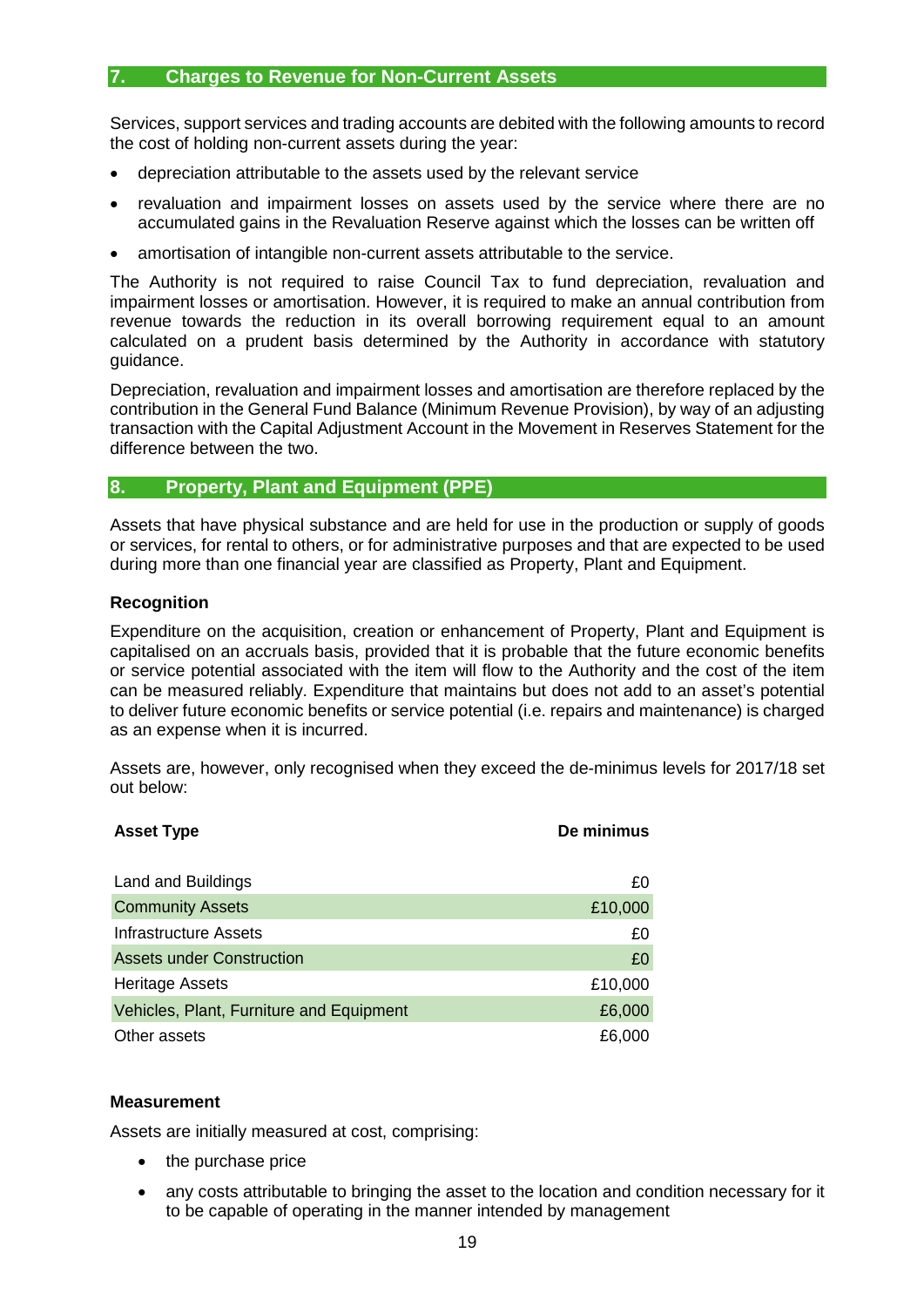## **7. Charges to Revenue for Non-Current Assets**

Services, support services and trading accounts are debited with the following amounts to record the cost of holding non-current assets during the year:

- depreciation attributable to the assets used by the relevant service
- revaluation and impairment losses on assets used by the service where there are no accumulated gains in the Revaluation Reserve against which the losses can be written off
- amortisation of intangible non-current assets attributable to the service.

The Authority is not required to raise Council Tax to fund depreciation, revaluation and impairment losses or amortisation. However, it is required to make an annual contribution from revenue towards the reduction in its overall borrowing requirement equal to an amount calculated on a prudent basis determined by the Authority in accordance with statutory guidance.

Depreciation, revaluation and impairment losses and amortisation are therefore replaced by the contribution in the General Fund Balance (Minimum Revenue Provision), by way of an adjusting transaction with the Capital Adjustment Account in the Movement in Reserves Statement for the difference between the two.

# **8. Property, Plant and Equipment (PPE)**

Assets that have physical substance and are held for use in the production or supply of goods or services, for rental to others, or for administrative purposes and that are expected to be used during more than one financial year are classified as Property, Plant and Equipment.

#### **Recognition**

Expenditure on the acquisition, creation or enhancement of Property, Plant and Equipment is capitalised on an accruals basis, provided that it is probable that the future economic benefits or service potential associated with the item will flow to the Authority and the cost of the item can be measured reliably. Expenditure that maintains but does not add to an asset's potential to deliver future economic benefits or service potential (i.e. repairs and maintenance) is charged as an expense when it is incurred.

Assets are, however, only recognised when they exceed the de-minimus levels for 2017/18 set out below:

| <b>Asset Type</b>                        | De minimus |
|------------------------------------------|------------|
|                                          |            |
| Land and Buildings                       | £0         |
| <b>Community Assets</b>                  | £10,000    |
| Infrastructure Assets                    | £0         |
| <b>Assets under Construction</b>         | £0         |
| <b>Heritage Assets</b>                   | £10,000    |
| Vehicles, Plant, Furniture and Equipment | £6,000     |
| Other assets                             | £6,000     |

#### **Measurement**

Assets are initially measured at cost, comprising:

- the purchase price
- any costs attributable to bringing the asset to the location and condition necessary for it to be capable of operating in the manner intended by management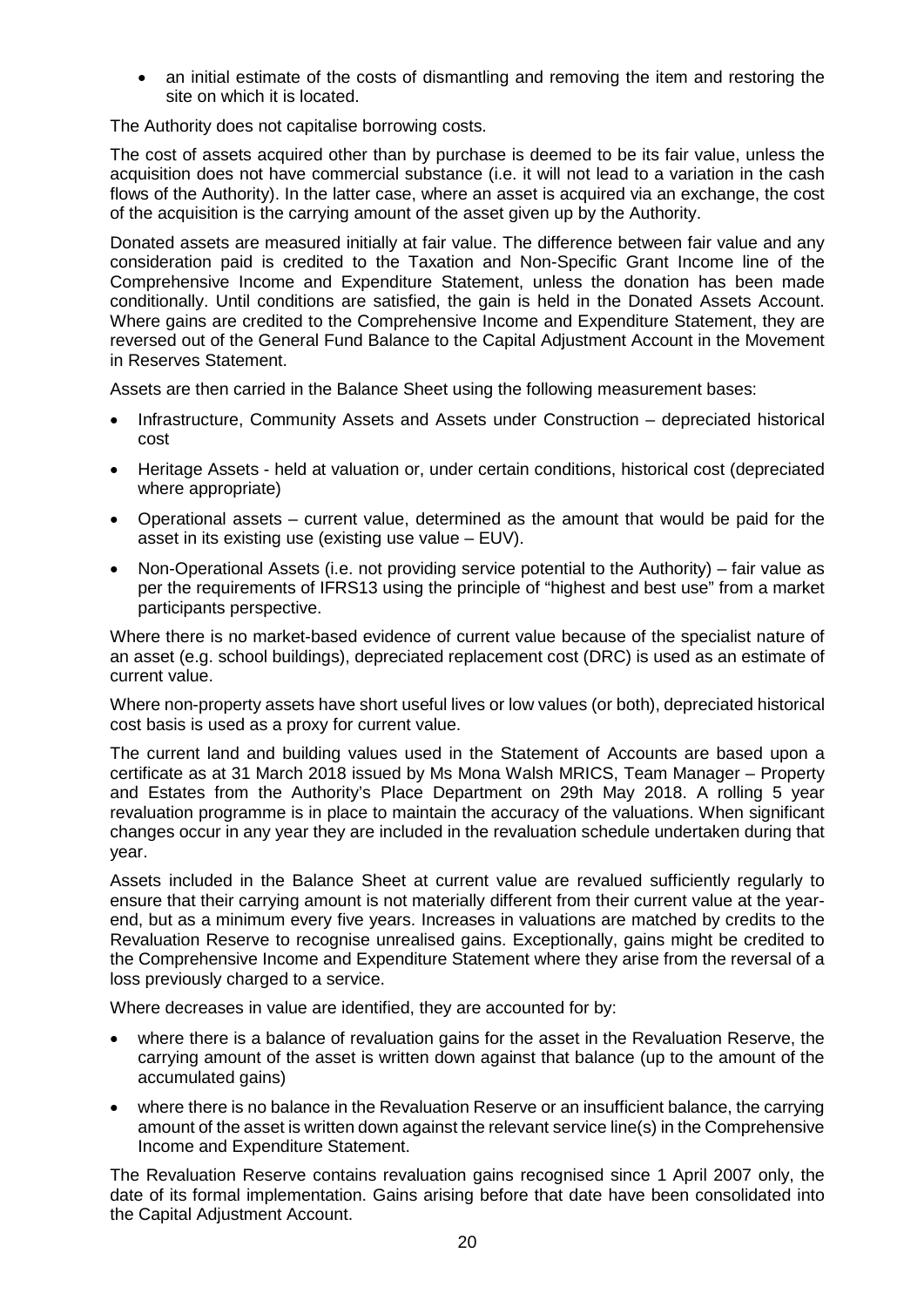• an initial estimate of the costs of dismantling and removing the item and restoring the site on which it is located.

The Authority does not capitalise borrowing costs.

The cost of assets acquired other than by purchase is deemed to be its fair value, unless the acquisition does not have commercial substance (i.e. it will not lead to a variation in the cash flows of the Authority). In the latter case, where an asset is acquired via an exchange, the cost of the acquisition is the carrying amount of the asset given up by the Authority.

Donated assets are measured initially at fair value. The difference between fair value and any consideration paid is credited to the Taxation and Non-Specific Grant Income line of the Comprehensive Income and Expenditure Statement, unless the donation has been made conditionally. Until conditions are satisfied, the gain is held in the Donated Assets Account. Where gains are credited to the Comprehensive Income and Expenditure Statement, they are reversed out of the General Fund Balance to the Capital Adjustment Account in the Movement in Reserves Statement.

Assets are then carried in the Balance Sheet using the following measurement bases:

- Infrastructure, Community Assets and Assets under Construction depreciated historical cost
- Heritage Assets held at valuation or, under certain conditions, historical cost (depreciated where appropriate)
- Operational assets current value, determined as the amount that would be paid for the asset in its existing use (existing use value – EUV).
- Non-Operational Assets (i.e. not providing service potential to the Authority) fair value as per the requirements of IFRS13 using the principle of "highest and best use" from a market participants perspective.

Where there is no market-based evidence of current value because of the specialist nature of an asset (e.g. school buildings), depreciated replacement cost (DRC) is used as an estimate of current value.

Where non-property assets have short useful lives or low values (or both), depreciated historical cost basis is used as a proxy for current value.

The current land and building values used in the Statement of Accounts are based upon a certificate as at 31 March 2018 issued by Ms Mona Walsh MRICS, Team Manager – Property and Estates from the Authority's Place Department on 29th May 2018. A rolling 5 year revaluation programme is in place to maintain the accuracy of the valuations. When significant changes occur in any year they are included in the revaluation schedule undertaken during that year.

Assets included in the Balance Sheet at current value are revalued sufficiently regularly to ensure that their carrying amount is not materially different from their current value at the yearend, but as a minimum every five years. Increases in valuations are matched by credits to the Revaluation Reserve to recognise unrealised gains. Exceptionally, gains might be credited to the Comprehensive Income and Expenditure Statement where they arise from the reversal of a loss previously charged to a service.

Where decreases in value are identified, they are accounted for by:

- where there is a balance of revaluation gains for the asset in the Revaluation Reserve, the carrying amount of the asset is written down against that balance (up to the amount of the accumulated gains)
- where there is no balance in the Revaluation Reserve or an insufficient balance, the carrying amount of the asset is written down against the relevant service line(s) in the Comprehensive Income and Expenditure Statement.

The Revaluation Reserve contains revaluation gains recognised since 1 April 2007 only, the date of its formal implementation. Gains arising before that date have been consolidated into the Capital Adjustment Account.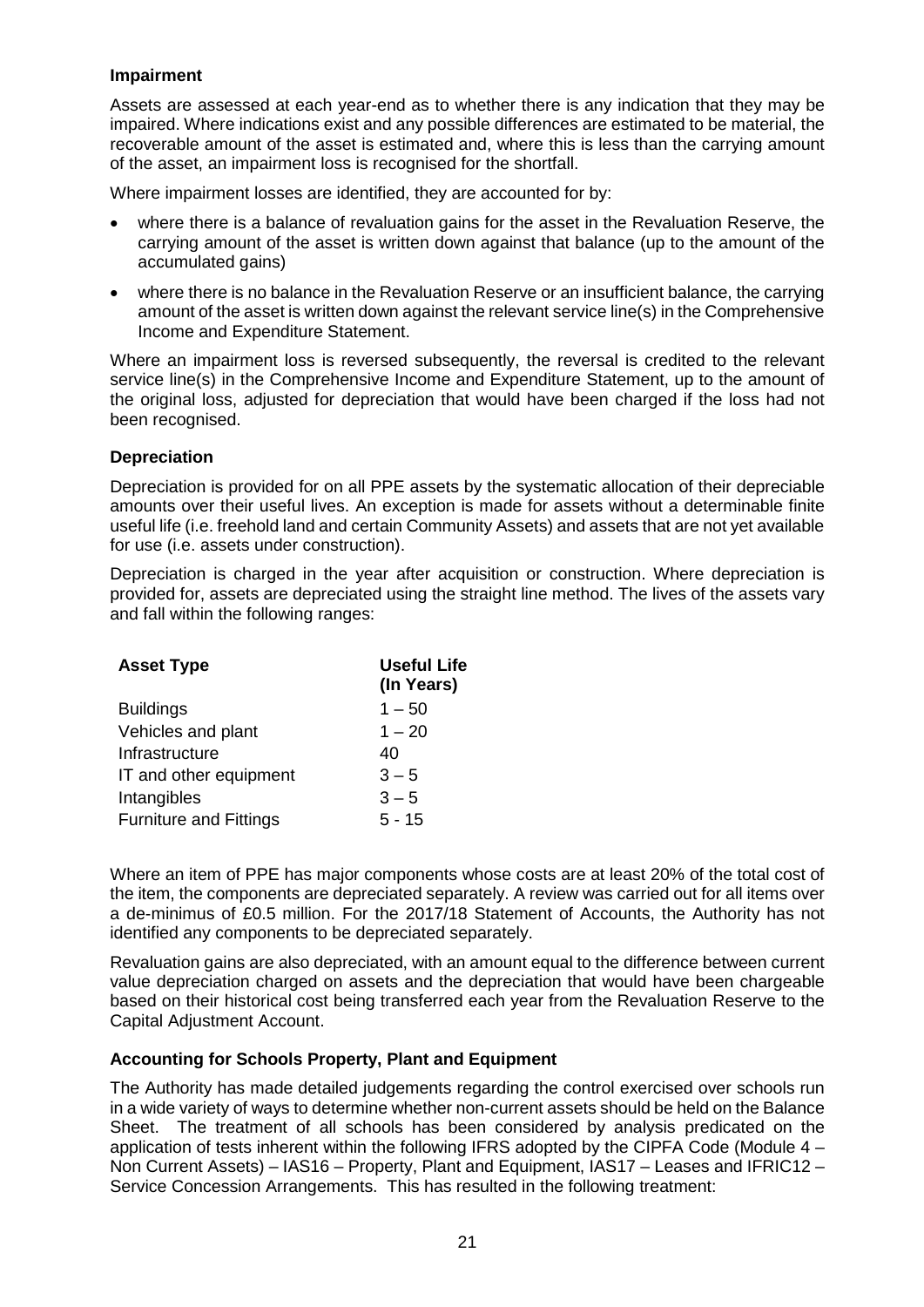## **Impairment**

Assets are assessed at each year-end as to whether there is any indication that they may be impaired. Where indications exist and any possible differences are estimated to be material, the recoverable amount of the asset is estimated and, where this is less than the carrying amount of the asset, an impairment loss is recognised for the shortfall.

Where impairment losses are identified, they are accounted for by:

- where there is a balance of revaluation gains for the asset in the Revaluation Reserve, the carrying amount of the asset is written down against that balance (up to the amount of the accumulated gains)
- where there is no balance in the Revaluation Reserve or an insufficient balance, the carrying amount of the asset is written down against the relevant service line(s) in the Comprehensive Income and Expenditure Statement.

Where an impairment loss is reversed subsequently, the reversal is credited to the relevant service line(s) in the Comprehensive Income and Expenditure Statement, up to the amount of the original loss, adjusted for depreciation that would have been charged if the loss had not been recognised.

#### **Depreciation**

Depreciation is provided for on all PPE assets by the systematic allocation of their depreciable amounts over their useful lives. An exception is made for assets without a determinable finite useful life (i.e. freehold land and certain Community Assets) and assets that are not yet available for use (i.e. assets under construction).

Depreciation is charged in the year after acquisition or construction. Where depreciation is provided for, assets are depreciated using the straight line method. The lives of the assets vary and fall within the following ranges:

| <b>Asset Type</b>             | <b>Useful Life</b><br>(In Years) |
|-------------------------------|----------------------------------|
| <b>Buildings</b>              | $1 - 50$                         |
| Vehicles and plant            | $1 - 20$                         |
| Infrastructure                | 40                               |
| IT and other equipment        | $3 - 5$                          |
| Intangibles                   | $3 - 5$                          |
| <b>Furniture and Fittings</b> | $5 - 15$                         |

Where an item of PPE has major components whose costs are at least 20% of the total cost of the item, the components are depreciated separately. A review was carried out for all items over a de-minimus of £0.5 million. For the 2017/18 Statement of Accounts, the Authority has not identified any components to be depreciated separately.

Revaluation gains are also depreciated, with an amount equal to the difference between current value depreciation charged on assets and the depreciation that would have been chargeable based on their historical cost being transferred each year from the Revaluation Reserve to the Capital Adjustment Account.

## **Accounting for Schools Property, Plant and Equipment**

The Authority has made detailed judgements regarding the control exercised over schools run in a wide variety of ways to determine whether non-current assets should be held on the Balance Sheet. The treatment of all schools has been considered by analysis predicated on the application of tests inherent within the following IFRS adopted by the CIPFA Code (Module 4 – Non Current Assets) – IAS16 – Property, Plant and Equipment, IAS17 – Leases and IFRIC12 – Service Concession Arrangements. This has resulted in the following treatment: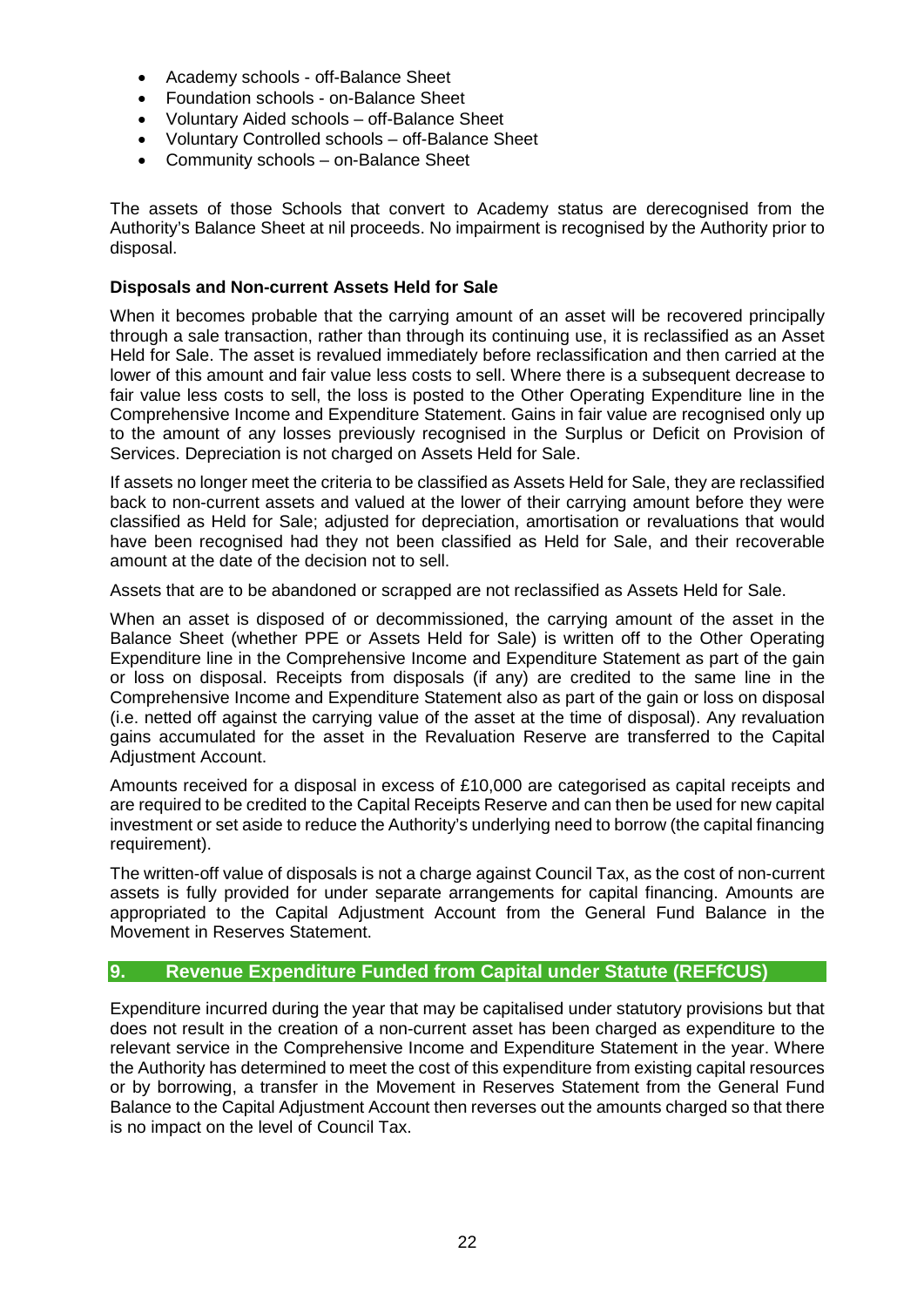- Academy schools off-Balance Sheet
- Foundation schools on-Balance Sheet
- Voluntary Aided schools off-Balance Sheet
- Voluntary Controlled schools off-Balance Sheet
- Community schools on-Balance Sheet

The assets of those Schools that convert to Academy status are derecognised from the Authority's Balance Sheet at nil proceeds. No impairment is recognised by the Authority prior to disposal.

## **Disposals and Non-current Assets Held for Sale**

When it becomes probable that the carrying amount of an asset will be recovered principally through a sale transaction, rather than through its continuing use, it is reclassified as an Asset Held for Sale. The asset is revalued immediately before reclassification and then carried at the lower of this amount and fair value less costs to sell. Where there is a subsequent decrease to fair value less costs to sell, the loss is posted to the Other Operating Expenditure line in the Comprehensive Income and Expenditure Statement. Gains in fair value are recognised only up to the amount of any losses previously recognised in the Surplus or Deficit on Provision of Services. Depreciation is not charged on Assets Held for Sale.

If assets no longer meet the criteria to be classified as Assets Held for Sale, they are reclassified back to non-current assets and valued at the lower of their carrying amount before they were classified as Held for Sale; adjusted for depreciation, amortisation or revaluations that would have been recognised had they not been classified as Held for Sale, and their recoverable amount at the date of the decision not to sell.

Assets that are to be abandoned or scrapped are not reclassified as Assets Held for Sale.

When an asset is disposed of or decommissioned, the carrying amount of the asset in the Balance Sheet (whether PPE or Assets Held for Sale) is written off to the Other Operating Expenditure line in the Comprehensive Income and Expenditure Statement as part of the gain or loss on disposal. Receipts from disposals (if any) are credited to the same line in the Comprehensive Income and Expenditure Statement also as part of the gain or loss on disposal (i.e. netted off against the carrying value of the asset at the time of disposal). Any revaluation gains accumulated for the asset in the Revaluation Reserve are transferred to the Capital Adjustment Account.

Amounts received for a disposal in excess of £10,000 are categorised as capital receipts and are required to be credited to the Capital Receipts Reserve and can then be used for new capital investment or set aside to reduce the Authority's underlying need to borrow (the capital financing requirement).

The written-off value of disposals is not a charge against Council Tax, as the cost of non-current assets is fully provided for under separate arrangements for capital financing. Amounts are appropriated to the Capital Adjustment Account from the General Fund Balance in the Movement in Reserves Statement.

# **9. Revenue Expenditure Funded from Capital under Statute (REFfCUS)**

Expenditure incurred during the year that may be capitalised under statutory provisions but that does not result in the creation of a non-current asset has been charged as expenditure to the relevant service in the Comprehensive Income and Expenditure Statement in the year. Where the Authority has determined to meet the cost of this expenditure from existing capital resources or by borrowing, a transfer in the Movement in Reserves Statement from the General Fund Balance to the Capital Adjustment Account then reverses out the amounts charged so that there is no impact on the level of Council Tax.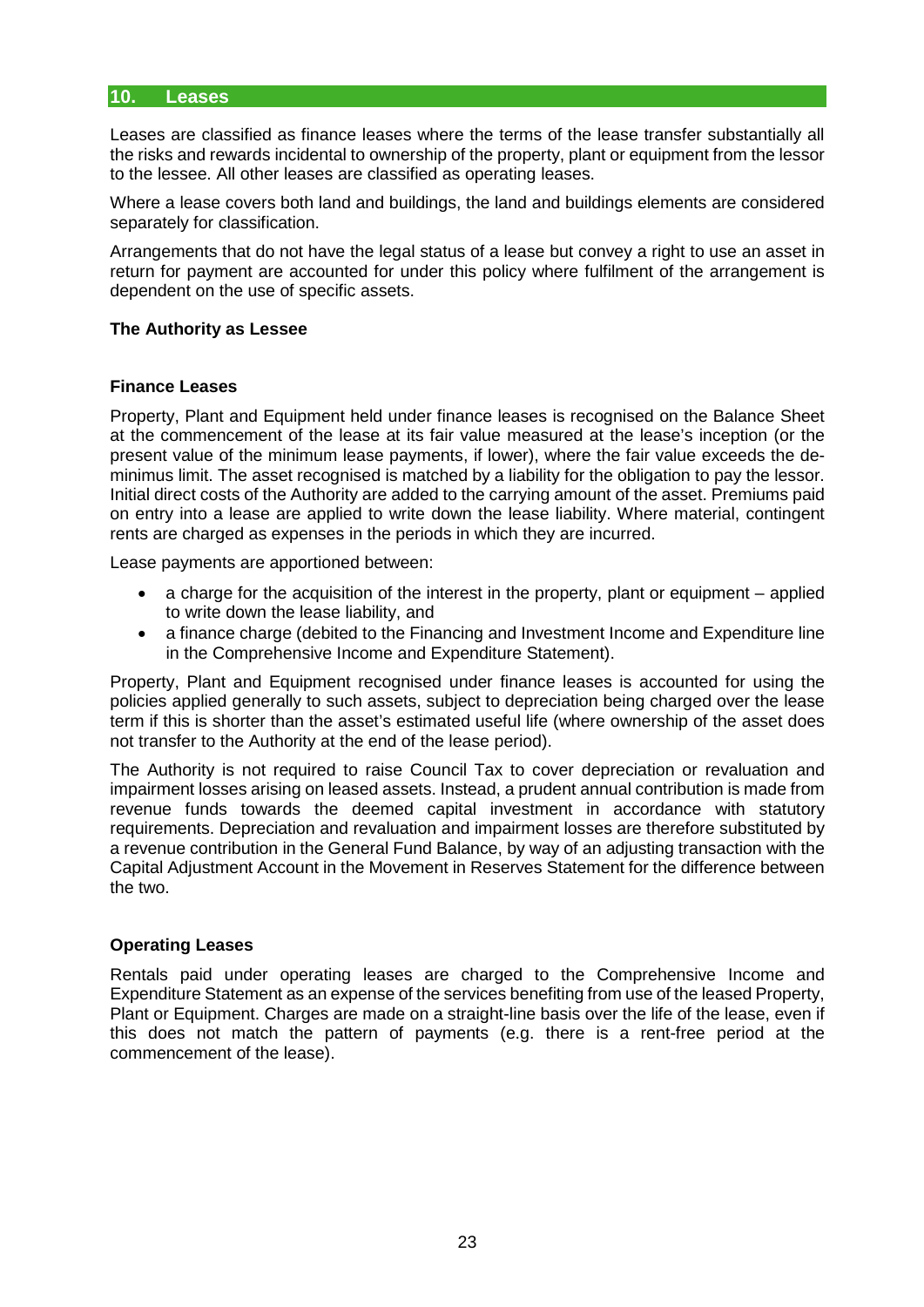#### **10. Leases**

Leases are classified as finance leases where the terms of the lease transfer substantially all the risks and rewards incidental to ownership of the property, plant or equipment from the lessor to the lessee. All other leases are classified as operating leases.

Where a lease covers both land and buildings, the land and buildings elements are considered separately for classification.

Arrangements that do not have the legal status of a lease but convey a right to use an asset in return for payment are accounted for under this policy where fulfilment of the arrangement is dependent on the use of specific assets.

#### **The Authority as Lessee**

#### **Finance Leases**

Property, Plant and Equipment held under finance leases is recognised on the Balance Sheet at the commencement of the lease at its fair value measured at the lease's inception (or the present value of the minimum lease payments, if lower), where the fair value exceeds the deminimus limit. The asset recognised is matched by a liability for the obligation to pay the lessor. Initial direct costs of the Authority are added to the carrying amount of the asset. Premiums paid on entry into a lease are applied to write down the lease liability. Where material, contingent rents are charged as expenses in the periods in which they are incurred.

Lease payments are apportioned between:

- a charge for the acquisition of the interest in the property, plant or equipment applied to write down the lease liability, and
- a finance charge (debited to the Financing and Investment Income and Expenditure line in the Comprehensive Income and Expenditure Statement).

Property, Plant and Equipment recognised under finance leases is accounted for using the policies applied generally to such assets, subject to depreciation being charged over the lease term if this is shorter than the asset's estimated useful life (where ownership of the asset does not transfer to the Authority at the end of the lease period).

The Authority is not required to raise Council Tax to cover depreciation or revaluation and impairment losses arising on leased assets. Instead, a prudent annual contribution is made from revenue funds towards the deemed capital investment in accordance with statutory requirements. Depreciation and revaluation and impairment losses are therefore substituted by a revenue contribution in the General Fund Balance, by way of an adjusting transaction with the Capital Adjustment Account in the Movement in Reserves Statement for the difference between the two.

## **Operating Leases**

Rentals paid under operating leases are charged to the Comprehensive Income and Expenditure Statement as an expense of the services benefiting from use of the leased Property, Plant or Equipment. Charges are made on a straight-line basis over the life of the lease, even if this does not match the pattern of payments (e.g. there is a rent-free period at the commencement of the lease).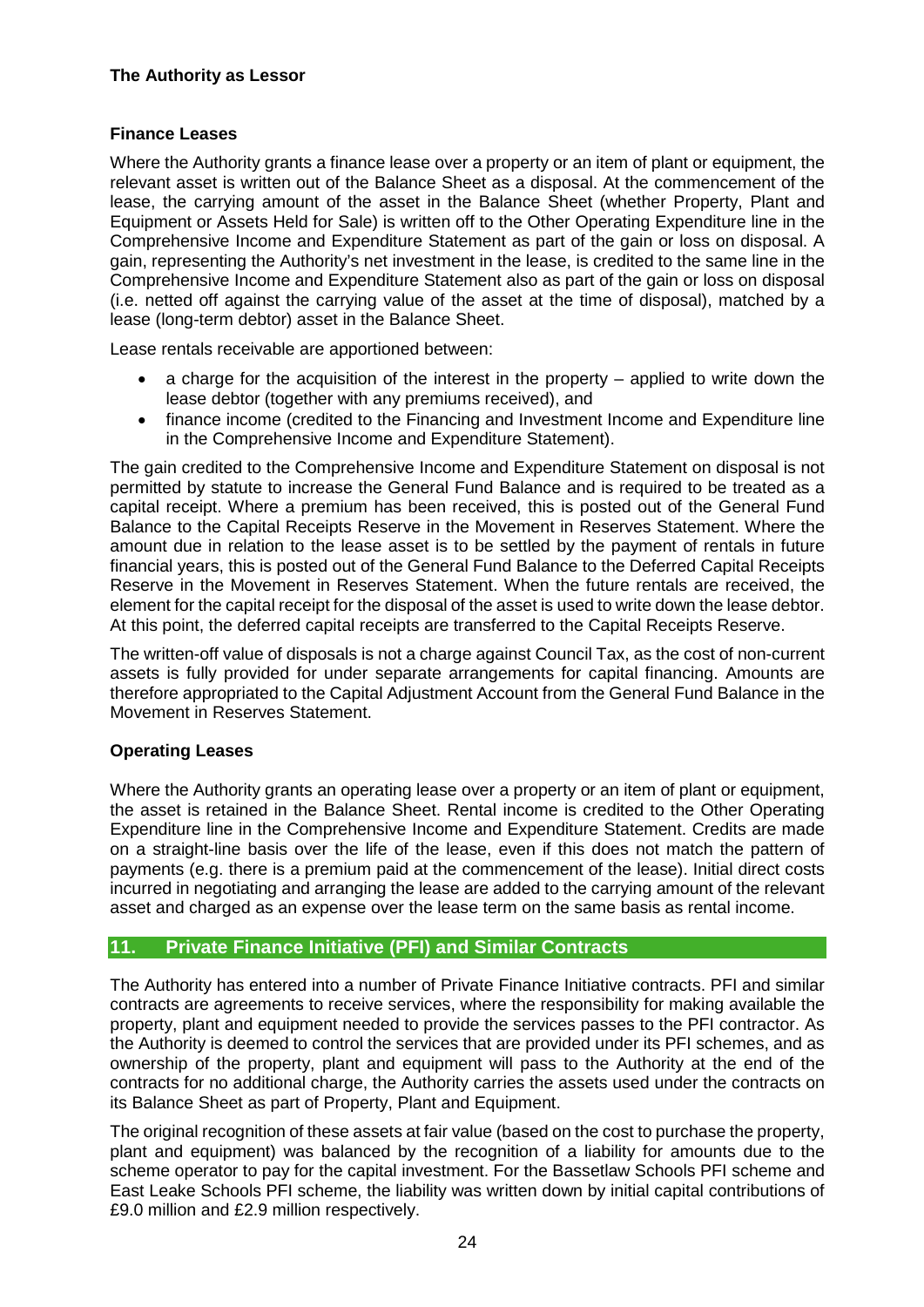# **The Authority as Lessor**

# **Finance Leases**

Where the Authority grants a finance lease over a property or an item of plant or equipment, the relevant asset is written out of the Balance Sheet as a disposal. At the commencement of the lease, the carrying amount of the asset in the Balance Sheet (whether Property, Plant and Equipment or Assets Held for Sale) is written off to the Other Operating Expenditure line in the Comprehensive Income and Expenditure Statement as part of the gain or loss on disposal. A gain, representing the Authority's net investment in the lease, is credited to the same line in the Comprehensive Income and Expenditure Statement also as part of the gain or loss on disposal (i.e. netted off against the carrying value of the asset at the time of disposal), matched by a lease (long-term debtor) asset in the Balance Sheet.

Lease rentals receivable are apportioned between:

- a charge for the acquisition of the interest in the property applied to write down the lease debtor (together with any premiums received), and
- finance income (credited to the Financing and Investment Income and Expenditure line in the Comprehensive Income and Expenditure Statement).

The gain credited to the Comprehensive Income and Expenditure Statement on disposal is not permitted by statute to increase the General Fund Balance and is required to be treated as a capital receipt. Where a premium has been received, this is posted out of the General Fund Balance to the Capital Receipts Reserve in the Movement in Reserves Statement. Where the amount due in relation to the lease asset is to be settled by the payment of rentals in future financial years, this is posted out of the General Fund Balance to the Deferred Capital Receipts Reserve in the Movement in Reserves Statement. When the future rentals are received, the element for the capital receipt for the disposal of the asset is used to write down the lease debtor. At this point, the deferred capital receipts are transferred to the Capital Receipts Reserve.

The written-off value of disposals is not a charge against Council Tax, as the cost of non-current assets is fully provided for under separate arrangements for capital financing. Amounts are therefore appropriated to the Capital Adjustment Account from the General Fund Balance in the Movement in Reserves Statement.

## **Operating Leases**

Where the Authority grants an operating lease over a property or an item of plant or equipment, the asset is retained in the Balance Sheet. Rental income is credited to the Other Operating Expenditure line in the Comprehensive Income and Expenditure Statement. Credits are made on a straight-line basis over the life of the lease, even if this does not match the pattern of payments (e.g. there is a premium paid at the commencement of the lease). Initial direct costs incurred in negotiating and arranging the lease are added to the carrying amount of the relevant asset and charged as an expense over the lease term on the same basis as rental income.

# **11. Private Finance Initiative (PFI) and Similar Contracts**

The Authority has entered into a number of Private Finance Initiative contracts. PFI and similar contracts are agreements to receive services, where the responsibility for making available the property, plant and equipment needed to provide the services passes to the PFI contractor. As the Authority is deemed to control the services that are provided under its PFI schemes, and as ownership of the property, plant and equipment will pass to the Authority at the end of the contracts for no additional charge, the Authority carries the assets used under the contracts on its Balance Sheet as part of Property, Plant and Equipment.

The original recognition of these assets at fair value (based on the cost to purchase the property, plant and equipment) was balanced by the recognition of a liability for amounts due to the scheme operator to pay for the capital investment. For the Bassetlaw Schools PFI scheme and East Leake Schools PFI scheme, the liability was written down by initial capital contributions of £9.0 million and £2.9 million respectively.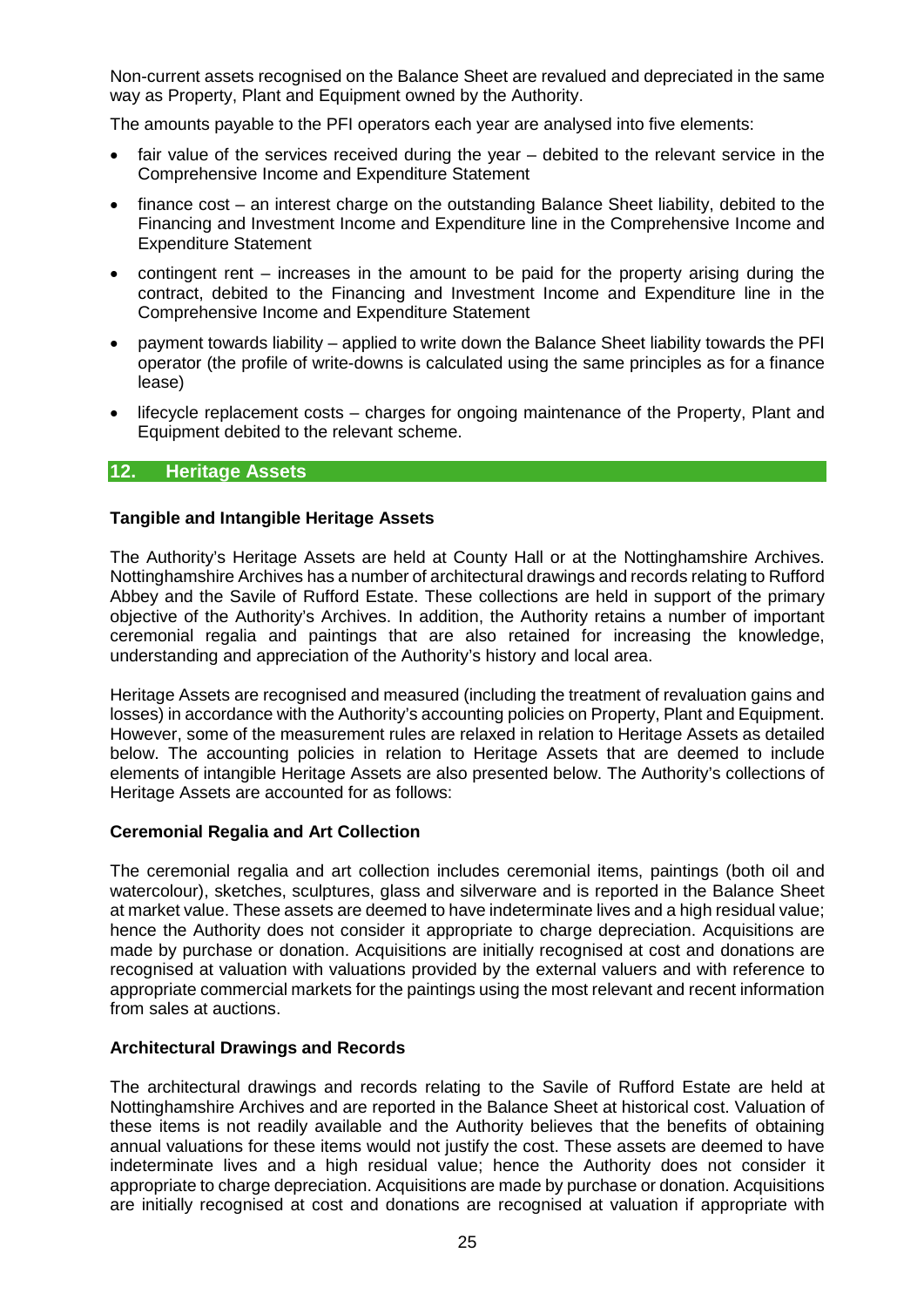Non-current assets recognised on the Balance Sheet are revalued and depreciated in the same way as Property, Plant and Equipment owned by the Authority.

The amounts payable to the PFI operators each year are analysed into five elements:

- fair value of the services received during the year debited to the relevant service in the Comprehensive Income and Expenditure Statement
- finance cost an interest charge on the outstanding Balance Sheet liability, debited to the Financing and Investment Income and Expenditure line in the Comprehensive Income and Expenditure Statement
- contingent rent increases in the amount to be paid for the property arising during the contract, debited to the Financing and Investment Income and Expenditure line in the Comprehensive Income and Expenditure Statement
- payment towards liability applied to write down the Balance Sheet liability towards the PFI operator (the profile of write-downs is calculated using the same principles as for a finance lease)
- lifecycle replacement costs charges for ongoing maintenance of the Property, Plant and Equipment debited to the relevant scheme.

## **12. Heritage Assets**

#### **Tangible and Intangible Heritage Assets**

The Authority's Heritage Assets are held at County Hall or at the Nottinghamshire Archives. Nottinghamshire Archives has a number of architectural drawings and records relating to Rufford Abbey and the Savile of Rufford Estate. These collections are held in support of the primary objective of the Authority's Archives. In addition, the Authority retains a number of important ceremonial regalia and paintings that are also retained for increasing the knowledge, understanding and appreciation of the Authority's history and local area.

Heritage Assets are recognised and measured (including the treatment of revaluation gains and losses) in accordance with the Authority's accounting policies on Property, Plant and Equipment. However, some of the measurement rules are relaxed in relation to Heritage Assets as detailed below. The accounting policies in relation to Heritage Assets that are deemed to include elements of intangible Heritage Assets are also presented below. The Authority's collections of Heritage Assets are accounted for as follows:

#### **Ceremonial Regalia and Art Collection**

The ceremonial regalia and art collection includes ceremonial items, paintings (both oil and watercolour), sketches, sculptures, glass and silverware and is reported in the Balance Sheet at market value. These assets are deemed to have indeterminate lives and a high residual value; hence the Authority does not consider it appropriate to charge depreciation. Acquisitions are made by purchase or donation. Acquisitions are initially recognised at cost and donations are recognised at valuation with valuations provided by the external valuers and with reference to appropriate commercial markets for the paintings using the most relevant and recent information from sales at auctions.

#### **Architectural Drawings and Records**

The architectural drawings and records relating to the Savile of Rufford Estate are held at Nottinghamshire Archives and are reported in the Balance Sheet at historical cost. Valuation of these items is not readily available and the Authority believes that the benefits of obtaining annual valuations for these items would not justify the cost. These assets are deemed to have indeterminate lives and a high residual value; hence the Authority does not consider it appropriate to charge depreciation. Acquisitions are made by purchase or donation. Acquisitions are initially recognised at cost and donations are recognised at valuation if appropriate with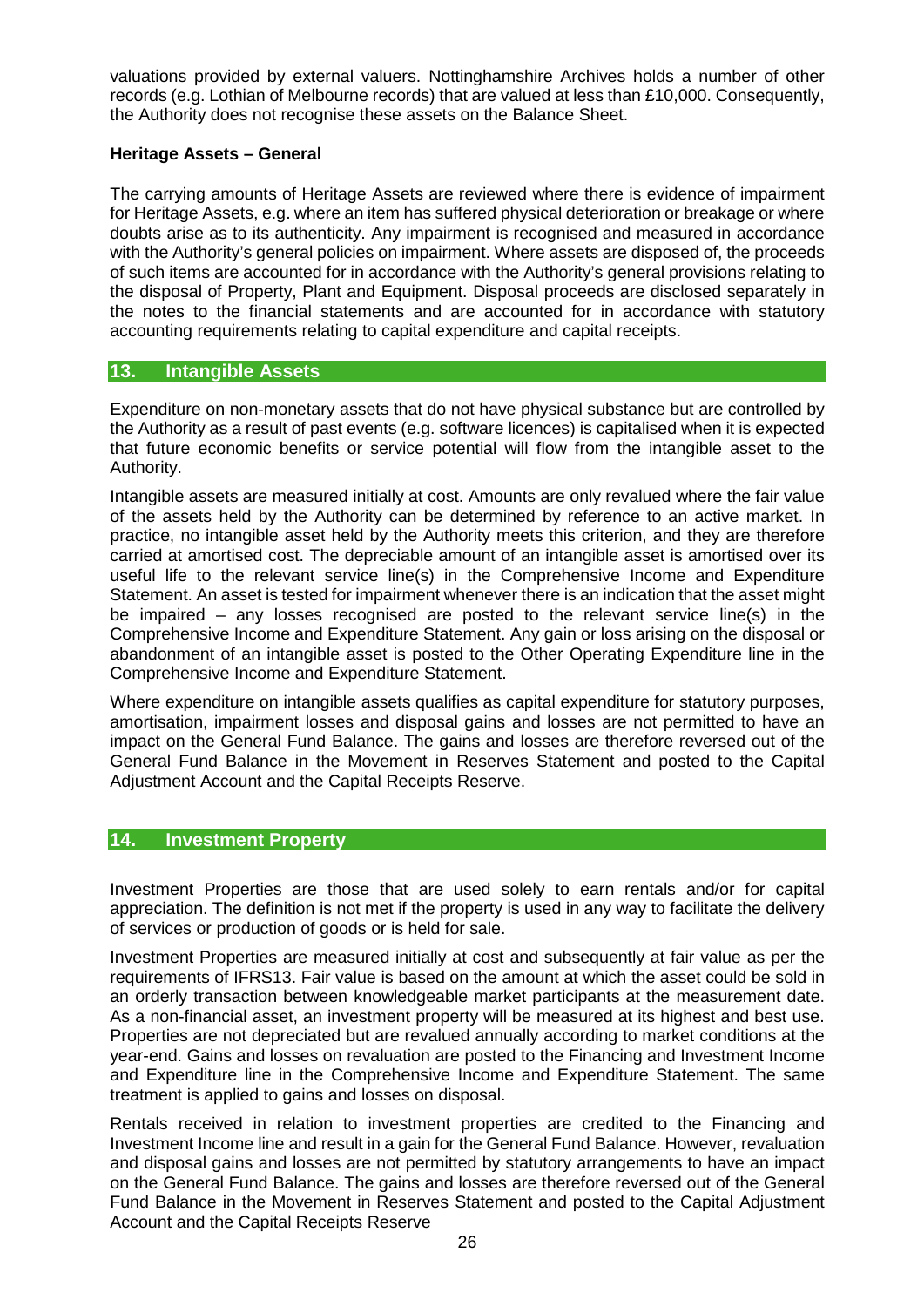valuations provided by external valuers. Nottinghamshire Archives holds a number of other records (e.g. Lothian of Melbourne records) that are valued at less than £10,000. Consequently, the Authority does not recognise these assets on the Balance Sheet.

## **Heritage Assets – General**

The carrying amounts of Heritage Assets are reviewed where there is evidence of impairment for Heritage Assets, e.g. where an item has suffered physical deterioration or breakage or where doubts arise as to its authenticity. Any impairment is recognised and measured in accordance with the Authority's general policies on impairment. Where assets are disposed of, the proceeds of such items are accounted for in accordance with the Authority's general provisions relating to the disposal of Property, Plant and Equipment. Disposal proceeds are disclosed separately in the notes to the financial statements and are accounted for in accordance with statutory accounting requirements relating to capital expenditure and capital receipts.

# **13. Intangible Assets**

Expenditure on non-monetary assets that do not have physical substance but are controlled by the Authority as a result of past events (e.g. software licences) is capitalised when it is expected that future economic benefits or service potential will flow from the intangible asset to the Authority.

Intangible assets are measured initially at cost. Amounts are only revalued where the fair value of the assets held by the Authority can be determined by reference to an active market. In practice, no intangible asset held by the Authority meets this criterion, and they are therefore carried at amortised cost. The depreciable amount of an intangible asset is amortised over its useful life to the relevant service line(s) in the Comprehensive Income and Expenditure Statement. An asset is tested for impairment whenever there is an indication that the asset might be impaired – any losses recognised are posted to the relevant service line(s) in the Comprehensive Income and Expenditure Statement. Any gain or loss arising on the disposal or abandonment of an intangible asset is posted to the Other Operating Expenditure line in the Comprehensive Income and Expenditure Statement.

Where expenditure on intangible assets qualifies as capital expenditure for statutory purposes, amortisation, impairment losses and disposal gains and losses are not permitted to have an impact on the General Fund Balance. The gains and losses are therefore reversed out of the General Fund Balance in the Movement in Reserves Statement and posted to the Capital Adjustment Account and the Capital Receipts Reserve.

# **14. Investment Property**

Investment Properties are those that are used solely to earn rentals and/or for capital appreciation. The definition is not met if the property is used in any way to facilitate the delivery of services or production of goods or is held for sale.

Investment Properties are measured initially at cost and subsequently at fair value as per the requirements of IFRS13. Fair value is based on the amount at which the asset could be sold in an orderly transaction between knowledgeable market participants at the measurement date. As a non-financial asset, an investment property will be measured at its highest and best use. Properties are not depreciated but are revalued annually according to market conditions at the year-end. Gains and losses on revaluation are posted to the Financing and Investment Income and Expenditure line in the Comprehensive Income and Expenditure Statement. The same treatment is applied to gains and losses on disposal.

Rentals received in relation to investment properties are credited to the Financing and Investment Income line and result in a gain for the General Fund Balance. However, revaluation and disposal gains and losses are not permitted by statutory arrangements to have an impact on the General Fund Balance. The gains and losses are therefore reversed out of the General Fund Balance in the Movement in Reserves Statement and posted to the Capital Adjustment Account and the Capital Receipts Reserve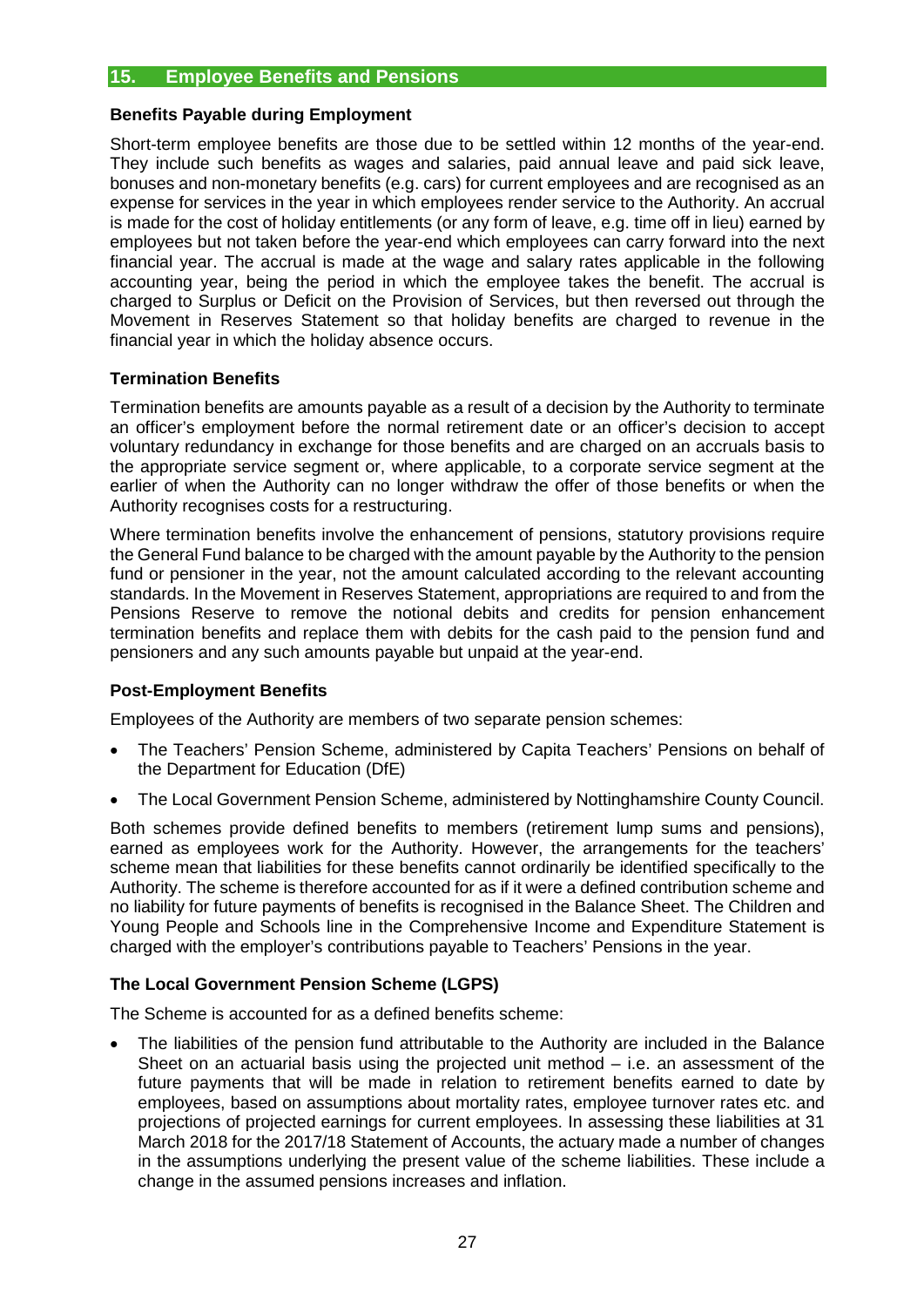# **15. Employee Benefits and Pensions**

#### **Benefits Payable during Employment**

Short-term employee benefits are those due to be settled within 12 months of the year-end. They include such benefits as wages and salaries, paid annual leave and paid sick leave, bonuses and non-monetary benefits (e.g. cars) for current employees and are recognised as an expense for services in the year in which employees render service to the Authority. An accrual is made for the cost of holiday entitlements (or any form of leave, e.g. time off in lieu) earned by employees but not taken before the year-end which employees can carry forward into the next financial year. The accrual is made at the wage and salary rates applicable in the following accounting year, being the period in which the employee takes the benefit. The accrual is charged to Surplus or Deficit on the Provision of Services, but then reversed out through the Movement in Reserves Statement so that holiday benefits are charged to revenue in the financial year in which the holiday absence occurs.

# **Termination Benefits**

Termination benefits are amounts payable as a result of a decision by the Authority to terminate an officer's employment before the normal retirement date or an officer's decision to accept voluntary redundancy in exchange for those benefits and are charged on an accruals basis to the appropriate service segment or, where applicable, to a corporate service segment at the earlier of when the Authority can no longer withdraw the offer of those benefits or when the Authority recognises costs for a restructuring.

Where termination benefits involve the enhancement of pensions, statutory provisions require the General Fund balance to be charged with the amount payable by the Authority to the pension fund or pensioner in the year, not the amount calculated according to the relevant accounting standards. In the Movement in Reserves Statement, appropriations are required to and from the Pensions Reserve to remove the notional debits and credits for pension enhancement termination benefits and replace them with debits for the cash paid to the pension fund and pensioners and any such amounts payable but unpaid at the year-end.

## **Post-Employment Benefits**

Employees of the Authority are members of two separate pension schemes:

- The Teachers' Pension Scheme, administered by Capita Teachers' Pensions on behalf of the Department for Education (DfE)
- The Local Government Pension Scheme, administered by Nottinghamshire County Council.

Both schemes provide defined benefits to members (retirement lump sums and pensions), earned as employees work for the Authority. However, the arrangements for the teachers' scheme mean that liabilities for these benefits cannot ordinarily be identified specifically to the Authority. The scheme is therefore accounted for as if it were a defined contribution scheme and no liability for future payments of benefits is recognised in the Balance Sheet. The Children and Young People and Schools line in the Comprehensive Income and Expenditure Statement is charged with the employer's contributions payable to Teachers' Pensions in the year.

## **The Local Government Pension Scheme (LGPS)**

The Scheme is accounted for as a defined benefits scheme:

The liabilities of the pension fund attributable to the Authority are included in the Balance Sheet on an actuarial basis using the projected unit method – i.e. an assessment of the future payments that will be made in relation to retirement benefits earned to date by employees, based on assumptions about mortality rates, employee turnover rates etc. and projections of projected earnings for current employees. In assessing these liabilities at 31 March 2018 for the 2017/18 Statement of Accounts, the actuary made a number of changes in the assumptions underlying the present value of the scheme liabilities. These include a change in the assumed pensions increases and inflation.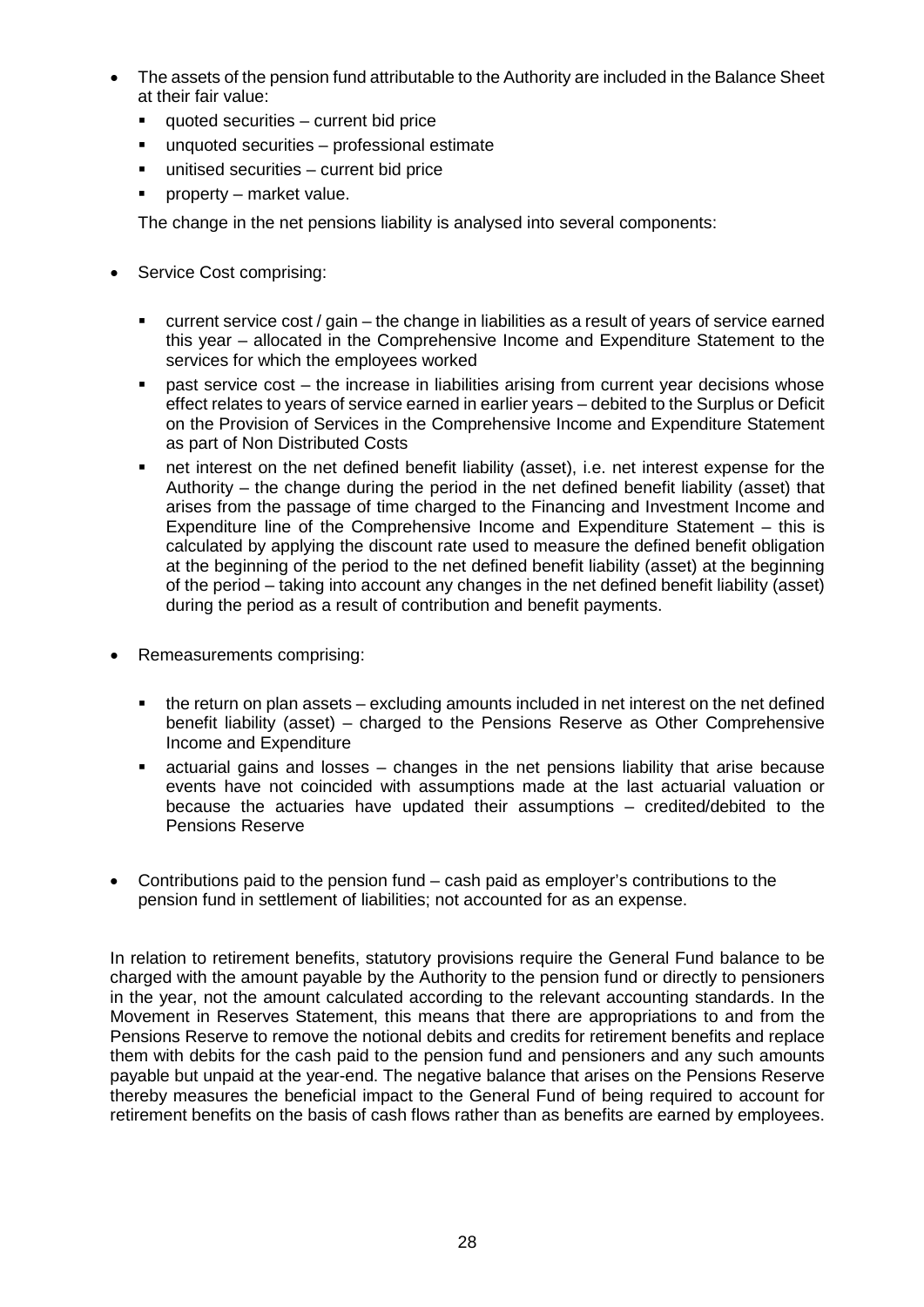- The assets of the pension fund attributable to the Authority are included in the Balance Sheet at their fair value:
	- quoted securities current bid price
	- unquoted securities professional estimate
	- unitised securities current bid price
	- **Property market value.**

The change in the net pensions liability is analysed into several components:

- Service Cost comprising:
	- current service cost / gain the change in liabilities as a result of years of service earned this year – allocated in the Comprehensive Income and Expenditure Statement to the services for which the employees worked
	- **•** past service cost the increase in liabilities arising from current year decisions whose effect relates to years of service earned in earlier years – debited to the Surplus or Deficit on the Provision of Services in the Comprehensive Income and Expenditure Statement as part of Non Distributed Costs
	- net interest on the net defined benefit liability (asset), i.e. net interest expense for the Authority – the change during the period in the net defined benefit liability (asset) that arises from the passage of time charged to the Financing and Investment Income and Expenditure line of the Comprehensive Income and Expenditure Statement – this is calculated by applying the discount rate used to measure the defined benefit obligation at the beginning of the period to the net defined benefit liability (asset) at the beginning of the period – taking into account any changes in the net defined benefit liability (asset) during the period as a result of contribution and benefit payments.
- Remeasurements comprising:
	- the return on plan assets excluding amounts included in net interest on the net defined benefit liability (asset) – charged to the Pensions Reserve as Other Comprehensive Income and Expenditure
	- actuarial gains and losses changes in the net pensions liability that arise because events have not coincided with assumptions made at the last actuarial valuation or because the actuaries have updated their assumptions – credited/debited to the Pensions Reserve
- Contributions paid to the pension fund cash paid as employer's contributions to the pension fund in settlement of liabilities; not accounted for as an expense.

In relation to retirement benefits, statutory provisions require the General Fund balance to be charged with the amount payable by the Authority to the pension fund or directly to pensioners in the year, not the amount calculated according to the relevant accounting standards. In the Movement in Reserves Statement, this means that there are appropriations to and from the Pensions Reserve to remove the notional debits and credits for retirement benefits and replace them with debits for the cash paid to the pension fund and pensioners and any such amounts payable but unpaid at the year-end. The negative balance that arises on the Pensions Reserve thereby measures the beneficial impact to the General Fund of being required to account for retirement benefits on the basis of cash flows rather than as benefits are earned by employees.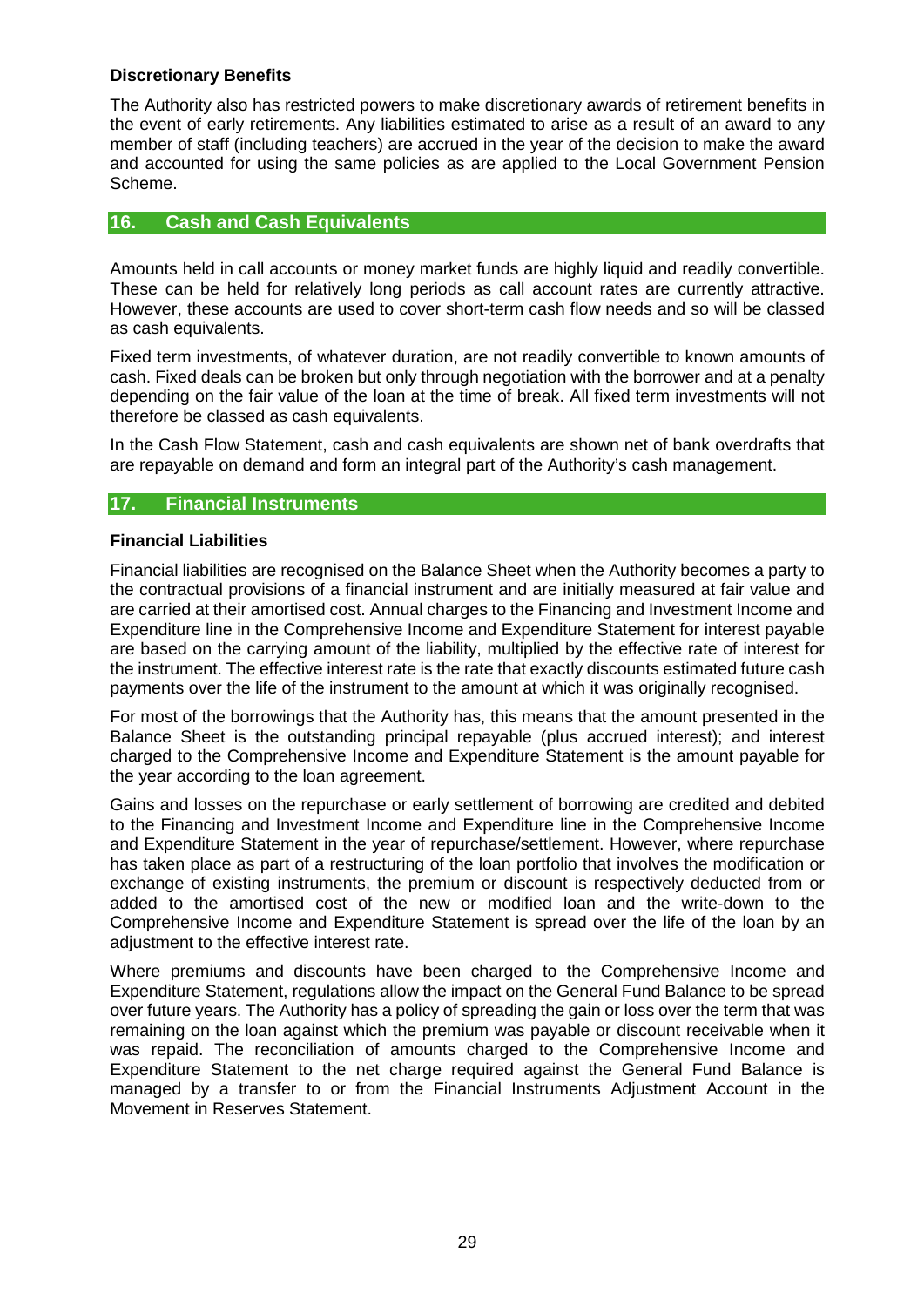# **Discretionary Benefits**

The Authority also has restricted powers to make discretionary awards of retirement benefits in the event of early retirements. Any liabilities estimated to arise as a result of an award to any member of staff (including teachers) are accrued in the year of the decision to make the award and accounted for using the same policies as are applied to the Local Government Pension Scheme.

## **16. Cash and Cash Equivalents**

Amounts held in call accounts or money market funds are highly liquid and readily convertible. These can be held for relatively long periods as call account rates are currently attractive. However, these accounts are used to cover short-term cash flow needs and so will be classed as cash equivalents.

Fixed term investments, of whatever duration, are not readily convertible to known amounts of cash. Fixed deals can be broken but only through negotiation with the borrower and at a penalty depending on the fair value of the loan at the time of break. All fixed term investments will not therefore be classed as cash equivalents.

In the Cash Flow Statement, cash and cash equivalents are shown net of bank overdrafts that are repayable on demand and form an integral part of the Authority's cash management.

# **17. Financial Instruments**

## **Financial Liabilities**

Financial liabilities are recognised on the Balance Sheet when the Authority becomes a party to the contractual provisions of a financial instrument and are initially measured at fair value and are carried at their amortised cost. Annual charges to the Financing and Investment Income and Expenditure line in the Comprehensive Income and Expenditure Statement for interest payable are based on the carrying amount of the liability, multiplied by the effective rate of interest for the instrument. The effective interest rate is the rate that exactly discounts estimated future cash payments over the life of the instrument to the amount at which it was originally recognised.

For most of the borrowings that the Authority has, this means that the amount presented in the Balance Sheet is the outstanding principal repayable (plus accrued interest); and interest charged to the Comprehensive Income and Expenditure Statement is the amount payable for the year according to the loan agreement.

Gains and losses on the repurchase or early settlement of borrowing are credited and debited to the Financing and Investment Income and Expenditure line in the Comprehensive Income and Expenditure Statement in the year of repurchase/settlement. However, where repurchase has taken place as part of a restructuring of the loan portfolio that involves the modification or exchange of existing instruments, the premium or discount is respectively deducted from or added to the amortised cost of the new or modified loan and the write-down to the Comprehensive Income and Expenditure Statement is spread over the life of the loan by an adjustment to the effective interest rate.

Where premiums and discounts have been charged to the Comprehensive Income and Expenditure Statement, regulations allow the impact on the General Fund Balance to be spread over future years. The Authority has a policy of spreading the gain or loss over the term that was remaining on the loan against which the premium was payable or discount receivable when it was repaid. The reconciliation of amounts charged to the Comprehensive Income and Expenditure Statement to the net charge required against the General Fund Balance is managed by a transfer to or from the Financial Instruments Adjustment Account in the Movement in Reserves Statement.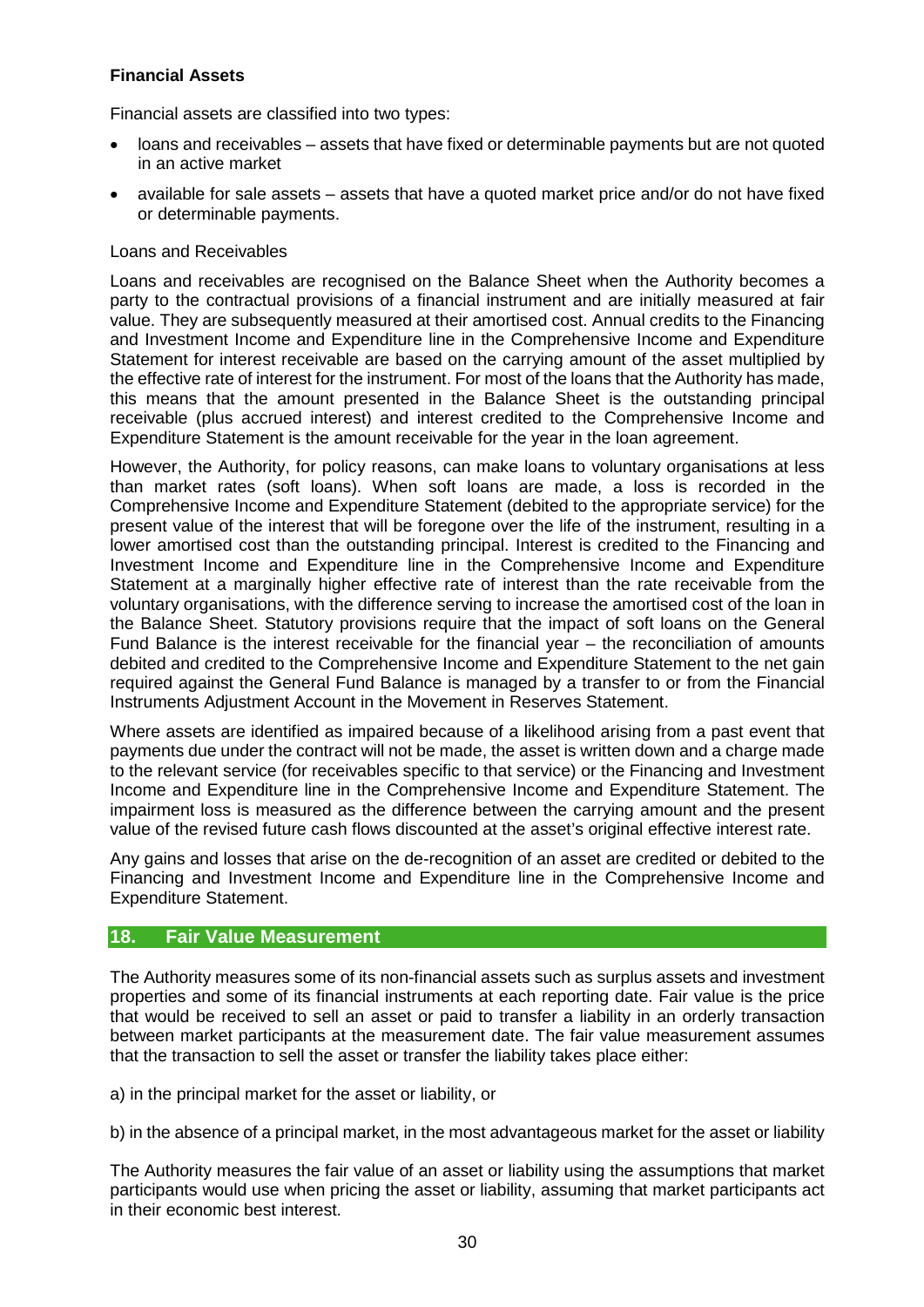# **Financial Assets**

Financial assets are classified into two types:

- loans and receivables assets that have fixed or determinable payments but are not quoted in an active market
- available for sale assets assets that have a quoted market price and/or do not have fixed or determinable payments.

#### Loans and Receivables

Loans and receivables are recognised on the Balance Sheet when the Authority becomes a party to the contractual provisions of a financial instrument and are initially measured at fair value. They are subsequently measured at their amortised cost. Annual credits to the Financing and Investment Income and Expenditure line in the Comprehensive Income and Expenditure Statement for interest receivable are based on the carrying amount of the asset multiplied by the effective rate of interest for the instrument. For most of the loans that the Authority has made, this means that the amount presented in the Balance Sheet is the outstanding principal receivable (plus accrued interest) and interest credited to the Comprehensive Income and Expenditure Statement is the amount receivable for the year in the loan agreement.

However, the Authority, for policy reasons, can make loans to voluntary organisations at less than market rates (soft loans). When soft loans are made, a loss is recorded in the Comprehensive Income and Expenditure Statement (debited to the appropriate service) for the present value of the interest that will be foregone over the life of the instrument, resulting in a lower amortised cost than the outstanding principal. Interest is credited to the Financing and Investment Income and Expenditure line in the Comprehensive Income and Expenditure Statement at a marginally higher effective rate of interest than the rate receivable from the voluntary organisations, with the difference serving to increase the amortised cost of the loan in the Balance Sheet. Statutory provisions require that the impact of soft loans on the General Fund Balance is the interest receivable for the financial year – the reconciliation of amounts debited and credited to the Comprehensive Income and Expenditure Statement to the net gain required against the General Fund Balance is managed by a transfer to or from the Financial Instruments Adjustment Account in the Movement in Reserves Statement.

Where assets are identified as impaired because of a likelihood arising from a past event that payments due under the contract will not be made, the asset is written down and a charge made to the relevant service (for receivables specific to that service) or the Financing and Investment Income and Expenditure line in the Comprehensive Income and Expenditure Statement. The impairment loss is measured as the difference between the carrying amount and the present value of the revised future cash flows discounted at the asset's original effective interest rate.

Any gains and losses that arise on the de-recognition of an asset are credited or debited to the Financing and Investment Income and Expenditure line in the Comprehensive Income and Expenditure Statement.

## **18. Fair Value Measurement**

The Authority measures some of its non-financial assets such as surplus assets and investment properties and some of its financial instruments at each reporting date. Fair value is the price that would be received to sell an asset or paid to transfer a liability in an orderly transaction between market participants at the measurement date. The fair value measurement assumes that the transaction to sell the asset or transfer the liability takes place either:

a) in the principal market for the asset or liability, or

b) in the absence of a principal market, in the most advantageous market for the asset or liability

The Authority measures the fair value of an asset or liability using the assumptions that market participants would use when pricing the asset or liability, assuming that market participants act in their economic best interest.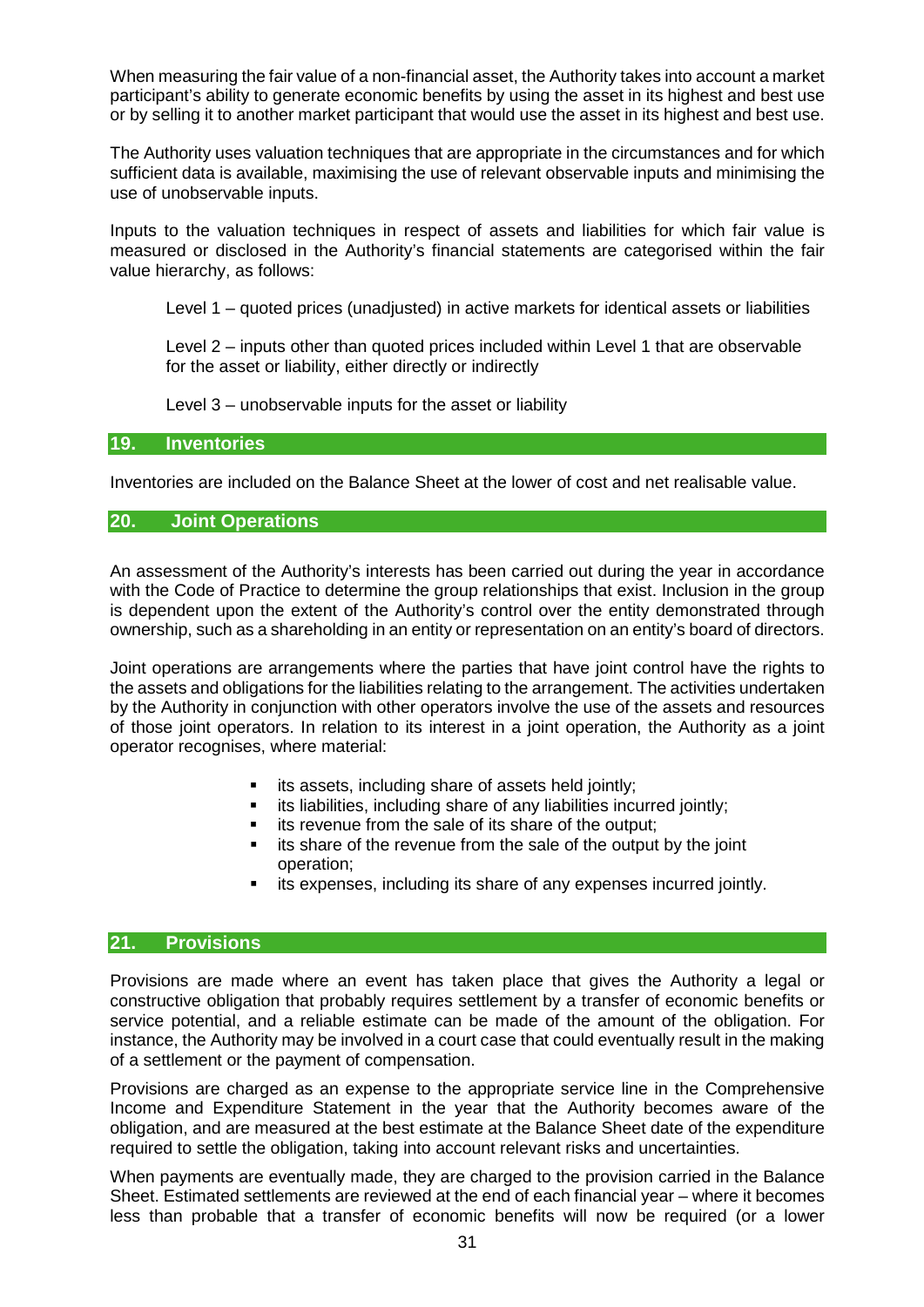When measuring the fair value of a non-financial asset, the Authority takes into account a market participant's ability to generate economic benefits by using the asset in its highest and best use or by selling it to another market participant that would use the asset in its highest and best use.

The Authority uses valuation techniques that are appropriate in the circumstances and for which sufficient data is available, maximising the use of relevant observable inputs and minimising the use of unobservable inputs.

Inputs to the valuation techniques in respect of assets and liabilities for which fair value is measured or disclosed in the Authority's financial statements are categorised within the fair value hierarchy, as follows:

Level 1 – quoted prices (unadjusted) in active markets for identical assets or liabilities

Level 2 – inputs other than quoted prices included within Level 1 that are observable for the asset or liability, either directly or indirectly

Level 3 – unobservable inputs for the asset or liability

#### **19. Inventories**

Inventories are included on the Balance Sheet at the lower of cost and net realisable value.

# **20. Joint Operations**

An assessment of the Authority's interests has been carried out during the year in accordance with the Code of Practice to determine the group relationships that exist. Inclusion in the group is dependent upon the extent of the Authority's control over the entity demonstrated through ownership, such as a shareholding in an entity or representation on an entity's board of directors.

Joint operations are arrangements where the parties that have joint control have the rights to the assets and obligations for the liabilities relating to the arrangement. The activities undertaken by the Authority in conjunction with other operators involve the use of the assets and resources of those joint operators. In relation to its interest in a joint operation, the Authority as a joint operator recognises, where material:

- its assets, including share of assets held jointly;
- **EXTE:** its liabilities, including share of any liabilities incurred jointly;
- its revenue from the sale of its share of the output;
- its share of the revenue from the sale of the output by the joint operation;
- its expenses, including its share of any expenses incurred jointly.

#### **21. Provisions**

Provisions are made where an event has taken place that gives the Authority a legal or constructive obligation that probably requires settlement by a transfer of economic benefits or service potential, and a reliable estimate can be made of the amount of the obligation. For instance, the Authority may be involved in a court case that could eventually result in the making of a settlement or the payment of compensation.

Provisions are charged as an expense to the appropriate service line in the Comprehensive Income and Expenditure Statement in the year that the Authority becomes aware of the obligation, and are measured at the best estimate at the Balance Sheet date of the expenditure required to settle the obligation, taking into account relevant risks and uncertainties.

When payments are eventually made, they are charged to the provision carried in the Balance Sheet. Estimated settlements are reviewed at the end of each financial year – where it becomes less than probable that a transfer of economic benefits will now be required (or a lower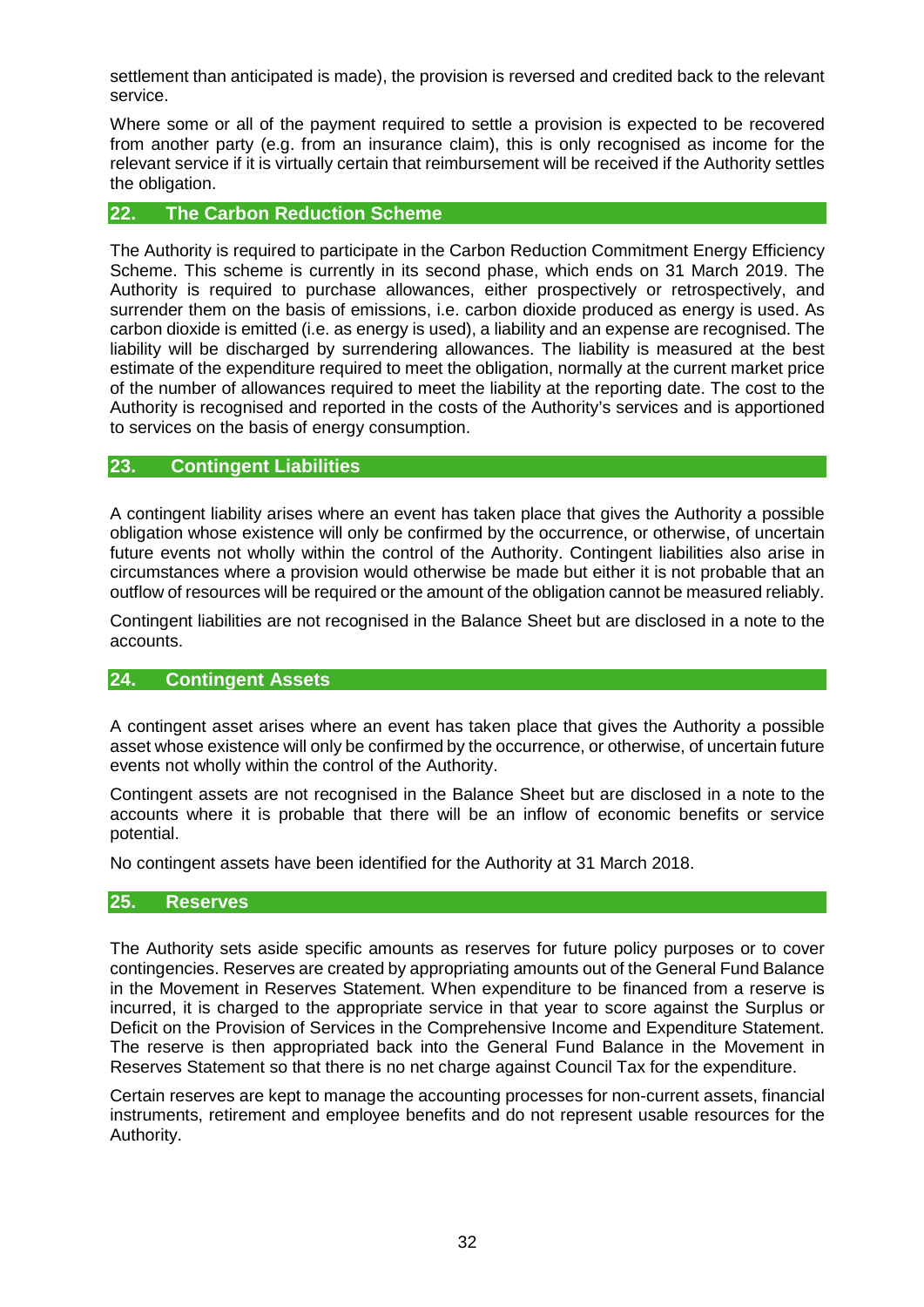settlement than anticipated is made), the provision is reversed and credited back to the relevant service.

Where some or all of the payment required to settle a provision is expected to be recovered from another party (e.g. from an insurance claim), this is only recognised as income for the relevant service if it is virtually certain that reimbursement will be received if the Authority settles the obligation.

#### **22. The Carbon Reduction Scheme**

The Authority is required to participate in the Carbon Reduction Commitment Energy Efficiency Scheme. This scheme is currently in its second phase, which ends on 31 March 2019. The Authority is required to purchase allowances, either prospectively or retrospectively, and surrender them on the basis of emissions, i.e. carbon dioxide produced as energy is used. As carbon dioxide is emitted (i.e. as energy is used), a liability and an expense are recognised. The liability will be discharged by surrendering allowances. The liability is measured at the best estimate of the expenditure required to meet the obligation, normally at the current market price of the number of allowances required to meet the liability at the reporting date. The cost to the Authority is recognised and reported in the costs of the Authority's services and is apportioned to services on the basis of energy consumption.

# **23. Contingent Liabilities**

A contingent liability arises where an event has taken place that gives the Authority a possible obligation whose existence will only be confirmed by the occurrence, or otherwise, of uncertain future events not wholly within the control of the Authority. Contingent liabilities also arise in circumstances where a provision would otherwise be made but either it is not probable that an outflow of resources will be required or the amount of the obligation cannot be measured reliably.

Contingent liabilities are not recognised in the Balance Sheet but are disclosed in a note to the accounts.

## **24. Contingent Assets**

A contingent asset arises where an event has taken place that gives the Authority a possible asset whose existence will only be confirmed by the occurrence, or otherwise, of uncertain future events not wholly within the control of the Authority.

Contingent assets are not recognised in the Balance Sheet but are disclosed in a note to the accounts where it is probable that there will be an inflow of economic benefits or service potential.

No contingent assets have been identified for the Authority at 31 March 2018.

#### **25. Reserves**

The Authority sets aside specific amounts as reserves for future policy purposes or to cover contingencies. Reserves are created by appropriating amounts out of the General Fund Balance in the Movement in Reserves Statement. When expenditure to be financed from a reserve is incurred, it is charged to the appropriate service in that year to score against the Surplus or Deficit on the Provision of Services in the Comprehensive Income and Expenditure Statement. The reserve is then appropriated back into the General Fund Balance in the Movement in Reserves Statement so that there is no net charge against Council Tax for the expenditure.

Certain reserves are kept to manage the accounting processes for non-current assets, financial instruments, retirement and employee benefits and do not represent usable resources for the Authority.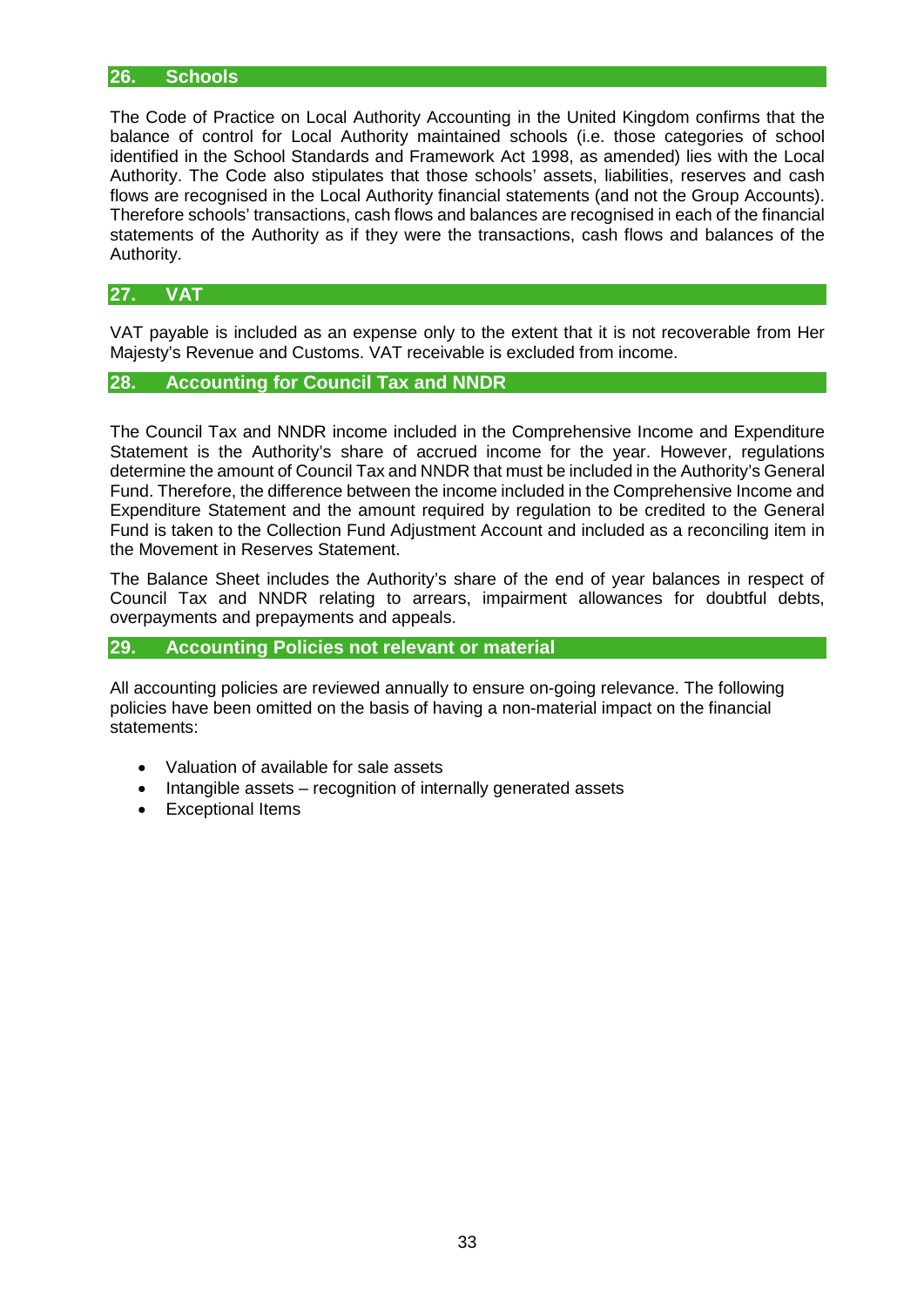### **26. Schools**

The Code of Practice on Local Authority Accounting in the United Kingdom confirms that the balance of control for Local Authority maintained schools (i.e. those categories of school identified in the School Standards and Framework Act 1998, as amended) lies with the Local Authority. The Code also stipulates that those schools' assets, liabilities, reserves and cash flows are recognised in the Local Authority financial statements (and not the Group Accounts). Therefore schools' transactions, cash flows and balances are recognised in each of the financial statements of the Authority as if they were the transactions, cash flows and balances of the Authority.

## **27. VAT**

VAT payable is included as an expense only to the extent that it is not recoverable from Her Majesty's Revenue and Customs. VAT receivable is excluded from income.

# **28. Accounting for Council Tax and NNDR**

The Council Tax and NNDR income included in the Comprehensive Income and Expenditure Statement is the Authority's share of accrued income for the year. However, regulations determine the amount of Council Tax and NNDR that must be included in the Authority's General Fund. Therefore, the difference between the income included in the Comprehensive Income and Expenditure Statement and the amount required by regulation to be credited to the General Fund is taken to the Collection Fund Adjustment Account and included as a reconciling item in the Movement in Reserves Statement.

The Balance Sheet includes the Authority's share of the end of year balances in respect of Council Tax and NNDR relating to arrears, impairment allowances for doubtful debts, overpayments and prepayments and appeals.

# **29. Accounting Policies not relevant or material**

All accounting policies are reviewed annually to ensure on-going relevance. The following policies have been omitted on the basis of having a non-material impact on the financial statements:

- Valuation of available for sale assets
- Intangible assets recognition of internally generated assets
- Exceptional Items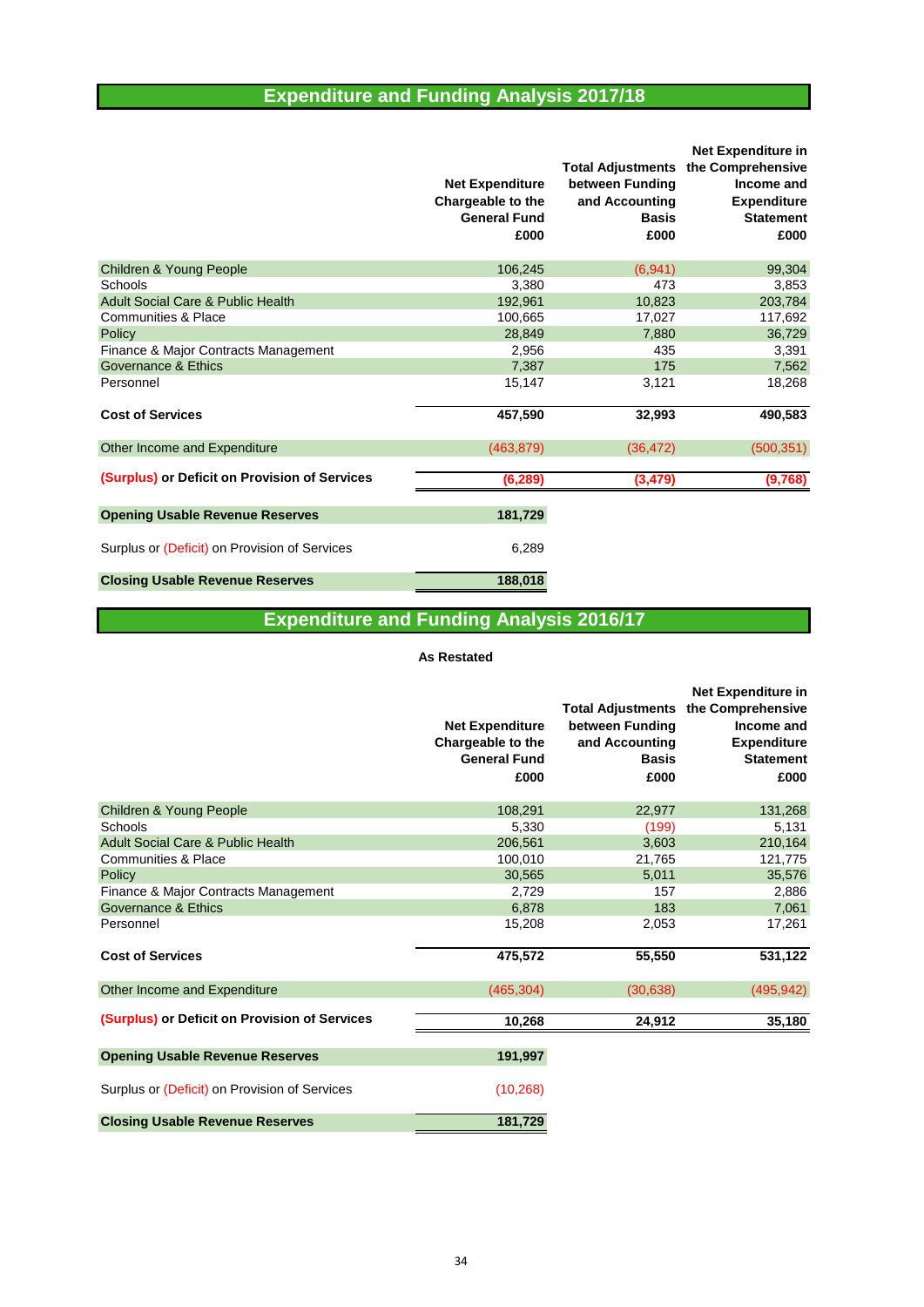# **Expenditure and Funding Analysis 2017/18**

|                                               | <b>Net Expenditure</b><br>Chargeable to the<br><b>General Fund</b><br>£000 | <b>Total Adjustments</b><br>between Funding<br>and Accounting<br><b>Basis</b><br>£000 | Net Expenditure in<br>the Comprehensive<br>Income and<br><b>Expenditure</b><br><b>Statement</b><br>£000 |
|-----------------------------------------------|----------------------------------------------------------------------------|---------------------------------------------------------------------------------------|---------------------------------------------------------------------------------------------------------|
| Children & Young People                       | 106,245                                                                    | (6,941)                                                                               | 99,304                                                                                                  |
| Schools                                       | 3,380                                                                      | 473                                                                                   | 3,853                                                                                                   |
| <b>Adult Social Care &amp; Public Health</b>  | 192,961                                                                    | 10,823                                                                                | 203,784                                                                                                 |
| <b>Communities &amp; Place</b>                | 100,665                                                                    | 17,027                                                                                | 117,692                                                                                                 |
| Policy                                        | 28,849                                                                     | 7,880                                                                                 | 36,729                                                                                                  |
| Finance & Major Contracts Management          | 2,956                                                                      | 435                                                                                   | 3,391                                                                                                   |
| Governance & Ethics                           | 7,387                                                                      | 175                                                                                   | 7,562                                                                                                   |
| Personnel                                     | 15,147                                                                     | 3,121                                                                                 | 18,268                                                                                                  |
| <b>Cost of Services</b>                       | 457,590                                                                    | 32,993                                                                                | 490,583                                                                                                 |
| Other Income and Expenditure                  | (463, 879)                                                                 | (36, 472)                                                                             | (500, 351)                                                                                              |
| (Surplus) or Deficit on Provision of Services | (6, 289)                                                                   | (3, 479)                                                                              | (9,768)                                                                                                 |
| <b>Opening Usable Revenue Reserves</b>        | 181,729                                                                    |                                                                                       |                                                                                                         |
| Surplus or (Deficit) on Provision of Services | 6,289                                                                      |                                                                                       |                                                                                                         |
| <b>Closing Usable Revenue Reserves</b>        | 188,018                                                                    |                                                                                       |                                                                                                         |

# **Expenditure and Funding Analysis 2016/17**

#### **As Restated**

|                                               | <b>Net Expenditure</b><br>Chargeable to the<br><b>General Fund</b><br>£000 | <b>Total Adjustments</b><br>between Funding<br>and Accounting<br><b>Basis</b><br>£000 | <b>Net Expenditure in</b><br>the Comprehensive<br>Income and<br><b>Expenditure</b><br><b>Statement</b><br>£000 |
|-----------------------------------------------|----------------------------------------------------------------------------|---------------------------------------------------------------------------------------|----------------------------------------------------------------------------------------------------------------|
| <b>Children &amp; Young People</b>            | 108,291                                                                    | 22,977                                                                                | 131,268                                                                                                        |
| Schools                                       | 5.330                                                                      | (199)                                                                                 | 5,131                                                                                                          |
| <b>Adult Social Care &amp; Public Health</b>  | 206,561                                                                    | 3,603                                                                                 | 210,164                                                                                                        |
| Communities & Place                           | 100,010                                                                    | 21,765                                                                                | 121,775                                                                                                        |
| Policy                                        | 30,565                                                                     | 5,011                                                                                 | 35,576                                                                                                         |
| Finance & Major Contracts Management          | 2,729                                                                      | 157                                                                                   | 2,886                                                                                                          |
| Governance & Ethics                           | 6,878                                                                      | 183                                                                                   | 7,061                                                                                                          |
| Personnel                                     | 15,208                                                                     | 2,053                                                                                 | 17,261                                                                                                         |
| <b>Cost of Services</b>                       | 475,572                                                                    | 55,550                                                                                | 531,122                                                                                                        |
| Other Income and Expenditure                  | (465, 304)                                                                 | (30, 638)                                                                             | (495, 942)                                                                                                     |
| (Surplus) or Deficit on Provision of Services | 10,268                                                                     | 24,912                                                                                | 35,180                                                                                                         |
| <b>Opening Usable Revenue Reserves</b>        | 191,997                                                                    |                                                                                       |                                                                                                                |
| Surplus or (Deficit) on Provision of Services | (10, 268)                                                                  |                                                                                       |                                                                                                                |
| <b>Closing Usable Revenue Reserves</b>        | 181,729                                                                    |                                                                                       |                                                                                                                |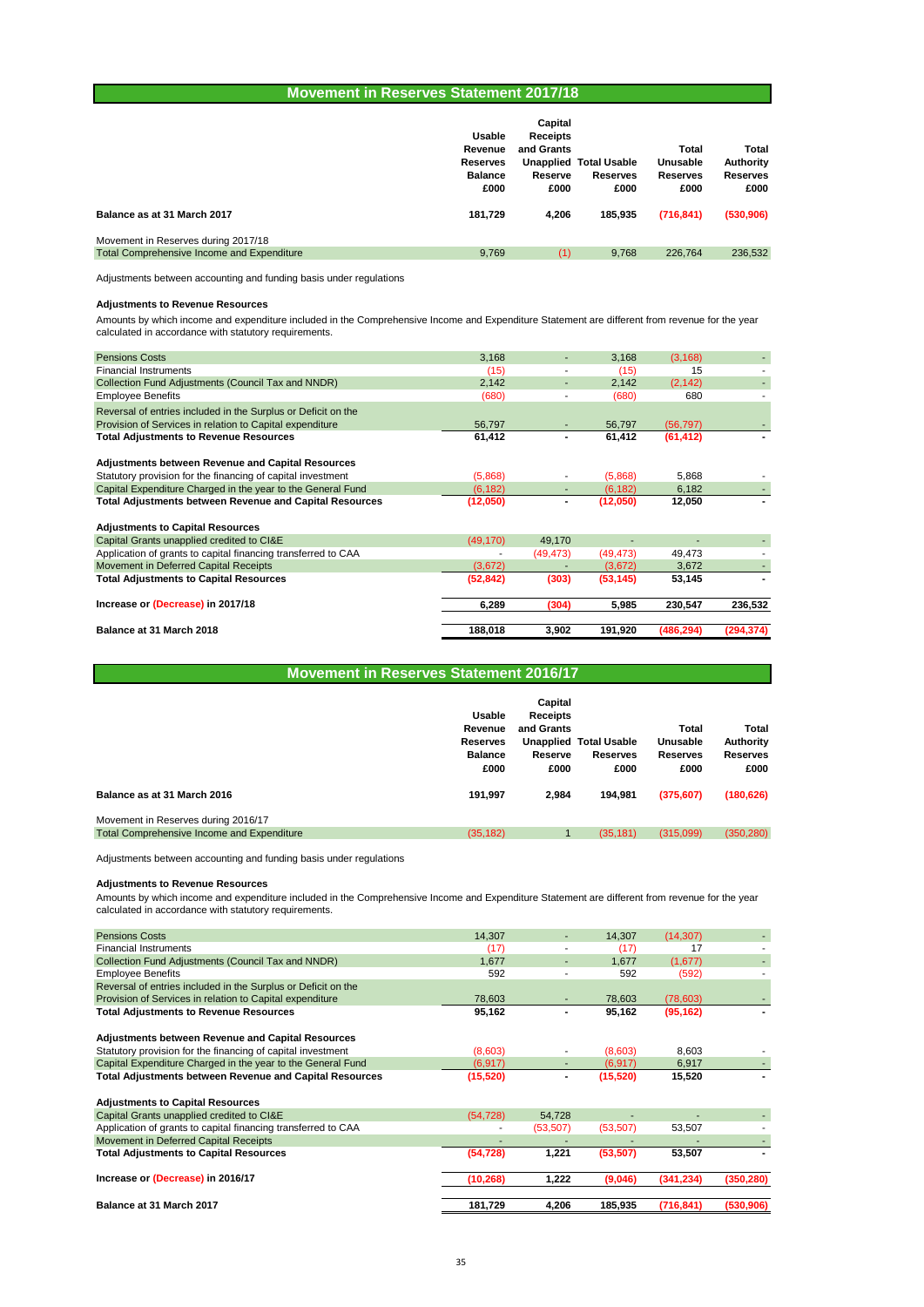#### **Movement in Reserves Statement 2017/18**

| Balance as at 31 March 2017<br>Movement in Reserves during 2017/18 | <b>Usable</b><br>Revenue<br><b>Reserves</b><br><b>Balance</b><br>£000<br>181,729 | Capital<br><b>Receipts</b><br>and Grants<br>Reserve<br>£000<br>4.206 | <b>Unapplied Total Usable</b><br><b>Reserves</b><br>£000<br>185.935 | Total<br>Unusable<br><b>Reserves</b><br>£000<br>(716, 841) | Total<br>Authority<br><b>Reserves</b><br>£000<br>(530, 906) |
|--------------------------------------------------------------------|----------------------------------------------------------------------------------|----------------------------------------------------------------------|---------------------------------------------------------------------|------------------------------------------------------------|-------------------------------------------------------------|
| Total Comprehensive Income and Expenditure                         | 9,769                                                                            | (1)                                                                  | 9.768                                                               | 226,764                                                    | 236,532                                                     |

Adjustments between accounting and funding basis under regulations

#### **Adjustments to Revenue Resources**

Amounts by which income and expenditure included in the Comprehensive Income and Expenditure Statement are different from revenue for the year calculated in accordance with statutory requirements.

| <b>Pensions Costs</b>                                          | 3,168     |          | 3,168     | (3, 168)   |            |
|----------------------------------------------------------------|-----------|----------|-----------|------------|------------|
| <b>Financial Instruments</b>                                   | (15)      |          | (15)      | 15         |            |
| Collection Fund Adjustments (Council Tax and NNDR)             | 2,142     |          | 2,142     | (2, 142)   |            |
| <b>Employee Benefits</b>                                       | (680)     |          | (680)     | 680        |            |
| Reversal of entries included in the Surplus or Deficit on the  |           |          |           |            |            |
| Provision of Services in relation to Capital expenditure       | 56,797    |          | 56.797    | (56, 797)  |            |
| <b>Total Adjustments to Revenue Resources</b>                  | 61,412    |          | 61,412    | (61, 412)  |            |
| <b>Adjustments between Revenue and Capital Resources</b>       |           |          |           |            |            |
| Statutory provision for the financing of capital investment    | (5,868)   |          | (5,868)   | 5,868      |            |
| Capital Expenditure Charged in the year to the General Fund    | (6, 182)  |          | (6, 182)  | 6,182      |            |
| <b>Total Adjustments between Revenue and Capital Resources</b> | (12,050)  |          | (12,050)  | 12,050     |            |
| <b>Adjustments to Capital Resources</b>                        |           |          |           |            |            |
| Capital Grants unapplied credited to CI&E                      | (49, 170) | 49,170   |           |            |            |
| Application of grants to capital financing transferred to CAA  |           | (49,473) | (49, 473) | 49,473     |            |
| Movement in Deferred Capital Receipts                          | (3,672)   |          | (3,672)   | 3,672      |            |
| <b>Total Adjustments to Capital Resources</b>                  | (52, 842) | (303)    | (53, 145) | 53,145     |            |
| Increase or (Decrease) in 2017/18                              | 6,289     | (304)    | 5,985     | 230,547    | 236,532    |
| Balance at 31 March 2018                                       | 188,018   | 3,902    | 191,920   | (486, 294) | (294, 374) |
|                                                                |           |          |           |            |            |

| <b>Movement in Reserves Statement 2016/17</b> |
|-----------------------------------------------|
|                                               |

|                                            | Usable<br>Revenue<br><b>Reserves</b><br><b>Balance</b><br>£000 | Capital<br><b>Receipts</b><br>and Grants<br>Reserve<br>£000 | <b>Unapplied Total Usable</b><br><b>Reserves</b><br>£000 | Total<br>Unusable<br><b>Reserves</b><br>£000 | Total<br>Authority<br><b>Reserves</b><br>£000 |
|--------------------------------------------|----------------------------------------------------------------|-------------------------------------------------------------|----------------------------------------------------------|----------------------------------------------|-----------------------------------------------|
| Balance as at 31 March 2016                | 191.997                                                        | 2.984                                                       | 194.981                                                  | (375, 607)                                   | (180, 626)                                    |
| Movement in Reserves during 2016/17        |                                                                |                                                             |                                                          |                                              |                                               |
| Total Comprehensive Income and Expenditure | (35, 182)                                                      |                                                             | (35, 181)                                                | (315,099)                                    | (350, 280)                                    |

Adjustments between accounting and funding basis under regulations

#### **Adjustments to Revenue Resources**

Amounts by which income and expenditure included in the Comprehensive Income and Expenditure Statement are different from revenue for the year calculated in accordance with statutory requirements.

| <b>Pensions Costs</b>                                          | 14,307    |           | 14,307    | (14, 307)  |            |
|----------------------------------------------------------------|-----------|-----------|-----------|------------|------------|
| <b>Financial Instruments</b>                                   | (17)      |           | (17)      | 17         |            |
| Collection Fund Adjustments (Council Tax and NNDR)             | 1.677     | ۰.        | 1,677     | (1,677)    |            |
| <b>Employee Benefits</b>                                       | 592       |           | 592       | (592)      |            |
| Reversal of entries included in the Surplus or Deficit on the  |           |           |           |            |            |
| Provision of Services in relation to Capital expenditure       | 78,603    |           | 78,603    | (78,603)   |            |
| <b>Total Adjustments to Revenue Resources</b>                  | 95,162    |           | 95,162    | (95, 162)  |            |
| <b>Adjustments between Revenue and Capital Resources</b>       |           |           |           |            |            |
| Statutory provision for the financing of capital investment    | (8,603)   |           | (8,603)   | 8,603      |            |
| Capital Expenditure Charged in the year to the General Fund    | (6, 917)  |           | (6, 917)  | 6,917      |            |
| <b>Total Adjustments between Revenue and Capital Resources</b> | (15, 520) |           | (15, 520) | 15,520     |            |
| <b>Adjustments to Capital Resources</b>                        |           |           |           |            |            |
| Capital Grants unapplied credited to CI&E                      | (54, 728) | 54,728    |           |            |            |
| Application of grants to capital financing transferred to CAA  |           | (53, 507) | (53, 507) | 53,507     |            |
| Movement in Deferred Capital Receipts                          |           |           |           |            |            |
| <b>Total Adjustments to Capital Resources</b>                  | (54, 728) | 1,221     | (53, 507) | 53,507     |            |
| Increase or (Decrease) in 2016/17                              | (10, 268) | 1,222     | (9,046)   | (341, 234) | (350, 280) |
| Balance at 31 March 2017                                       | 181,729   | 4,206     | 185,935   | (716, 841) | (530,906)  |
|                                                                |           |           |           |            |            |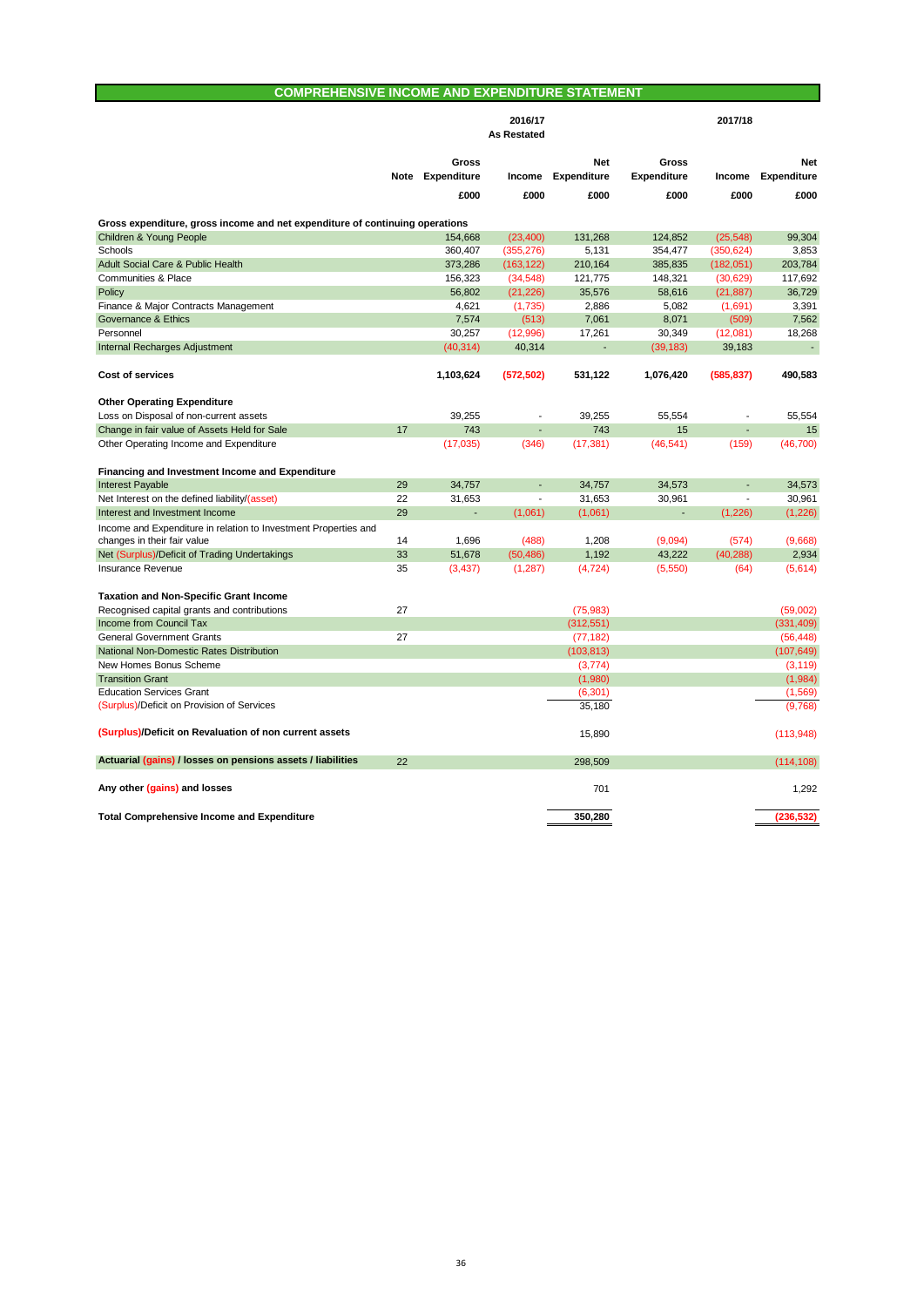# **COMPREHENSIVE INCOME AND EXPENDITURE STATEMENT**

|                                                                                                |      |                | 2016/17            |                    |                    | 2017/18                  |                          |
|------------------------------------------------------------------------------------------------|------|----------------|--------------------|--------------------|--------------------|--------------------------|--------------------------|
|                                                                                                |      |                | <b>As Restated</b> |                    |                    |                          |                          |
|                                                                                                |      | Gross          |                    | <b>Net</b>         | Gross              |                          | <b>Net</b>               |
|                                                                                                | Note | Expenditure    | Income             | <b>Expenditure</b> | <b>Expenditure</b> | Income                   | <b>Expenditure</b>       |
|                                                                                                |      | £000           | £000               | £000               | £000               | £000                     | £000                     |
|                                                                                                |      |                |                    |                    |                    |                          |                          |
| Gross expenditure, gross income and net expenditure of continuing operations                   |      |                |                    |                    |                    |                          |                          |
| Children & Young People                                                                        |      | 154,668        | (23, 400)          | 131,268            | 124,852            | (25, 548)                | 99,304                   |
| Schools                                                                                        |      | 360.407        | (355, 276)         | 5.131              | 354.477            | (350, 624)               | 3.853                    |
| Adult Social Care & Public Health                                                              |      | 373,286        | (163, 122)         | 210,164            | 385,835            | (182,051)                | 203,784                  |
| Communities & Place                                                                            |      | 156,323        | (34, 548)          | 121,775            | 148,321            | (30, 629)                | 117,692                  |
| Policy                                                                                         |      | 56,802         | (21, 226)          | 35,576             | 58,616             | (21, 887)                | 36,729                   |
| Finance & Major Contracts Management                                                           |      | 4,621          | (1,735)            | 2,886              | 5,082              | (1,691)                  | 3,391                    |
| Governance & Ethics                                                                            |      | 7,574          | (513)              | 7,061              | 8,071              | (509)                    | 7,562                    |
| Personnel                                                                                      |      | 30,257         | (12,996)           | 17,261             | 30,349             | (12,081)                 | 18,268                   |
| Internal Recharges Adjustment                                                                  |      | (40, 314)      | 40,314             |                    | (39, 183)          | 39,183                   | $\overline{\phantom{a}}$ |
| <b>Cost of services</b>                                                                        |      | 1,103,624      | (572, 502)         | 531,122            | 1,076,420          | (585, 837)               | 490,583                  |
| <b>Other Operating Expenditure</b>                                                             |      |                |                    |                    |                    |                          |                          |
| Loss on Disposal of non-current assets                                                         |      | 39,255         | ÷,                 | 39,255             | 55,554             | ٠                        | 55,554                   |
| Change in fair value of Assets Held for Sale                                                   | 17   | 743            | L,                 | 743                | 15                 |                          | 15                       |
| Other Operating Income and Expenditure                                                         |      | (17,035)       | (346)              | (17, 381)          | (46, 541)          | (159)                    | (46, 700)                |
| Financing and Investment Income and Expenditure                                                |      |                |                    |                    |                    |                          |                          |
| <b>Interest Payable</b>                                                                        | 29   | 34,757         | L.                 | 34,757             | 34,573             |                          | 34,573                   |
| Net Interest on the defined liability/(asset)                                                  | 22   | 31,653         | ÷,                 | 31,653             | 30,961             | $\overline{\phantom{a}}$ | 30,961                   |
| Interest and Investment Income                                                                 | 29   | $\blacksquare$ | (1,061)            | (1,061)            | ÷,                 | (1, 226)                 | (1,226)                  |
|                                                                                                |      |                |                    |                    |                    |                          |                          |
| Income and Expenditure in relation to Investment Properties and<br>changes in their fair value | 14   | 1,696          | (488)              | 1,208              | (9,094)            | (574)                    | (9,668)                  |
| Net (Surplus)/Deficit of Trading Undertakings                                                  | 33   | 51,678         | (50, 486)          | 1,192              | 43,222             | (40, 288)                | 2,934                    |
| Insurance Revenue                                                                              | 35   | (3, 437)       | (1, 287)           | (4, 724)           | (5,550)            | (64)                     | (5,614)                  |
|                                                                                                |      |                |                    |                    |                    |                          |                          |
| <b>Taxation and Non-Specific Grant Income</b>                                                  |      |                |                    |                    |                    |                          |                          |
| Recognised capital grants and contributions                                                    | 27   |                |                    | (75,983)           |                    |                          | (59,002)                 |
| Income from Council Tax                                                                        |      |                |                    | (312, 551)         |                    |                          | (331, 409)               |
| <b>General Government Grants</b>                                                               | 27   |                |                    | (77, 182)          |                    |                          | (56, 448)                |
| National Non-Domestic Rates Distribution                                                       |      |                |                    | (103, 813)         |                    |                          | (107, 649)               |
| New Homes Bonus Scheme                                                                         |      |                |                    | (3,774)            |                    |                          | (3, 119)                 |
| <b>Transition Grant</b>                                                                        |      |                |                    | (1,980)            |                    |                          | (1,984)                  |
| <b>Education Services Grant</b>                                                                |      |                |                    | (6,301)            |                    |                          | (1,569)                  |
| (Surplus)/Deficit on Provision of Services                                                     |      |                |                    | 35,180             |                    |                          | (9,768)                  |
| (Surplus)/Deficit on Revaluation of non current assets                                         |      |                |                    | 15,890             |                    |                          | (113,948)                |
| Actuarial (gains) / losses on pensions assets / liabilities                                    | 22   |                |                    | 298,509            |                    |                          | (114, 108)               |
| Any other (gains) and losses                                                                   |      |                |                    | 701                |                    |                          | 1.292                    |
| <b>Total Comprehensive Income and Expenditure</b>                                              |      |                |                    | 350.280            |                    |                          | (236, 532)               |
|                                                                                                |      |                |                    |                    |                    |                          |                          |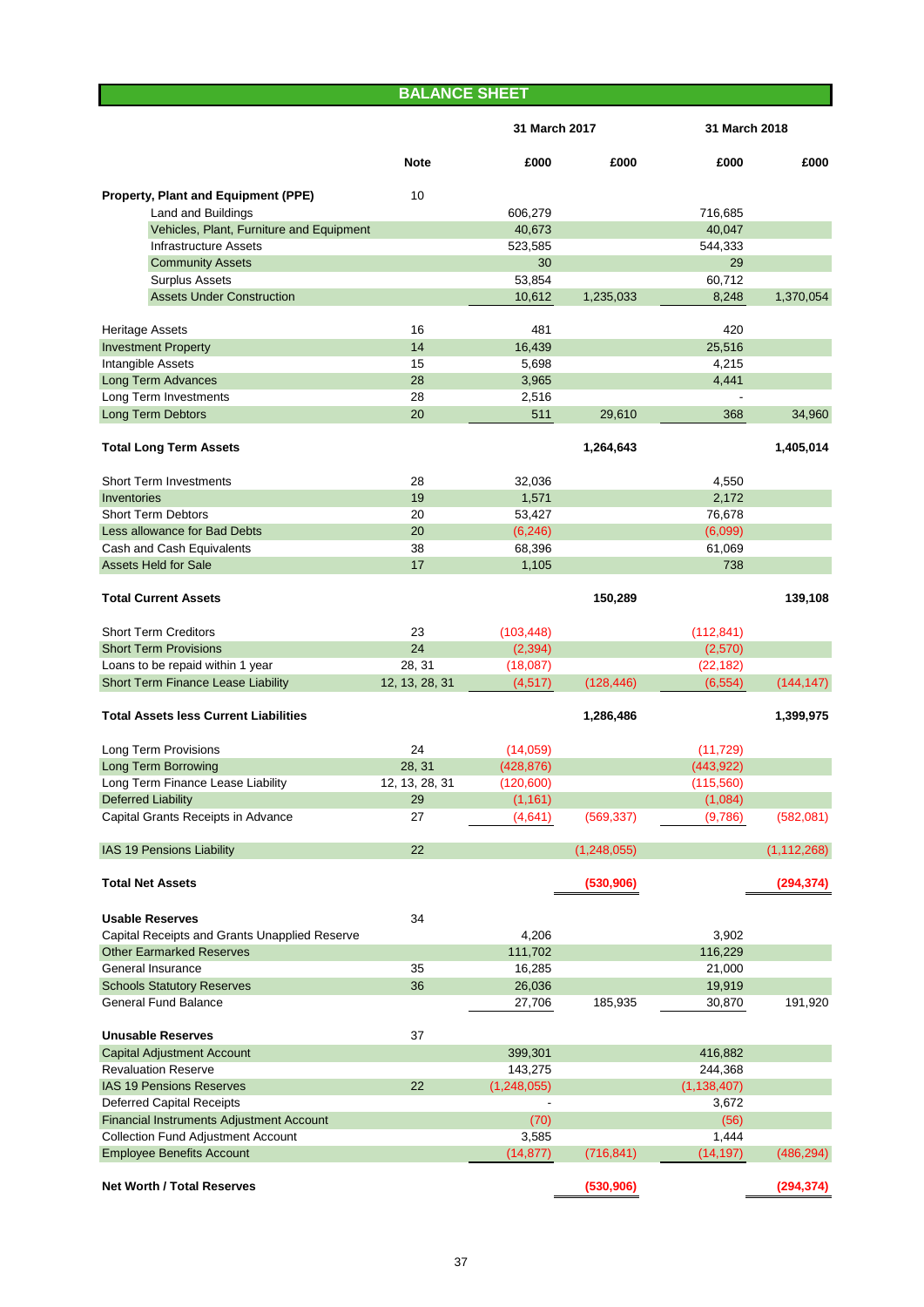|                                               | <b>BALANCE SHEET</b> |               |               |               |               |
|-----------------------------------------------|----------------------|---------------|---------------|---------------|---------------|
|                                               |                      | 31 March 2017 |               | 31 March 2018 |               |
|                                               | <b>Note</b>          | £000          | £000          | £000          | £000          |
| Property, Plant and Equipment (PPE)           | 10                   |               |               |               |               |
| <b>Land and Buildings</b>                     |                      | 606,279       |               | 716,685       |               |
| Vehicles, Plant, Furniture and Equipment      |                      | 40,673        |               | 40,047        |               |
| <b>Infrastructure Assets</b>                  |                      | 523,585       |               | 544,333       |               |
| <b>Community Assets</b>                       |                      | 30            |               | 29            |               |
| <b>Surplus Assets</b>                         |                      | 53,854        |               | 60,712        |               |
| <b>Assets Under Construction</b>              |                      | 10,612        | 1,235,033     | 8,248         | 1,370,054     |
| <b>Heritage Assets</b>                        | 16                   | 481           |               | 420           |               |
| <b>Investment Property</b>                    | 14                   | 16,439        |               | 25,516        |               |
| Intangible Assets                             | 15                   | 5,698         |               | 4,215         |               |
| <b>Long Term Advances</b>                     | 28                   | 3,965         |               | 4,441         |               |
| Long Term Investments                         | 28                   | 2,516         |               |               |               |
| Long Term Debtors                             | 20                   | 511           | 29,610        | 368           | 34,960        |
| <b>Total Long Term Assets</b>                 |                      |               | 1,264,643     |               | 1,405,014     |
| <b>Short Term Investments</b>                 | 28                   | 32,036        |               | 4,550         |               |
| Inventories                                   | 19                   | 1,571         |               | 2,172         |               |
| <b>Short Term Debtors</b>                     | 20                   | 53,427        |               | 76,678        |               |
| Less allowance for Bad Debts                  | 20                   | (6, 246)      |               | (6,099)       |               |
| Cash and Cash Equivalents                     | 38                   | 68,396        |               | 61,069        |               |
| <b>Assets Held for Sale</b>                   | 17                   | 1,105         |               | 738           |               |
| <b>Total Current Assets</b>                   |                      |               | 150,289       |               | 139,108       |
| <b>Short Term Creditors</b>                   | 23                   | (103, 448)    |               | (112, 841)    |               |
| <b>Short Term Provisions</b>                  | 24                   | (2, 394)      |               | (2,570)       |               |
| Loans to be repaid within 1 year              | 28, 31               | (18,087)      |               | (22, 182)     |               |
| Short Term Finance Lease Liability            | 12, 13, 28, 31       | (4, 517)      | (128, 446)    | (6, 554)      | (144, 147)    |
| <b>Total Assets less Current Liabilities</b>  |                      |               | 1,286,486     |               | 1,399,975     |
| Long Term Provisions                          | 24                   | (14,059)      |               | (11, 729)     |               |
| Long Term Borrowing                           | 28, 31               | (428, 876)    |               | (443, 922)    |               |
| Long Term Finance Lease Liability             | 12, 13, 28, 31       | (120, 600)    |               | (115,560)     |               |
| <b>Deferred Liability</b>                     | 29                   | (1, 161)      |               | (1,084)       |               |
| Capital Grants Receipts in Advance            | 27                   | (4,641)       | (569, 337)    | (9,786)       | (582,081)     |
|                                               |                      |               |               |               |               |
| IAS 19 Pensions Liability                     | 22                   |               | (1, 248, 055) |               | (1, 112, 268) |
| <b>Total Net Assets</b>                       |                      |               | (530, 906)    |               | (294, 374)    |
| <b>Usable Reserves</b>                        | 34                   |               |               |               |               |
| Capital Receipts and Grants Unapplied Reserve |                      | 4,206         |               | 3,902         |               |
| <b>Other Earmarked Reserves</b>               |                      | 111,702       |               | 116,229       |               |
| General Insurance                             | 35                   | 16,285        |               | 21,000        |               |
| <b>Schools Statutory Reserves</b>             | 36                   | 26,036        |               | 19,919        |               |
| <b>General Fund Balance</b>                   |                      | 27,706        | 185,935       | 30,870        | 191,920       |
|                                               |                      |               |               |               |               |
| <b>Unusable Reserves</b>                      | 37                   |               |               |               |               |
| <b>Capital Adjustment Account</b>             |                      | 399,301       |               | 416,882       |               |
| <b>Revaluation Reserve</b>                    |                      | 143,275       |               | 244,368       |               |
| <b>IAS 19 Pensions Reserves</b>               | 22                   | (1,248,055)   |               | (1, 138, 407) |               |
| <b>Deferred Capital Receipts</b>              |                      |               |               | 3,672         |               |
| Financial Instruments Adjustment Account      |                      | (70)          |               | (56)          |               |
| <b>Collection Fund Adjustment Account</b>     |                      | 3,585         |               | 1,444         |               |
| <b>Employee Benefits Account</b>              |                      | (14, 877)     | (716, 841)    | (14, 197)     | (486, 294)    |
| <b>Net Worth / Total Reserves</b>             |                      |               | (530, 906)    |               | (294, 374)    |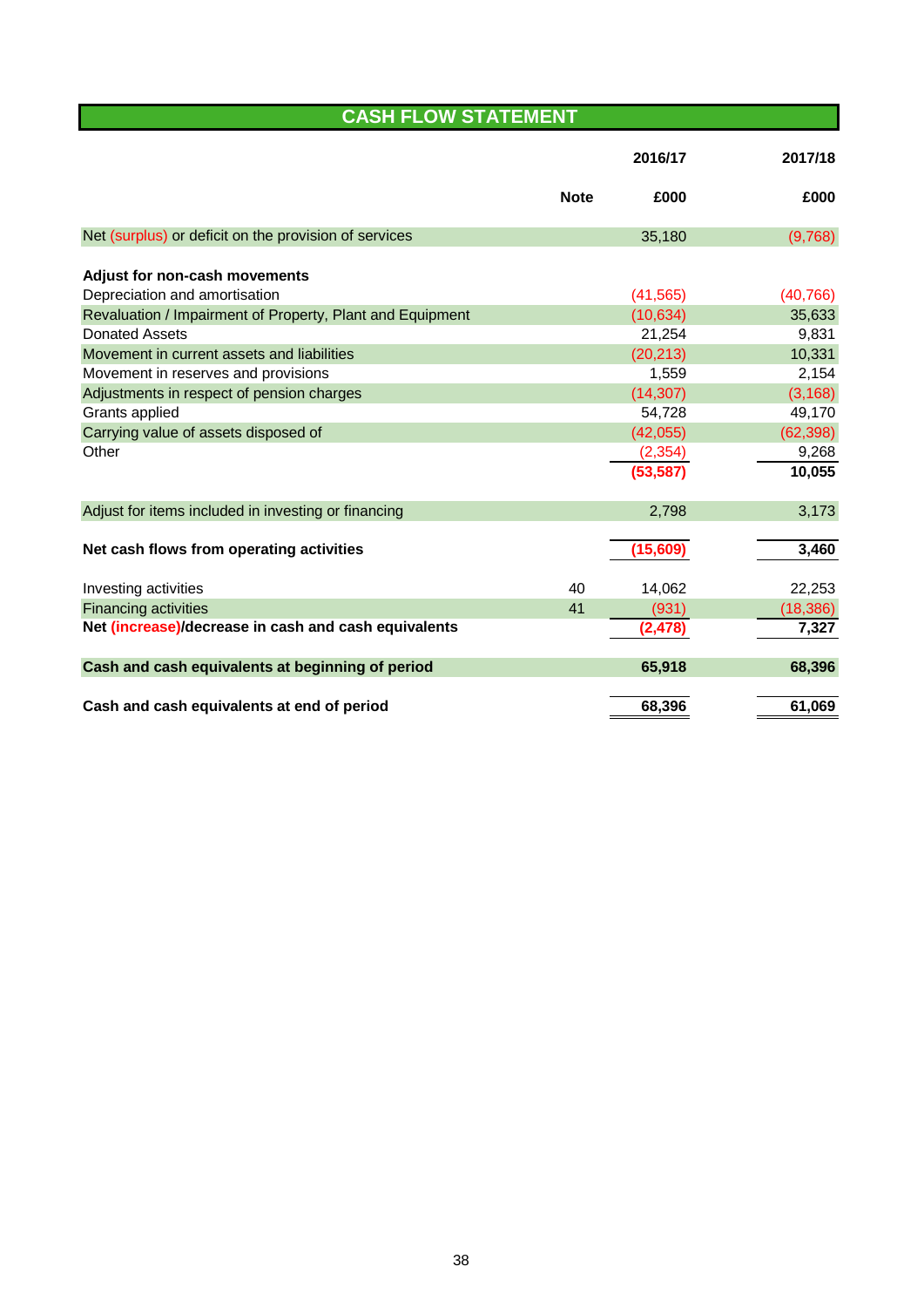# **CASH FLOW STATEMENT**

|                                                           |             | 2016/17   | 2017/18   |
|-----------------------------------------------------------|-------------|-----------|-----------|
|                                                           | <b>Note</b> | £000      | £000      |
| Net (surplus) or deficit on the provision of services     |             | 35,180    | (9,768)   |
| Adjust for non-cash movements                             |             |           |           |
| Depreciation and amortisation                             |             | (41, 565) | (40, 766) |
| Revaluation / Impairment of Property, Plant and Equipment |             | (10, 634) | 35,633    |
| <b>Donated Assets</b>                                     |             | 21,254    | 9,831     |
| Movement in current assets and liabilities                |             | (20, 213) | 10,331    |
| Movement in reserves and provisions                       |             | 1,559     | 2,154     |
| Adjustments in respect of pension charges                 |             | (14, 307) | (3, 168)  |
| Grants applied                                            |             | 54,728    | 49,170    |
| Carrying value of assets disposed of                      |             | (42,055)  | (62, 398) |
| Other                                                     |             | (2, 354)  | 9,268     |
|                                                           |             | (53, 587) | 10,055    |
|                                                           |             |           |           |
| Adjust for items included in investing or financing       |             | 2,798     | 3,173     |
|                                                           |             |           |           |
| Net cash flows from operating activities                  |             | (15,609)  | 3,460     |
| Investing activities                                      | 40          | 14,062    | 22,253    |
| <b>Financing activities</b>                               | 41          | (931)     | (18, 386) |
| Net (increase)/decrease in cash and cash equivalents      |             | (2, 478)  | 7,327     |
|                                                           |             |           |           |
| Cash and cash equivalents at beginning of period          |             | 65,918    | 68,396    |
| Cash and cash equivalents at end of period                |             | 68,396    | 61,069    |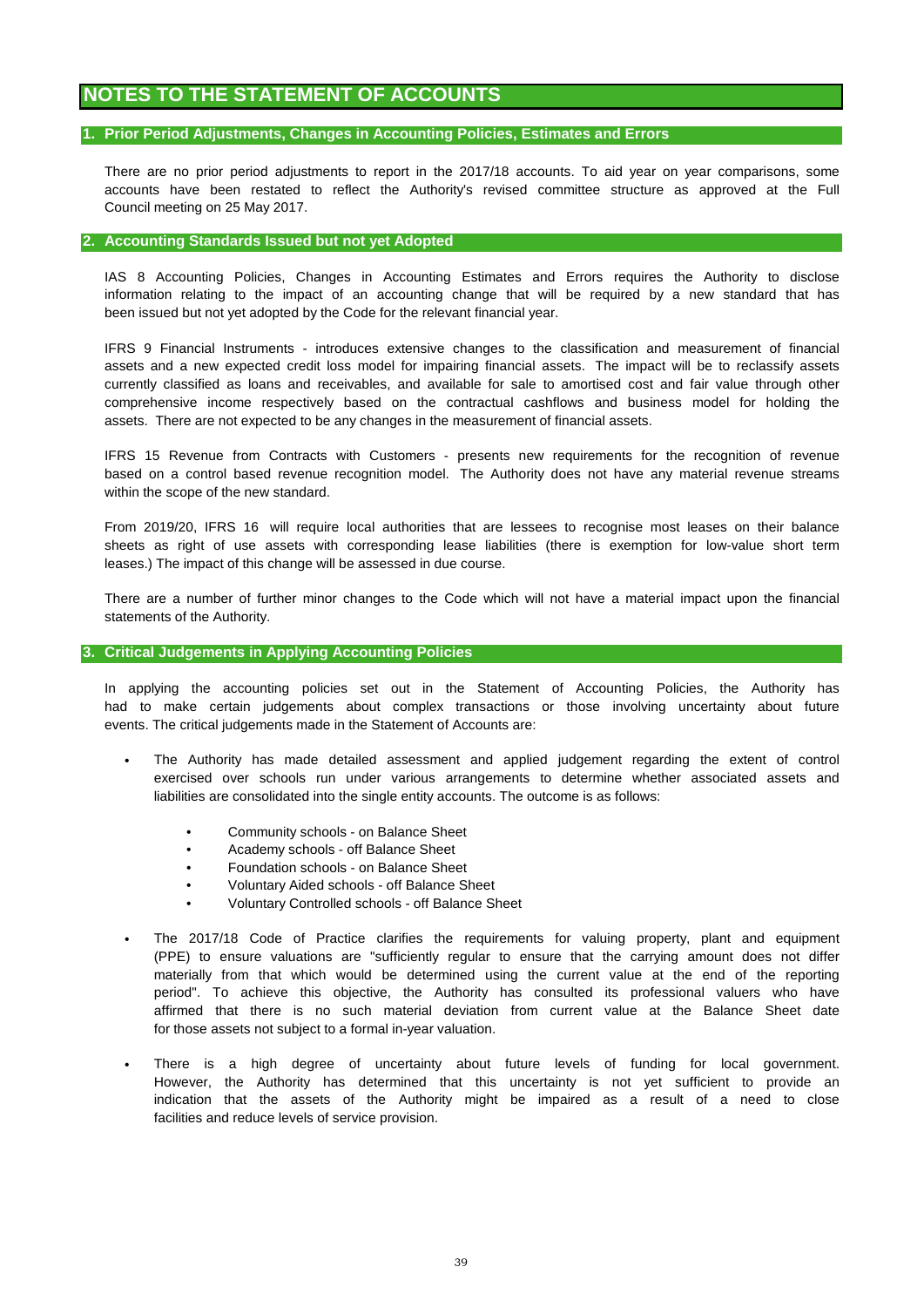## **NOTES TO THE STATEMENT OF ACCOUNTS**

### **1. Prior Period Adjustments, Changes in Accounting Policies, Estimates and Errors**

Council meeting on 25 May 2017. There are no prior period adjustments to report in the 2017/18 accounts. To aid year on year comparisons, some accounts have been restated to reflect the Authority's revised committee structure as approved at the Full

### **2. Accounting Standards Issued but not yet Adopted**

been issued but not yet adopted by the Code for the relevant financial year. information relating to the impact of an accounting change that will be required by a new standard that has IAS 8 Accounting Policies, Changes in Accounting Estimates and Errors requires the Authority to disclose

IFRS 9 Financial Instruments - introduces extensive changes to the classification and measurement of financial assets and a new expected credit loss model for impairing financial assets. The impact will be to reclassify assets currently classified as loans and receivables, and available for sale to amortised cost and fair value through other comprehensive income respectively based on the contractual cashflows and business model for holding the assets. There are not expected to be any changes in the measurement of financial assets.

IFRS 15 Revenue from Contracts with Customers - presents new requirements for the recognition of revenue based on a control based revenue recognition model. The Authority does not have any material revenue streams within the scope of the new standard.

leases.) The impact of this change will be assessed in due course. From 2019/20, IFRS 16 will require local authorities that are lessees to recognise most leases on their balance sheets as right of use assets with corresponding lease liabilities (there is exemption for low-value short term

There are a number of further minor changes to the Code which will not have a material impact upon the financial statements of the Authority.

### **3. Critical Judgements in Applying Accounting Policies**

events. The critical judgements made in the Statement of Accounts are: In applying the accounting policies set out in the Statement of Accounting Policies, the Authority has had to make certain judgements about complex transactions or those involving uncertainty about future

- liabilities are consolidated into the single entity accounts. The outcome is as follows: The Authority has made detailed assessment and applied judgement regarding the extent of control exercised over schools run under various arrangements to determine whether associated assets and
	- Community schools on Balance Sheet
	- Academy schools off Balance Sheet
	- Foundation schools on Balance Sheet
	- Voluntary Aided schools off Balance Sheet
	- Voluntary Controlled schools off Balance Sheet
- The 2017/18 Code of Practice clarifies the requirements for valuing property, plant and equipment (PPE) to ensure valuations are "sufficiently regular to ensure that the carrying amount does not differ materially from that which would be determined using the current value at the end of the reporting period". To achieve this objective, the Authority has consulted its professional valuers who have affirmed that there is no such material deviation from current value at the Balance Sheet date for those assets not subject to a formal in-year valuation.
- facilities and reduce levels of service provision. There is a high degree of uncertainty about future levels of funding for local government. However, the Authority has determined that this uncertainty is not yet sufficient to provide an indication that the assets of the Authority might be impaired as a result of a need to close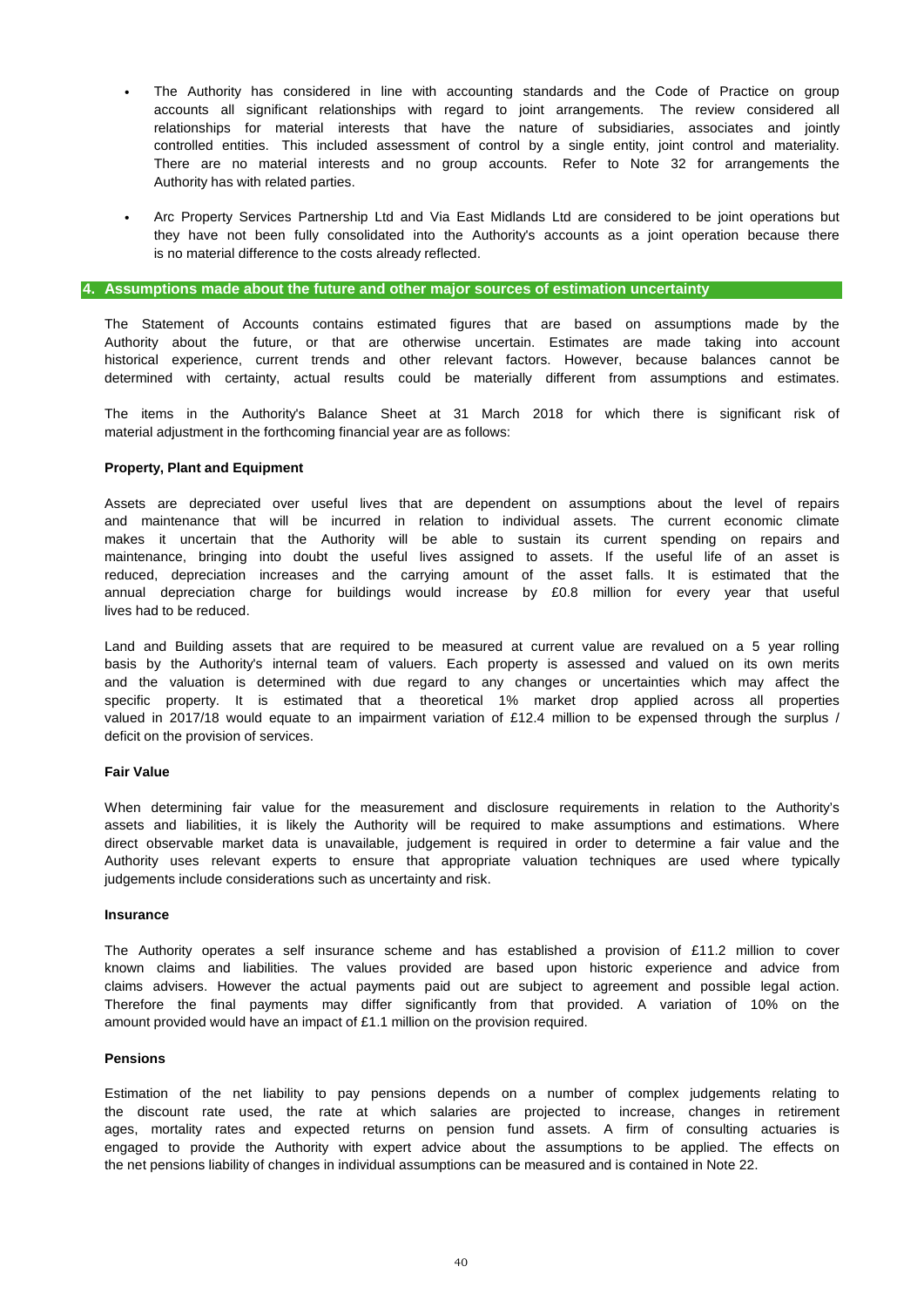- Authority has with related parties. The Authority has considered in line with accounting standards and the Code of Practice on group accounts all significant relationships with regard to joint arrangements. The review considered all relationships for material interests that have the nature of subsidiaries, associates and jointly controlled entities. This included assessment of control by a single entity, joint control and materiality. There are no material interests and no group accounts. Refer to Note 32 for arrangements the
- Arc Property Services Partnership Ltd and Via East Midlands Ltd are considered to be joint operations but they have not been fully consolidated into the Authority's accounts as a joint operation because there is no material difference to the costs already reflected.

### **4. Assumptions made about the future and other major sources of estimation uncertainty**

The Statement of Accounts contains estimated figures that are based on assumptions made by the Authority about the future, or that are otherwise uncertain. Estimates are made taking into account determined with certainty, actual results could be materially different from assumptions and estimates. historical experience, current trends and other relevant factors. However, because balances cannot be

material adjustment in the forthcoming financial year are as follows: The items in the Authority's Balance Sheet at 31 March 2018 for which there is significant risk of

## **Property, Plant and Equipment**

lives had to be reduced. reduced, depreciation increases and the carrying amount of the asset falls. It is estimated that the annual depreciation charge for buildings would increase by £0.8 million for every year that useful Assets are depreciated over useful lives that are dependent on assumptions about the level of repairs and maintenance that will be incurred in relation to individual assets. The current economic climate makes it uncertain that the Authority will be able to sustain its current spending on repairs and maintenance, bringing into doubt the useful lives assigned to assets. If the useful life of an asset is

basis by the Authority's internal team of valuers. Each property is assessed and valued on its own merits and the valuation is determined with due regard to any changes or uncertainties which may affect the specific property. It is estimated that a theoretical 1% market drop applied across all properties valued in 2017/18 would equate to an impairment variation of £12.4 million to be expensed through the surplus / Land and Building assets that are required to be measured at current value are revalued on a 5 year rolling deficit on the provision of services.

### **Fair Value**

judgements include considerations such as uncertainty and risk. direct observable market data is unavailable, judgement is required in order to determine a fair value and the assets and liabilities, it is likely the Authority will be required to make assumptions and estimations. Where Authority uses relevant experts to ensure that appropriate valuation techniques are used where typically When determining fair value for the measurement and disclosure requirements in relation to the Authority's

### **Insurance**

known claims and liabilities. The values provided are based upon historic experience and advice from claims advisers. However the actual payments paid out are subject to agreement and possible legal action. The Authority operates a self insurance scheme and has established a provision of £11.2 million to cover amount provided would have an impact of £1.1 million on the provision required. Therefore the final payments may differ significantly from that provided. A variation of 10% on the

#### **Pensions**

the discount rate used, the rate at which salaries are projected to increase, changes in retirement ages, mortality rates and expected returns on pension fund assets. A firm of consulting actuaries is engaged to provide the Authority with expert advice about the assumptions to be applied. The effects on the net pensions liability of changes in individual assumptions can be measured and is contained in Note 22. Estimation of the net liability to pay pensions depends on a number of complex judgements relating to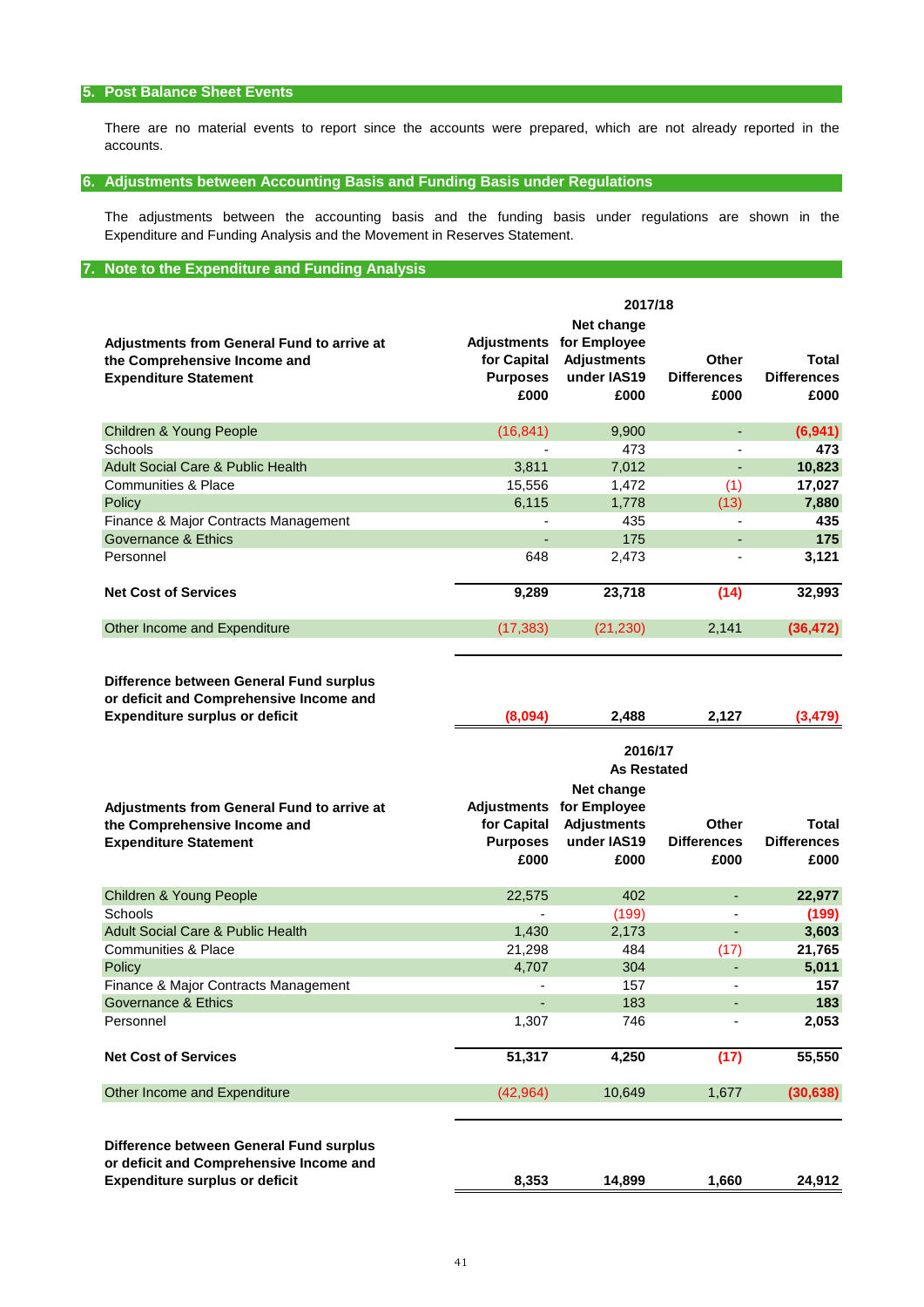## **5. Post Balance Sheet Events**

accounts. There are no material events to report since the accounts were prepared, which are not already reported in the

## **6. Adjustments between Accounting Basis and Funding Basis under Regulations**

Expenditure and Funding Analysis and the Movement in Reserves Statement. The adjustments between the accounting basis and the funding basis under regulations are shown in the

## **7. Note to the Expenditure and Funding Analysis**

|                                                                                                                   | 2017/18                                               |                                                                         |                                            |                                     |  |  |  |  |
|-------------------------------------------------------------------------------------------------------------------|-------------------------------------------------------|-------------------------------------------------------------------------|--------------------------------------------|-------------------------------------|--|--|--|--|
| <b>Adjustments from General Fund to arrive at</b><br>the Comprehensive Income and<br><b>Expenditure Statement</b> | Adjustments<br>for Capital<br><b>Purposes</b><br>£000 | Net change<br>for Employee<br><b>Adjustments</b><br>under IAS19<br>£000 | <b>Other</b><br><b>Differences</b><br>£000 | Total<br><b>Differences</b><br>£000 |  |  |  |  |
| Children & Young People                                                                                           | (16, 841)                                             | 9,900                                                                   | ٠                                          | (6,941)                             |  |  |  |  |
| <b>Schools</b>                                                                                                    |                                                       | 473                                                                     | ٠                                          | 473                                 |  |  |  |  |
| <b>Adult Social Care &amp; Public Health</b>                                                                      | 3,811                                                 | 7,012                                                                   | ٠                                          | 10,823                              |  |  |  |  |
| <b>Communities &amp; Place</b>                                                                                    | 15,556                                                | 1,472                                                                   | (1)                                        | 17,027                              |  |  |  |  |
| Policy                                                                                                            | 6,115                                                 | 1,778                                                                   | (13)                                       | 7,880                               |  |  |  |  |
| Finance & Major Contracts Management                                                                              |                                                       | 435                                                                     |                                            | 435                                 |  |  |  |  |
| Governance & Ethics                                                                                               |                                                       | 175                                                                     |                                            | 175                                 |  |  |  |  |
| Personnel                                                                                                         | 648                                                   | 2,473                                                                   | ٠                                          | 3,121                               |  |  |  |  |
| <b>Net Cost of Services</b>                                                                                       | 9,289                                                 | 23,718                                                                  | (14)                                       | 32,993                              |  |  |  |  |
| Other Income and Expenditure                                                                                      | (17, 383)                                             | (21, 230)                                                               | 2,141                                      | (36, 472)                           |  |  |  |  |
|                                                                                                                   |                                                       |                                                                         |                                            |                                     |  |  |  |  |

**Difference between General Fund surplus or deficit and Comprehensive Income and Expenditure surplus or deficit**

| <b>Expenditure surplus or deficit</b>             | (8,094)            | 2,488              | 2,127              | (3, 479)           |  |  |  |  |  |
|---------------------------------------------------|--------------------|--------------------|--------------------|--------------------|--|--|--|--|--|
|                                                   |                    | 2016/17            |                    |                    |  |  |  |  |  |
|                                                   | <b>As Restated</b> |                    |                    |                    |  |  |  |  |  |
|                                                   |                    | Net change         |                    |                    |  |  |  |  |  |
| <b>Adjustments from General Fund to arrive at</b> | <b>Adjustments</b> | for Employee       |                    |                    |  |  |  |  |  |
| the Comprehensive Income and                      | for Capital        | <b>Adjustments</b> | Other              | Total              |  |  |  |  |  |
| <b>Expenditure Statement</b>                      | <b>Purposes</b>    | under IAS19        | <b>Differences</b> | <b>Differences</b> |  |  |  |  |  |
|                                                   | £000               | £000               | £000               | £000               |  |  |  |  |  |
| <b>Children &amp; Young People</b>                | 22,575             | 402                | ٠                  | 22,977             |  |  |  |  |  |
| Schools                                           |                    | (199)              |                    | (199)              |  |  |  |  |  |
| <b>Adult Social Care &amp; Public Health</b>      | 1,430              | 2,173              |                    | 3,603              |  |  |  |  |  |
| <b>Communities &amp; Place</b>                    | 21,298             | 484                | (17)               | 21,765             |  |  |  |  |  |
| Policy                                            | 4,707              | 304                |                    | 5,011              |  |  |  |  |  |
| Finance & Major Contracts Management              |                    | 157                |                    | 157                |  |  |  |  |  |
| Governance & Ethics                               |                    | 183                |                    | 183                |  |  |  |  |  |
| Personnel                                         | 1,307              | 746                |                    | 2,053              |  |  |  |  |  |
| <b>Net Cost of Services</b>                       | 51,317             | 4,250              | (17)               | 55,550             |  |  |  |  |  |
| Other Income and Expenditure                      | (42, 964)          | 10,649             | 1,677              | (30, 638)          |  |  |  |  |  |
| Difference between General Fund surplus           |                    |                    |                    |                    |  |  |  |  |  |
| or deficit and Comprehensive Income and           |                    |                    |                    |                    |  |  |  |  |  |
| <b>Expenditure surplus or deficit</b>             | 8,353              | 14,899             | 1,660              | 24.912             |  |  |  |  |  |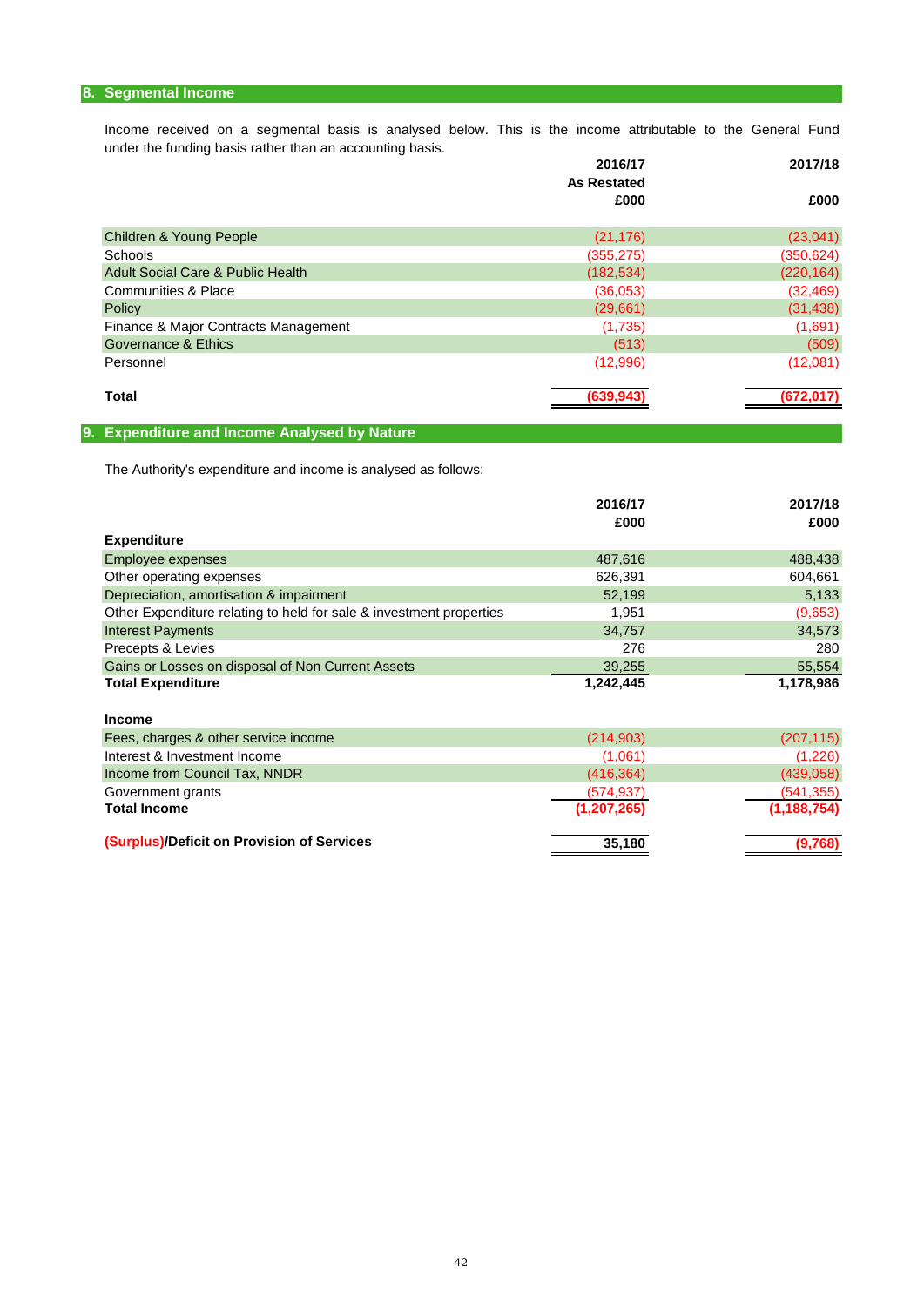## **8. Segmental Income**

under the funding basis rather than an accounting basis. Income received on a segmental basis is analysed below. This is the income attributable to the General Fund

|                                      | 2016/17            | 2017/18    |
|--------------------------------------|--------------------|------------|
|                                      | <b>As Restated</b> |            |
|                                      | £000               | £000       |
| <b>Children &amp; Young People</b>   | (21, 176)          | (23,041)   |
| Schools                              | (355, 275)         | (350, 624) |
| Adult Social Care & Public Health    | (182, 534)         | (220, 164) |
| Communities & Place                  | (36,053)           | (32, 469)  |
| Policy                               | (29,661)           | (31, 438)  |
| Finance & Major Contracts Management | (1,735)            | (1,691)    |
| Governance & Ethics                  | (513)              | (509)      |
| Personnel                            | (12,996)           | (12,081)   |
| <b>Total</b>                         | (639, 943)         | (672, 017) |
|                                      |                    |            |

## **9. Expenditure and Income Analysed by Nature**

The Authority's expenditure and income is analysed as follows:

|                                                                     | 2016/17       | 2017/18       |
|---------------------------------------------------------------------|---------------|---------------|
|                                                                     | £000          | £000          |
| <b>Expenditure</b>                                                  |               |               |
| Employee expenses                                                   | 487,616       | 488,438       |
| Other operating expenses                                            | 626,391       | 604,661       |
| Depreciation, amortisation & impairment                             | 52,199        | 5,133         |
| Other Expenditure relating to held for sale & investment properties | 1,951         | (9,653)       |
| <b>Interest Payments</b>                                            | 34,757        | 34,573        |
| Precepts & Levies                                                   | 276           | 280           |
| Gains or Losses on disposal of Non Current Assets                   | 39,255        | 55,554        |
| <b>Total Expenditure</b>                                            | 1,242,445     | 1,178,986     |
|                                                                     |               |               |
| <b>Income</b>                                                       |               |               |
| Fees, charges & other service income                                | (214, 903)    | (207, 115)    |
| Interest & Investment Income                                        | (1,061)       | (1,226)       |
| Income from Council Tax, NNDR                                       | (416, 364)    | (439,058)     |
| Government grants                                                   | (574, 937)    | (541, 355)    |
| <b>Total Income</b>                                                 | (1, 207, 265) | (1, 188, 754) |
| (Surplus)/Deficit on Provision of Services                          | 35,180        | (9,768)       |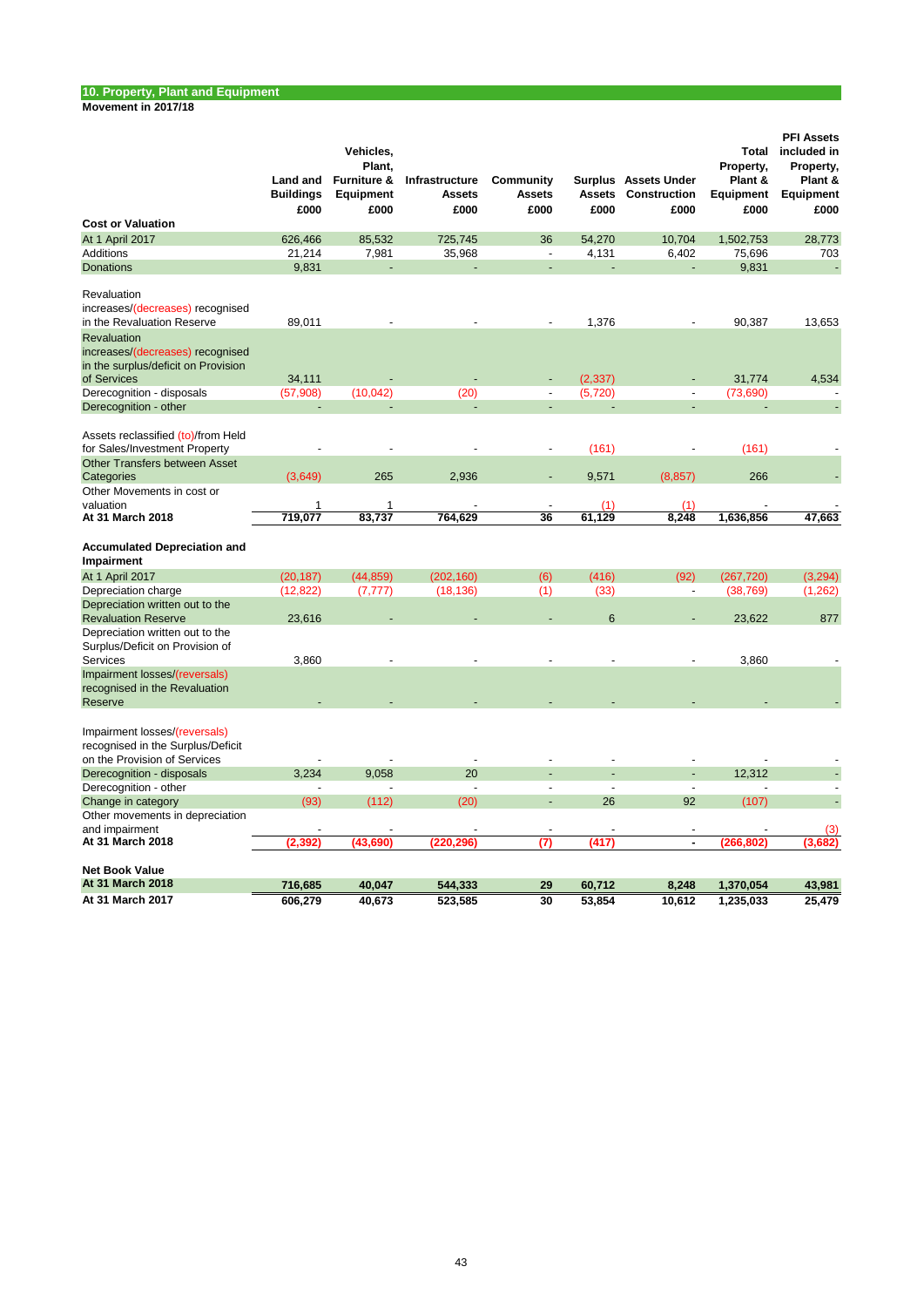| Movement in 2017/18 |  |
|---------------------|--|
|---------------------|--|

|                                                                                                                                  | Land and<br><b>Buildings</b><br>£000 | Vehicles,<br>Plant,<br><b>Furniture &amp;</b><br>Equipment<br>£000 | Infrastructure<br><b>Assets</b><br>£000 | Community<br><b>Assets</b><br>£000 | <b>Assets</b><br>£000 | Surplus Assets Under<br>Construction<br>£000 | Total<br>Property,<br>Plant &<br>Equipment<br>£000 | <b>PFI Assets</b><br>included in<br>Property,<br>Plant &<br>Equipment<br>£000 |
|----------------------------------------------------------------------------------------------------------------------------------|--------------------------------------|--------------------------------------------------------------------|-----------------------------------------|------------------------------------|-----------------------|----------------------------------------------|----------------------------------------------------|-------------------------------------------------------------------------------|
| <b>Cost or Valuation</b>                                                                                                         |                                      |                                                                    |                                         |                                    |                       |                                              |                                                    |                                                                               |
| At 1 April 2017                                                                                                                  | 626,466                              | 85,532                                                             | 725,745                                 | 36                                 | 54,270                | 10,704                                       | 1,502,753                                          | 28,773                                                                        |
| <b>Additions</b>                                                                                                                 | 21,214                               | 7,981                                                              | 35,968                                  | $\overline{\phantom{a}}$           | 4,131                 | 6,402                                        | 75,696                                             | 703                                                                           |
| <b>Donations</b>                                                                                                                 | 9,831                                |                                                                    |                                         |                                    |                       |                                              | 9,831                                              |                                                                               |
| Revaluation<br>increases/(decreases) recognised<br>in the Revaluation Reserve<br>Revaluation<br>increases/(decreases) recognised | 89,011                               |                                                                    |                                         |                                    | 1,376                 |                                              | 90.387                                             | 13,653                                                                        |
| in the surplus/deficit on Provision                                                                                              |                                      |                                                                    |                                         |                                    |                       |                                              |                                                    |                                                                               |
| of Services                                                                                                                      | 34,111                               |                                                                    |                                         |                                    | (2, 337)              |                                              | 31,774                                             | 4,534                                                                         |
| Derecognition - disposals                                                                                                        | (57,908)                             | (10, 042)                                                          | (20)                                    |                                    | (5,720)               |                                              | (73,690)                                           |                                                                               |
| Derecognition - other                                                                                                            |                                      |                                                                    |                                         |                                    |                       |                                              |                                                    |                                                                               |
| Assets reclassified (to)/from Held<br>for Sales/Investment Property<br><b>Other Transfers between Asset</b>                      | ÷,                                   |                                                                    |                                         | $\overline{a}$                     | (161)                 |                                              | (161)                                              |                                                                               |
| Categories                                                                                                                       | (3,649)                              | 265                                                                | 2,936                                   |                                    | 9,571                 | (8.857)                                      | 266                                                |                                                                               |
| Other Movements in cost or                                                                                                       |                                      |                                                                    |                                         |                                    |                       |                                              |                                                    |                                                                               |
| valuation<br>At 31 March 2018                                                                                                    | 1<br>719,077                         | 1<br>83,737                                                        | 764,629                                 | 36                                 | (1)<br>61,129         | (1)<br>8,248                                 |                                                    | 47,663                                                                        |
|                                                                                                                                  |                                      |                                                                    |                                         |                                    |                       |                                              | 1,636,856                                          |                                                                               |
| <b>Accumulated Depreciation and</b><br>Impairment                                                                                |                                      |                                                                    |                                         |                                    |                       |                                              |                                                    |                                                                               |
| At 1 April 2017                                                                                                                  | (20, 187)                            | (44, 859)                                                          | (202, 160)                              | (6)                                | (416)                 | (92)                                         | (267, 720)                                         | (3, 294)                                                                      |
| Depreciation charge                                                                                                              | (12, 822)                            | (7, 777)                                                           | (18, 136)                               | (1)                                | (33)                  | $\blacksquare$                               | (38, 769)                                          | (1,262)                                                                       |
| Depreciation written out to the<br><b>Revaluation Reserve</b><br>Depreciation written out to the                                 | 23,616                               |                                                                    |                                         |                                    | 6                     |                                              | 23,622                                             | 877                                                                           |
| Surplus/Deficit on Provision of<br>Services                                                                                      | 3,860                                |                                                                    |                                         |                                    |                       |                                              | 3,860                                              |                                                                               |
| Impairment losses/(reversals)<br>recognised in the Revaluation<br>Reserve                                                        |                                      |                                                                    |                                         |                                    |                       |                                              |                                                    |                                                                               |
| Impairment losses/(reversals)<br>recognised in the Surplus/Deficit<br>on the Provision of Services                               |                                      |                                                                    |                                         |                                    |                       |                                              |                                                    |                                                                               |
| Derecognition - disposals                                                                                                        | 3,234                                | 9,058                                                              | 20                                      |                                    |                       |                                              | 12,312                                             |                                                                               |
| Derecognition - other                                                                                                            |                                      |                                                                    | $\overline{a}$                          | $\overline{\phantom{a}}$           | $\overline{a}$        | $\overline{\phantom{a}}$                     |                                                    |                                                                               |
| Change in category                                                                                                               | (93)                                 | (112)                                                              | (20)                                    |                                    | 26                    | 92                                           | (107)                                              |                                                                               |
| Other movements in depreciation                                                                                                  |                                      |                                                                    |                                         |                                    |                       |                                              |                                                    |                                                                               |
| and impairment                                                                                                                   |                                      |                                                                    |                                         |                                    |                       |                                              |                                                    | (3)                                                                           |
| At 31 March 2018                                                                                                                 | (2,392)                              | (43, 690)                                                          | (220, 296)                              | (7)                                | (417)                 | $\blacksquare$                               | (266,802)                                          | (3,682)                                                                       |
| <b>Net Book Value</b>                                                                                                            |                                      |                                                                    |                                         |                                    |                       |                                              |                                                    |                                                                               |
| <b>At 31 March 2018</b>                                                                                                          | 716,685                              | 40,047                                                             | 544,333                                 | 29                                 | 60,712                | 8,248                                        | 1,370,054                                          | 43,981                                                                        |
| At 31 March 2017                                                                                                                 | 606,279                              | 40,673                                                             | 523,585                                 | 30                                 | 53,854                | 10,612                                       | 1,235,033                                          | 25,479                                                                        |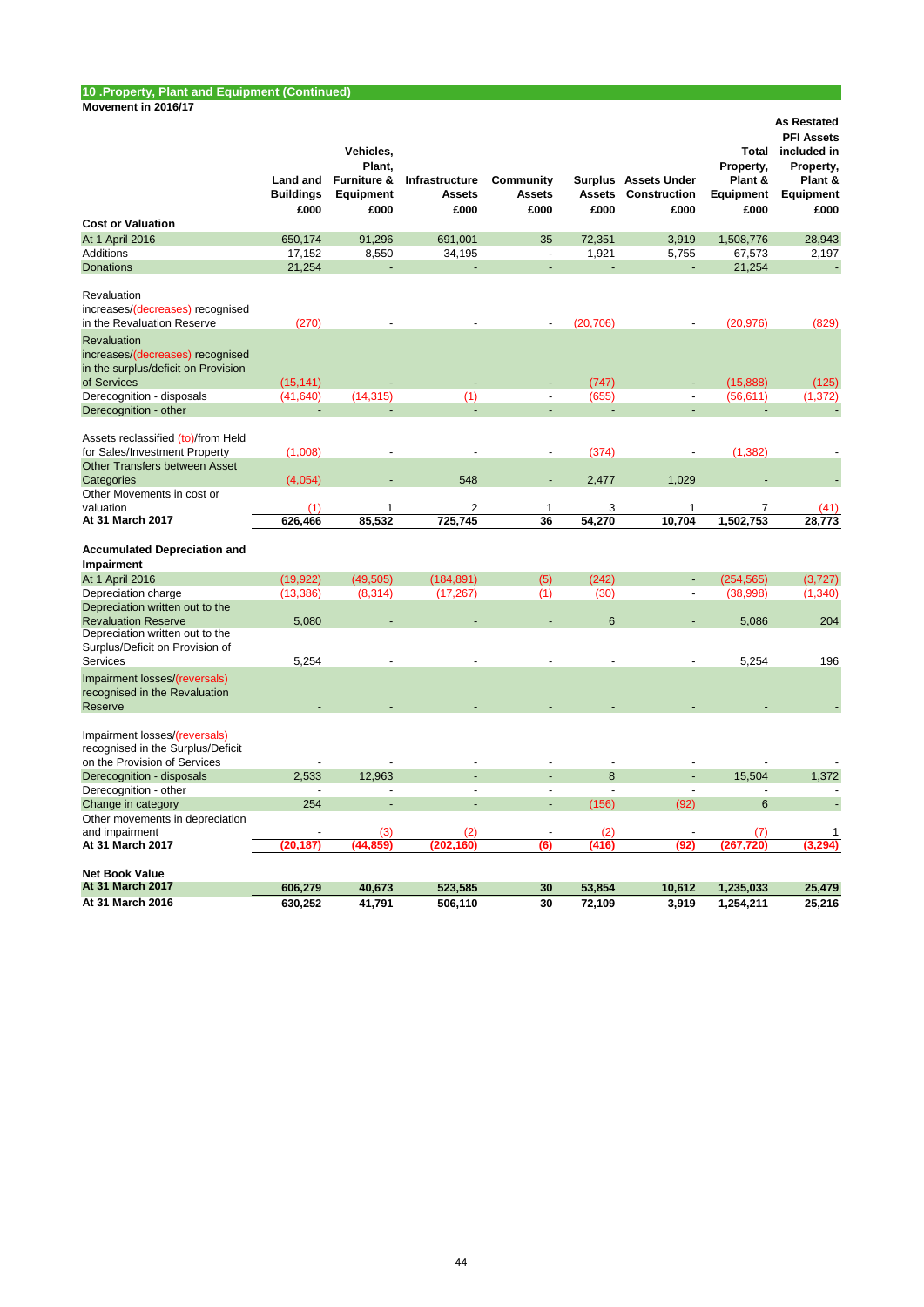#### **10 .Property, Plant and Equipment (Continued) Movement in 2016/17**

| <b>Cost or Valuation</b>                                                                              | Land and<br><b>Buildings</b><br>£000 | Vehicles,<br>Plant,<br>Furniture &<br><b>Equipment</b><br>£000 | Infrastructure<br><b>Assets</b><br>£000 | Community<br><b>Assets</b><br>£000 | <b>Assets</b><br>£000 | Surplus Assets Under<br><b>Construction</b><br>£000 | Property,<br>Plant &<br>Equipment<br>£000 | <b>As Restated</b><br><b>PFI Assets</b><br>Total included in<br>Property,<br>Plant &<br>Equipment<br>£000 |
|-------------------------------------------------------------------------------------------------------|--------------------------------------|----------------------------------------------------------------|-----------------------------------------|------------------------------------|-----------------------|-----------------------------------------------------|-------------------------------------------|-----------------------------------------------------------------------------------------------------------|
| At 1 April 2016                                                                                       | 650,174                              | 91,296                                                         | 691,001                                 | 35                                 | 72,351                | 3,919                                               | 1,508,776                                 | 28,943                                                                                                    |
| Additions                                                                                             | 17,152                               | 8,550                                                          | 34,195                                  | $\overline{\phantom{a}}$           | 1,921                 | 5,755                                               | 67,573                                    | 2,197                                                                                                     |
| <b>Donations</b>                                                                                      | 21,254                               | L.                                                             |                                         | ÷,                                 |                       | L.                                                  | 21,254                                    |                                                                                                           |
| Revaluation<br>increases/(decreases) recognised<br>in the Revaluation Reserve                         | (270)                                |                                                                |                                         |                                    | (20, 706)             |                                                     | (20, 976)                                 | (829)                                                                                                     |
| Revaluation<br>increases/(decreases) recognised<br>in the surplus/deficit on Provision<br>of Services | (15, 141)                            |                                                                |                                         |                                    | (747)                 |                                                     | (15,888)                                  | (125)                                                                                                     |
| Derecognition - disposals                                                                             | (41, 640)                            | (14, 315)                                                      | (1)                                     | $\overline{a}$                     | (655)                 | $\overline{a}$                                      | (56, 611)                                 | (1, 372)                                                                                                  |
| Derecognition - other                                                                                 | L,                                   |                                                                |                                         | $\overline{a}$                     |                       |                                                     | ÷,                                        | $\blacksquare$                                                                                            |
| Assets reclassified (to)/from Held<br>for Sales/Investment Property                                   | (1,008)                              | ÷,                                                             | ÷                                       | $\blacksquare$                     | (374)                 | $\overline{\phantom{a}}$                            | (1, 382)                                  |                                                                                                           |
| <b>Other Transfers between Asset</b><br>Categories                                                    | (4,054)                              |                                                                | 548                                     |                                    | 2,477                 | 1,029                                               |                                           |                                                                                                           |
| Other Movements in cost or                                                                            |                                      |                                                                |                                         |                                    |                       |                                                     |                                           |                                                                                                           |
| valuation<br>At 31 March 2017                                                                         | (1)                                  | $\mathbf{1}$<br>85,532                                         | $\overline{2}$<br>725,745               | 1<br>36                            | 3<br>54,270           | 1<br>10,704                                         | $\overline{7}$<br>1,502,753               | (41)<br>28,773                                                                                            |
|                                                                                                       | 626,466                              |                                                                |                                         |                                    |                       |                                                     |                                           |                                                                                                           |
| <b>Accumulated Depreciation and</b><br>Impairment                                                     |                                      |                                                                |                                         |                                    |                       |                                                     |                                           |                                                                                                           |
| At 1 April 2016                                                                                       | (19, 922)                            | (49, 505)                                                      | (184, 891)                              | (5)                                | (242)                 | ÷,                                                  | (254, 565)                                | (3,727)                                                                                                   |
| Depreciation charge                                                                                   | (13, 386)                            | (8, 314)                                                       | (17, 267)                               | (1)                                | (30)                  |                                                     | (38,998)                                  | (1, 340)                                                                                                  |
| Depreciation written out to the                                                                       |                                      |                                                                |                                         |                                    |                       |                                                     |                                           |                                                                                                           |
| <b>Revaluation Reserve</b>                                                                            | 5,080                                |                                                                |                                         |                                    | $6\phantom{1}6$       |                                                     | 5,086                                     | 204                                                                                                       |
| Depreciation written out to the<br>Surplus/Deficit on Provision of                                    |                                      |                                                                |                                         |                                    |                       |                                                     |                                           |                                                                                                           |
| Services                                                                                              | 5,254                                |                                                                |                                         |                                    |                       |                                                     | 5,254                                     | 196                                                                                                       |
| Impairment losses/(reversals)<br>recognised in the Revaluation<br>Reserve                             |                                      |                                                                |                                         |                                    |                       |                                                     |                                           |                                                                                                           |
| Impairment losses/(reversals)<br>recognised in the Surplus/Deficit<br>on the Provision of Services    |                                      |                                                                |                                         |                                    |                       |                                                     |                                           |                                                                                                           |
| Derecognition - disposals                                                                             | 2,533                                | 12,963                                                         |                                         |                                    | 8                     |                                                     | 15,504                                    | 1,372                                                                                                     |
| Derecognition - other                                                                                 | $\overline{a}$                       | $\overline{a}$                                                 | $\overline{a}$                          | $\overline{a}$                     | $\overline{a}$        | $\overline{a}$                                      | $\overline{a}$                            | $\overline{a}$                                                                                            |
| Change in category                                                                                    | 254                                  |                                                                |                                         | L,                                 | (156)                 | (92)                                                | 6                                         |                                                                                                           |
| Other movements in depreciation                                                                       |                                      |                                                                |                                         |                                    |                       |                                                     |                                           |                                                                                                           |
| and impairment                                                                                        |                                      | (3)                                                            | (2)                                     | $\blacksquare$                     | (2)                   | $\overline{\phantom{a}}$                            | (7)                                       | 1                                                                                                         |
| At 31 March 2017                                                                                      | (20, 187)                            | (44.859)                                                       | (202.160)                               | (6)                                | (416)                 | (92)                                                | (267,720)                                 | (3.294)                                                                                                   |
|                                                                                                       |                                      |                                                                |                                         |                                    |                       |                                                     |                                           |                                                                                                           |
| <b>Net Book Value</b>                                                                                 |                                      |                                                                |                                         |                                    |                       |                                                     |                                           |                                                                                                           |
| At 31 March 2017                                                                                      | 606,279                              | 40,673                                                         | 523,585                                 | 30                                 | 53,854                | 10,612                                              | 1,235,033                                 | 25,479                                                                                                    |
| At 31 March 2016                                                                                      | 630,252                              | 41,791                                                         | 506,110                                 | 30                                 | 72,109                | 3,919                                               | 1,254,211                                 | 25,216                                                                                                    |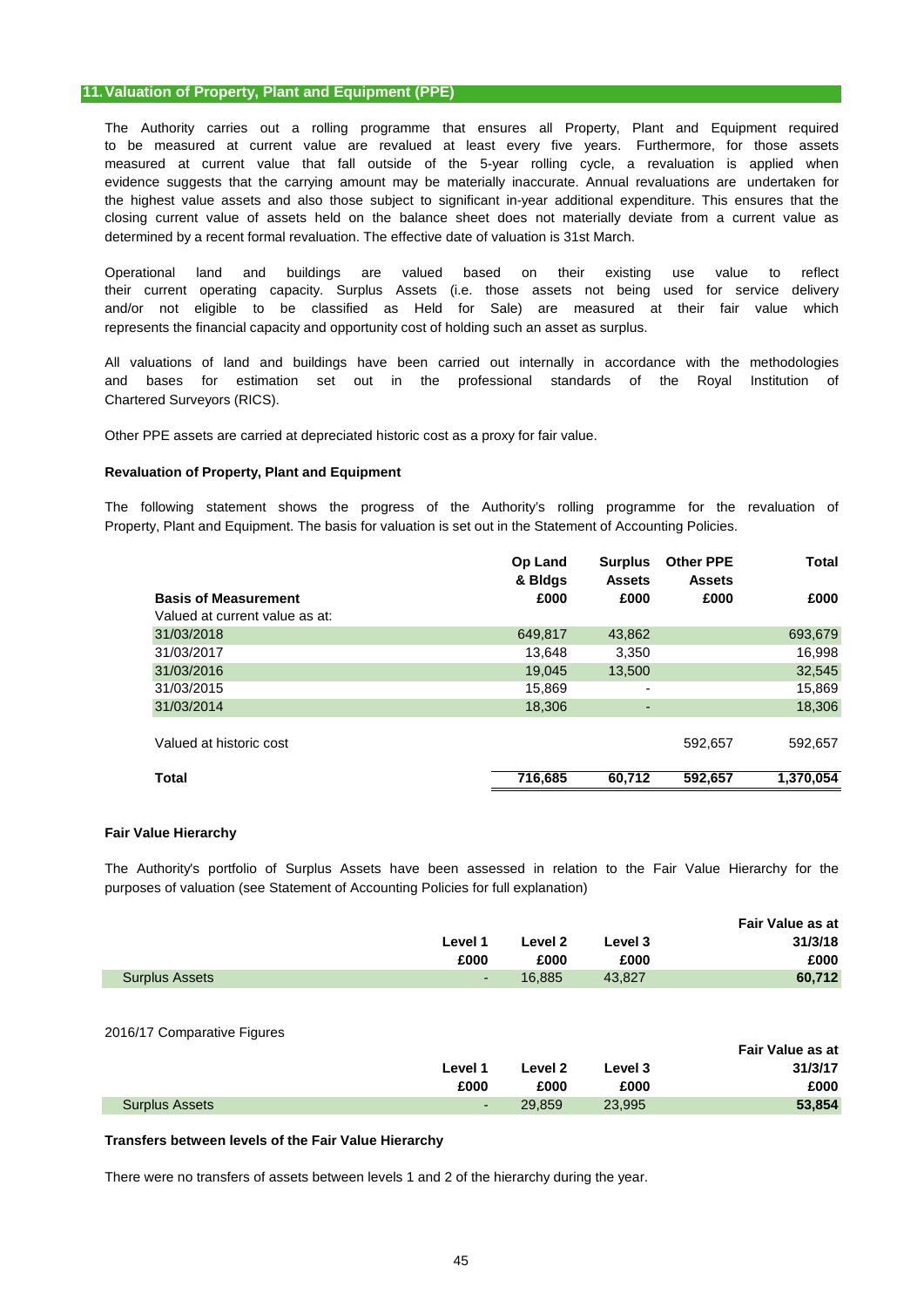## **11.Valuation of Property, Plant and Equipment (PPE)**

The Authority carries out a rolling programme that ensures all Property, Plant and Equipment required measured at current value that fall outside of the 5-year rolling cycle, a revaluation is applied when the highest value assets and also those subject to significant in-year additional expenditure. This ensures that the to be measured at current value are revalued at least every five years. Furthermore, for those assets closing current value of assets held on the balance sheet does not materially deviate from a current value as determined by a recent formal revaluation. The effective date of valuation is 31st March. evidence suggests that the carrying amount may be materially inaccurate. Annual revaluations are undertaken for

their current operating capacity. Surplus Assets (i.e. those assets not being used for service delivery and/or not eligible to be classified as Held for Sale) are measured at their fair value which represents the financial capacity and opportunity cost of holding such an asset as surplus. Operational land and buildings are valued based on their existing use value to reflect

All valuations of land and buildings have been carried out internally in accordance with the methodologies Chartered Surveyors (RICS). and bases for estimation set out in the professional standards of the Royal Institution of

Other PPE assets are carried at depreciated historic cost as a proxy for fair value.

## **Revaluation of Property, Plant and Equipment**

The following statement shows the progress of the Authority's rolling programme for the revaluation of Property, Plant and Equipment. The basis for valuation is set out in the Statement of Accounting Policies.

|                                | Op Land<br>& Bldgs | <b>Surplus</b><br><b>Assets</b> | <b>Other PPE</b><br><b>Assets</b> | Total     |
|--------------------------------|--------------------|---------------------------------|-----------------------------------|-----------|
| <b>Basis of Measurement</b>    | £000               | £000                            | £000                              | £000      |
| Valued at current value as at: |                    |                                 |                                   |           |
| 31/03/2018                     | 649,817            | 43,862                          |                                   | 693,679   |
| 31/03/2017                     | 13,648             | 3,350                           |                                   | 16,998    |
| 31/03/2016                     | 19,045             | 13.500                          |                                   | 32,545    |
| 31/03/2015                     | 15,869             | ٠                               |                                   | 15,869    |
| 31/03/2014                     | 18,306             | $\overline{a}$                  |                                   | 18,306    |
| Valued at historic cost        |                    |                                 | 592,657                           | 592,657   |
| <b>Total</b>                   | 716,685            | 60,712                          | 592,657                           | 1,370,054 |

### **Fair Value Hierarchy**

The Authority's portfolio of Surplus Assets have been assessed in relation to the Fair Value Hierarchy for the purposes of valuation (see Statement of Accounting Policies for full explanation)

|                       |         |         |         | Fair Value as at |
|-----------------------|---------|---------|---------|------------------|
|                       | Level 1 | Level 2 | Level 3 | 31/3/18          |
|                       | £000    | £000    | £000    | £000             |
| <b>Surplus Assets</b> | $\sim$  | 16.885  | 43.827  | 60,712           |
|                       |         |         |         |                  |

### 2016/17 Comparative Figures

|                       |         |         |         | Fair Value as at |
|-----------------------|---------|---------|---------|------------------|
|                       | Level 1 | Level 2 | Level 3 | 31/3/17          |
|                       | £000    | £000    | £000    | £000             |
| <b>Surplus Assets</b> | ٠       | 29.859  | 23.995  | 53,854           |

### **Transfers between levels of the Fair Value Hierarchy**

There were no transfers of assets between levels 1 and 2 of the hierarchy during the year.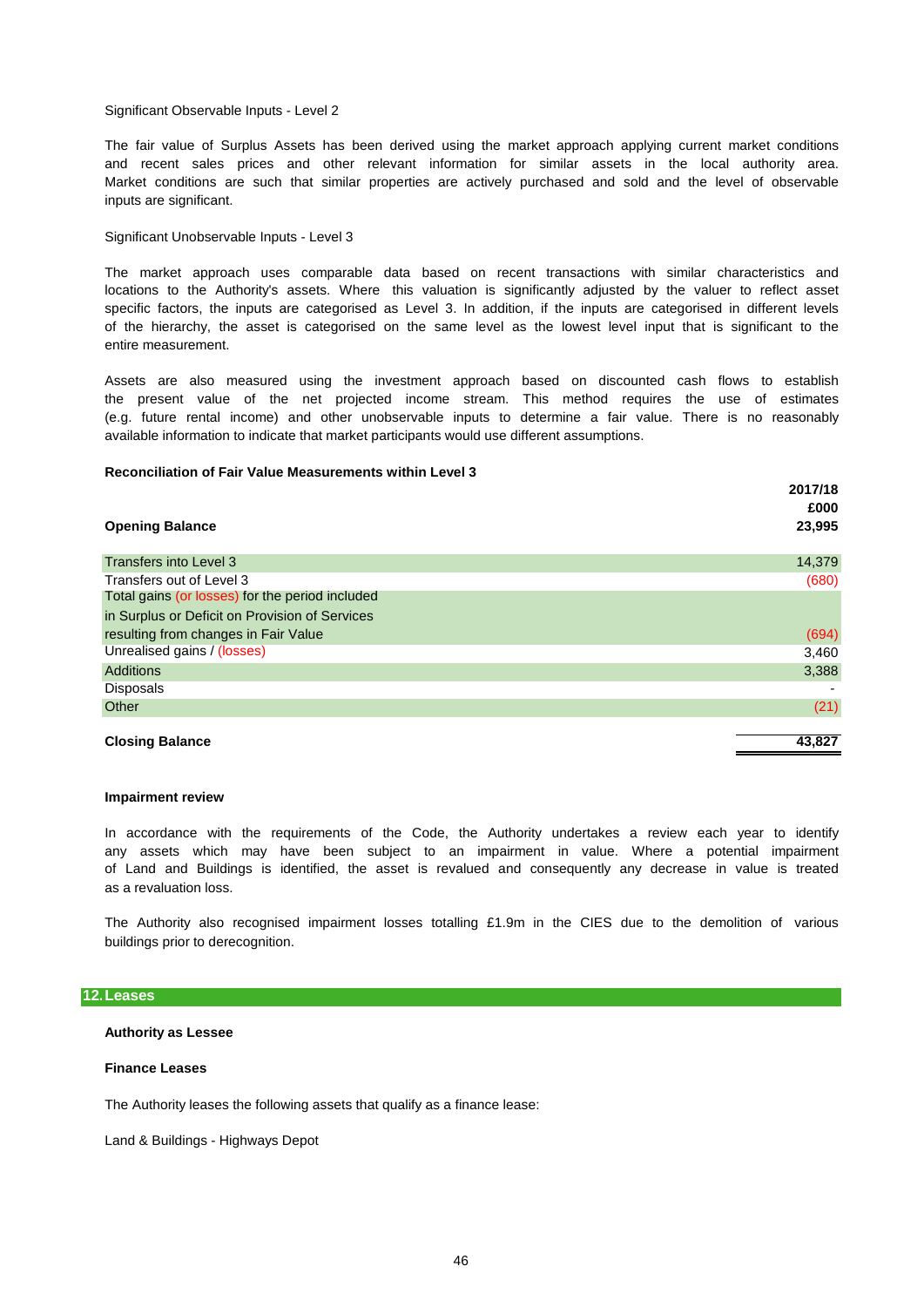### Significant Observable Inputs - Level 2

The fair value of Surplus Assets has been derived using the market approach applying current market conditions and recent sales prices and other relevant information for similar assets in the local authority area. Market conditions are such that similar properties are actively purchased and sold and the level of observable inputs are significant.

### Significant Unobservable Inputs - Level 3

locations to the Authority's assets. Where this valuation is significantly adjusted by the valuer to reflect asset specific factors, the inputs are categorised as Level 3. In addition, if the inputs are categorised in different levels of the hierarchy, the asset is categorised on the same level as the lowest level input that is significant to the entire measurement. The market approach uses comparable data based on recent transactions with similar characteristics and

(e.g. future rental income) and other unobservable inputs to determine a fair value. There is no reasonably available information to indicate that market participants would use different assumptions. Assets are also measured using the investment approach based on discounted cash flows to establish the present value of the net projected income stream. This method requires the use of estimates

### **Reconciliation of Fair Value Measurements within Level 3**

|                                                 | 2017/18<br>£000 |
|-------------------------------------------------|-----------------|
| <b>Opening Balance</b>                          | 23,995          |
| Transfers into Level 3                          | 14,379          |
| Transfers out of Level 3                        | (680)           |
| Total gains (or losses) for the period included |                 |
| in Surplus or Deficit on Provision of Services  |                 |
| resulting from changes in Fair Value            | (694)           |
| Unrealised gains / (losses)                     | 3,460           |
| <b>Additions</b>                                | 3,388           |
| <b>Disposals</b>                                |                 |
| Other                                           | (21)            |
|                                                 |                 |
| <b>Closing Balance</b>                          | 43,827          |

#### **Impairment review**

as a revaluation loss. of Land and Buildings is identified, the asset is revalued and consequently any decrease in value is treated In accordance with the requirements of the Code, the Authority undertakes a review each year to identify any assets which may have been subject to an impairment in value. Where a potential impairment

buildings prior to derecognition. The Authority also recognised impairment losses totalling £1.9m in the CIES due to the demolition of various

### **12.Leases**

### **Authority as Lessee**

### **Finance Leases**

The Authority leases the following assets that qualify as a finance lease:

Land & Buildings - Highways Depot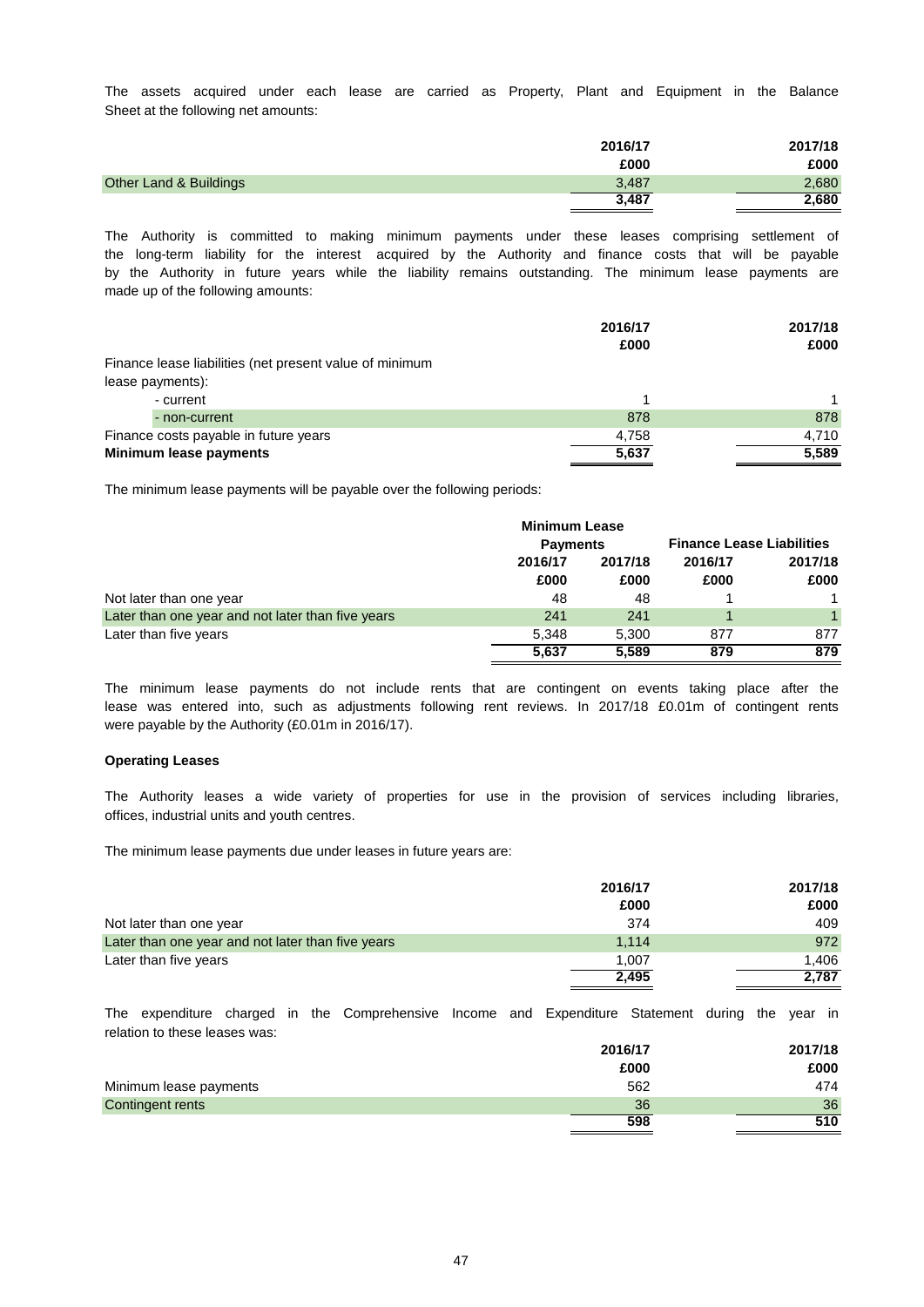The assets acquired under each lease are carried as Property, Plant and Equipment in the Balance Sheet at the following net amounts:

| 2016/17 | 2017/18 |
|---------|---------|
| £000    | £000    |
| 3,487   | 2,680   |
| 3.487   | 2,680   |
|         |         |

made up of the following amounts: by the Authority in future years while the liability remains outstanding. The minimum lease payments are the long-term liability for the interest acquired by the Authority and finance costs that will be payable The Authority is committed to making minimum payments under these leases comprising settlement of

|                                                         | 2016/17 | 2017/18 |
|---------------------------------------------------------|---------|---------|
|                                                         | £000    | £000    |
| Finance lease liabilities (net present value of minimum |         |         |
| lease payments):                                        |         |         |
| - current                                               |         |         |
| - non-current                                           | 878     | 878     |
| Finance costs payable in future years                   | 4.758   | 4.710   |
| Minimum lease payments                                  | 5,637   | 5,589   |

The minimum lease payments will be payable over the following periods:

|                                                   | <b>Minimum Lease</b> |         |                                  |         |
|---------------------------------------------------|----------------------|---------|----------------------------------|---------|
|                                                   | <b>Payments</b>      |         | <b>Finance Lease Liabilities</b> |         |
|                                                   | 2016/17              | 2017/18 | 2016/17                          | 2017/18 |
|                                                   | £000                 | £000    | £000                             | £000    |
| Not later than one year                           | 48                   | 48      |                                  |         |
| Later than one year and not later than five years | 241                  | 241     |                                  | 1.      |
| Later than five years                             | 5.348                | 5.300   | 877                              | 877     |
|                                                   | 5,637                | 5.589   | 879                              | 879     |

were payable by the Authority (£0.01m in 2016/17). The minimum lease payments do not include rents that are contingent on events taking place after the lease was entered into, such as adjustments following rent reviews. In 2017/18 £0.01m of contingent rents

### **Operating Leases**

offices, industrial units and youth centres. The Authority leases a wide variety of properties for use in the provision of services including libraries,

The minimum lease payments due under leases in future years are:

|                                                   | 2016/17 | 2017/18 |
|---------------------------------------------------|---------|---------|
|                                                   | £000    | £000    |
| Not later than one year                           | 374     | 409     |
| Later than one year and not later than five years | 1.114   | 972     |
| Later than five years                             | 1.007   | 1.406   |
|                                                   | 2,495   | 2.787   |

relation to these leases was: The expenditure charged in the Comprehensive Income and Expenditure Statement during the year in

|                        | 2016/17 | 2017/18 |
|------------------------|---------|---------|
|                        | £000    | £000    |
| Minimum lease payments | 562     | 474     |
| Contingent rents       | 36      | 36      |
|                        | 598     | 510     |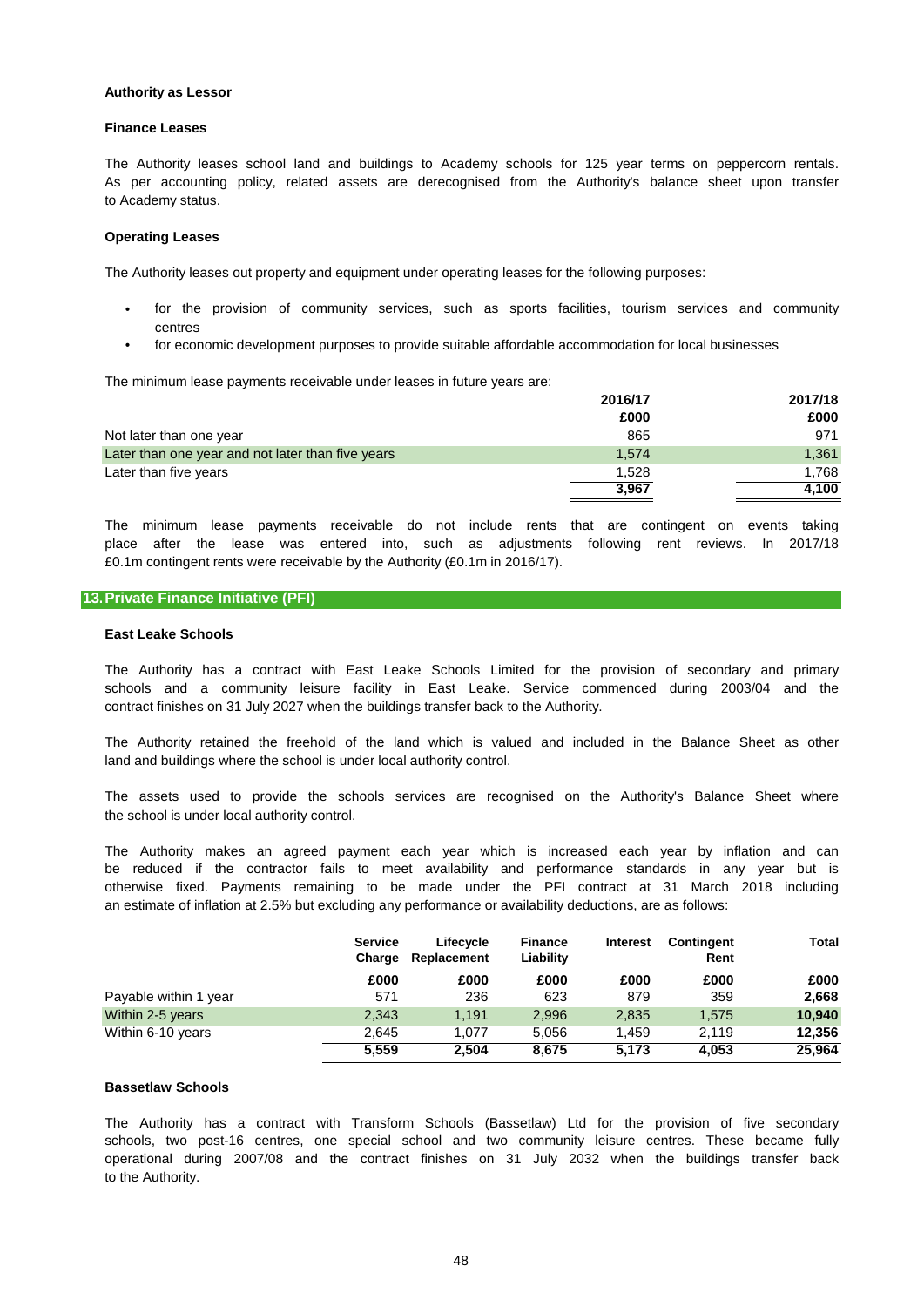### **Authority as Lessor**

## **Finance Leases**

to Academy status. As per accounting policy, related assets are derecognised from the Authority's balance sheet upon transfer The Authority leases school land and buildings to Academy schools for 125 year terms on peppercorn rentals.

### **Operating Leases**

The Authority leases out property and equipment under operating leases for the following purposes:

- centres for the provision of community services, such as sports facilities, tourism services and community
- for economic development purposes to provide suitable affordable accommodation for local businesses

The minimum lease payments receivable under leases in future years are:

|                                                   | 2016/17 | 2017/18 |
|---------------------------------------------------|---------|---------|
|                                                   | £000    | £000    |
| Not later than one year                           | 865     | 971     |
| Later than one year and not later than five years | 1.574   | 1,361   |
| Later than five years                             | 1.528   | 1.768   |
|                                                   | 3,967   | 4,100   |

£0.1m contingent rents were receivable by the Authority (£0.1m in 2016/17). The minimum lease payments receivable do not include rents that are contingent on events taking place after the lease was entered into, such as adjustments following rent reviews. In 2017/18

### **13.Private Finance Initiative (PFI)**

### **East Leake Schools**

contract finishes on 31 July 2027 when the buildings transfer back to the Authority. The Authority has a contract with East Leake Schools Limited for the provision of secondary and primary schools and a community leisure facility in East Leake. Service commenced during 2003/04 and the

land and buildings where the school is under local authority control. The Authority retained the freehold of the land which is valued and included in the Balance Sheet as other

the school is under local authority control. The assets used to provide the schools services are recognised on the Authority's Balance Sheet where

otherwise fixed. Payments remaining to be made under the PFI contract at 31 March 2018 including be reduced if the contractor fails to meet availability and performance standards in any year but is The Authority makes an agreed payment each year which is increased each year by inflation and can an estimate of inflation at 2.5% but excluding any performance or availability deductions, are as follows:

|                       | <b>Service</b><br>Charge | Lifecycle<br>Replacement | <b>Finance</b><br>Liability | <b>Interest</b> | Contingent<br>Rent | Total  |
|-----------------------|--------------------------|--------------------------|-----------------------------|-----------------|--------------------|--------|
|                       | £000                     | £000                     | £000                        | £000            | £000               | £000   |
| Payable within 1 year | 571                      | 236                      | 623                         | 879             | 359                | 2,668  |
| Within 2-5 years      | 2,343                    | 1.191                    | 2,996                       | 2,835           | 1.575              | 10.940 |
| Within 6-10 years     | 2.645                    | 1.077                    | 5.056                       | 1.459           | 2.119              | 12,356 |
|                       | 5.559                    | 2,504                    | 8.675                       | 5.173           | 4.053              | 25.964 |

## **Bassetlaw Schools**

to the Authority. The Authority has a contract with Transform Schools (Bassetlaw) Ltd for the provision of five secondary schools, two post-16 centres, one special school and two community leisure centres. These became fully operational during 2007/08 and the contract finishes on 31 July 2032 when the buildings transfer back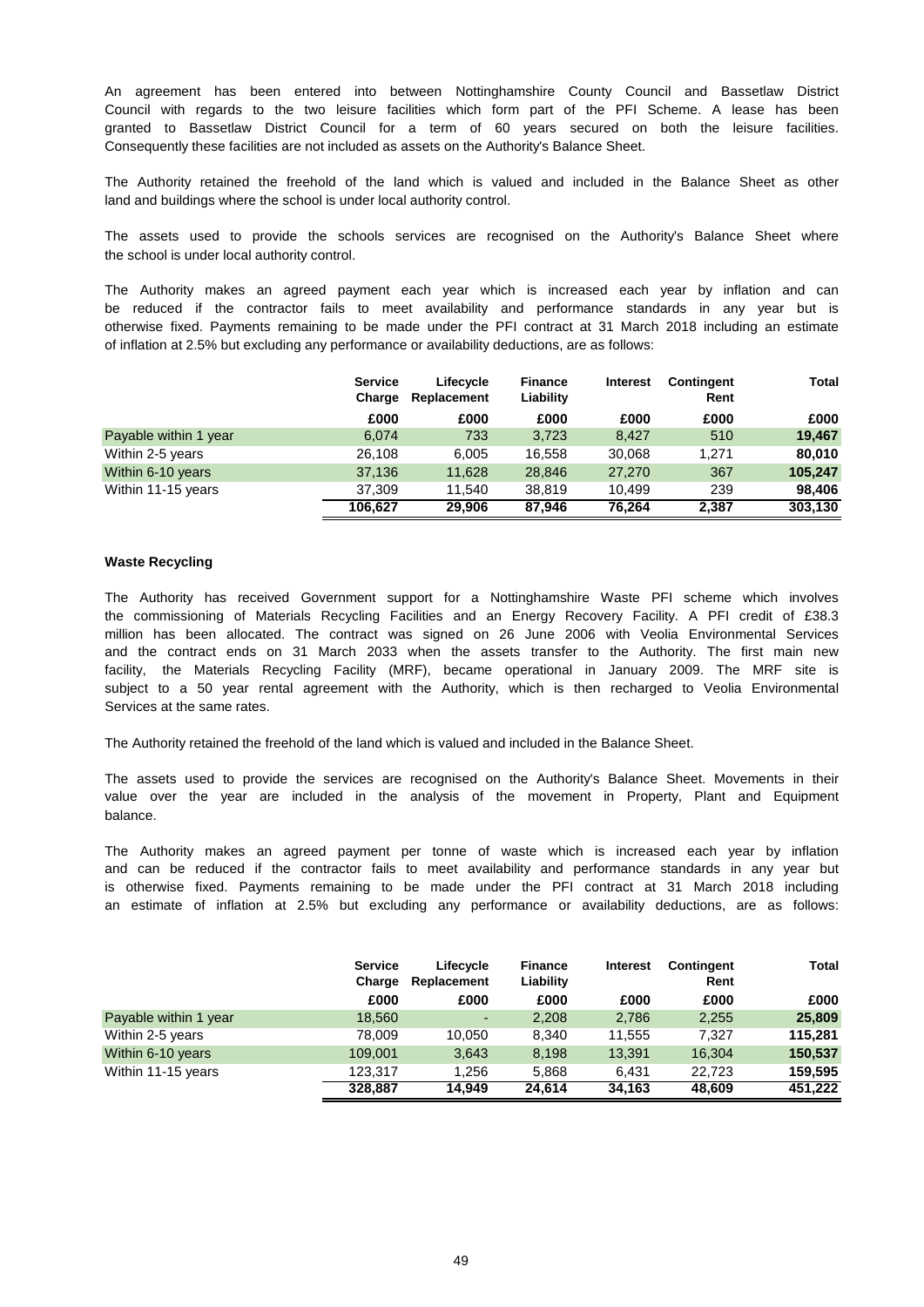An agreement has been entered into between Nottinghamshire County Council and Bassetlaw District Council with regards to the two leisure facilities which form part of the PFI Scheme. A lease has been granted to Bassetlaw District Council for a term of 60 years secured on both the leisure facilities. Consequently these facilities are not included as assets on the Authority's Balance Sheet.

land and buildings where the school is under local authority control. The Authority retained the freehold of the land which is valued and included in the Balance Sheet as other

The assets used to provide the schools services are recognised on the Authority's Balance Sheet where the school is under local authority control.

otherwise fixed. Payments remaining to be made under the PFI contract at 31 March 2018 including an estimate The Authority makes an agreed payment each year which is increased each year by inflation and can be reduced if the contractor fails to meet availability and performance standards in any year but is of inflation at 2.5% but excluding any performance or availability deductions, are as follows:

|                       | <b>Service</b><br>Charge | Lifecycle<br>Replacement | <b>Finance</b><br>Liability | <b>Interest</b> | Contingent<br>Rent | Total   |
|-----------------------|--------------------------|--------------------------|-----------------------------|-----------------|--------------------|---------|
|                       | £000                     | £000                     | £000                        | £000            | £000               | £000    |
| Payable within 1 year | 6.074                    | 733                      | 3.723                       | 8.427           | 510                | 19.467  |
| Within 2-5 years      | 26,108                   | 6.005                    | 16.558                      | 30,068          | 1.271              | 80,010  |
| Within 6-10 years     | 37,136                   | 11.628                   | 28.846                      | 27,270          | 367                | 105,247 |
| Within 11-15 years    | 37.309                   | 11.540                   | 38.819                      | 10.499          | 239                | 98.406  |
|                       | 106,627                  | 29.906                   | 87.946                      | 76,264          | 2,387              | 303,130 |

### **Waste Recycling**

Services at the same rates. the commissioning of Materials Recycling Facilities and an Energy Recovery Facility. A PFI credit of £38.3 million has been allocated. The contract was signed on 26 June 2006 with Veolia Environmental Services and the contract ends on 31 March 2033 when the assets transfer to the Authority. The first main new The Authority has received Government support for a Nottinghamshire Waste PFI scheme which involves facility, the Materials Recycling Facility (MRF), became operational in January 2009. The MRF site is subject to a 50 year rental agreement with the Authority, which is then recharged to Veolia Environmental

The Authority retained the freehold of the land which is valued and included in the Balance Sheet.

balance. value over the year are included in the analysis of the movement in Property, Plant and Equipment The assets used to provide the services are recognised on the Authority's Balance Sheet. Movements in their

an estimate of inflation at 2.5% but excluding any performance or availability deductions, are as follows: is otherwise fixed. Payments remaining to be made under the PFI contract at 31 March 2018 including The Authority makes an agreed payment per tonne of waste which is increased each year by inflation and can be reduced if the contractor fails to meet availability and performance standards in any year but

|                       | <b>Service</b><br>Charge | Lifecycle<br>Replacement | <b>Finance</b><br>Liability | <b>Interest</b> | Contingent<br>Rent | Total   |
|-----------------------|--------------------------|--------------------------|-----------------------------|-----------------|--------------------|---------|
|                       | £000                     | £000                     | £000                        | £000            | £000               | £000    |
| Payable within 1 year | 18,560                   | $\overline{\phantom{a}}$ | 2,208                       | 2.786           | 2,255              | 25,809  |
| Within 2-5 years      | 78.009                   | 10.050                   | 8.340                       | 11.555          | 7.327              | 115.281 |
| Within 6-10 years     | 109,001                  | 3,643                    | 8,198                       | 13,391          | 16,304             | 150,537 |
| Within 11-15 years    | 123.317                  | 1,256                    | 5,868                       | 6.431           | 22.723             | 159.595 |
|                       | 328.887                  | 14.949                   | 24,614                      | 34.163          | 48,609             | 451,222 |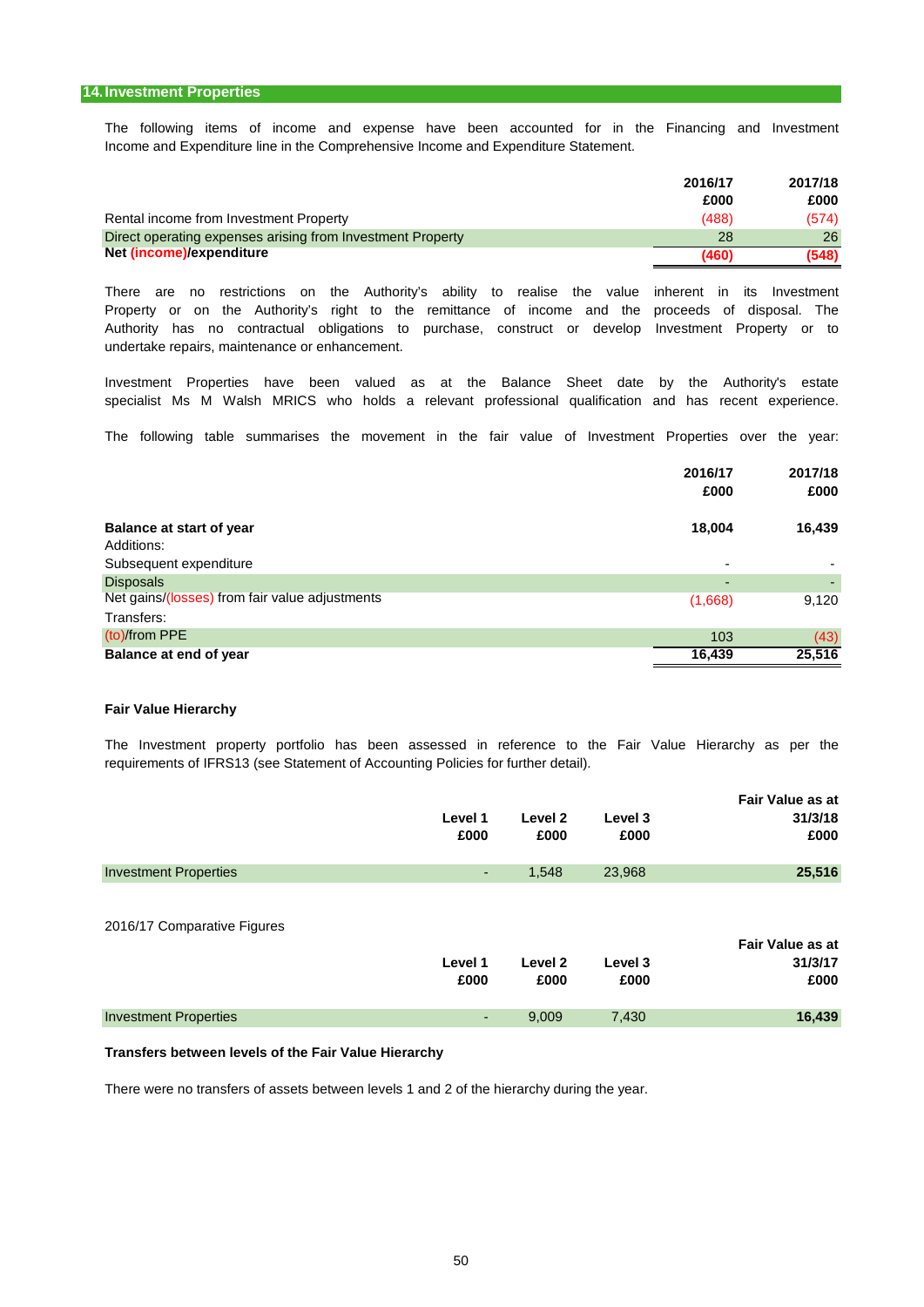Income and Expenditure line in the Comprehensive Income and Expenditure Statement. The following items of income and expense have been accounted for in the Financing and Investment

|                                                            | 2016/17 | 2017/18 |
|------------------------------------------------------------|---------|---------|
|                                                            | £000    | £000    |
| Rental income from Investment Property                     | (488)   | (574)   |
| Direct operating expenses arising from Investment Property | 28      | 26      |
| Net (income)/expenditure                                   | (460)   | (548)   |

undertake repairs, maintenance or enhancement. Property or on the Authority's right to the remittance of income and the proceeds of disposal. The Authority has no contractual obligations to purchase, construct or develop Investment Property or to There are no restrictions on the Authority's ability to realise the value inherent in its Investment

Investment Properties have been valued as at the Balance Sheet date by the Authority's estate specialist Ms M Walsh MRICS who holds a relevant professional qualification and has recent experience.

The following table summarises the movement in the fair value of Investment Properties over the year:

|                                                | 2016/17                  | 2017/18 |
|------------------------------------------------|--------------------------|---------|
|                                                | £000                     | £000    |
| <b>Balance at start of year</b>                | 18,004                   | 16,439  |
| Additions:                                     |                          |         |
| Subsequent expenditure                         | $\overline{\phantom{0}}$ |         |
| <b>Disposals</b>                               | -                        |         |
| Net gains/(losses) from fair value adjustments | (1,668)                  | 9,120   |
| Transfers:                                     |                          |         |
| (to)/from PPE                                  | 103                      | (43)    |
| Balance at end of year                         | 16,439                   | 25,516  |

### **Fair Value Hierarchy**

The Investment property portfolio has been assessed in reference to the Fair Value Hierarchy as per the requirements of IFRS13 (see Statement of Accounting Policies for further detail).

|                              |         |         |         | Fair Value as at |
|------------------------------|---------|---------|---------|------------------|
|                              | Level 1 | Level 2 | Level 3 | 31/3/18          |
|                              | £000    | £000    | £000    | £000             |
| <b>Investment Properties</b> | ٠       | 1,548   | 23,968  | 25,516           |
|                              |         |         |         |                  |
| 2016/17 Comparative Figures  |         |         |         | Fair Value as at |
|                              | Level 1 | Level 2 | Level 3 | 31/3/17          |

|                              | ------ | ------- | ------ | -      |
|------------------------------|--------|---------|--------|--------|
|                              | £000   | £000    | £000   | £000   |
| <b>Investment Properties</b> | $\sim$ | 9.009   | 7.430  | 16,439 |

### **Transfers between levels of the Fair Value Hierarchy**

There were no transfers of assets between levels 1 and 2 of the hierarchy during the year.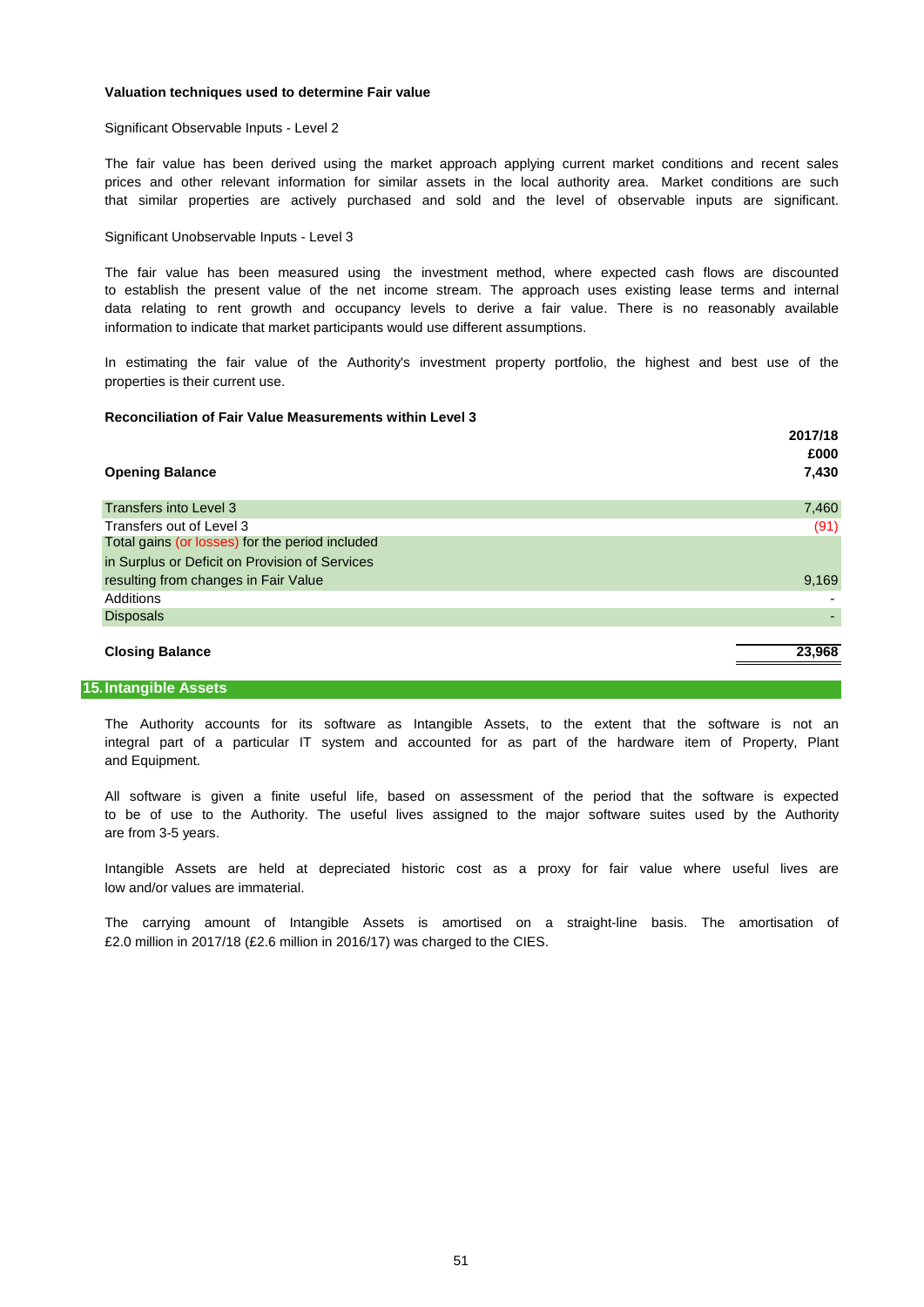### **Valuation techniques used to determine Fair value**

Significant Observable Inputs - Level 2

that similar properties are actively purchased and sold and the level of observable inputs are significant. The fair value has been derived using the market approach applying current market conditions and recent sales prices and other relevant information for similar assets in the local authority area. Market conditions are such

### Significant Unobservable Inputs - Level 3

The fair value has been measured using the investment method, where expected cash flows are discounted to establish the present value of the net income stream. The approach uses existing lease terms and internal information to indicate that market participants would use different assumptions. data relating to rent growth and occupancy levels to derive a fair value. There is no reasonably available

In estimating the fair value of the Authority's investment property portfolio, the highest and best use of the properties is their current use.

### **Reconciliation of Fair Value Measurements within Level 3**

|                                                 | 2017/18 |
|-------------------------------------------------|---------|
|                                                 | £000    |
| <b>Opening Balance</b>                          | 7,430   |
|                                                 |         |
| Transfers into Level 3                          | 7,460   |
| Transfers out of Level 3                        | (91)    |
| Total gains (or losses) for the period included |         |
| in Surplus or Deficit on Provision of Services  |         |
| resulting from changes in Fair Value            | 9,169   |
| Additions                                       |         |
| <b>Disposals</b>                                |         |
| <b>Closing Balance</b>                          | 23,968  |
|                                                 |         |

### **15.Intangible Assets**

and Equipment. The Authority accounts for its software as Intangible Assets, to the extent that the software is not an integral part of a particular IT system and accounted for as part of the hardware item of Property, Plant

are from 3-5 years. to be of use to the Authority. The useful lives assigned to the major software suites used by the Authority All software is given a finite useful life, based on assessment of the period that the software is expected

low and/or values are immaterial. Intangible Assets are held at depreciated historic cost as a proxy for fair value where useful lives are

£2.0 million in 2017/18 (£2.6 million in 2016/17) was charged to the CIES. The carrying amount of Intangible Assets is amortised on a straight-line basis. The amortisation of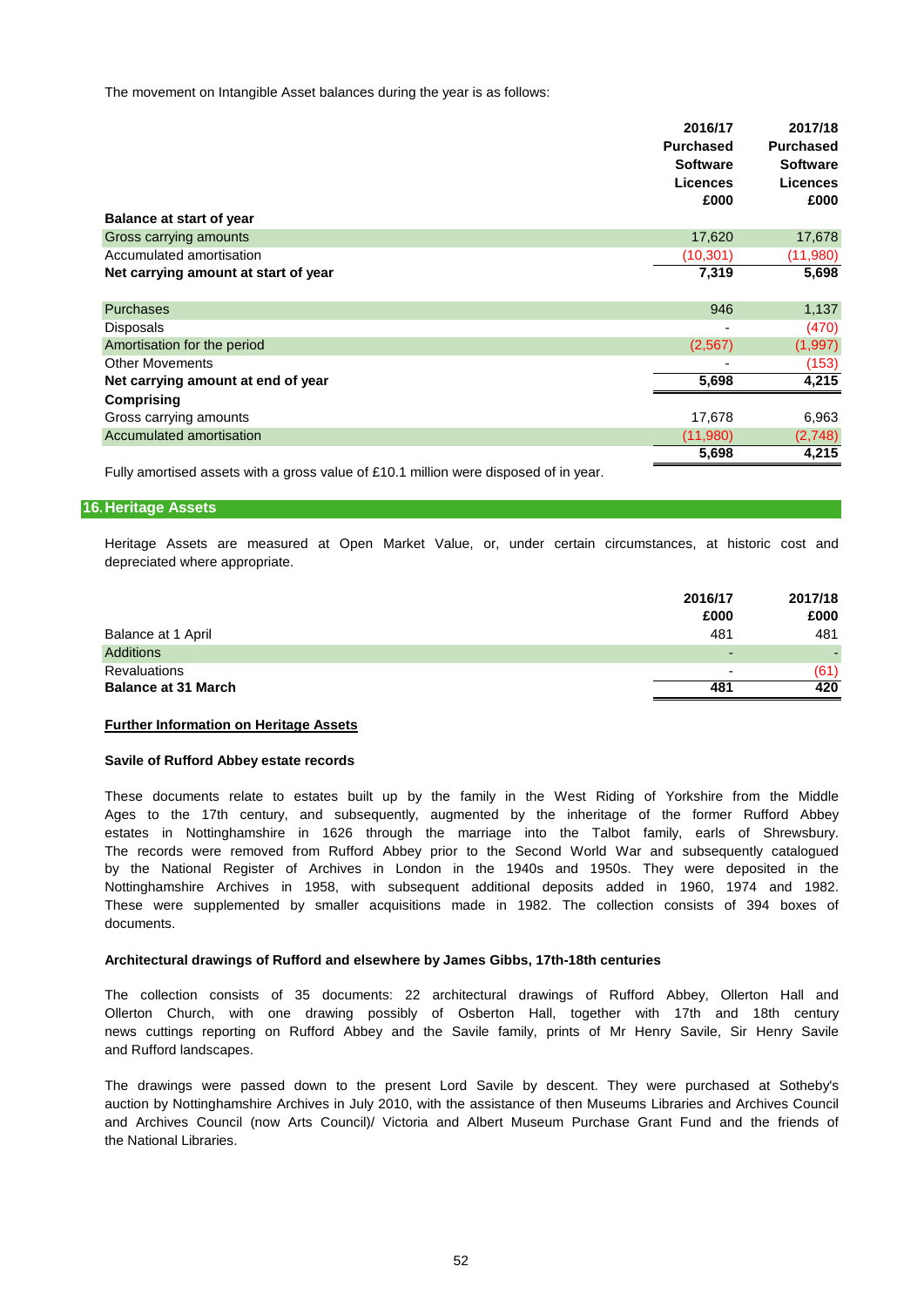The movement on Intangible Asset balances during the year is as follows:

| <b>Balance at start of year</b>      | 2016/17<br><b>Purchased</b><br><b>Software</b><br><b>Licences</b><br>£000 | 2017/18<br><b>Purchased</b><br><b>Software</b><br><b>Licences</b><br>£000 |
|--------------------------------------|---------------------------------------------------------------------------|---------------------------------------------------------------------------|
| Gross carrying amounts               | 17,620                                                                    | 17,678                                                                    |
| Accumulated amortisation             | (10,301)                                                                  | (11,980)                                                                  |
| Net carrying amount at start of year | 7,319                                                                     | 5,698                                                                     |
| <b>Purchases</b>                     | 946                                                                       | 1,137                                                                     |
| Disposals                            | ٠                                                                         | (470)                                                                     |
| Amortisation for the period          | (2,567)                                                                   | (1, 997)                                                                  |
| <b>Other Movements</b>               |                                                                           | (153)                                                                     |
| Net carrying amount at end of year   | 5,698                                                                     | 4,215                                                                     |
| <b>Comprising</b>                    |                                                                           |                                                                           |
| Gross carrying amounts               | 17,678                                                                    | 6,963                                                                     |
| Accumulated amortisation             | (11,980)                                                                  | (2,748)                                                                   |
|                                      | 5,698                                                                     | 4,215                                                                     |

Fully amortised assets with a gross value of £10.1 million were disposed of in year.

## **16.Heritage Assets**

depreciated where appropriate. Heritage Assets are measured at Open Market Value, or, under certain circumstances, at historic cost and

|                            | 2016/17                  | 2017/18 |
|----------------------------|--------------------------|---------|
|                            | £000                     | £000    |
| Balance at 1 April         | 481                      | 481     |
| <b>Additions</b>           | $\overline{\phantom{0}}$ | ٠       |
| <b>Revaluations</b>        | $\overline{\phantom{a}}$ | (61)    |
| <b>Balance at 31 March</b> | 481                      | 420     |

## **Further Information on Heritage Assets**

### **Savile of Rufford Abbey estate records**

These were supplemented by smaller acquisitions made in 1982. The collection consists of 394 boxes of by the National Register of Archives in London in the 1940s and 1950s. They were deposited in the Ages to the 17th century, and subsequently, augmented by the inheritage of the former Rufford Abbey estates in Nottinghamshire in 1626 through the marriage into the Talbot family, earls of Shrewsbury. The records were removed from Rufford Abbey prior to the Second World War and subsequently catalogued Nottinghamshire Archives in 1958, with subsequent additional deposits added in 1960, 1974 and 1982. These documents relate to estates built up by the family in the West Riding of Yorkshire from the Middle documents.

## **Architectural drawings of Rufford and elsewhere by James Gibbs, 17th-18th centuries**

The collection consists of 35 documents: 22 architectural drawings of Rufford Abbey, Ollerton Hall and Ollerton Church, with one drawing possibly of Osberton Hall, together with 17th and 18th century news cuttings reporting on Rufford Abbey and the Savile family, prints of Mr Henry Savile, Sir Henry Savile and Rufford landscapes.

the National Libraries. and Archives Council (now Arts Council)/ Victoria and Albert Museum Purchase Grant Fund and the friends of auction by Nottinghamshire Archives in July 2010, with the assistance of then Museums Libraries and Archives Council The drawings were passed down to the present Lord Savile by descent. They were purchased at Sotheby's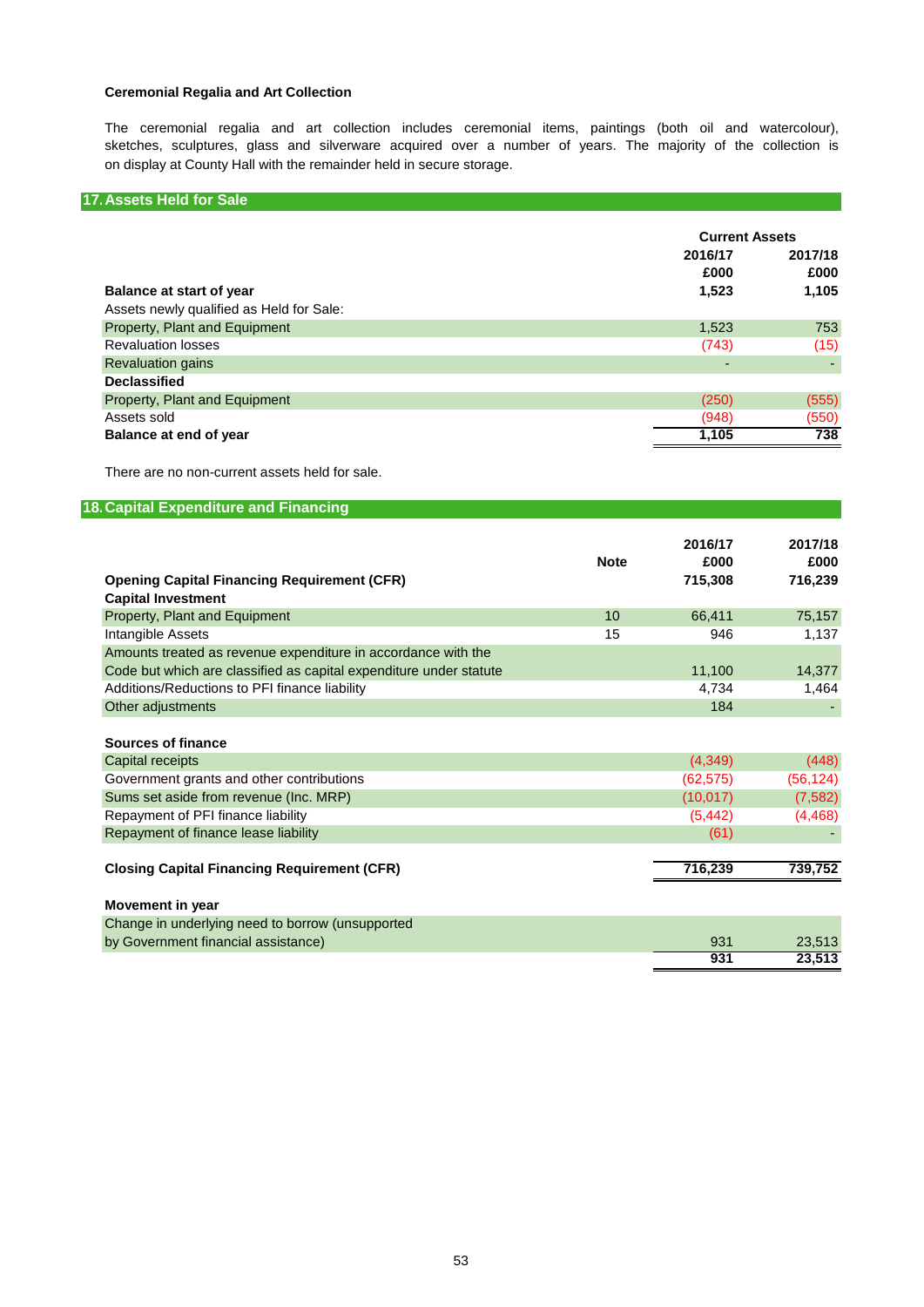## **Ceremonial Regalia and Art Collection**

The ceremonial regalia and art collection includes ceremonial items, paintings (both oil and watercolour), sketches, sculptures, glass and silverware acquired over a number of years. The majority of the collection is on display at County Hall with the remainder held in secure storage.

## **17.Assets Held for Sale**

|                                                                      | <b>Current Assets</b>    |                          |  |
|----------------------------------------------------------------------|--------------------------|--------------------------|--|
| Balance at start of year<br>Assets newly qualified as Held for Sale: | 2016/17<br>£000<br>1,523 | 2017/18<br>£000<br>1,105 |  |
| Property, Plant and Equipment                                        | 1,523                    | 753                      |  |
| <b>Revaluation losses</b>                                            | (743)                    | (15)                     |  |
| <b>Revaluation gains</b>                                             | -                        |                          |  |
| <b>Declassified</b>                                                  |                          |                          |  |
| Property, Plant and Equipment                                        | (250)                    | (555)                    |  |
| Assets sold                                                          | (948)                    | (550)                    |  |
| Balance at end of year                                               | 1,105                    | 738                      |  |

There are no non-current assets held for sale.

## **18.Capital Expenditure and Financing 2016/17 2017/18 Note £000 £000 Opening Capital Financing Requirement (CFR) 715,308 716,239 Capital Investment** Property, Plant and Equipment 10 66,411 75,157 Intangible Assets 1,137 Amounts treated as revenue expenditure in accordance with the Code but which are classified as capital expenditure under statute 11,100 14,377 Additions/Reductions to PFI finance liability and the state of the state of the 4,734 1,464 Other adjustments **184** - The Contract of Contract of Contract of Contract of Contract of Contract of Contract of Contract of Contract of Contract of Contract of Contract of Contract of Contract of Contract of Contract of **Sources of finance** Capital receipts (4,349) (448) Government grants and other contributions (62,575) (56,124) Sums set aside from revenue (Inc. MRP) (10,017) (7,582) Repayment of PFI finance liability (5,442) (4,468) Repayment of finance lease liability and the control of the control of the control of the control of the control of the control of the control of the control of the control of the control of the control of the control of t **Closing Capital Financing Requirement (CFR) 716,239 739,752 Movement in year** Change in underlying need to borrow (unsupported by Government financial assistance) 831 23,513<br>
23,513 23,513 23,513 23,513 23,513 23,513 23,513 23,513 23,513 23,513 23,513 23,513 23,513 23,513 23,513 23,5 **931 23,513**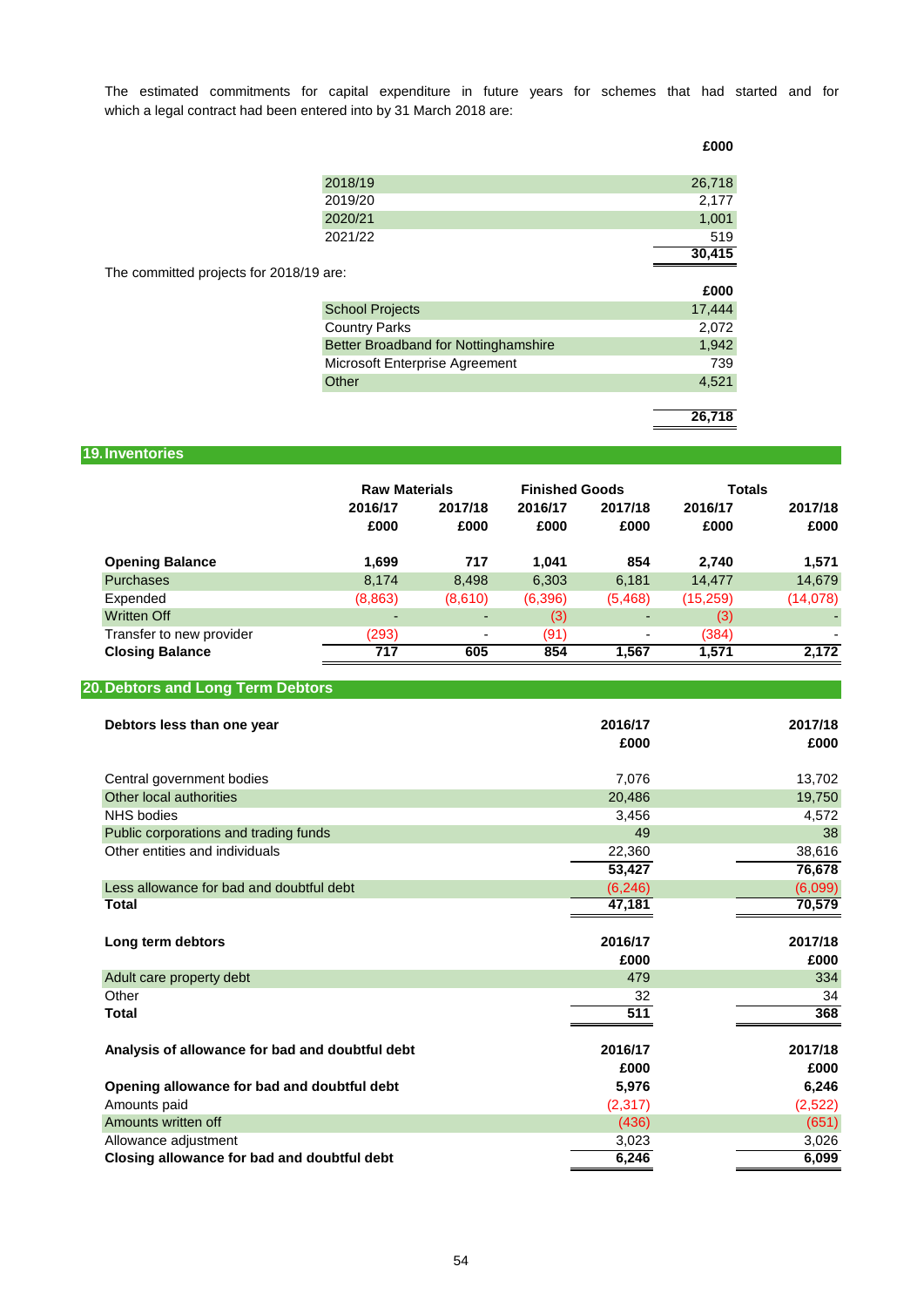which a legal contract had been entered into by 31 March 2018 are: The estimated commitments for capital expenditure in future years for schemes that had started and for

**£000**

|                                         | 2018/19                              | 26,718 |
|-----------------------------------------|--------------------------------------|--------|
|                                         | 2019/20                              | 2,177  |
|                                         | 2020/21                              | 1,001  |
|                                         | 2021/22                              | 519    |
|                                         |                                      | 30,415 |
| The committed projects for 2018/19 are: |                                      |        |
|                                         |                                      | £000   |
|                                         | <b>School Projects</b>               | 17,444 |
|                                         | <b>Country Parks</b>                 | 2,072  |
|                                         | Better Broadband for Nottinghamshire | 1,942  |
|                                         | Microsoft Enterprise Agreement       | 739    |
|                                         | Other                                | 4,521  |
|                                         |                                      |        |
|                                         |                                      | 26,718 |

## **19.Inventories**

|                          | <b>Raw Materials</b> |                 | <b>Finished Goods</b> |                 | <b>Totals</b>   |                 |
|--------------------------|----------------------|-----------------|-----------------------|-----------------|-----------------|-----------------|
|                          | 2016/17<br>£000      | 2017/18<br>£000 | 2016/17<br>£000       | 2017/18<br>£000 | 2016/17<br>£000 | 2017/18<br>£000 |
| <b>Opening Balance</b>   | 1.699                | 717             | 1.041                 | 854             | 2.740           | 1,571           |
| <b>Purchases</b>         | 8,174                | 8,498           | 6,303                 | 6,181           | 14,477          | 14,679          |
| Expended                 | (8,863)              | (8,610)         | (6,396)               | (5,468)         | (15,259)        | (14,078)        |
| Written Off              | $\overline{a}$       | -               | (3)                   | -               | (3)             |                 |
| Transfer to new provider | (293)                | ٠               | (91)                  | ۰               | (384)           |                 |
| <b>Closing Balance</b>   | 717                  | 605             | 854                   | 1,567           | 1,571           | 2,172           |

## **20.Debtors and Long Term Debtors**

| Debtors less than one year                      | 2016/17<br>£000 | 2017/18<br>£000 |
|-------------------------------------------------|-----------------|-----------------|
| Central government bodies                       | 7,076           | 13,702          |
| Other local authorities                         | 20,486          | 19,750          |
| <b>NHS</b> bodies                               | 3,456           | 4,572           |
| Public corporations and trading funds           | 49              | 38              |
| Other entities and individuals                  | 22,360          | 38,616          |
|                                                 | 53,427          | 76,678          |
| Less allowance for bad and doubtful debt        | (6, 246)        | (6,099)         |
| <b>Total</b>                                    | 47,181          | 70,579          |
|                                                 |                 |                 |
| Long term debtors                               | 2016/17         | 2017/18         |
|                                                 | £000            | £000            |
| Adult care property debt                        | 479             | 334             |
| Other                                           | 32              | 34              |
| <b>Total</b>                                    | 511             | 368             |
|                                                 |                 |                 |
| Analysis of allowance for bad and doubtful debt | 2016/17         | 2017/18         |
|                                                 | £000            | £000            |
| Opening allowance for bad and doubtful debt     | 5,976           | 6,246           |
| Amounts paid                                    | (2,317)         | (2,522)         |
| Amounts written off                             | (436)           | (651)           |
| Allowance adjustment                            | 3,023           | 3,026           |
| Closing allowance for bad and doubtful debt     | 6,246           | 6,099           |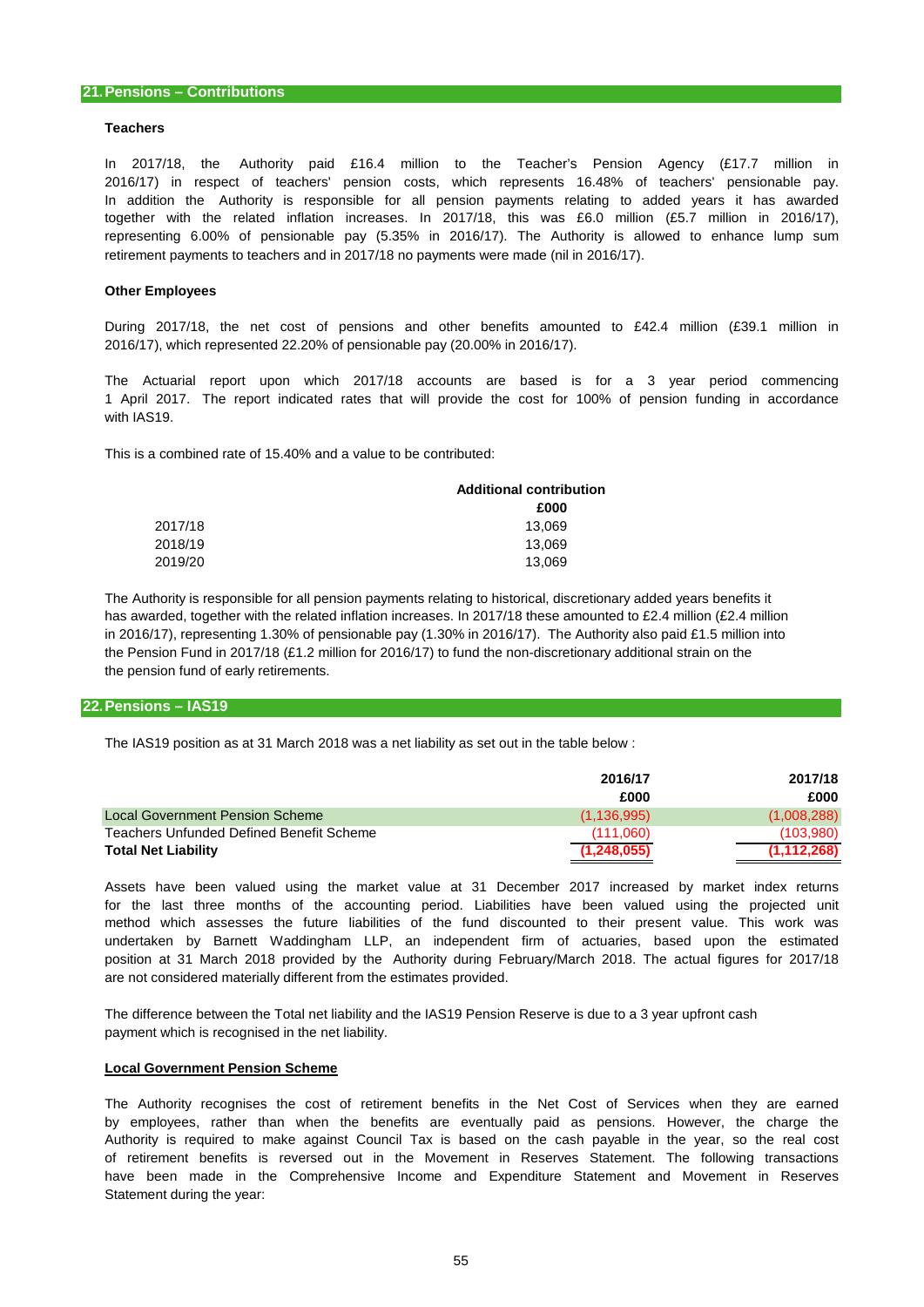### **Teachers**

In addition the Authority is responsible for all pension payments relating to added years it has awarded representing 6.00% of pensionable pay (5.35% in 2016/17). The Authority is allowed to enhance lump sum 2016/17) in respect of teachers' pension costs, which represents 16.48% of teachers' pensionable pay. In 2017/18, the Authority paid £16.4 million to the Teacher's Pension Agency (£17.7 million in together with the related inflation increases. In 2017/18, this was £6.0 million (£5.7 million in 2016/17), retirement payments to teachers and in 2017/18 no payments were made (nil in 2016/17).

### **Other Employees**

2016/17), which represented 22.20% of pensionable pay (20.00% in 2016/17). During 2017/18, the net cost of pensions and other benefits amounted to £42.4 million (£39.1 million in

1 April 2017. The report indicated rates that will provide the cost for 100% of pension funding in accordance The Actuarial report upon which 2017/18 accounts are based is for a 3 year period commencing with IAS19.

This is a combined rate of 15.40% and a value to be contributed:

|         | <b>Additional contribution</b> |
|---------|--------------------------------|
|         | £000                           |
| 2017/18 | 13.069                         |
| 2018/19 | 13.069                         |
| 2019/20 | 13.069                         |

the pension fund of early retirements. The Authority is responsible for all pension payments relating to historical, discretionary added years benefits it in 2016/17), representing 1.30% of pensionable pay (1.30% in 2016/17). The Authority also paid £1.5 million into the Pension Fund in 2017/18 (£1.2 million for 2016/17) to fund the non-discretionary additional strain on the has awarded, together with the related inflation increases. In 2017/18 these amounted to £2.4 million (£2.4 million

## **22.Pensions – IAS19**

The IAS19 position as at 31 March 2018 was a net liability as set out in the table below :

|                                          | 2016/17       | 2017/18       |
|------------------------------------------|---------------|---------------|
|                                          | £000          | £000          |
| Local Government Pension Scheme          | (1, 136, 995) | (1,008,288)   |
| Teachers Unfunded Defined Benefit Scheme | (111.060)     | (103,980)     |
| <b>Total Net Liability</b>               | (1, 248, 055) | (1, 112, 268) |

are not considered materially different from the estimates provided. Assets have been valued using the market value at 31 December 2017 increased by market index returns undertaken by Barnett Waddingham LLP, an independent firm of actuaries, based upon the estimated position at 31 March 2018 provided by the Authority during February/March 2018. The actual figures for 2017/18 for the last three months of the accounting period. Liabilities have been valued using the projected unit method which assesses the future liabilities of the fund discounted to their present value. This work was

The difference between the Total net liability and the IAS19 Pension Reserve is due to a 3 year upfront cash payment which is recognised in the net liability.

### **Local Government Pension Scheme**

Statement during the year: Authority is required to make against Council Tax is based on the cash payable in the year, so the real cost by employees, rather than when the benefits are eventually paid as pensions. However, the charge the of retirement benefits is reversed out in the Movement in Reserves Statement. The following transactions The Authority recognises the cost of retirement benefits in the Net Cost of Services when they are earned have been made in the Comprehensive Income and Expenditure Statement and Movement in Reserves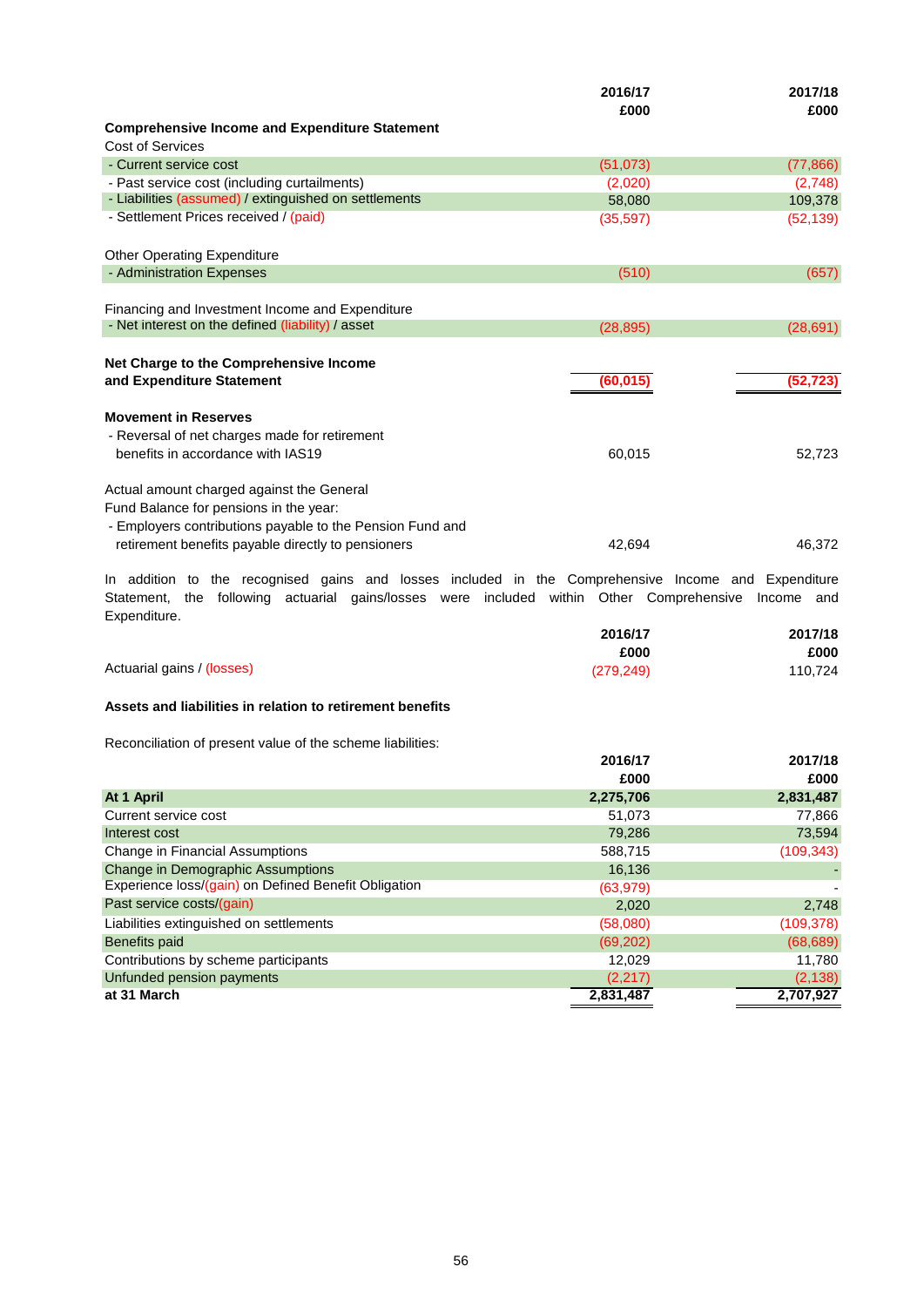|                                                                                     | 2016/17<br>£000 | 2017/18<br>£000 |
|-------------------------------------------------------------------------------------|-----------------|-----------------|
| <b>Comprehensive Income and Expenditure Statement</b>                               |                 |                 |
| Cost of Services                                                                    |                 |                 |
| - Current service cost                                                              | (51, 073)       | (77, 866)       |
| - Past service cost (including curtailments)                                        | (2,020)         | (2,748)         |
| - Liabilities (assumed) / extinguished on settlements                               | 58,080          | 109,378         |
| - Settlement Prices received / (paid)                                               | (35, 597)       | (52, 139)       |
| <b>Other Operating Expenditure</b>                                                  |                 |                 |
| - Administration Expenses                                                           | (510)           | (657)           |
|                                                                                     |                 |                 |
| Financing and Investment Income and Expenditure                                     |                 |                 |
| - Net interest on the defined (liability) / asset                                   | (28, 895)       | (28, 691)       |
| Net Charge to the Comprehensive Income<br>and Expenditure Statement                 | (60, 015)       | (52, 723)       |
| <b>Movement in Reserves</b><br>- Reversal of net charges made for retirement        |                 |                 |
| benefits in accordance with IAS19                                                   | 60,015          | 52,723          |
| Actual amount charged against the General<br>Fund Balance for pensions in the year: |                 |                 |
| - Employers contributions payable to the Pension Fund and                           |                 |                 |
| retirement benefits payable directly to pensioners                                  | 42.694          | 46.372          |

Expenditure. In addition to the recognised gains and losses included in the Comprehensive Income and Expenditure Statement, the following actuarial gains/losses were included within Other Comprehensive Income and

|                            | 2016/17    | 2017/18 |
|----------------------------|------------|---------|
|                            | £000       | £000    |
| Actuarial gains / (losses) | (279, 249) | 110,724 |

## **Assets and liabilities in relation to retirement benefits**

Reconciliation of present value of the scheme liabilities:

| 2016/17   | 2017/18    |
|-----------|------------|
| £000      | £000       |
| 2,275,706 | 2,831,487  |
| 51,073    | 77,866     |
| 79.286    | 73,594     |
| 588,715   | (109, 343) |
| 16,136    |            |
| (63, 979) |            |
| 2,020     | 2,748      |
| (58,080)  | (109,378)  |
| (69, 202) | (68, 689)  |
| 12,029    | 11,780     |
| (2,217)   | (2, 138)   |
| 2,831,487 | 2,707,927  |
|           |            |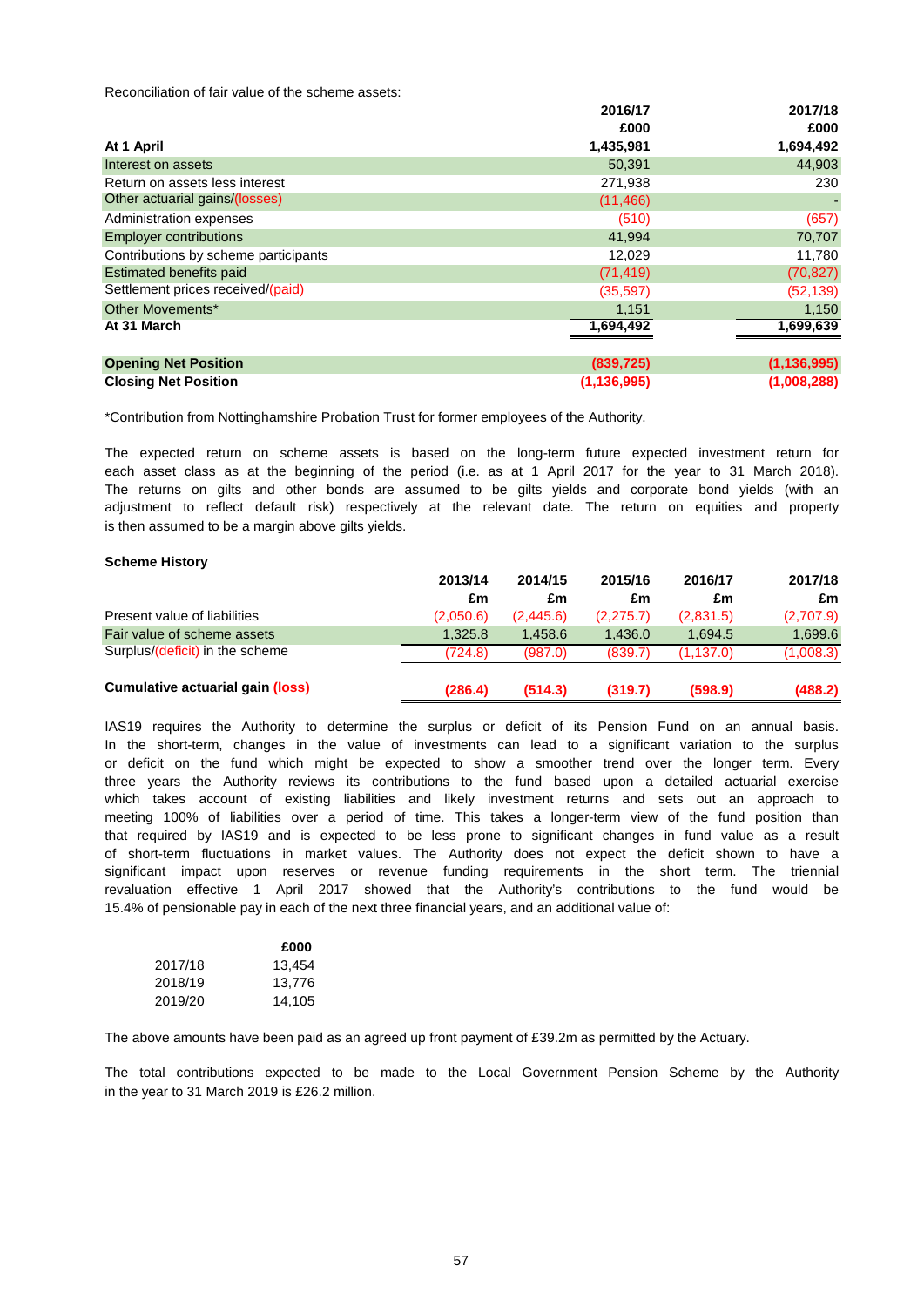Reconciliation of fair value of the scheme assets:

|                                      | 2016/17       | 2017/18       |
|--------------------------------------|---------------|---------------|
|                                      | £000          | £000          |
| At 1 April                           | 1,435,981     | 1,694,492     |
| Interest on assets                   | 50,391        | 44,903        |
| Return on assets less interest       | 271,938       | 230           |
| Other actuarial gains/(losses)       | (11, 466)     |               |
| Administration expenses              | (510)         | (657)         |
| <b>Employer contributions</b>        | 41,994        | 70,707        |
| Contributions by scheme participants | 12.029        | 11,780        |
| <b>Estimated benefits paid</b>       | (71, 419)     | (70, 827)     |
| Settlement prices received/(paid)    | (35, 597)     | (52, 139)     |
| Other Movements*                     | 1,151         | 1,150         |
| At 31 March                          | 1,694,492     | 1,699,639     |
|                                      |               |               |
| <b>Opening Net Position</b>          | (839, 725)    | (1, 136, 995) |
| <b>Closing Net Position</b>          | (1, 136, 995) | (1,008,288)   |

\*Contribution from Nottinghamshire Probation Trust for former employees of the Authority.

is then assumed to be a margin above gilts yields. The expected return on scheme assets is based on the long-term future expected investment return for each asset class as at the beginning of the period (i.e. as at 1 April 2017 for the year to 31 March 2018). The returns on gilts and other bonds are assumed to be gilts yields and corporate bond yields (with an adjustment to reflect default risk) respectively at the relevant date. The return on equities and property

### **Scheme History**

|                                         | 2013/14   | 2014/15   | 2015/16   | 2016/17   | 2017/18   |
|-----------------------------------------|-----------|-----------|-----------|-----------|-----------|
|                                         | £m        | £m        | £m        | £m        | £m        |
| Present value of liabilities            | (2,050.6) | (2,445.6) | (2,275.7) | (2,831.5) | (2,707.9) |
| Fair value of scheme assets             | 1.325.8   | 1.458.6   | 1.436.0   | 1.694.5   | 1.699.6   |
| Surplus/(deficit) in the scheme         | (724.8)   | (987.0)   | (839.7)   | (1.137.0) | (1,008.3) |
| <b>Cumulative actuarial gain (loss)</b> | (286.4)   | (514.3)   | (319.7)   | (598.9)   | (488.2)   |

that required by IAS19 and is expected to be less prone to significant changes in fund value as a result or deficit on the fund which might be expected to show a smoother trend over the longer term. Every revaluation effective 1 April 2017 showed that the Authority's contributions to the fund would be which takes account of existing liabilities and likely investment returns and sets out an approach to IAS19 requires the Authority to determine the surplus or deficit of its Pension Fund on an annual basis. of short-term fluctuations in market values. The Authority does not expect the deficit shown to have a significant impact upon reserves or revenue funding requirements in the short term. The triennial 15.4% of pensionable pay in each of the next three financial years, and an additional value of: meeting 100% of liabilities over a period of time. This takes a longer-term view of the fund position than In the short-term, changes in the value of investments can lead to a significant variation to the surplus three years the Authority reviews its contributions to the fund based upon a detailed actuarial exercise

|         | £000   |
|---------|--------|
| 2017/18 | 13.454 |
| 2018/19 | 13.776 |
| 2019/20 | 14.105 |

The above amounts have been paid as an agreed up front payment of £39.2m as permitted by the Actuary.

in the year to 31 March 2019 is £26.2 million. The total contributions expected to be made to the Local Government Pension Scheme by the Authority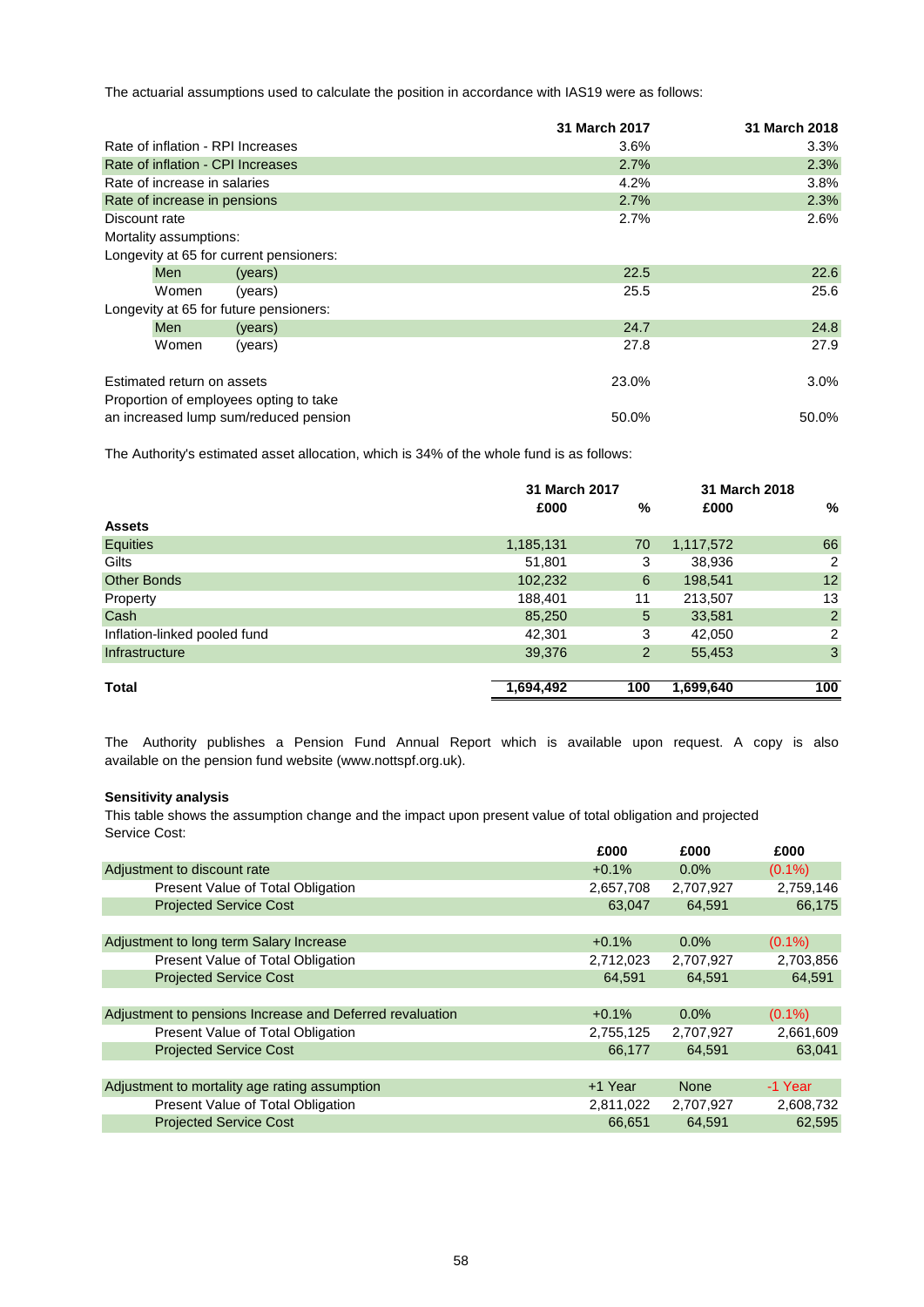The actuarial assumptions used to calculate the position in accordance with IAS19 were as follows:

|               |                              |                                         | 31 March 2017 | 31 March 2018 |
|---------------|------------------------------|-----------------------------------------|---------------|---------------|
|               |                              | Rate of inflation - RPI Increases       | $3.6\%$       | 3.3%          |
|               |                              | Rate of inflation - CPI Increases       | 2.7%          | 2.3%          |
|               | Rate of increase in salaries |                                         | 4.2%          | 3.8%          |
|               | Rate of increase in pensions |                                         | 2.7%          | 2.3%          |
| Discount rate |                              |                                         | 2.7%          | 2.6%          |
|               | Mortality assumptions:       |                                         |               |               |
|               |                              | Longevity at 65 for current pensioners: |               |               |
|               | <b>Men</b>                   | (years)                                 | 22.5          | 22.6          |
|               | Women                        | (years)                                 | 25.5          | 25.6          |
|               |                              | Longevity at 65 for future pensioners:  |               |               |
|               | <b>Men</b>                   | (years)                                 | 24.7          | 24.8          |
|               | Women                        | (years)                                 | 27.8          | 27.9          |
|               | Estimated return on assets   |                                         | 23.0%         | $3.0\%$       |
|               |                              | Proportion of employees opting to take  |               |               |
|               |                              | an increased lump sum/reduced pension   | 50.0%         | 50.0%         |

The Authority's estimated asset allocation, which is 34% of the whole fund is as follows:

|                              |           | 31 March 2017  |           | 31 March 2018  |
|------------------------------|-----------|----------------|-----------|----------------|
|                              | £000      | %              | £000      | %              |
| <b>Assets</b>                |           |                |           |                |
| Equities                     | 1,185,131 | 70             | 1,117,572 | 66             |
| Gilts                        | 51,801    | 3              | 38,936    | 2              |
| <b>Other Bonds</b>           | 102,232   | 6              | 198,541   | 12             |
| Property                     | 188,401   | 11             | 213,507   | 13             |
| Cash                         | 85,250    | 5              | 33,581    | $\overline{2}$ |
| Inflation-linked pooled fund | 42,301    | 3              | 42,050    | $\overline{2}$ |
| Infrastructure               | 39,376    | $\overline{2}$ | 55,453    | $\mathbf{3}$   |
|                              |           |                |           |                |
| Total                        | 1,694,492 | 100            | 1,699,640 | 100            |

available on the pension fund website (www.nottspf.org.uk). The Authority publishes a Pension Fund Annual Report which is available upon request. A copy is also

## **Sensitivity analysis**

This table shows the assumption change and the impact upon present value of total obligation and projected Service Cost:

|                                                          | £000      | £000        | £000      |
|----------------------------------------------------------|-----------|-------------|-----------|
| Adjustment to discount rate                              | $+0.1%$   | $0.0\%$     | $(0.1\%)$ |
| Present Value of Total Obligation                        | 2,657,708 | 2,707,927   | 2,759,146 |
| <b>Projected Service Cost</b>                            | 63.047    | 64.591      | 66,175    |
|                                                          |           |             |           |
| Adjustment to long term Salary Increase                  | $+0.1%$   | $0.0\%$     | $(0.1\%)$ |
| Present Value of Total Obligation                        | 2,712,023 | 2,707,927   | 2,703,856 |
| <b>Projected Service Cost</b>                            | 64,591    | 64.591      | 64,591    |
|                                                          |           |             |           |
| Adjustment to pensions Increase and Deferred revaluation | $+0.1%$   | $0.0\%$     | $(0.1\%)$ |
| Present Value of Total Obligation                        | 2,755,125 | 2,707,927   | 2,661,609 |
| <b>Projected Service Cost</b>                            | 66,177    | 64.591      | 63,041    |
|                                                          |           |             |           |
| Adjustment to mortality age rating assumption            | +1 Year   | <b>None</b> | -1 Year   |
| Present Value of Total Obligation                        | 2,811,022 | 2,707,927   | 2,608,732 |
| <b>Projected Service Cost</b>                            | 66,651    | 64.591      | 62,595    |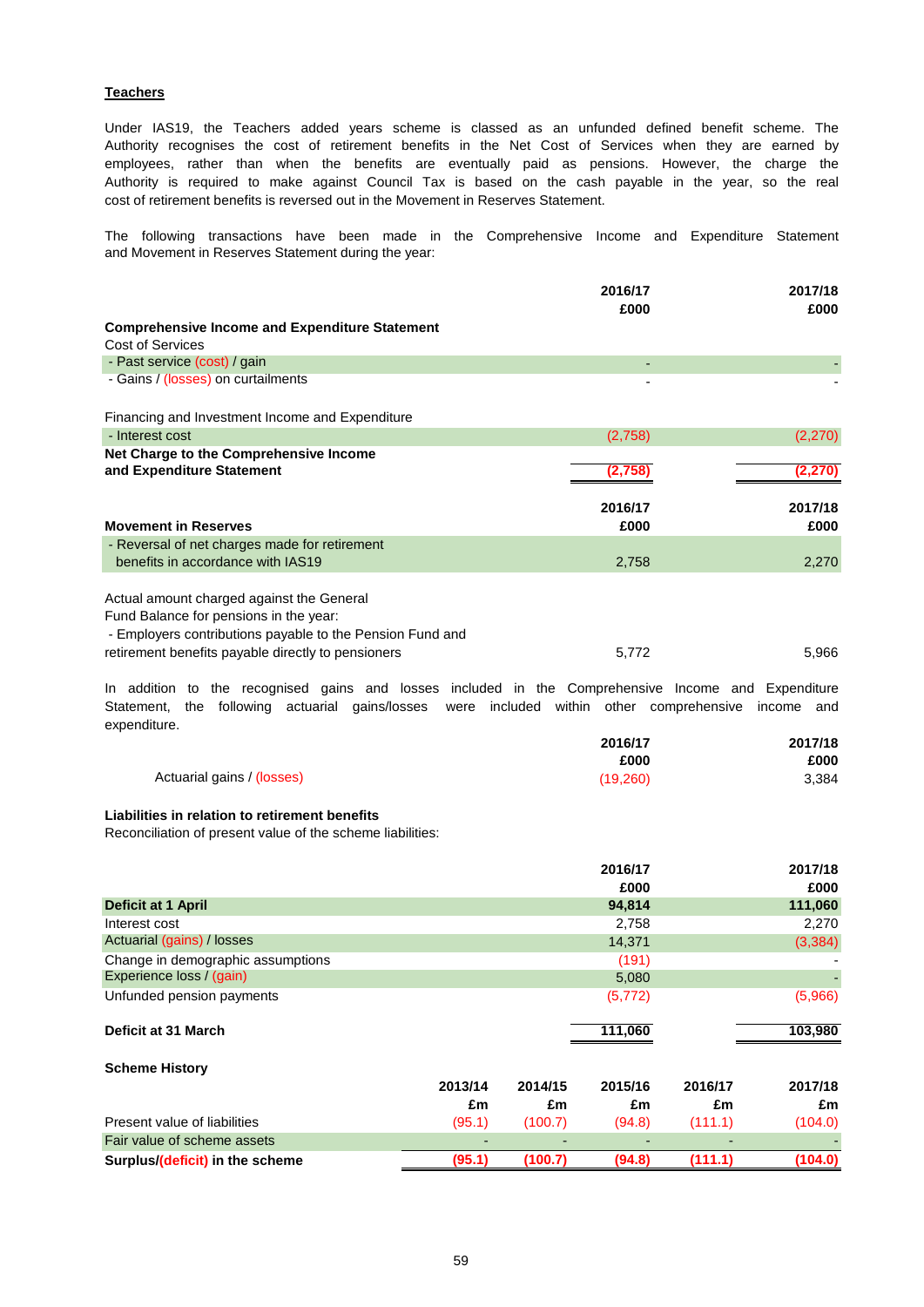## **Teachers**

cost of retirement benefits is reversed out in the Movement in Reserves Statement. employees, rather than when the benefits are eventually paid as pensions. However, the charge the Authority recognises the cost of retirement benefits in the Net Cost of Services when they are earned by Authority is required to make against Council Tax is based on the cash payable in the year, so the real Under IAS19, the Teachers added years scheme is classed as an unfunded defined benefit scheme. The

and Movement in Reserves Statement during the year: The following transactions have been made in the Comprehensive Income and Expenditure Statement

|                                                                                                                                                                           | 2016/17<br>£000                          | 2017/18<br>£000 |
|---------------------------------------------------------------------------------------------------------------------------------------------------------------------------|------------------------------------------|-----------------|
| <b>Comprehensive Income and Expenditure Statement</b>                                                                                                                     |                                          |                 |
| <b>Cost of Services</b>                                                                                                                                                   |                                          |                 |
| - Past service (cost) / gain                                                                                                                                              | ٠                                        |                 |
| - Gains / (losses) on curtailments                                                                                                                                        |                                          |                 |
| Financing and Investment Income and Expenditure                                                                                                                           |                                          |                 |
| - Interest cost                                                                                                                                                           | (2,758)                                  | (2,270)         |
| Net Charge to the Comprehensive Income<br>and Expenditure Statement                                                                                                       | (2,758)                                  | (2, 270)        |
| <b>Movement in Reserves</b>                                                                                                                                               | 2016/17<br>£000                          | 2017/18<br>£000 |
| - Reversal of net charges made for retirement                                                                                                                             |                                          |                 |
| benefits in accordance with IAS19                                                                                                                                         | 2,758                                    | 2,270           |
| Actual amount charged against the General<br>Fund Balance for pensions in the year:<br>- Employers contributions payable to the Pension Fund and                          |                                          |                 |
| retirement benefits payable directly to pensioners                                                                                                                        | 5,772                                    | 5,966           |
| In addition to the recognised gains and losses included in the Comprehensive Income and Expenditure<br>the following actuarial gains/losses<br>Statement,<br>expenditure. | were included within other comprehensive | income and      |
|                                                                                                                                                                           | 2016/17<br>£000                          | 2017/18<br>£000 |
| Actuarial gains / (losses)                                                                                                                                                | (19,260)                                 | 3,384           |
| Liabilities in relation to retirement benefits<br>Reconciliation of present value of the scheme liabilities:                                                              |                                          |                 |
|                                                                                                                                                                           | 2016/17                                  | 2017/18         |

|                                   |         |         | £000     |         | £000     |
|-----------------------------------|---------|---------|----------|---------|----------|
| <b>Deficit at 1 April</b>         |         |         | 94,814   |         | 111,060  |
| Interest cost                     |         |         | 2,758    |         | 2,270    |
| Actuarial (gains) / losses        |         |         | 14,371   |         | (3, 384) |
| Change in demographic assumptions |         |         | (191)    |         |          |
| Experience loss / (gain)          |         |         | 5,080    |         |          |
| Unfunded pension payments         |         |         | (5, 772) |         | (5,966)  |
| Deficit at 31 March               |         |         | 111,060  |         | 103,980  |
| <b>Scheme History</b>             |         |         |          |         |          |
|                                   | 2013/14 | 2014/15 | 2015/16  | 2016/17 | 2017/18  |
|                                   | £m      | £m      | £m       | £m      | £m       |
| Present value of liabilities      | (95.1)  | (100.7) | (94.8)   | (111.1) | (104.0)  |
| Fair value of scheme assets       |         |         |          |         |          |
| Surplus/(deficit) in the scheme   | (95.1)  | (100.7) | (94.8)   | (111.1) | (104.0)  |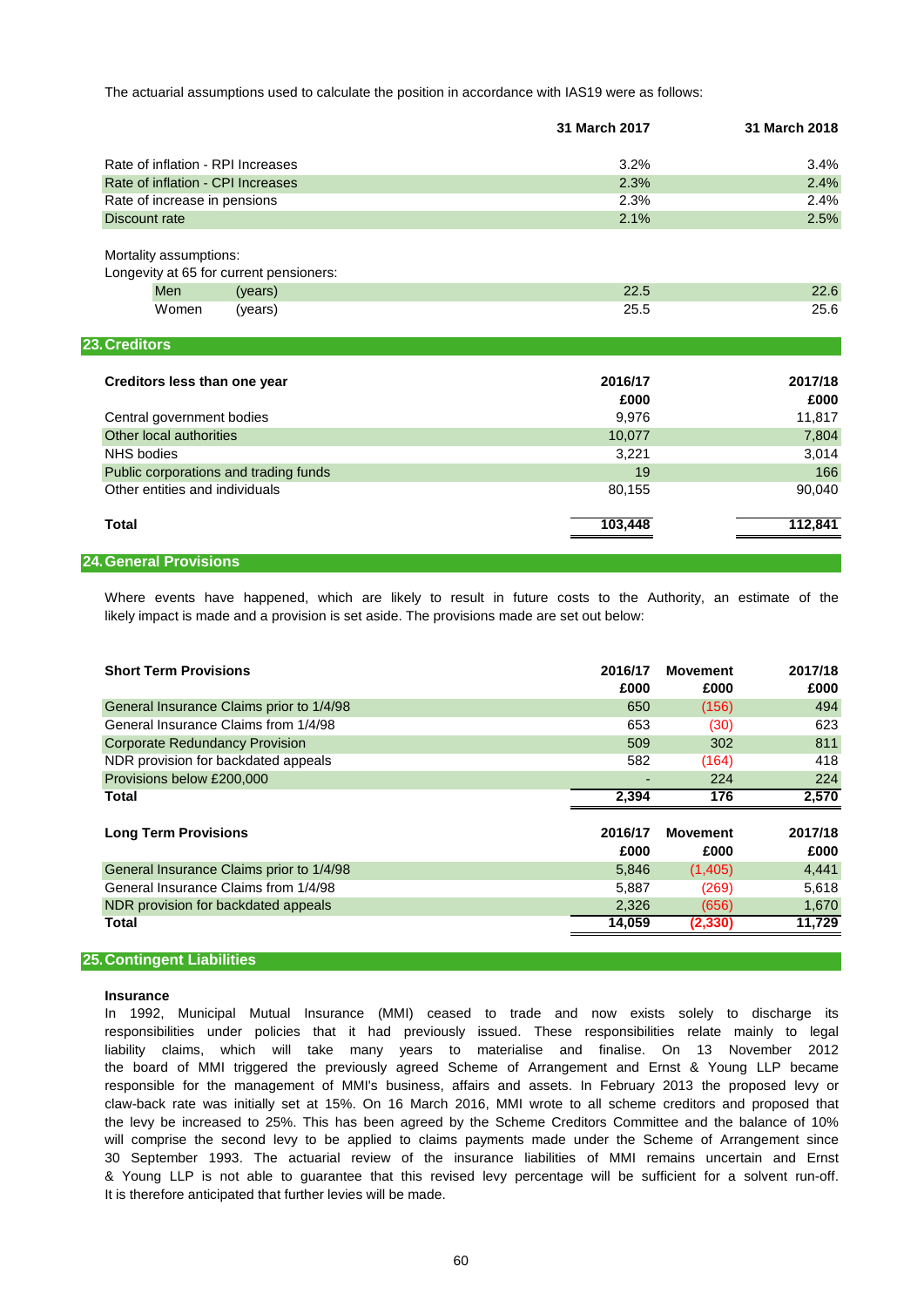The actuarial assumptions used to calculate the position in accordance with IAS19 were as follows:

|                                                                   | 31 March 2017 | 31 March 2018 |
|-------------------------------------------------------------------|---------------|---------------|
| Rate of inflation - RPI Increases                                 | 3.2%          | 3.4%          |
| Rate of inflation - CPI Increases                                 | 2.3%          | 2.4%          |
| Rate of increase in pensions                                      | 2.3%          | 2.4%          |
| Discount rate                                                     | 2.1%          | 2.5%          |
| Mortality assumptions:<br>Longevity at 65 for current pensioners: |               |               |
| Men<br>(years)                                                    | 22.5          | 22.6          |
| Women<br>(years)                                                  | 25.5          | 25.6          |
| 23. Creditors                                                     |               |               |
| Creditors less than one year                                      | 2016/17       | 2017/18       |
|                                                                   | £000          | £000          |
| Central government bodies                                         | 9,976         | 11,817        |
| Other local authorities                                           | 10,077        | 7,804         |
| <b>NHS</b> bodies                                                 | 3,221         | 3,014         |
| Public corporations and trading funds                             | 19            | 166           |
| Other entities and individuals                                    | 80,155        | 90,040        |
| <b>Total</b>                                                      | 103,448       | 112,841       |
| <b>24. General Provisions</b>                                     |               |               |

likely impact is made and a provision is set aside. The provisions made are set out below: Where events have happened, which are likely to result in future costs to the Authority, an estimate of the

| <b>Short Term Provisions</b>             | 2016/17 | <b>Movement</b> | 2017/18 |
|------------------------------------------|---------|-----------------|---------|
|                                          | £000    | £000            | £000    |
| General Insurance Claims prior to 1/4/98 | 650     | (156)           | 494     |
| General Insurance Claims from 1/4/98     | 653     | (30)            | 623     |
| <b>Corporate Redundancy Provision</b>    | 509     | 302             | 811     |
| NDR provision for backdated appeals      | 582     | (164)           | 418     |
| Provisions below £200,000                |         | 224             | 224     |
| Total                                    | 2,394   | 176             | 2,570   |
|                                          |         |                 |         |
| <b>Long Term Provisions</b>              | 2016/17 | <b>Movement</b> | 2017/18 |
|                                          | £000    | £000            | £000    |
| General Insurance Claims prior to 1/4/98 | 5,846   | (1,405)         | 4,441   |
| General Insurance Claims from 1/4/98     | 5,887   | (269)           | 5,618   |
| NDR provision for backdated appeals      | 2,326   | (656)           | 1,670   |
| Total                                    | 14,059  | (2, 330)        | 11,729  |
|                                          |         |                 |         |

### **25.Contingent Liabilities**

### **Insurance**

the board of MMI triggered the previously agreed Scheme of Arrangement and Ernst & Young LLP became It is therefore anticipated that further levies will be made. responsibilities under policies that it had previously issued. These responsibilities relate mainly to legal 30 September 1993. The actuarial review of the insurance liabilities of MMI remains uncertain and Ernst liability claims, which will take many years to materialise and finalise. On 13 November 2012 responsible for the management of MMI's business, affairs and assets. In February 2013 the proposed levy or In 1992, Municipal Mutual Insurance (MMI) ceased to trade and now exists solely to discharge its & Young LLP is not able to guarantee that this revised levy percentage will be sufficient for a solvent run-off. claw-back rate was initially set at 15%. On 16 March 2016, MMI wrote to all scheme creditors and proposed that will comprise the second levy to be applied to claims payments made under the Scheme of Arrangement since the levy be increased to 25%. This has been agreed by the Scheme Creditors Committee and the balance of 10%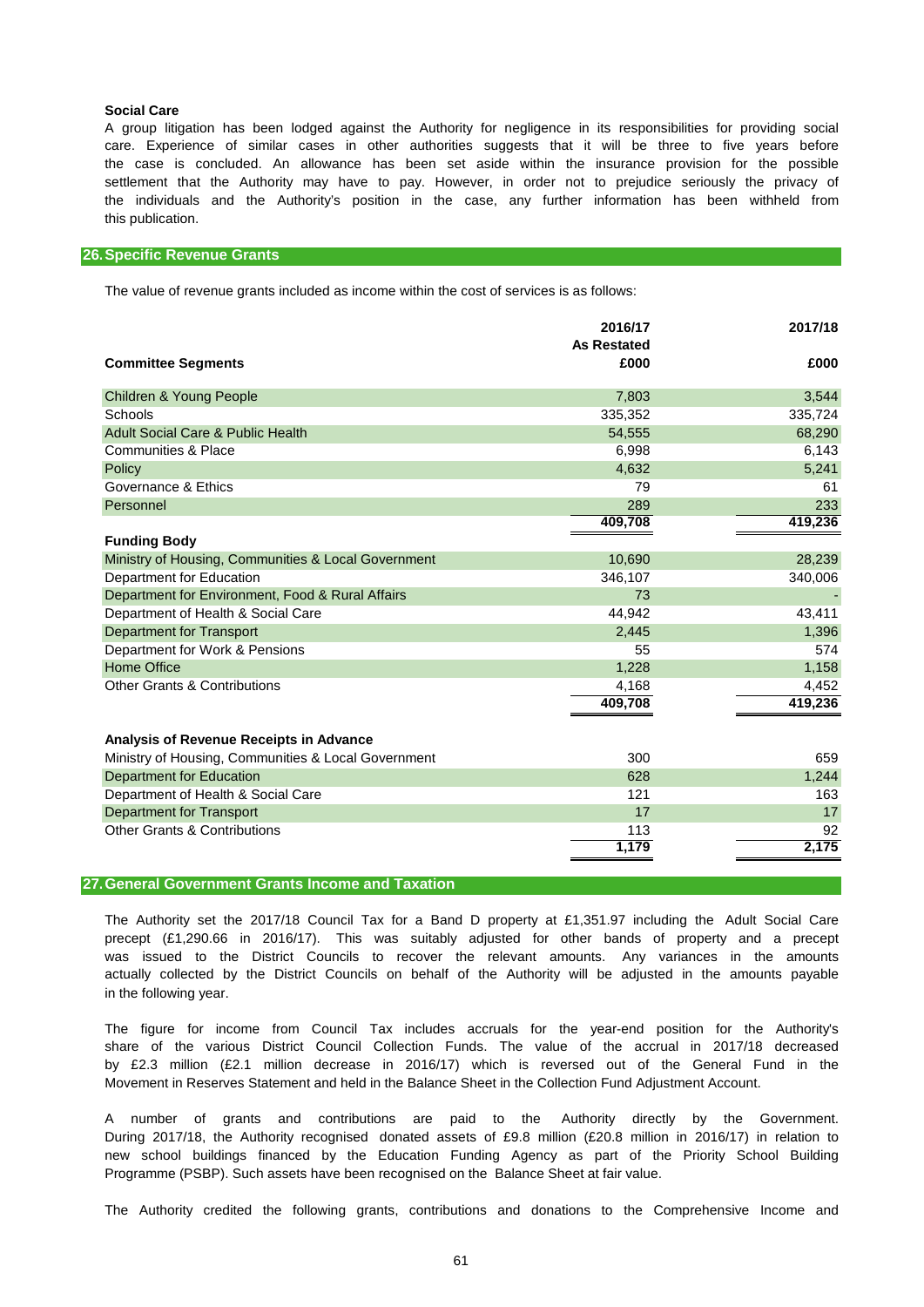### **Social Care**

this publication. A group litigation has been lodged against the Authority for negligence in its responsibilities for providing social the case is concluded. An allowance has been set aside within the insurance provision for the possible settlement that the Authority may have to pay. However, in order not to prejudice seriously the privacy of the individuals and the Authority's position in the case, any further information has been withheld from care. Experience of similar cases in other authorities suggests that it will be three to five years before

### **26.Specific Revenue Grants**

The value of revenue grants included as income within the cost of services is as follows:

|                                                     | 2016/17<br><b>As Restated</b> | 2017/18 |
|-----------------------------------------------------|-------------------------------|---------|
| <b>Committee Segments</b>                           | £000                          | £000    |
| <b>Children &amp; Young People</b>                  | 7,803                         | 3,544   |
| Schools                                             | 335,352                       | 335,724 |
| <b>Adult Social Care &amp; Public Health</b>        | 54,555                        | 68,290  |
| <b>Communities &amp; Place</b>                      | 6,998                         | 6,143   |
| Policy                                              | 4,632                         | 5,241   |
| Governance & Ethics                                 | 79                            | 61      |
| Personnel                                           | 289                           | 233     |
|                                                     | 409,708                       | 419,236 |
| <b>Funding Body</b>                                 |                               |         |
| Ministry of Housing, Communities & Local Government | 10,690                        | 28,239  |
| Department for Education                            | 346,107                       | 340,006 |
| Department for Environment, Food & Rural Affairs    | 73                            |         |
| Department of Health & Social Care                  | 44,942                        | 43,411  |
| <b>Department for Transport</b>                     | 2,445                         | 1,396   |
| Department for Work & Pensions                      | 55                            | 574     |
| <b>Home Office</b>                                  | 1,228                         | 1,158   |
| <b>Other Grants &amp; Contributions</b>             | 4,168                         | 4,452   |
|                                                     | 409,708                       | 419,236 |
| Analysis of Revenue Receipts in Advance             |                               |         |
| Ministry of Housing, Communities & Local Government | 300                           | 659     |
| <b>Department for Education</b>                     | 628                           | 1,244   |
| Department of Health & Social Care                  | 121                           | 163     |
| <b>Department for Transport</b>                     | 17                            | 17      |
| <b>Other Grants &amp; Contributions</b>             | 113                           | 92      |
|                                                     | 1,179                         | 2,175   |
|                                                     |                               |         |

### **27.General Government Grants Income and Taxation**

The Authority set the 2017/18 Council Tax for a Band D property at £1,351.97 including the Adult Social Care actually collected by the District Councils on behalf of the Authority will be adjusted in the amounts payable in the following year. was issued to the District Councils to recover the relevant amounts. Any variances in the amounts precept (£1,290.66 in 2016/17). This was suitably adjusted for other bands of property and a precept

Movement in Reserves Statement and held in the Balance Sheet in the Collection Fund Adjustment Account. by £2.3 million (£2.1 million decrease in 2016/17) which is reversed out of the General Fund in the share of the various District Council Collection Funds. The value of the accrual in 2017/18 decreased The figure for income from Council Tax includes accruals for the year-end position for the Authority's

A number of grants and contributions are paid to the Authority directly by the Government. Programme (PSBP). Such assets have been recognised on the Balance Sheet at fair value. During 2017/18, the Authority recognised donated assets of £9.8 million (£20.8 million in 2016/17) in relation to new school buildings financed by the Education Funding Agency as part of the Priority School Building

The Authority credited the following grants, contributions and donations to the Comprehensive Income and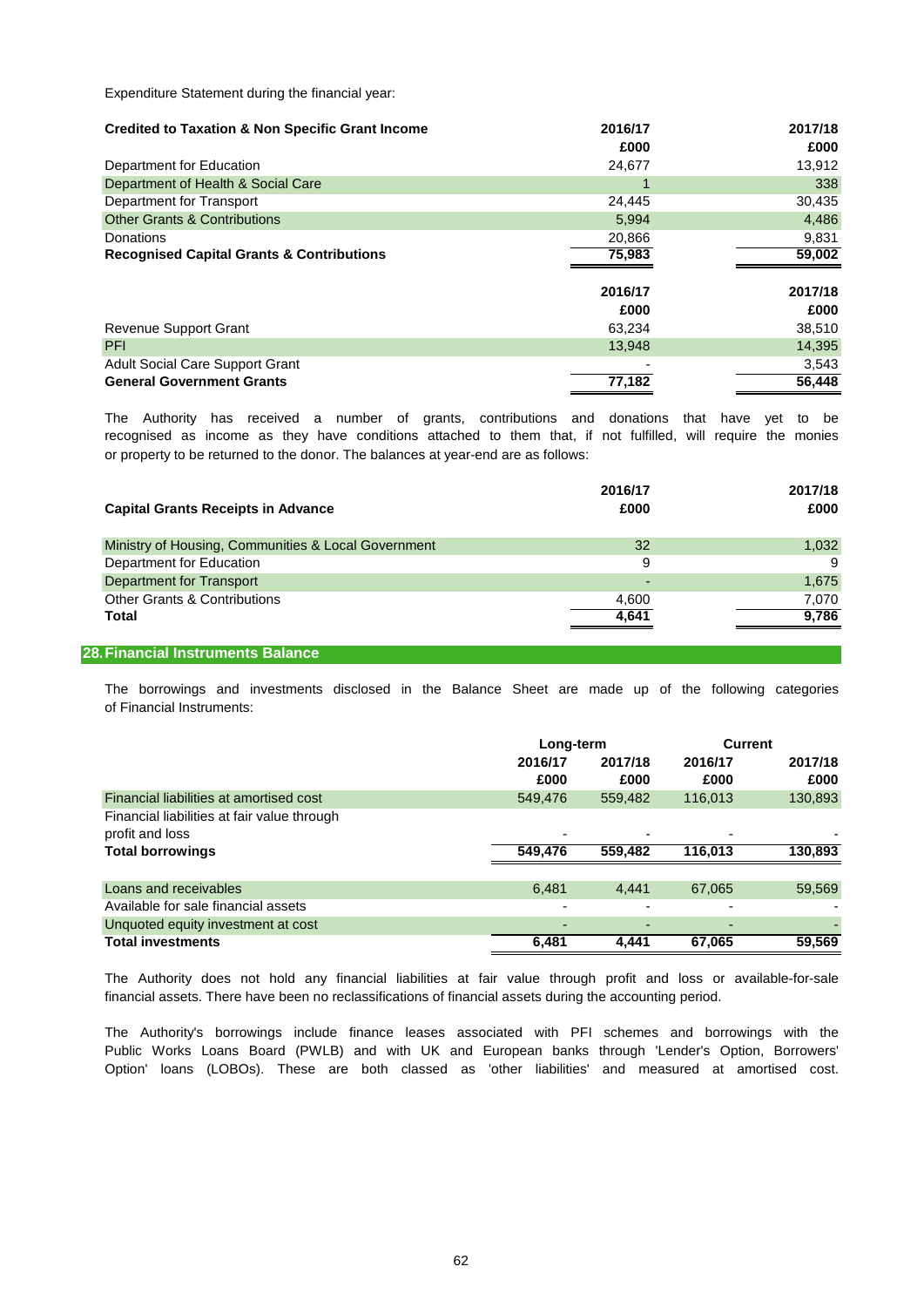Expenditure Statement during the financial year:

| <b>Credited to Taxation &amp; Non Specific Grant Income</b> | 2016/17 | 2017/18 |
|-------------------------------------------------------------|---------|---------|
|                                                             | £000    | £000    |
| Department for Education                                    | 24.677  | 13,912  |
| Department of Health & Social Care                          |         | 338     |
| Department for Transport                                    | 24,445  | 30,435  |
| <b>Other Grants &amp; Contributions</b>                     | 5.994   | 4,486   |
| Donations                                                   | 20,866  | 9,831   |
| <b>Recognised Capital Grants &amp; Contributions</b>        | 75,983  | 59,002  |
|                                                             |         |         |
|                                                             | 2016/17 | 2017/18 |
|                                                             | £000    | £000    |
| Revenue Support Grant                                       | 63.234  | 38,510  |
| <b>PFI</b>                                                  | 13,948  | 14,395  |
| <b>Adult Social Care Support Grant</b>                      |         | 3,543   |
| <b>General Government Grants</b>                            | 77,182  | 56.448  |

or property to be returned to the donor. The balances at year-end are as follows: The Authority has received a number of grants, contributions and donations that have yet to be recognised as income as they have conditions attached to them that, if not fulfilled, will require the monies

| <b>Capital Grants Receipts in Advance</b>           | 2016/17<br>£000 | 2017/18<br>£000 |
|-----------------------------------------------------|-----------------|-----------------|
| Ministry of Housing, Communities & Local Government | 32              | 1,032           |
| Department for Education                            | 9               | 9               |
| Department for Transport                            |                 | 1.675           |
| <b>Other Grants &amp; Contributions</b>             | 4,600           | 7.070           |
| Total                                               | 4.641           | 9,786           |
|                                                     |                 |                 |

## **28.Financial Instruments Balance**

of Financial Instruments: The borrowings and investments disclosed in the Balance Sheet are made up of the following categories

|                                             |         | Long-term |                | <b>Current</b> |
|---------------------------------------------|---------|-----------|----------------|----------------|
|                                             | 2016/17 | 2017/18   | 2016/17        | 2017/18        |
|                                             | £000    | £000      | £000           | £000           |
| Financial liabilities at amortised cost     | 549,476 | 559,482   | 116,013        | 130,893        |
| Financial liabilities at fair value through |         |           |                |                |
| profit and loss                             |         |           |                |                |
| <b>Total borrowings</b>                     | 549,476 | 559,482   | 116,013        | 130,893        |
|                                             |         |           |                |                |
| Loans and receivables                       | 6,481   | 4.441     | 67.065         | 59,569         |
| Available for sale financial assets         |         |           |                |                |
| Unquoted equity investment at cost          |         |           | $\overline{a}$ |                |
| <b>Total investments</b>                    | 6.481   | 4.441     | 67.065         | 59.569         |

financial assets. There have been no reclassifications of financial assets during the accounting period. The Authority does not hold any financial liabilities at fair value through profit and loss or available-for-sale

Public Works Loans Board (PWLB) and with UK and European banks through 'Lender's Option, Borrowers' Option' loans (LOBOs). These are both classed as 'other liabilities' and measured at amortised cost. The Authority's borrowings include finance leases associated with PFI schemes and borrowings with the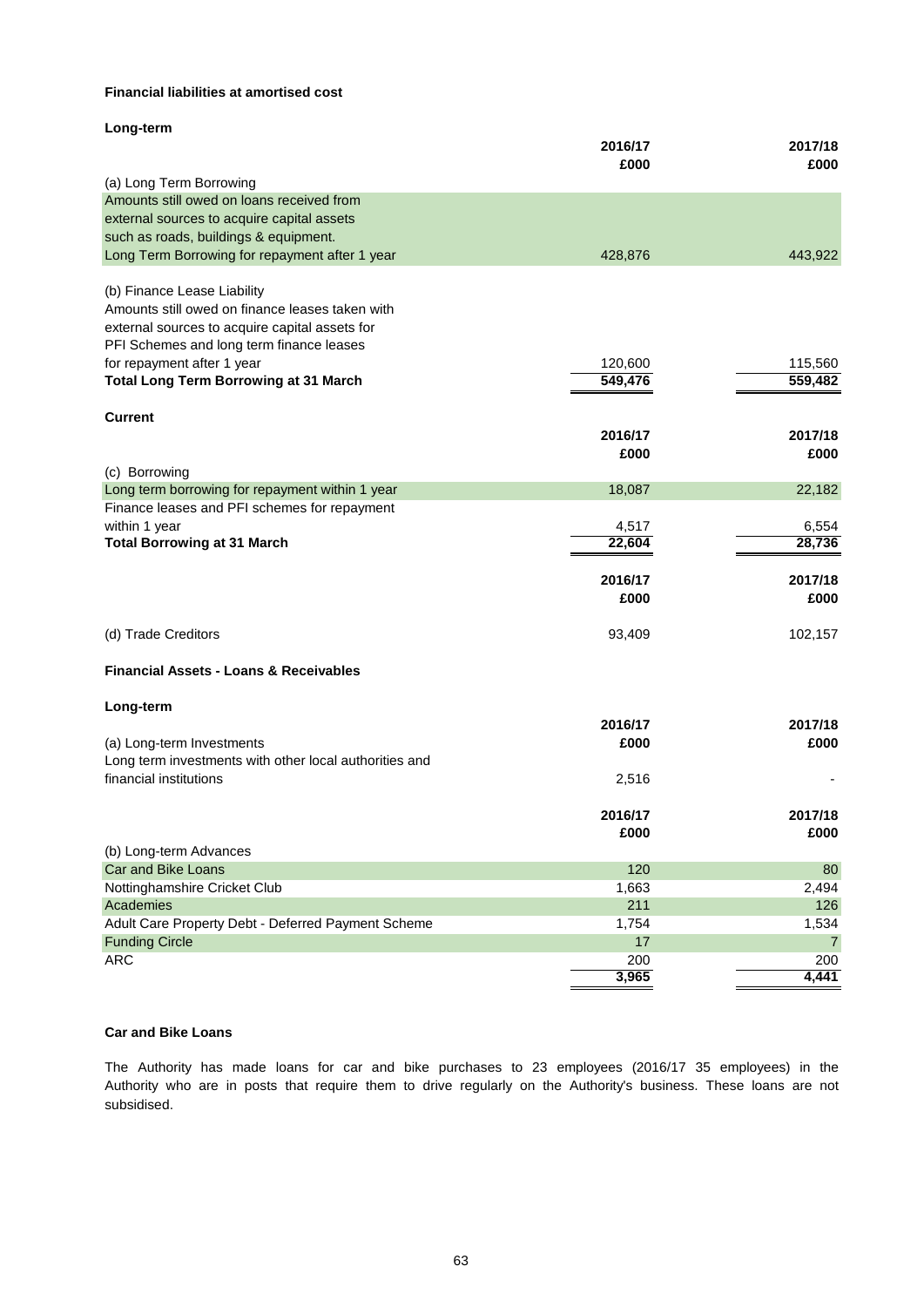## **Financial liabilities at amortised cost**

|                                                        | 2016/17      | 2017/18      |
|--------------------------------------------------------|--------------|--------------|
|                                                        | £000         | £000         |
| (a) Long Term Borrowing                                |              |              |
| Amounts still owed on loans received from              |              |              |
| external sources to acquire capital assets             |              |              |
| such as roads, buildings & equipment.                  |              |              |
| Long Term Borrowing for repayment after 1 year         | 428,876      | 443,922      |
| (b) Finance Lease Liability                            |              |              |
| Amounts still owed on finance leases taken with        |              |              |
| external sources to acquire capital assets for         |              |              |
| PFI Schemes and long term finance leases               |              |              |
| for repayment after 1 year                             | 120,600      | 115,560      |
| <b>Total Long Term Borrowing at 31 March</b>           | 549,476      | 559,482      |
|                                                        |              |              |
| <b>Current</b>                                         |              |              |
|                                                        | 2016/17      | 2017/18      |
|                                                        | £000         | £000         |
| (c) Borrowing                                          |              |              |
| Long term borrowing for repayment within 1 year        | 18,087       | 22,182       |
| Finance leases and PFI schemes for repayment           |              |              |
| within 1 year                                          | 4,517        | 6,554        |
| <b>Total Borrowing at 31 March</b>                     | 22,604       | 28,736       |
|                                                        |              |              |
|                                                        |              |              |
|                                                        | 2016/17      | 2017/18      |
|                                                        | £000         | £000         |
|                                                        |              |              |
| (d) Trade Creditors                                    | 93,409       | 102,157      |
| <b>Financial Assets - Loans &amp; Receivables</b>      |              |              |
|                                                        |              |              |
| Long-term                                              |              |              |
|                                                        | 2016/17      | 2017/18      |
| (a) Long-term Investments                              | £000         | £000         |
| Long term investments with other local authorities and |              |              |
| financial institutions                                 | 2,516        |              |
|                                                        | 2016/17      | 2017/18      |
|                                                        | £000         | £000         |
| (b) Long-term Advances                                 |              |              |
| Car and Bike Loans                                     | 120          | 80           |
| Nottinghamshire Cricket Club                           | 1,663        | 2,494        |
| Academies                                              | 211          | 126          |
| Adult Care Property Debt - Deferred Payment Scheme     | 1,754        | 1,534        |
| <b>Funding Circle</b>                                  | 17           | 7            |
| <b>ARC</b>                                             | 200<br>3,965 | 200<br>4,441 |

## **Car and Bike Loans**

subsidised. The Authority has made loans for car and bike purchases to 23 employees (2016/17 35 employees) in the Authority who are in posts that require them to drive regularly on the Authority's business. These loans are not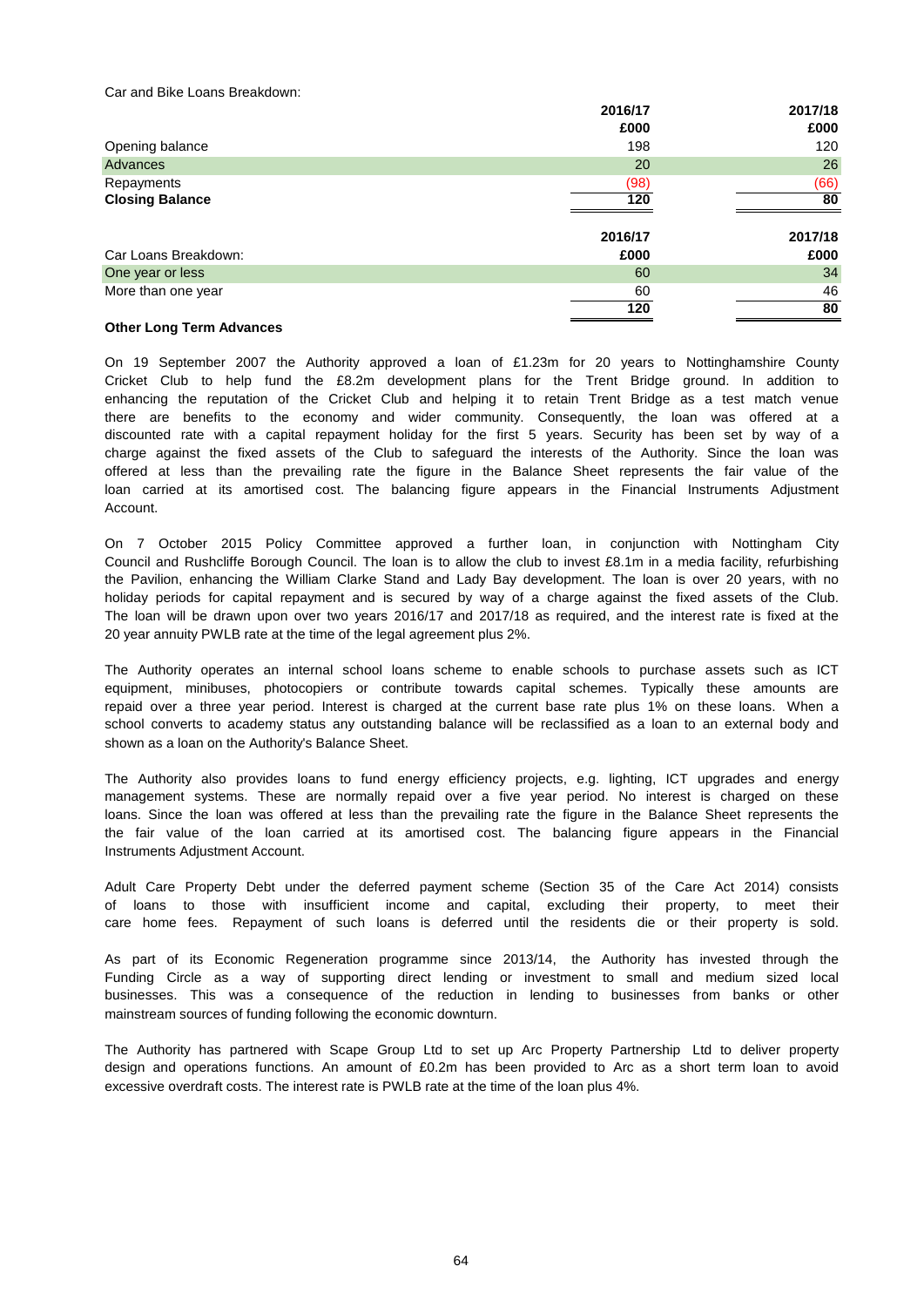Car and Bike Loans Breakdown:

| 2016/17 | 2017/18    |
|---------|------------|
| £000    | £000       |
| 198     | 120        |
| 20      | 26         |
| (98)    | (66)       |
|         | 80         |
|         |            |
| 2016/17 | 2017/18    |
| £000    | £000       |
| 60      | 34         |
| 60      | 46         |
|         | 80         |
|         | 120<br>120 |

## **Other Long Term Advances**

Account. charge against the fixed assets of the Club to safeguard the interests of the Authority. Since the loan was On 19 September 2007 the Authority approved a loan of £1.23m for 20 years to Nottinghamshire County loan carried at its amortised cost. The balancing figure appears in the Financial Instruments Adjustment there are benefits to the economy and wider community. Consequently, the loan was offered at a offered at less than the prevailing rate the figure in the Balance Sheet represents the fair value of the enhancing the reputation of the Cricket Club and helping it to retain Trent Bridge as a test match venue Cricket Club to help fund the £8.2m development plans for the Trent Bridge ground. In addition to discounted rate with a capital repayment holiday for the first 5 years. Security has been set by way of a

On 7 October 2015 Policy Committee approved a further loan, in conjunction with Nottingham City holiday periods for capital repayment and is secured by way of a charge against the fixed assets of the Club. The loan will be drawn upon over two years 2016/17 and 2017/18 as required, and the interest rate is fixed at the 20 year annuity PWLB rate at the time of the legal agreement plus 2%. Council and Rushcliffe Borough Council. The loan is to allow the club to invest £8.1m in a media facility, refurbishing the Pavilion, enhancing the William Clarke Stand and Lady Bay development. The loan is over 20 years, with no

shown as a loan on the Authority's Balance Sheet. school converts to academy status any outstanding balance will be reclassified as a loan to an external body and repaid over a three year period. Interest is charged at the current base rate plus 1% on these loans. When a equipment, minibuses, photocopiers or contribute towards capital schemes. Typically these amounts are The Authority operates an internal school loans scheme to enable schools to purchase assets such as ICT

Instruments Adjustment Account. management systems. These are normally repaid over a five year period. No interest is charged on these the fair value of the loan carried at its amortised cost. The balancing figure appears in the Financial The Authority also provides loans to fund energy efficiency projects, e.g. lighting, ICT upgrades and energy loans. Since the loan was offered at less than the prevailing rate the figure in the Balance Sheet represents the

of loans to those with insufficient income and capital, excluding their property, to meet their care home fees. Repayment of such loans is deferred until the residents die or their property is sold. Adult Care Property Debt under the deferred payment scheme (Section 35 of the Care Act 2014) consists

mainstream sources of funding following the economic downturn. Funding Circle as a way of supporting direct lending or investment to small and medium sized local businesses. This was a consequence of the reduction in lending to businesses from banks or other As part of its Economic Regeneration programme since 2013/14, the Authority has invested through the

The Authority has partnered with Scape Group Ltd to set up Arc Property Partnership Ltd to deliver property design and operations functions. An amount of £0.2m has been provided to Arc as a short term loan to avoid excessive overdraft costs. The interest rate is PWLB rate at the time of the loan plus 4%.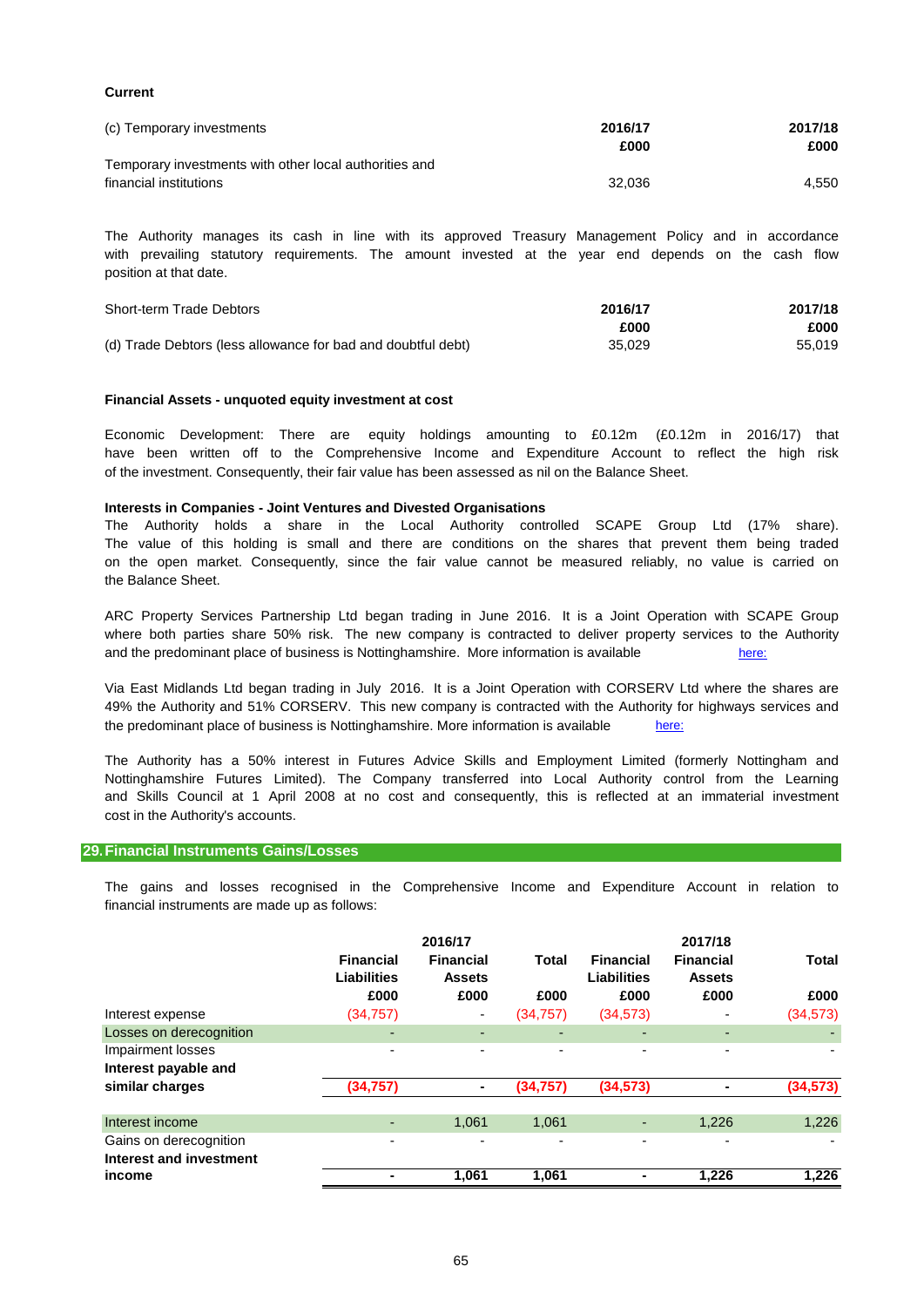## **Current**

| (c) Temporary investments                              | 2016/17 | 2017/18 |
|--------------------------------------------------------|---------|---------|
|                                                        | £000    | £000    |
| Temporary investments with other local authorities and |         |         |
| financial institutions                                 | 32.036  | 4.550   |

position at that date. The Authority manages its cash in line with its approved Treasury Management Policy and in accordance with prevailing statutory requirements. The amount invested at the year end depends on the cash flow

| <b>Short-term Trade Debtors</b>                              | 2016/17 | 2017/18 |
|--------------------------------------------------------------|---------|---------|
|                                                              | £000    | £000    |
| (d) Trade Debtors (less allowance for bad and doubtful debt) | 35.029  | 55.019  |

### **Financial Assets - unquoted equity investment at cost**

of the investment. Consequently, their fair value has been assessed as nil on the Balance Sheet. Economic Development: There are equity holdings amounting to £0.12m (£0.12m in 2016/17) that have been written off to the Comprehensive Income and Expenditure Account to reflect the high risk

## **Interests in Companies - Joint Ventures and Divested Organisations**

the Balance Sheet. The value of this holding is small and there are conditions on the shares that prevent them being traded The Authority holds a share in the Local Authority controlled SCAPE Group Ltd (17% share). on the open market. Consequently, since the fair value cannot be measured reliably, no value is carried on

and the predominant place of business is Nottinghamshire. More information is available [here:](https://www.arc-partnership.co.uk/) where both parties share 50% risk. The new company is contracted to deliver property services to the Authority ARC Property Services Partnership Ltd began trading in June 2016. It is a Joint Operation with SCAPE Group

the predominant place of business is Nottinghamshire. More information is available [here:](https://www.viaem.co.uk/) Via East Midlands Ltd began trading in July 2016. It is a Joint Operation with CORSERV Ltd where the shares are 49% the Authority and 51% CORSERV. This new company is contracted with the Authority for highways services and

The Authority has a 50% interest in Futures Advice Skills and Employment Limited (formerly Nottingham and Nottinghamshire Futures Limited). The Company transferred into Local Authority control from the Learning and Skills Council at 1 April 2008 at no cost and consequently, this is reflected at an immaterial investment cost in the Authority's accounts.

### **29.Financial Instruments Gains/Losses**

financial instruments are made up as follows: The gains and losses recognised in the Comprehensive Income and Expenditure Account in relation to

|                                                   | <b>Financial</b><br><b>Liabilities</b><br>£000 | 2016/17<br><b>Financial</b><br><b>Assets</b><br>£000 | Total<br>£000 | <b>Financial</b><br><b>Liabilities</b><br>£000 | 2017/18<br><b>Financial</b><br><b>Assets</b><br>£000 | <b>Total</b><br>£000 |
|---------------------------------------------------|------------------------------------------------|------------------------------------------------------|---------------|------------------------------------------------|------------------------------------------------------|----------------------|
| Interest expense                                  | (34, 757)                                      | ٠                                                    | (34, 757)     | (34, 573)                                      |                                                      | (34, 573)            |
| Losses on derecognition                           | -                                              | ٠                                                    | ٠             |                                                |                                                      |                      |
| Impairment losses<br>Interest payable and         | ٠                                              | ٠                                                    | ٠             | -                                              | -                                                    |                      |
| similar charges                                   | (34, 757)                                      | ٠                                                    | (34, 757)     | (34, 573)                                      |                                                      | (34, 573)            |
| Interest income                                   | -                                              | 1,061                                                | 1,061         |                                                | 1,226                                                | 1,226                |
| Gains on derecognition<br>Interest and investment | -                                              | $\overline{\phantom{0}}$                             | ٠             |                                                |                                                      |                      |
| income                                            |                                                | 1,061                                                | 1,061         |                                                | 1.226                                                | 1.226                |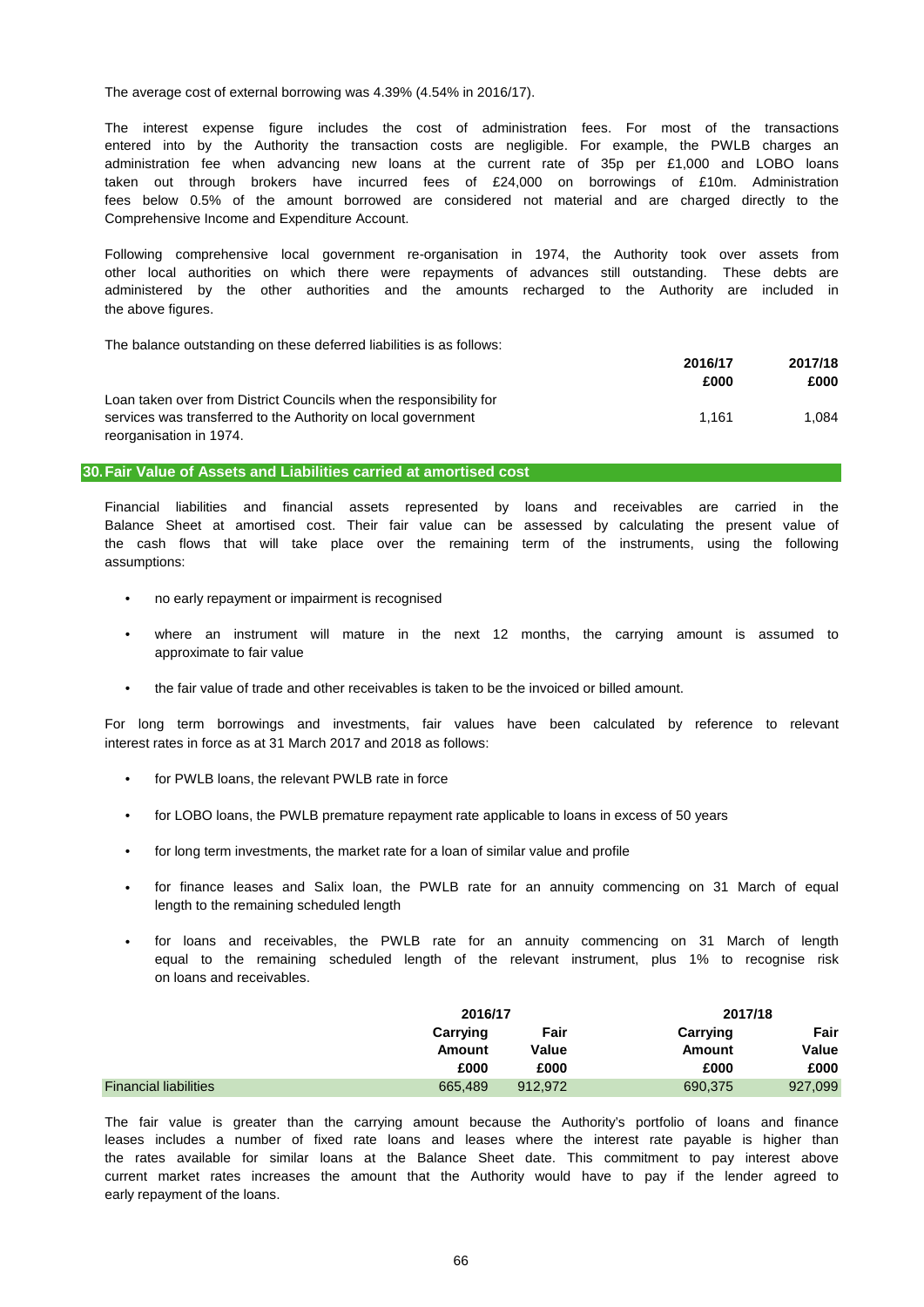The average cost of external borrowing was 4.39% (4.54% in 2016/17).

Comprehensive Income and Expenditure Account. taken out through brokers have incurred fees of £24,000 on borrowings of £10m. Administration entered into by the Authority the transaction costs are negligible. For example, the PWLB charges an fees below 0.5% of the amount borrowed are considered not material and are charged directly to the administration fee when advancing new loans at the current rate of 35p per £1,000 and LOBO loans The interest expense figure includes the cost of administration fees. For most of the transactions

the above figures. Following comprehensive local government re-organisation in 1974, the Authority took over assets from other local authorities on which there were repayments of advances still outstanding. These debts are administered by the other authorities and the amounts recharged to the Authority are included in

The balance outstanding on these deferred liabilities is as follows:

|                                                                    | 2016/17 | 2017/18 |
|--------------------------------------------------------------------|---------|---------|
|                                                                    | £000    | £000    |
| Loan taken over from District Councils when the responsibility for |         |         |
| services was transferred to the Authority on local government      | 1.161   | 1.084   |
| reorganisation in 1974.                                            |         |         |

### **30.Fair Value of Assets and Liabilities carried at amortised cost**

assumptions: the cash flows that will take place over the remaining term of the instruments, using the following Financial liabilities and financial assets represented by loans and receivables are carried in the Balance Sheet at amortised cost. Their fair value can be assessed by calculating the present value of

- no early repayment or impairment is recognised
- approximate to fair value where an instrument will mature in the next 12 months, the carrying amount is assumed to
- the fair value of trade and other receivables is taken to be the invoiced or billed amount.

interest rates in force as at 31 March 2017 and 2018 as follows: For long term borrowings and investments, fair values have been calculated by reference to relevant

- for PWLB loans, the relevant PWLB rate in force
- for LOBO loans, the PWLB premature repayment rate applicable to loans in excess of 50 years
- for long term investments, the market rate for a loan of similar value and profile
- length to the remaining scheduled length for finance leases and Salix loan, the PWLB rate for an annuity commencing on 31 March of equal
- on loans and receivables. for loans and receivables, the PWLB rate for an annuity commencing on 31 March of length equal to the remaining scheduled length of the relevant instrument, plus 1% to recognise risk

|                              | 2016/17  |         |          | 2017/18 |
|------------------------------|----------|---------|----------|---------|
|                              | Carrying | Fair    | Carrying | Fair    |
|                              | Amount   | Value   | Amount   | Value   |
|                              | £000     | £000    | £000     | £000    |
| <b>Financial liabilities</b> | 665,489  | 912.972 | 690,375  | 927,099 |

early repayment of the loans. leases includes a number of fixed rate loans and leases where the interest rate payable is higher than The fair value is greater than the carrying amount because the Authority's portfolio of loans and finance the rates available for similar loans at the Balance Sheet date. This commitment to pay interest above current market rates increases the amount that the Authority would have to pay if the lender agreed to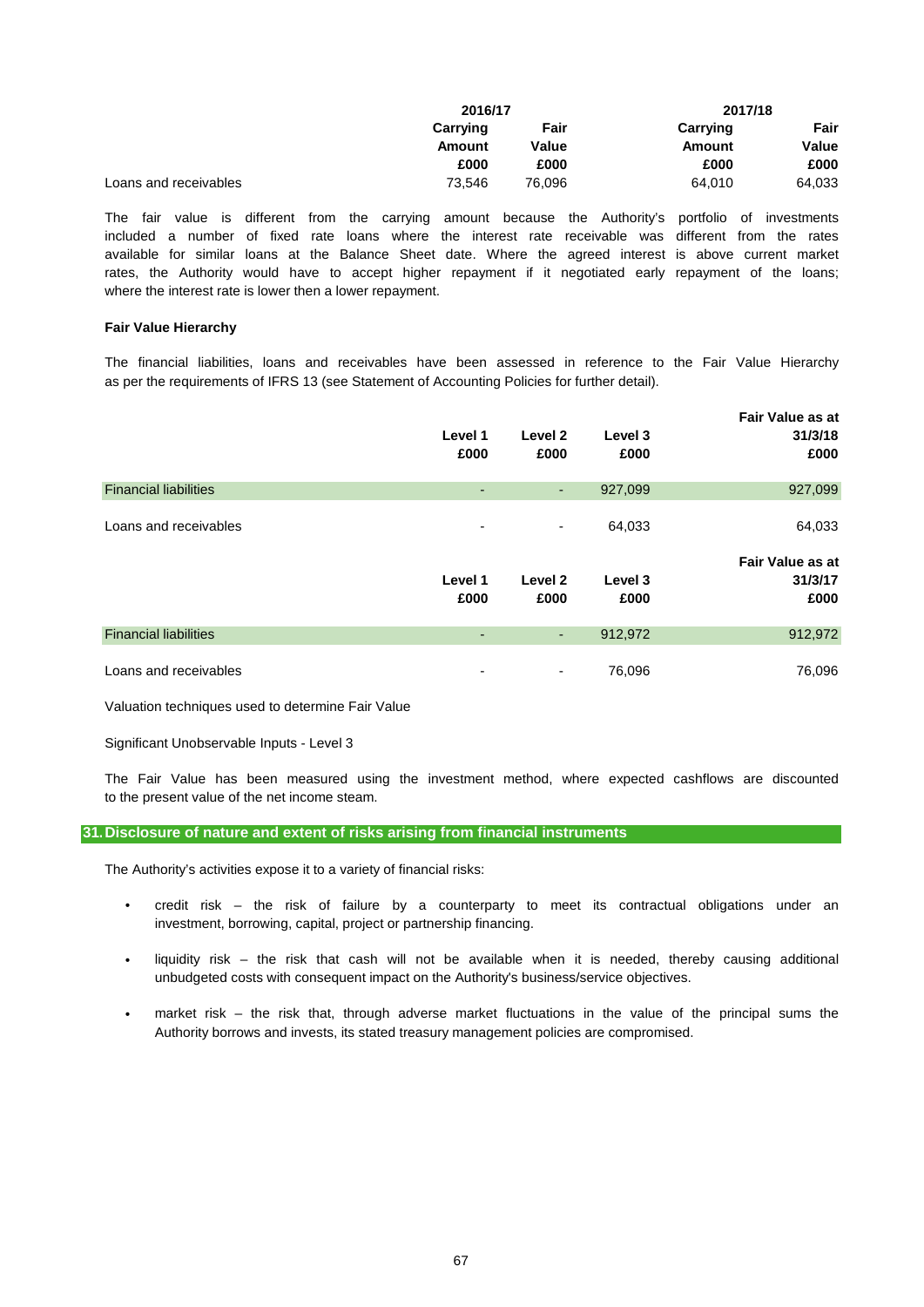|                       | 2016/17  |        | 2017/18  |        |
|-----------------------|----------|--------|----------|--------|
|                       | Carrying | Fair   | Carrying | Fair   |
|                       | Amount   | Value  | Amount   | Value  |
|                       | £000     | £000   | £000     | £000   |
| Loans and receivables | 73.546   | 76.096 | 64.010   | 64,033 |

where the interest rate is lower then a lower repayment. included a number of fixed rate loans where the interest rate receivable was different from the rates The fair value is different from the carrying amount because the Authority's portfolio of investments rates, the Authority would have to accept higher repayment if it negotiated early repayment of the loans; available for similar loans at the Balance Sheet date. Where the agreed interest is above current market

### **Fair Value Hierarchy**

as per the requirements of IFRS 13 (see Statement of Accounting Policies for further detail). The financial liabilities, loans and receivables have been assessed in reference to the Fair Value Hierarchy

|                              | Level 1<br>£000 | Level 2<br>£000 | Level 3<br>£000 | <b>Fair Value as at</b><br>31/3/18<br>£000 |
|------------------------------|-----------------|-----------------|-----------------|--------------------------------------------|
| <b>Financial liabilities</b> | ٠               | ٠               | 927,099         | 927,099                                    |
| Loans and receivables        | ٠               | ٠               | 64,033          | 64,033                                     |
|                              | Level 1<br>£000 | Level 2<br>£000 | Level 3<br>£000 | <b>Fair Value as at</b><br>31/3/17<br>£000 |
| <b>Financial liabilities</b> | ٠               | ٠               | 912,972         | 912,972                                    |
| Loans and receivables        | ۰               | ٠               | 76,096          | 76,096                                     |

Valuation techniques used to determine Fair Value

Significant Unobservable Inputs - Level 3

to the present value of the net income steam. The Fair Value has been measured using the investment method, where expected cashflows are discounted

### **31.Disclosure of nature and extent of risks arising from financial instruments**

The Authority's activities expose it to a variety of financial risks:

- investment, borrowing, capital, project or partnership financing. credit risk – the risk of failure by a counterparty to meet its contractual obligations under an
- liquidity risk – the risk that cash will not be available when it is needed, thereby causing additional unbudgeted costs with consequent impact on the Authority's business/service objectives.
- market risk – the risk that, through adverse market fluctuations in the value of the principal sums the Authority borrows and invests, its stated treasury management policies are compromised.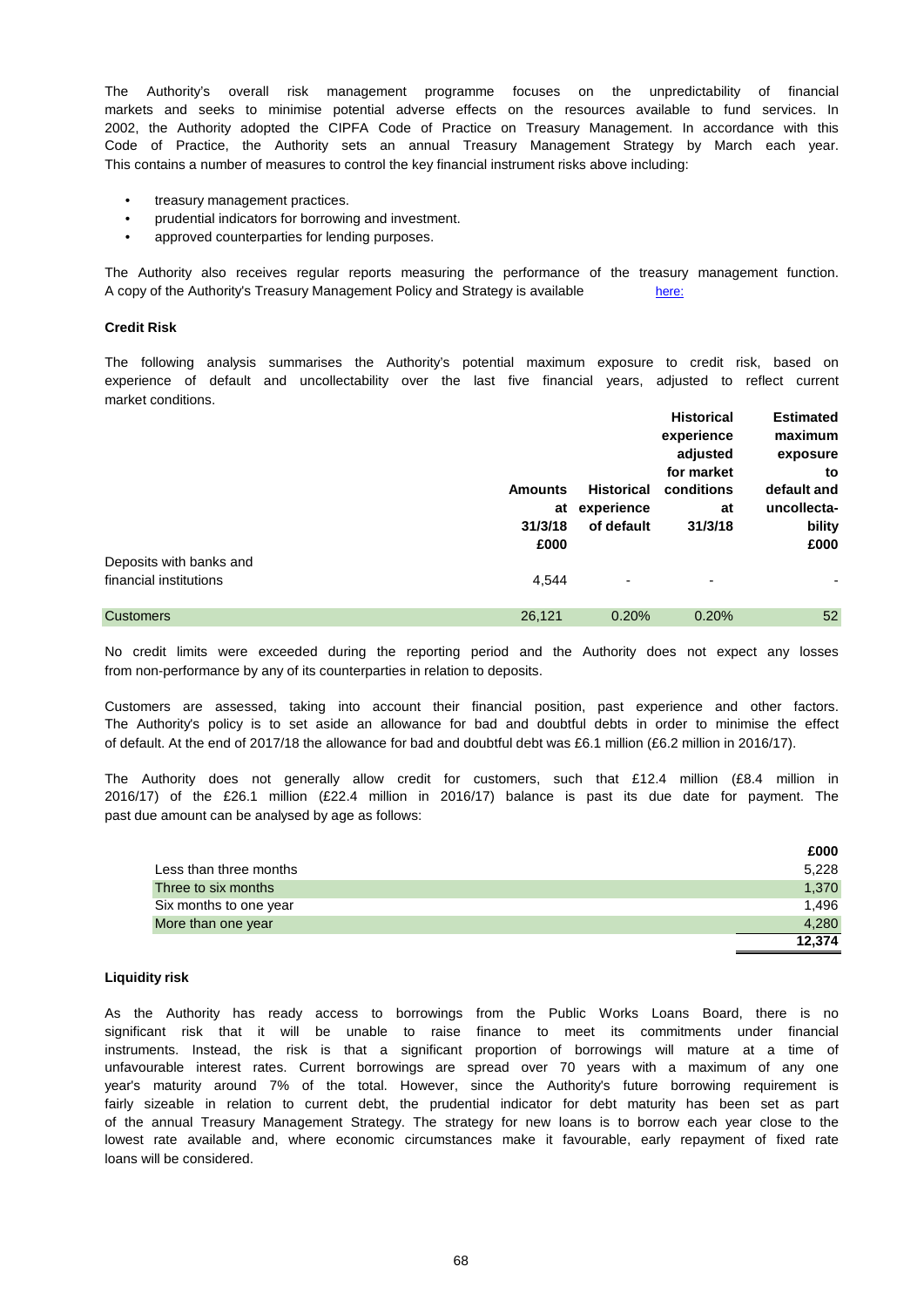The Authority's overall risk management programme focuses on the unpredictability of financial This contains a number of measures to control the key financial instrument risks above including: Code of Practice, the Authority sets an annual Treasury Management Strategy by March each year. markets and seeks to minimise potential adverse effects on the resources available to fund services. In 2002, the Authority adopted the CIPFA Code of Practice on Treasury Management. In accordance with this

- treasury management practices.
- prudential indicators for borrowing and investment.
- approved counterparties for lending purposes.

A copy of the Authority's Treasury Management Policy and Strategy is available [here:](http://www.nottinghamshire.gov.uk/dmsadmin/Meetings/tabid/70/ctl/ViewMeetingPublic/mid/397/Meeting/3956/Committee/513/SelectedTab/Documents/Default.aspx) The Authority also receives regular reports measuring the performance of the treasury management function.

### **Credit Risk**

market conditions. The following analysis summarises the Authority's potential maximum exposure to credit risk, based on experience of default and uncollectability over the last five financial years, adjusted to reflect current

|                         |                |                          | <b>Historical</b> | <b>Estimated</b> |  |
|-------------------------|----------------|--------------------------|-------------------|------------------|--|
|                         |                |                          | experience        | maximum          |  |
|                         |                |                          | adjusted          | exposure         |  |
|                         |                |                          | for market        | to               |  |
|                         | <b>Amounts</b> | <b>Historical</b>        | conditions        | default and      |  |
|                         | at             | experience               | at                | uncollecta-      |  |
|                         | 31/3/18        | of default               | 31/3/18           | bility           |  |
|                         | £000           |                          |                   | £000             |  |
| Deposits with banks and |                |                          |                   |                  |  |
| financial institutions  | 4,544          | $\overline{\phantom{a}}$ | ٠                 | ٠                |  |
|                         |                |                          |                   |                  |  |
| <b>Customers</b>        | 26,121         | 0.20%                    | 0.20%             | 52               |  |

from non-performance by any of its counterparties in relation to deposits. No credit limits were exceeded during the reporting period and the Authority does not expect any losses

of default. At the end of 2017/18 the allowance for bad and doubtful debt was £6.1 million (£6.2 million in 2016/17). Customers are assessed, taking into account their financial position, past experience and other factors. The Authority's policy is to set aside an allowance for bad and doubtful debts in order to minimise the effect

past due amount can be analysed by age as follows: 2016/17) of the £26.1 million (£22.4 million in 2016/17) balance is past its due date for payment. The The Authority does not generally allow credit for customers, such that £12.4 million (£8.4 million in

|                        | £000   |
|------------------------|--------|
| Less than three months | 5.228  |
| Three to six months    | 1,370  |
| Six months to one year | 1.496  |
| More than one year     | 4.280  |
|                        | 12.374 |

### **Liquidity risk**

loans will be considered. lowest rate available and, where economic circumstances make it favourable, early repayment of fixed rate fairly sizeable in relation to current debt, the prudential indicator for debt maturity has been set as part of the annual Treasury Management Strategy. The strategy for new loans is to borrow each year close to the unfavourable interest rates. Current borrowings are spread over 70 years with a maximum of any one As the Authority has ready access to borrowings from the Public Works Loans Board, there is no instruments. Instead, the risk is that a significant proportion of borrowings will mature at a time of significant risk that it will be unable to raise finance to meet its commitments under financial year's maturity around 7% of the total. However, since the Authority's future borrowing requirement is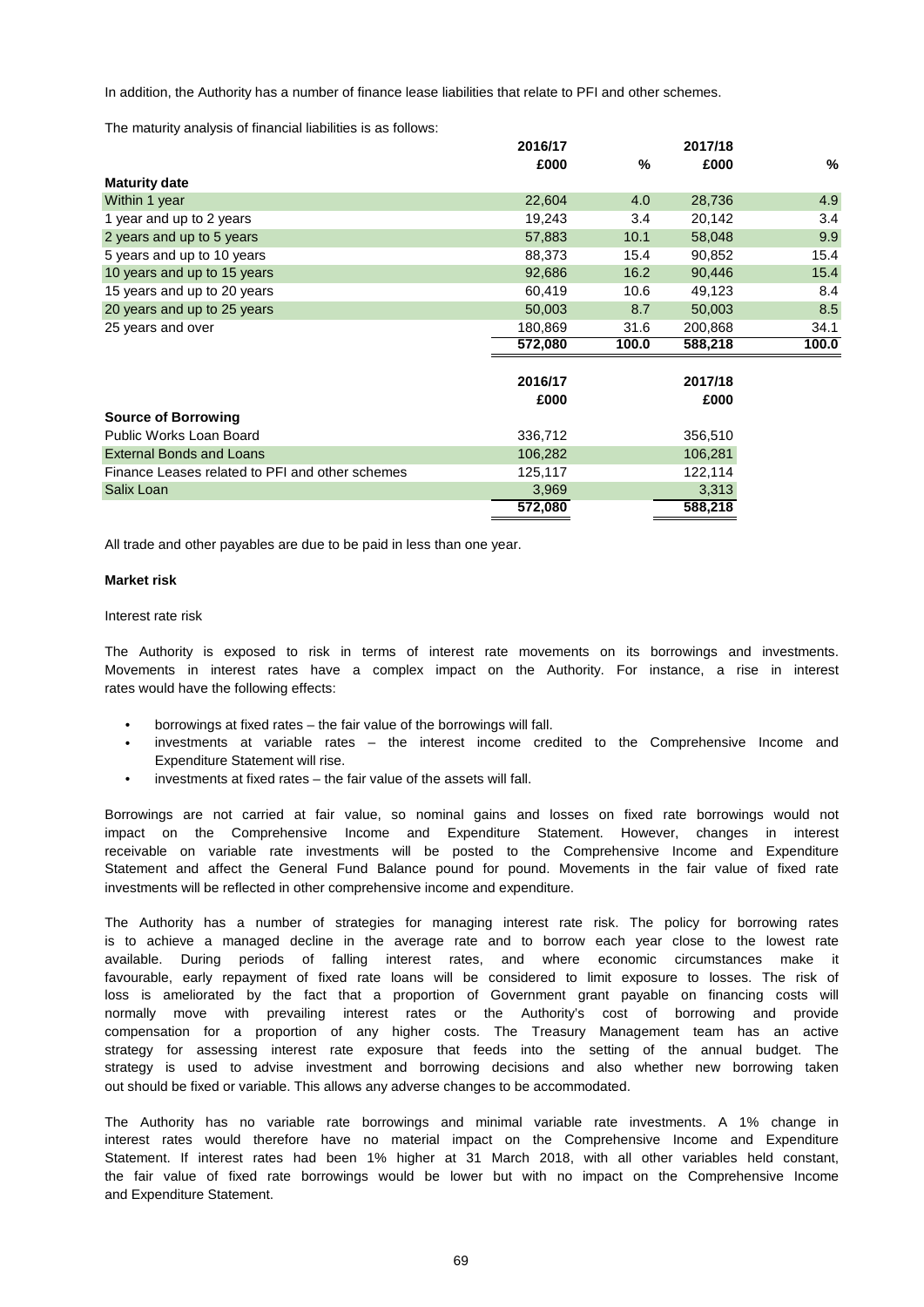In addition, the Authority has a number of finance lease liabilities that relate to PFI and other schemes.

The maturity analysis of financial liabilities is as follows:

|                                                 | 2016/17 |       | 2017/18 |       |
|-------------------------------------------------|---------|-------|---------|-------|
|                                                 | £000    | %     | £000    | %     |
| <b>Maturity date</b>                            |         |       |         |       |
| Within 1 year                                   | 22,604  | 4.0   | 28,736  | 4.9   |
| 1 year and up to 2 years                        | 19,243  | 3.4   | 20,142  | 3.4   |
| 2 years and up to 5 years                       | 57,883  | 10.1  | 58,048  | 9.9   |
| 5 years and up to 10 years                      | 88,373  | 15.4  | 90,852  | 15.4  |
| 10 years and up to 15 years                     | 92,686  | 16.2  | 90,446  | 15.4  |
| 15 years and up to 20 years                     | 60,419  | 10.6  | 49,123  | 8.4   |
| 20 years and up to 25 years                     | 50,003  | 8.7   | 50,003  | 8.5   |
| 25 years and over                               | 180,869 | 31.6  | 200,868 | 34.1  |
|                                                 | 572,080 | 100.0 | 588,218 | 100.0 |
|                                                 |         |       |         |       |
|                                                 | 2016/17 |       | 2017/18 |       |
|                                                 | £000    |       | £000    |       |
| <b>Source of Borrowing</b>                      |         |       |         |       |
| Public Works Loan Board                         | 336,712 |       | 356,510 |       |
| <b>External Bonds and Loans</b>                 | 106,282 |       | 106,281 |       |
| Finance Leases related to PFI and other schemes | 125,117 |       | 122,114 |       |
| Salix Loan                                      | 3,969   |       | 3,313   |       |
|                                                 | 572,080 |       | 588,218 |       |
|                                                 |         |       |         |       |

All trade and other payables are due to be paid in less than one year.

### **Market risk**

### Interest rate risk

rates would have the following effects: Movements in interest rates have a complex impact on the Authority. For instance, a rise in interest The Authority is exposed to risk in terms of interest rate movements on its borrowings and investments.

- borrowings at fixed rates the fair value of the borrowings will fall.
- Expenditure Statement will rise. investments at variable rates – the interest income credited to the Comprehensive Income and
- investments at fixed rates the fair value of the assets will fall.

investments will be reflected in other comprehensive income and expenditure. impact on the Comprehensive Income and Expenditure Statement. However, changes in interest Statement and affect the General Fund Balance pound for pound. Movements in the fair value of fixed rate receivable on variable rate investments will be posted to the Comprehensive Income and Expenditure Borrowings are not carried at fair value, so nominal gains and losses on fixed rate borrowings would not

out should be fixed or variable. This allows any adverse changes to be accommodated. The Authority has a number of strategies for managing interest rate risk. The policy for borrowing rates is to achieve a managed decline in the average rate and to borrow each year close to the lowest rate compensation for a proportion of any higher costs. The Treasury Management team has an active favourable, early repayment of fixed rate loans will be considered to limit exposure to losses. The risk of available. During periods of falling interest rates, and where economic circumstances make it normally move with prevailing interest rates or the Authority's cost of borrowing and provide strategy for assessing interest rate exposure that feeds into the setting of the annual budget. The loss is ameliorated by the fact that a proportion of Government grant payable on financing costs will strategy is used to advise investment and borrowing decisions and also whether new borrowing taken

and Expenditure Statement. interest rates would therefore have no material impact on the Comprehensive Income and Expenditure The Authority has no variable rate borrowings and minimal variable rate investments. A 1% change in the fair value of fixed rate borrowings would be lower but with no impact on the Comprehensive Income Statement. If interest rates had been 1% higher at 31 March 2018, with all other variables held constant,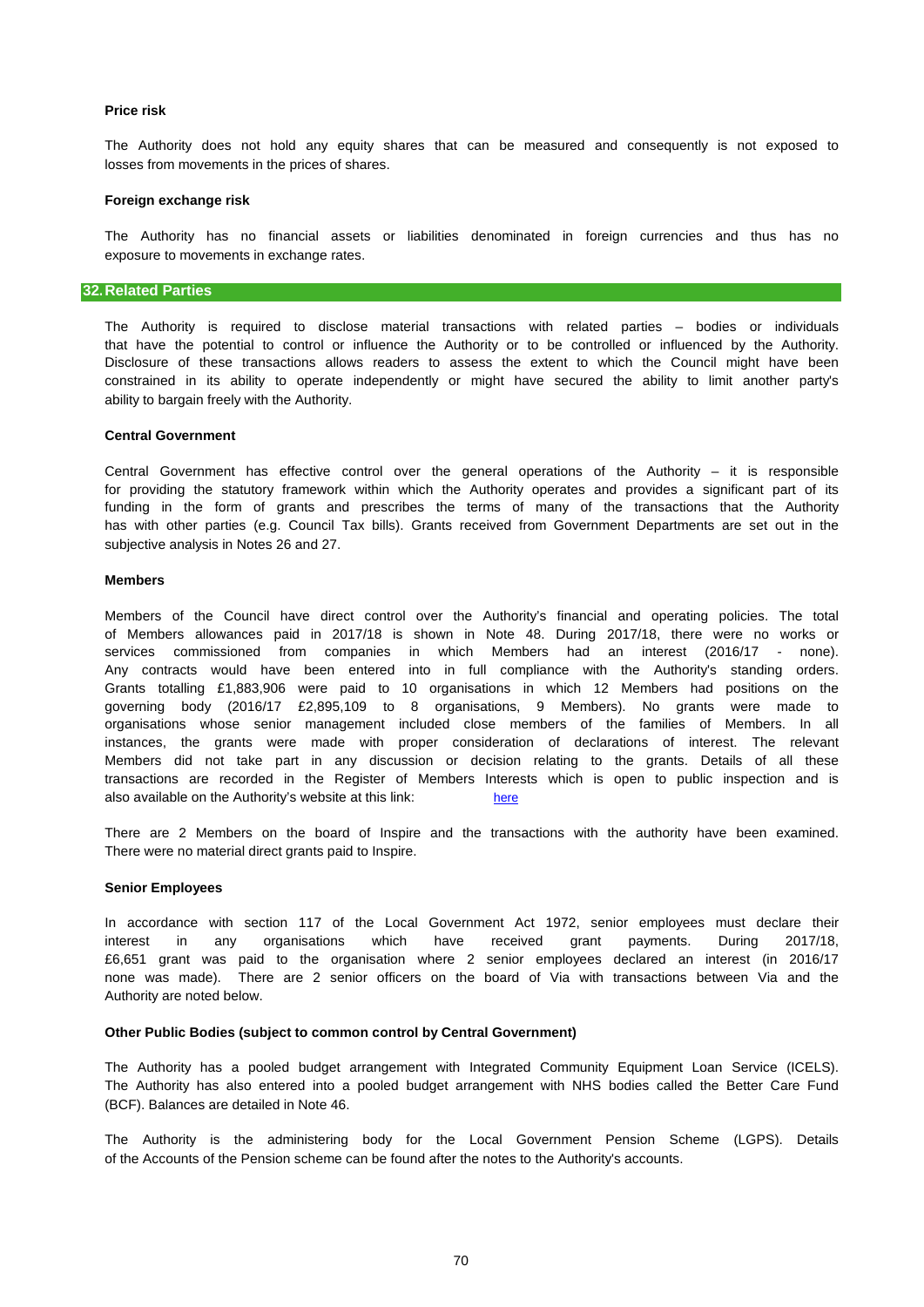## **Price risk**

losses from movements in the prices of shares. The Authority does not hold any equity shares that can be measured and consequently is not exposed to

### **Foreign exchange risk**

exposure to movements in exchange rates. The Authority has no financial assets or liabilities denominated in foreign currencies and thus has no

## **32.Related Parties**

ability to bargain freely with the Authority. Disclosure of these transactions allows readers to assess the extent to which the Council might have been constrained in its ability to operate independently or might have secured the ability to limit another party's that have the potential to control or influence the Authority or to be controlled or influenced by the Authority. The Authority is required to disclose material transactions with related parties – bodies or individuals

### **Central Government**

funding in the form of grants and prescribes the terms of many of the transactions that the Authority has with other parties (e.g. Council Tax bills). Grants received from Government Departments are set out in the for providing the statutory framework within which the Authority operates and provides a significant part of its Central Government has effective control over the general operations of the Authority – it is responsible subjective analysis in Notes 26 and 27.

### **Members**

also available on the Authority's website at this link: [here](http://www.nottinghamshire.gov.uk/council-and-democracy/councillors/allowances-expenses-conduct) transactions are recorded in the Register of Members Interests which is open to public inspection and is Members of the Council have direct control over the Authority's financial and operating policies. The total instances, the grants were made with proper consideration of declarations of interest. The relevant services commissioned from companies in which Members had an interest (2016/17 - none). Any contracts would have been entered into in full compliance with the Authority's standing orders. Grants totalling £1,883,906 were paid to 10 organisations in which 12 Members had positions on the of Members allowances paid in 2017/18 is shown in Note 48. During 2017/18, there were no works or Members did not take part in any discussion or decision relating to the grants. Details of all these governing body (2016/17 £2,895,109 to 8 organisations, 9 Members). No grants were made to organisations whose senior management included close members of the families of Members. In all

There are 2 Members on the board of Inspire and the transactions with the authority have been examined. There were no material direct grants paid to Inspire.

### **Senior Employees**

£6,651 grant was paid to the organisation where 2 senior employees declared an interest (in 2016/17 interest in any organisations which have received grant payments. During 2017/18, In accordance with section 117 of the Local Government Act 1972, senior employees must declare their Authority are noted below. none was made). There are 2 senior officers on the board of Via with transactions between Via and the

### **Other Public Bodies (subject to common control by Central Government)**

(BCF). Balances are detailed in Note 46. The Authority has a pooled budget arrangement with Integrated Community Equipment Loan Service (ICELS). The Authority has also entered into a pooled budget arrangement with NHS bodies called the Better Care Fund

of the Accounts of the Pension scheme can be found after the notes to the Authority's accounts. The Authority is the administering body for the Local Government Pension Scheme (LGPS). Details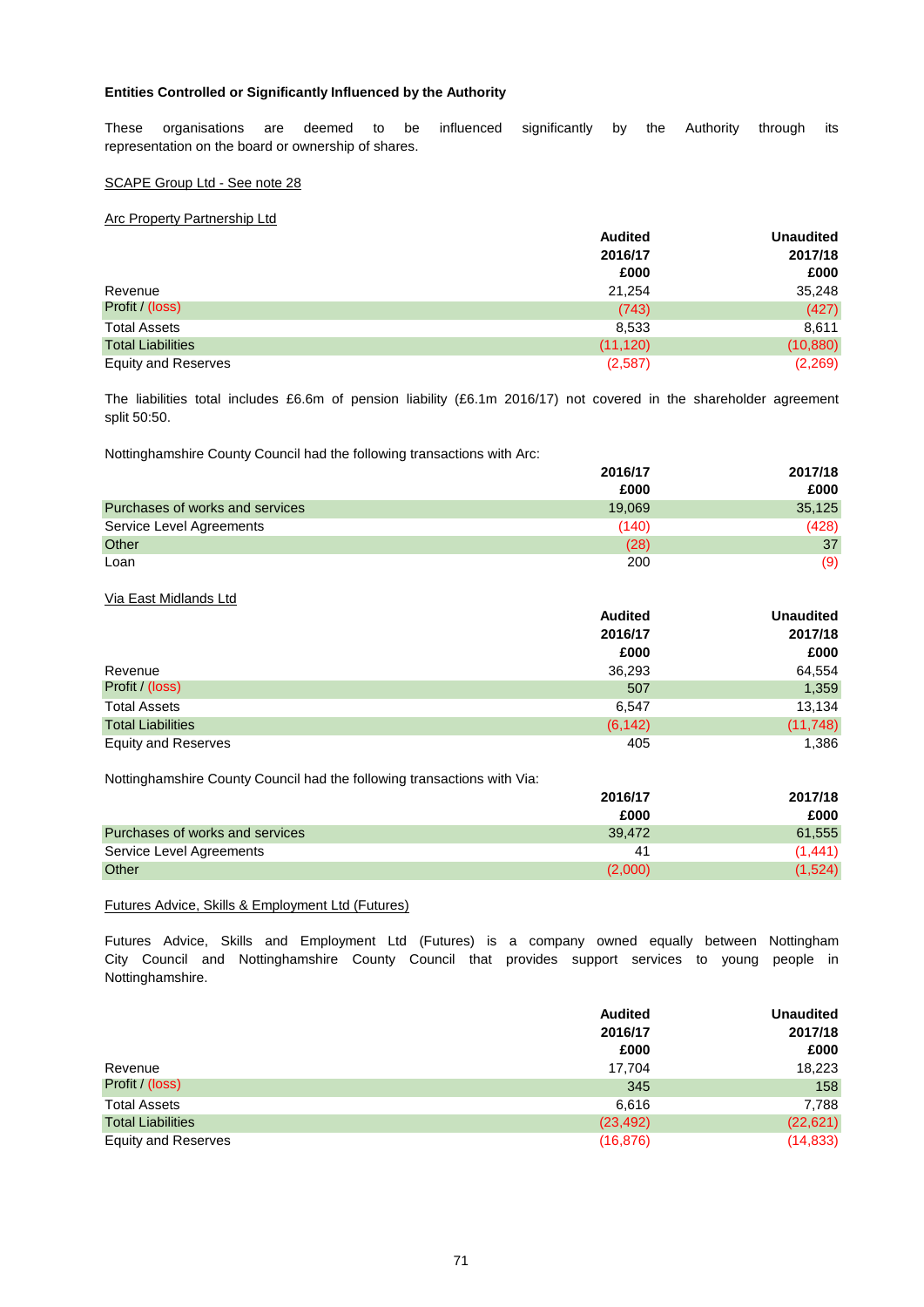## **Entities Controlled or Significantly Influenced by the Authority**

These organisations are deemed to be influenced significantly by the Authority through its representation on the board or ownership of shares.

### SCAPE Group Ltd - See note 28

## Arc Property Partnership Ltd

|                            | <b>Audited</b> | <b>Unaudited</b> |
|----------------------------|----------------|------------------|
|                            | 2016/17        | 2017/18          |
|                            | £000           | £000             |
| Revenue                    | 21,254         | 35,248           |
| Profit / (loss)            | (743)          | (427)            |
| <b>Total Assets</b>        | 8,533          | 8,611            |
| <b>Total Liabilities</b>   | (11, 120)      | (10, 880)        |
| <b>Equity and Reserves</b> | (2,587)        | (2,269)          |

split 50:50. The liabilities total includes £6.6m of pension liability (£6.1m 2016/17) not covered in the shareholder agreement

Nottinghamshire County Council had the following transactions with Arc:

|                                 | 2016/17 | 2017/18 |
|---------------------------------|---------|---------|
|                                 | £000    | £000    |
| Purchases of works and services | 19.069  | 35,125  |
| Service Level Agreements        | (140)   | (428)   |
| Other                           | (28)    | 37      |
| Loan                            | 200     | (9)     |

### Via East Midlands Ltd

|                            | <b>Audited</b> | <b>Unaudited</b> |  |
|----------------------------|----------------|------------------|--|
|                            | 2016/17        | 2017/18          |  |
|                            | £000           | £000             |  |
| Revenue                    | 36,293         | 64,554           |  |
| Profit / (loss)            | 507            | 1,359            |  |
| <b>Total Assets</b>        | 6.547          | 13,134           |  |
| <b>Total Liabilities</b>   | (6, 142)       | (11, 748)        |  |
| <b>Equity and Reserves</b> | 405            | 1,386            |  |

Nottinghamshire County Council had the following transactions with Via:

|                                 | 2016/17        | 2017/18  |
|---------------------------------|----------------|----------|
|                                 | £000           | £000     |
| Purchases of works and services | 39.472         | 61,555   |
| Service Level Agreements        | 4 <sup>1</sup> | (1, 441) |
| Other                           | (2,000)        | (1,524)  |

Futures Advice, Skills & Employment Ltd (Futures)

City Council and Nottinghamshire County Council that provides support services to young people in Nottinghamshire. Futures Advice, Skills and Employment Ltd (Futures) is a company owned equally between Nottingham

|                            | <b>Audited</b> | <b>Unaudited</b> |
|----------------------------|----------------|------------------|
|                            | 2016/17        | 2017/18          |
|                            | £000           | £000             |
| Revenue                    | 17.704         | 18,223           |
| Profit / (loss)            | 345            | 158              |
| <b>Total Assets</b>        | 6.616          | 7,788            |
| <b>Total Liabilities</b>   | (23, 492)      | (22, 621)        |
| <b>Equity and Reserves</b> | (16, 876)      | (14, 833)        |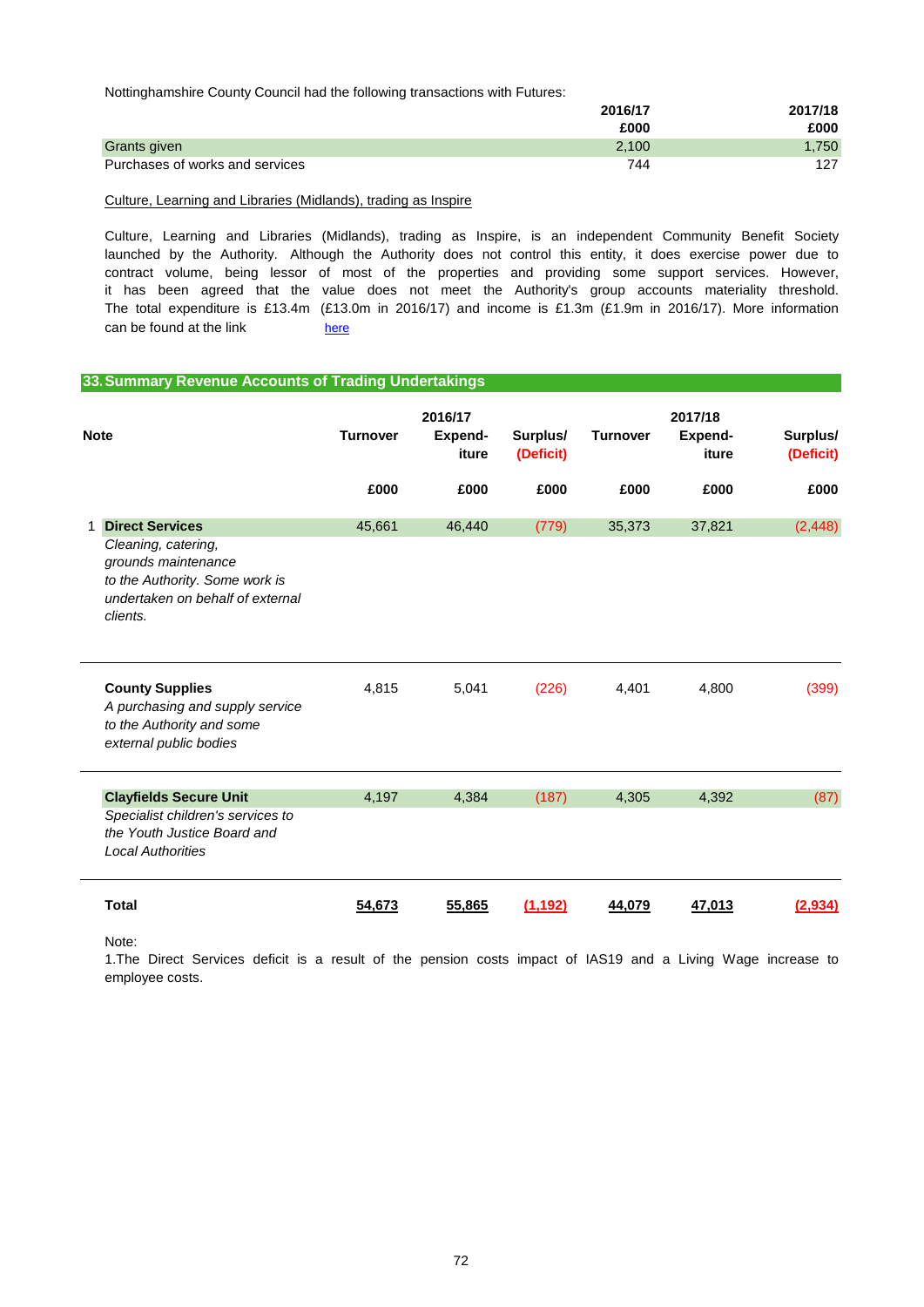Nottinghamshire County Council had the following transactions with Futures:

|                                 | 2016/17 | 2017/18 |
|---------------------------------|---------|---------|
|                                 | £000    | £000    |
| Grants given                    | 2.100   | 1,750   |
| Purchases of works and services | 744     | 127     |

Culture, Learning and Libraries (Midlands), trading as Inspire

can be found at the link [here](https://www.inspireculture.org.uk/) The total expenditure is £13.4m (£13.0m in 2016/17) and income is £1.3m (£1.9m in 2016/17). More information Culture, Learning and Libraries (Midlands), trading as Inspire, is an independent Community Benefit Society launched by the Authority. Although the Authority does not control this entity, it does exercise power due to it has been agreed that the value does not meet the Authority's group accounts materiality threshold. contract volume, being lessor of most of the properties and providing some support services. However,

## **33.Summary Revenue Accounts of Trading Undertakings**

| <b>Note</b>                                                                                                                                            | <b>Turnover</b> | 2016/17<br>Expend-<br>iture | Surplus/<br>(Deficit) | <b>Turnover</b> | 2017/18<br>Expend-<br>iture | Surplus/<br>(Deficit) |
|--------------------------------------------------------------------------------------------------------------------------------------------------------|-----------------|-----------------------------|-----------------------|-----------------|-----------------------------|-----------------------|
|                                                                                                                                                        | £000            | £000                        | £000                  | £000            | £000                        | £000                  |
| <b>Direct Services</b><br>Cleaning, catering,<br>grounds maintenance<br>to the Authority. Some work is<br>undertaken on behalf of external<br>clients. | 45,661          | 46,440                      | (779)                 | 35,373          | 37,821                      | (2, 448)              |
| <b>County Supplies</b><br>A purchasing and supply service<br>to the Authority and some<br>external public bodies                                       | 4,815           | 5,041                       | (226)                 | 4,401           | 4,800                       | (399)                 |
| <b>Clayfields Secure Unit</b><br>Specialist children's services to<br>the Youth Justice Board and<br><b>Local Authorities</b>                          | 4,197           | 4,384                       | (187)                 | 4,305           | 4,392                       | (87)                  |
| <b>Total</b>                                                                                                                                           | 54,673          | 55.865                      | (1.192)               | 44.079          | 47.013                      | (2.934)               |

Note:

employee costs. 1.The Direct Services deficit is a result of the pension costs impact of IAS19 and a Living Wage increase to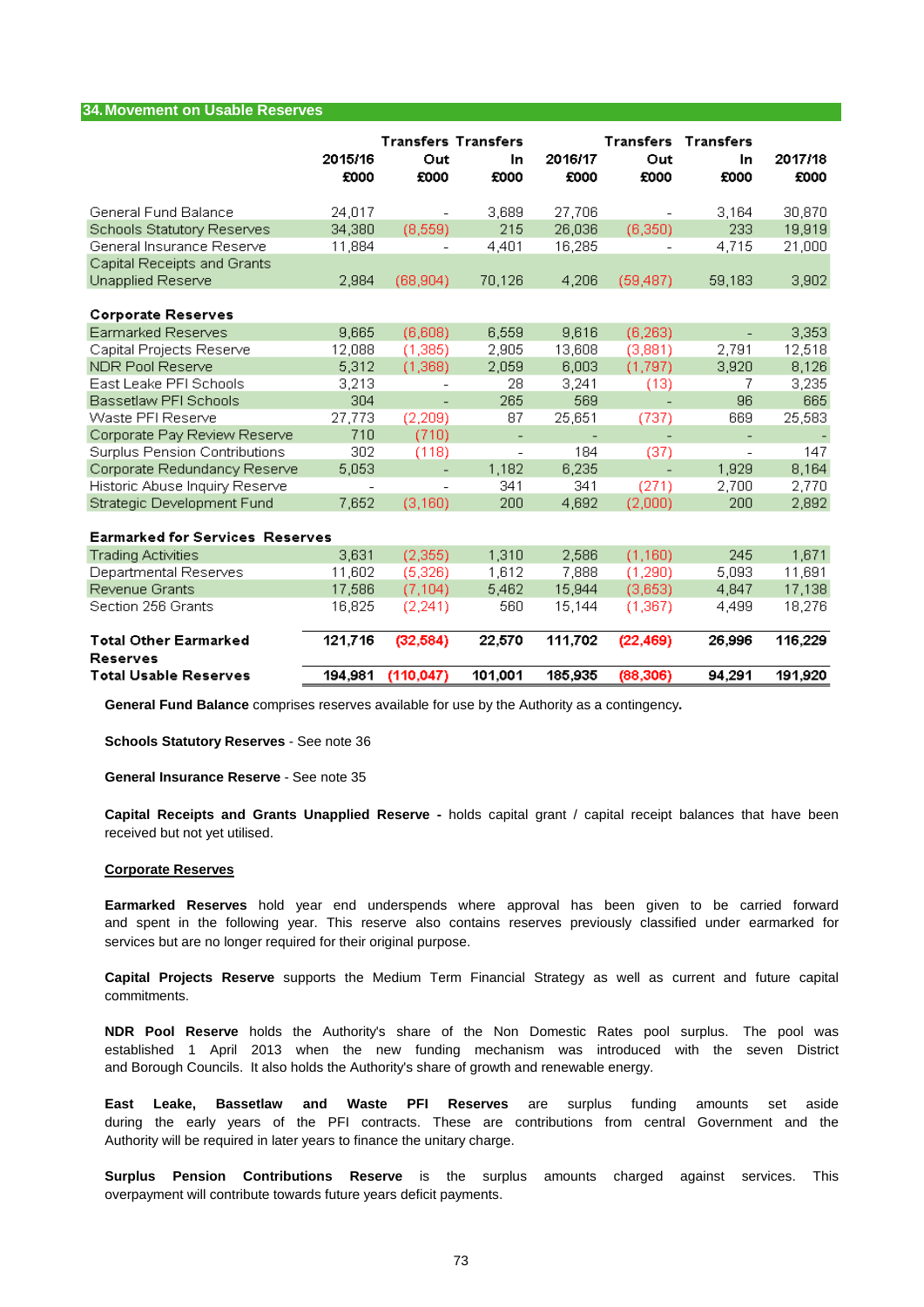#### **34.Movement on Usable Reserves**

|                                                 | 2015/16<br>£000          | <b>Transfers Transfers</b><br>Out<br>£000 | In<br>£000               | 2016/17<br>£000 | <b>Transfers Transfers</b><br>Out<br>£000 | In<br>£000               | 2017/18<br>£000 |
|-------------------------------------------------|--------------------------|-------------------------------------------|--------------------------|-----------------|-------------------------------------------|--------------------------|-----------------|
| General Fund Balance                            | 24,017                   |                                           | 3,689                    | 27.706          |                                           | 3,164                    | 30,870          |
| Schools Statutory Reserves                      | 34,380                   | (8, 559)                                  | 215                      | 26,036          | (6,350)                                   | 233                      | 19,919          |
| General Insurance Reserve                       | 11,884                   | $\qquad \qquad -$                         | 4,401                    | 16,285          |                                           | 4,715                    | 21,000          |
| Capital Receipts and Grants                     |                          |                                           |                          |                 |                                           |                          |                 |
| Unapplied Reserve                               | 2,984                    | (68, 904)                                 | 70,126                   | 4,206           | (59, 487)                                 | 59,183                   | 3,902           |
| <b>Corporate Reserves</b>                       |                          |                                           |                          |                 |                                           |                          |                 |
| <b>Earmarked Reserves</b>                       | 9,665                    | (6,608)                                   | 6,559                    | 9,616           | (6, 263)                                  | $\overline{\phantom{a}}$ | 3,353           |
| Capital Projects Reserve                        | 12,088                   | (1, 385)                                  | 2,905                    | 13,608          | (3,881)                                   | 2,791                    | 12,518          |
| NDR Pool Reserve                                | 5,312                    | (1,368)                                   | 2,059                    | 6,003           | (1,797)                                   | 3,920                    | 8,126           |
| East Leake PFI Schools                          | 3,213                    | $\overline{\phantom{a}}$                  | 28                       | 3,241           | (13)                                      | 7                        | 3,235           |
| Bassetlaw PFI Schools                           | 304                      | ÷,                                        | 265                      | 569             | $\overline{a}$                            | 96                       | 665             |
| Waste PFI Reserve                               | 27,773                   | (2, 209)                                  | 87                       | 25,651          | (737)                                     | 669                      | 25,583          |
| Corporate Pay Review Reserve                    | 710                      | (710)                                     | $\overline{\phantom{a}}$ |                 |                                           |                          |                 |
| Surplus Pension Contributions                   | 302                      | (118)                                     | $\overline{\phantom{a}}$ | 184             | (37)                                      | $\overline{\phantom{a}}$ | 147             |
| Corporate Redundancy Reserve                    | 5,053                    | ÷,                                        | 1,182                    | 6,235           | $\overline{a}$                            | 1,929                    | 8,164           |
| Historic Abuse Inquiry Reserve                  | $\overline{\phantom{a}}$ | $\overline{\phantom{a}}$                  | 341                      | 341             | (271)                                     | 2,700                    | 2,770           |
| Strategic Development Fund                      | 7,652                    | (3, 160)                                  | 200                      | 4,692           | (2,000)                                   | 200                      | 2,892           |
| <b>Earmarked for Services Reserves</b>          |                          |                                           |                          |                 |                                           |                          |                 |
| <b>Trading Activities</b>                       | 3,631                    | (2,355)                                   | 1,310                    | 2,586           | (1,160)                                   | 245                      | 1,671           |
| Departmental Reserves                           | 11,602                   | (5,326)                                   | 1,612                    | 7,888           | (1,290)                                   | 5,093                    | 11,691          |
| Revenue Grants                                  | 17,586                   | (7, 104)                                  | 5,462                    | 15,944          | (3,653)                                   | 4,847                    | 17,138          |
| Section 256 Grants                              | 16,825                   | (2, 241)                                  | 560                      | 15,144          | (1,367)                                   | 4,499                    | 18,276          |
| <b>Total Other Earmarked</b>                    | 121,716                  | (32, 584)                                 | 22,570                   | 111.702         | (22, 469)                                 | 26,996                   | 116,229         |
| <b>Reserves</b><br><b>Total Usable Reserves</b> | 194,981                  | (110.047)                                 | 101,001                  | 185,935         | (88, 306)                                 | 94,291                   | 191,920         |

**General Fund Balance** comprises reserves available for use by the Authority as a contingency**.**

**Schools Statutory Reserves** - See note 36

**General Insurance Reserve** - See note 35

received but not yet utilised. **Capital Receipts and Grants Unapplied Reserve -** holds capital grant / capital receipt balances that have been

#### **Corporate Reserves**

services but are no longer required for their original purpose. and spent in the following year. This reserve also contains reserves previously classified under earmarked for **Earmarked Reserves** hold year end underspends where approval has been given to be carried forward

commitments. **Capital Projects Reserve** supports the Medium Term Financial Strategy as well as current and future capital

and Borough Councils. It also holds the Authority's share of growth and renewable energy. **NDR Pool Reserve** holds the Authority's share of the Non Domestic Rates pool surplus. The pool was established 1 April 2013 when the new funding mechanism was introduced with the seven District

Authority will be required in later years to finance the unitary charge. **East Leake, Bassetlaw and Waste PFI Reserves** are surplus funding amounts set aside during the early years of the PFI contracts. These are contributions from central Government and the

**Surplus Pension Contributions Reserve** is the surplus amounts charged against services. This overpayment will contribute towards future years deficit payments.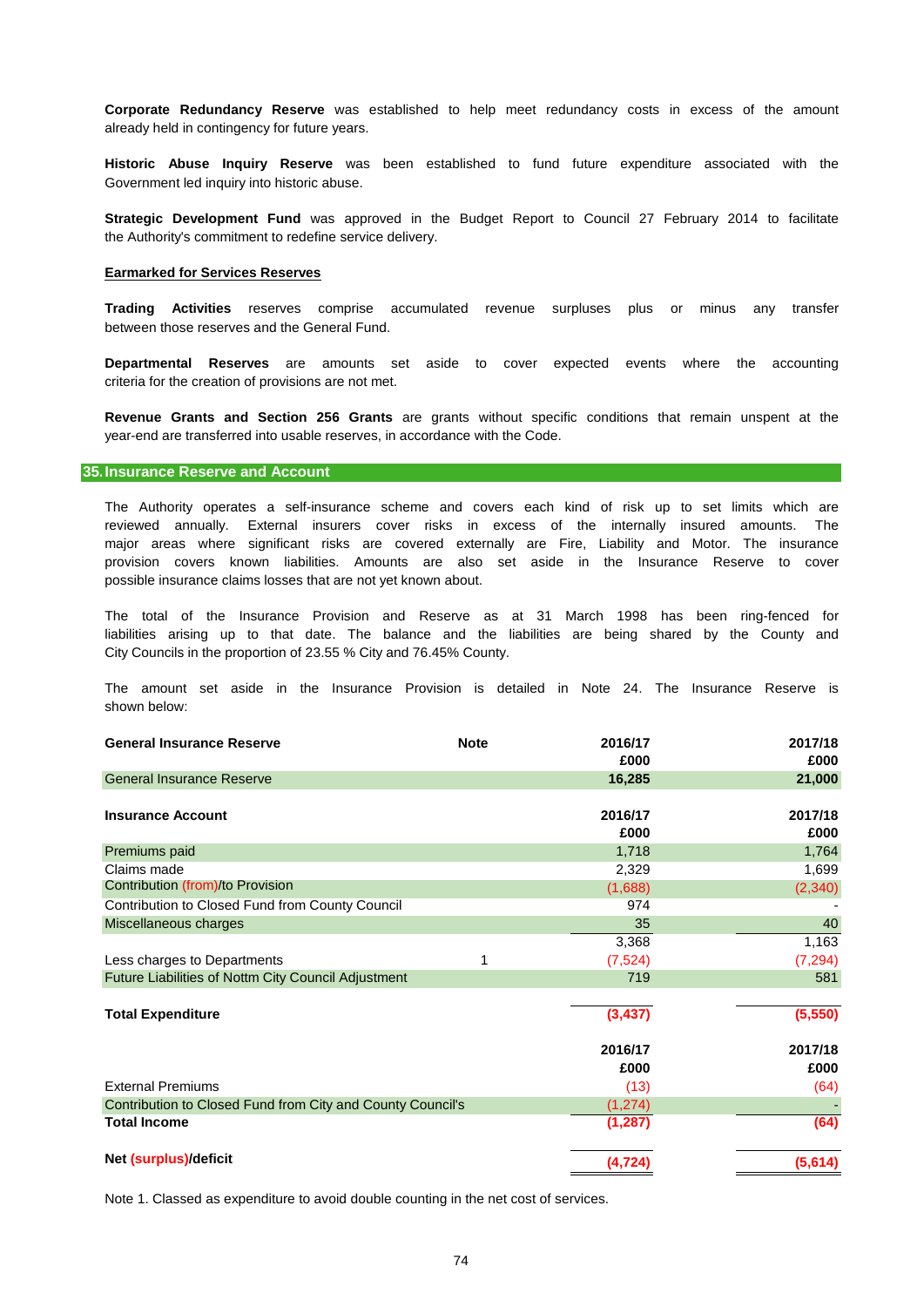already held in contingency for future years. **Corporate Redundancy Reserve** was established to help meet redundancy costs in excess of the amount

Government led inquiry into historic abuse. **Historic Abuse Inquiry Reserve** was been established to fund future expenditure associated with the

the Authority's commitment to redefine service delivery. **Strategic Development Fund** was approved in the Budget Report to Council 27 February 2014 to facilitate

#### **Earmarked for Services Reserves**

between those reserves and the General Fund. **Trading Activities** reserves comprise accumulated revenue surpluses plus or minus any transfer

criteria for the creation of provisions are not met. **Departmental Reserves** are amounts set aside to cover expected events where the accounting

year-end are transferred into usable reserves, in accordance with the Code. **Revenue Grants and Section 256 Grants** are grants without specific conditions that remain unspent at the

#### **35.Insurance Reserve and Account**

possible insurance claims losses that are not yet known about. major areas where significant risks are covered externally are Fire, Liability and Motor. The insurance provision covers known liabilities. Amounts are also set aside in the Insurance Reserve to cover The Authority operates a self-insurance scheme and covers each kind of risk up to set limits which are reviewed annually. External insurers cover risks in excess of the internally insured amounts. The

City Councils in the proportion of 23.55 % City and 76.45% County. liabilities arising up to that date. The balance and the liabilities are being shared by the County and The total of the Insurance Provision and Reserve as at 31 March 1998 has been ring-fenced for

shown below: The amount set aside in the Insurance Provision is detailed in Note 24. The Insurance Reserve is

| £000<br><b>General Insurance Reserve</b><br>16,285<br>2016/17<br><b>Insurance Account</b><br>£000 | £000<br>21,000<br>2017/18<br>£000<br>1,764 |
|---------------------------------------------------------------------------------------------------|--------------------------------------------|
|                                                                                                   |                                            |
|                                                                                                   |                                            |
|                                                                                                   |                                            |
|                                                                                                   |                                            |
|                                                                                                   |                                            |
| 1,718<br>Premiums paid                                                                            |                                            |
| Claims made<br>2,329                                                                              | 1,699                                      |
| Contribution (from)/to Provision<br>(1,688)                                                       | (2, 340)                                   |
| Contribution to Closed Fund from County Council<br>974                                            |                                            |
| Miscellaneous charges<br>35                                                                       | 40                                         |
| 3,368                                                                                             | 1,163                                      |
| Less charges to Departments<br>1<br>(7,524)                                                       | (7, 294)                                   |
| Future Liabilities of Nottm City Council Adjustment<br>719                                        | 581                                        |
|                                                                                                   |                                            |
| (3, 437)<br><b>Total Expenditure</b>                                                              | (5,550)                                    |
| 2016/17                                                                                           | 2017/18                                    |
| £000                                                                                              | £000                                       |
| <b>External Premiums</b><br>(13)                                                                  | (64)                                       |
| Contribution to Closed Fund from City and County Council's<br>(1, 274)                            |                                            |
| <b>Total Income</b><br>(1, 287)                                                                   | (64)                                       |
| Net (surplus)/deficit<br>(4, 724)                                                                 | (5,614)                                    |

Note 1. Classed as expenditure to avoid double counting in the net cost of services.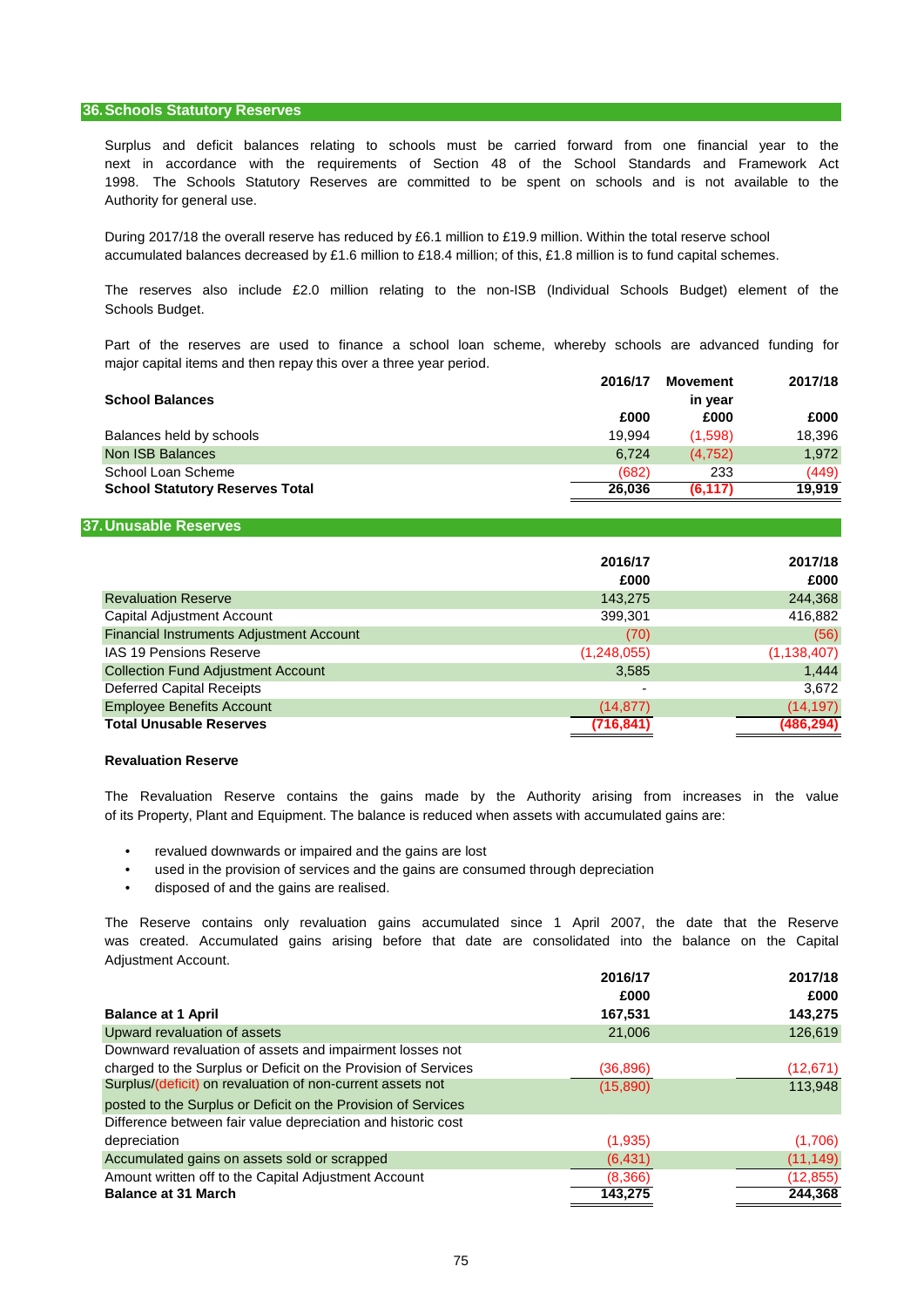## **36.Schools Statutory Reserves**

Authority for general use. Surplus and deficit balances relating to schools must be carried forward from one financial year to the 1998. The Schools Statutory Reserves are committed to be spent on schools and is not available to the next in accordance with the requirements of Section 48 of the School Standards and Framework Act

During 2017/18 the overall reserve has reduced by £6.1 million to £19.9 million. Within the total reserve school accumulated balances decreased by £1.6 million to £18.4 million; of this, £1.8 million is to fund capital schemes.

Schools Budget. The reserves also include £2.0 million relating to the non-ISB (Individual Schools Budget) element of the

major capital items and then repay this over a three year period. Part of the reserves are used to finance a school loan scheme, whereby schools are advanced funding for

| 2016/17 | Movement | 2017/18 |
|---------|----------|---------|
|         | in year  |         |
| £000    | £000     | £000    |
| 19.994  | (1.598)  | 18,396  |
| 6.724   | (4.752)  | 1,972   |
| (682)   | 233      | (449)   |
| 26.036  | (6, 117) | 19.919  |
|         |          |         |

#### **37.Unusable Reserves**

|                                                 | 2016/17<br>£000 | 2017/18<br>£000 |
|-------------------------------------------------|-----------------|-----------------|
| <b>Revaluation Reserve</b>                      | 143,275         | 244,368         |
| <b>Capital Adjustment Account</b>               | 399,301         | 416,882         |
| <b>Financial Instruments Adjustment Account</b> | (70)            | (56)            |
| <b>IAS 19 Pensions Reserve</b>                  | (1,248,055)     | (1, 138, 407)   |
| <b>Collection Fund Adjustment Account</b>       | 3,585           | 1.444           |
| <b>Deferred Capital Receipts</b>                |                 | 3.672           |
| <b>Employee Benefits Account</b>                | (14, 877)       | (14, 197)       |
| <b>Total Unusable Reserves</b>                  | (716,841)       | (486,294)       |

#### **Revaluation Reserve**

of its Property, Plant and Equipment. The balance is reduced when assets with accumulated gains are: The Revaluation Reserve contains the gains made by the Authority arising from increases in the value

- revalued downwards or impaired and the gains are lost
- used in the provision of services and the gains are consumed through depreciation
- disposed of and the gains are realised.

was created. Accumulated gains arising before that date are consolidated into the balance on the Capital Adjustment Account. The Reserve contains only revaluation gains accumulated since 1 April 2007, the date that the Reserve

|                                                                | 2016/17   | 2017/18   |
|----------------------------------------------------------------|-----------|-----------|
|                                                                | £000      | £000      |
| <b>Balance at 1 April</b>                                      | 167,531   | 143,275   |
| Upward revaluation of assets                                   | 21,006    | 126,619   |
| Downward revaluation of assets and impairment losses not       |           |           |
| charged to the Surplus or Deficit on the Provision of Services | (36, 896) | (12,671)  |
| Surplus/(deficit) on revaluation of non-current assets not     | (15,890)  | 113,948   |
| posted to the Surplus or Deficit on the Provision of Services  |           |           |
| Difference between fair value depreciation and historic cost   |           |           |
| depreciation                                                   | (1,935)   | (1,706)   |
| Accumulated gains on assets sold or scrapped                   | (6, 431)  | (11, 149) |
| Amount written off to the Capital Adjustment Account           | (8,366)   | (12, 855) |
| <b>Balance at 31 March</b>                                     | 143.275   | 244,368   |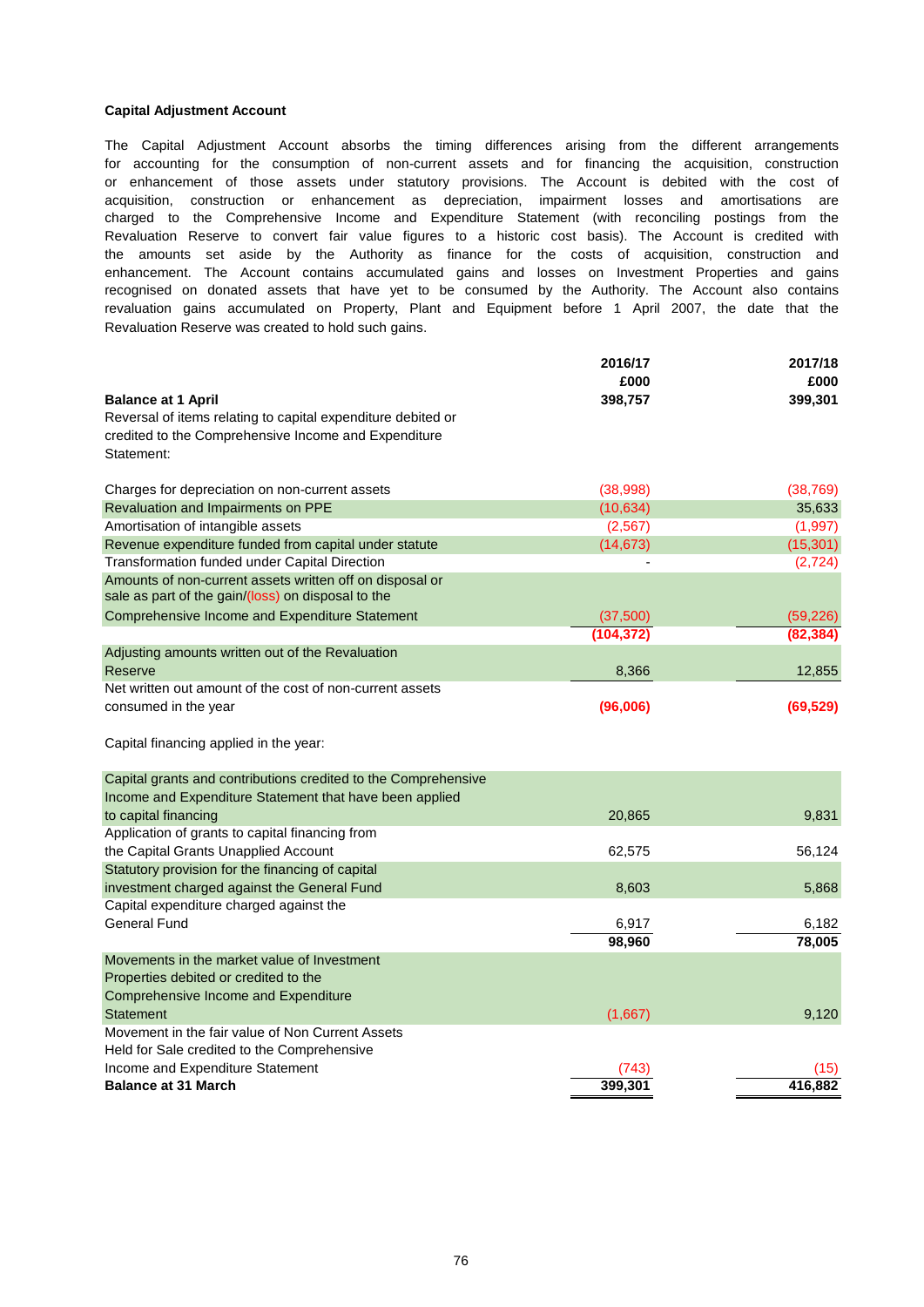## **Capital Adjustment Account**

for accounting for the consumption of non-current assets and for financing the acquisition, construction enhancement. The Account contains accumulated gains and losses on Investment Properties and gains recognised on donated assets that have yet to be consumed by the Authority. The Account also contains Revaluation Reserve to convert fair value figures to a historic cost basis). The Account is credited with or enhancement of those assets under statutory provisions. The Account is debited with the cost of The Capital Adjustment Account absorbs the timing differences arising from the different arrangements revaluation gains accumulated on Property, Plant and Equipment before 1 April 2007, the date that the Revaluation Reserve was created to hold such gains. acquisition, construction or enhancement as depreciation, impairment losses and amortisations are charged to the Comprehensive Income and Expenditure Statement (with reconciling postings from the the amounts set aside by the Authority as finance for the costs of acquisition, construction and

|                                                                | 2016/17    | 2017/18         |
|----------------------------------------------------------------|------------|-----------------|
|                                                                | £000       | £000            |
| <b>Balance at 1 April</b>                                      | 398,757    | 399,301         |
| Reversal of items relating to capital expenditure debited or   |            |                 |
| credited to the Comprehensive Income and Expenditure           |            |                 |
| Statement:                                                     |            |                 |
| Charges for depreciation on non-current assets                 | (38,998)   | (38, 769)       |
| Revaluation and Impairments on PPE                             | (10, 634)  | 35,633          |
| Amortisation of intangible assets                              | (2,567)    | (1,997)         |
| Revenue expenditure funded from capital under statute          | (14, 673)  | (15, 301)       |
| Transformation funded under Capital Direction                  |            | (2, 724)        |
| Amounts of non-current assets written off on disposal or       |            |                 |
| sale as part of the gain/(loss) on disposal to the             |            |                 |
| Comprehensive Income and Expenditure Statement                 | (37, 500)  | (59, 226)       |
|                                                                | (104, 372) | (82, 384)       |
| Adjusting amounts written out of the Revaluation               |            |                 |
| Reserve                                                        | 8,366      | 12,855          |
| Net written out amount of the cost of non-current assets       |            |                 |
| consumed in the year                                           | (96,006)   | (69, 529)       |
| Capital financing applied in the year:                         |            |                 |
| Capital grants and contributions credited to the Comprehensive |            |                 |
| Income and Expenditure Statement that have been applied        |            |                 |
| to capital financing                                           | 20,865     | 9,831           |
| Application of grants to capital financing from                |            |                 |
| the Capital Grants Unapplied Account                           | 62,575     | 56,124          |
| Statutory provision for the financing of capital               |            |                 |
| investment charged against the General Fund                    | 8,603      | 5,868           |
| Capital expenditure charged against the                        |            |                 |
| <b>General Fund</b>                                            | 6,917      | 6,182           |
|                                                                | 98,960     | 78,005          |
| Movements in the market value of Investment                    |            |                 |
| Properties debited or credited to the                          |            |                 |
| Comprehensive Income and Expenditure                           |            |                 |
| <b>Statement</b>                                               | (1,667)    | 9,120           |
| Movement in the fair value of Non Current Assets               |            |                 |
|                                                                |            |                 |
| Held for Sale credited to the Comprehensive                    |            |                 |
| Income and Expenditure Statement<br><b>Balance at 31 March</b> | 399.301    | (15)<br>416.882 |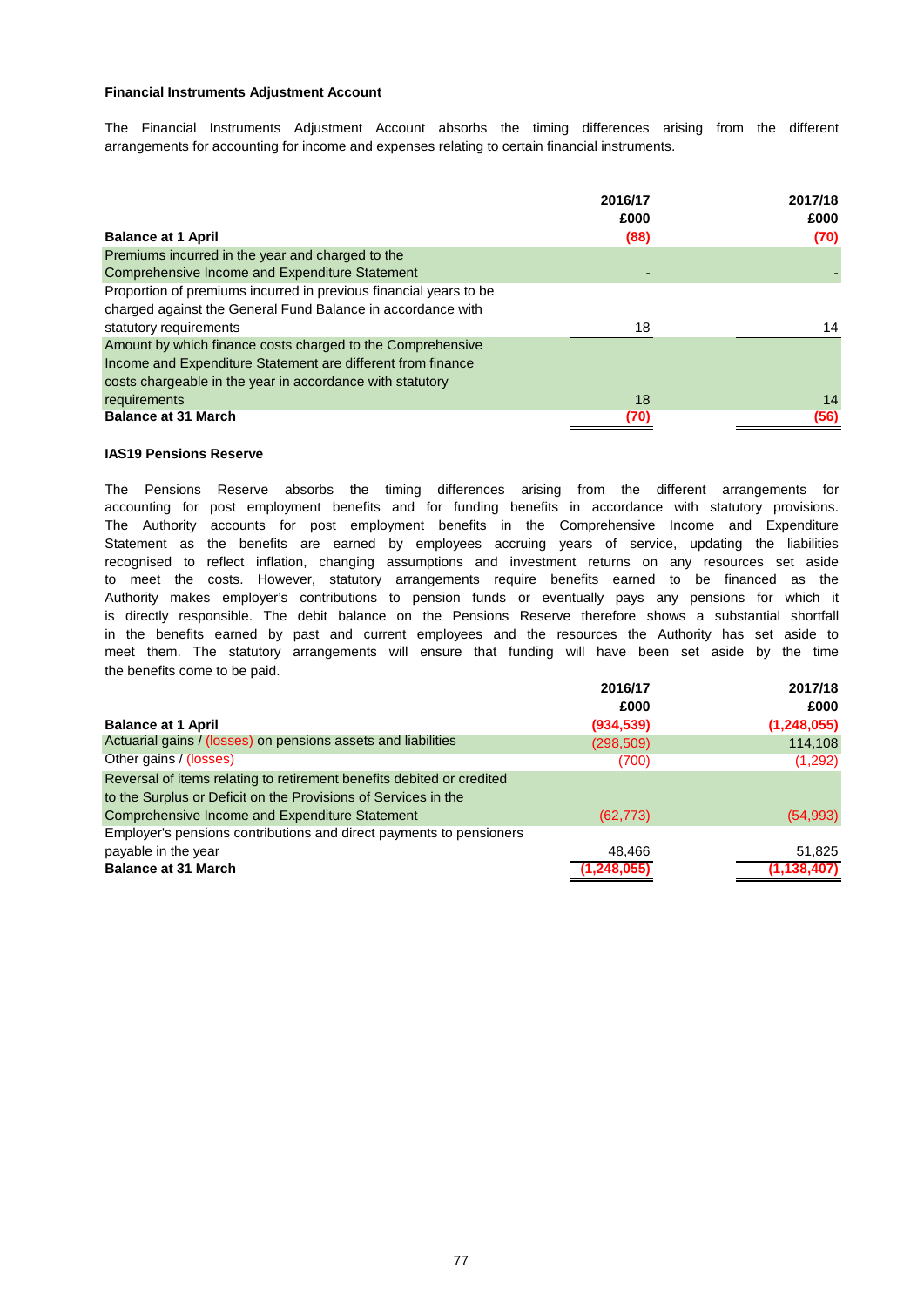## **Financial Instruments Adjustment Account**

arrangements for accounting for income and expenses relating to certain financial instruments. The Financial Instruments Adjustment Account absorbs the timing differences arising from the different

|                                                                   | 2016/17<br>£000 | 2017/18<br>£000 |
|-------------------------------------------------------------------|-----------------|-----------------|
| <b>Balance at 1 April</b>                                         | (88)            | (70)            |
| Premiums incurred in the year and charged to the                  |                 |                 |
| Comprehensive Income and Expenditure Statement                    |                 |                 |
| Proportion of premiums incurred in previous financial years to be |                 |                 |
| charged against the General Fund Balance in accordance with       |                 |                 |
| statutory requirements                                            | 18              | 14              |
| Amount by which finance costs charged to the Comprehensive        |                 |                 |
| Income and Expenditure Statement are different from finance       |                 |                 |
| costs chargeable in the year in accordance with statutory         |                 |                 |
| requirements                                                      | 18              | 14              |
| <b>Balance at 31 March</b>                                        | (70)            | (56)            |

#### **IAS19 Pensions Reserve**

the benefits come to be paid. meet them. The statutory arrangements will ensure that funding will have been set aside by the time Statement as the benefits are earned by employees accruing years of service, updating the liabilities The Pensions Reserve absorbs the timing differences arising from the different arrangements for accounting for post employment benefits and for funding benefits in accordance with statutory provisions. to meet the costs. However, statutory arrangements require benefits earned to be financed as the recognised to reflect inflation, changing assumptions and investment returns on any resources set aside The Authority accounts for post employment benefits in the Comprehensive Income and Expenditure Authority makes employer's contributions to pension funds or eventually pays any pensions for which it in the benefits earned by past and current employees and the resources the Authority has set aside to is directly responsible. The debit balance on the Pensions Reserve therefore shows a substantial shortfall

|                                                                       | 2016/17    | 2017/18       |
|-----------------------------------------------------------------------|------------|---------------|
|                                                                       | £000       | £000          |
| <b>Balance at 1 April</b>                                             | (934, 539) | (1,248,055)   |
| Actuarial gains / (losses) on pensions assets and liabilities         | (298, 509) | 114,108       |
| Other gains / (losses)                                                | (700)      | (1,292)       |
| Reversal of items relating to retirement benefits debited or credited |            |               |
| to the Surplus or Deficit on the Provisions of Services in the        |            |               |
| Comprehensive Income and Expenditure Statement                        | (62, 773)  | (54, 993)     |
| Employer's pensions contributions and direct payments to pensioners   |            |               |
| payable in the year                                                   | 48.466     | 51,825        |
| <b>Balance at 31 March</b>                                            | (1,248,055 | (1, 138, 407) |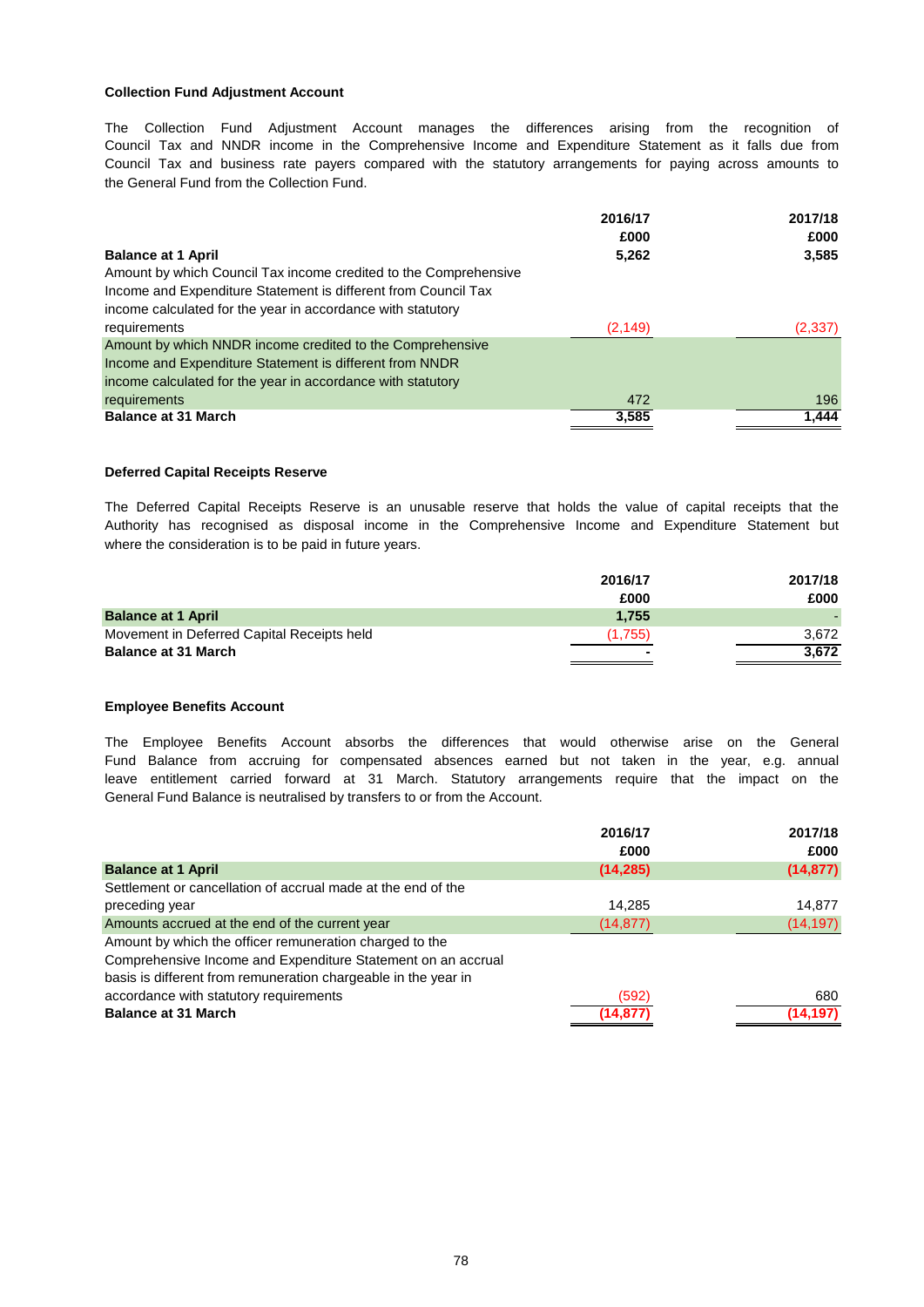## **Collection Fund Adjustment Account**

The Collection Fund Adjustment Account manages the differences arising from the recognition of Council Tax and NNDR income in the Comprehensive Income and Expenditure Statement as it falls due from Council Tax and business rate payers compared with the statutory arrangements for paying across amounts to the General Fund from the Collection Fund.

|                                                                  | 2016/17  | 2017/18  |
|------------------------------------------------------------------|----------|----------|
|                                                                  | £000     | £000     |
| <b>Balance at 1 April</b>                                        | 5,262    | 3,585    |
| Amount by which Council Tax income credited to the Comprehensive |          |          |
| Income and Expenditure Statement is different from Council Tax   |          |          |
| income calculated for the year in accordance with statutory      |          |          |
| requirements                                                     | (2, 149) | (2, 337) |
| Amount by which NNDR income credited to the Comprehensive        |          |          |
| Income and Expenditure Statement is different from NNDR          |          |          |
| income calculated for the year in accordance with statutory      |          |          |
| requirements                                                     | 472      | 196      |
| <b>Balance at 31 March</b>                                       | 3,585    | 1,444    |

#### **Deferred Capital Receipts Reserve**

where the consideration is to be paid in future years. Authority has recognised as disposal income in the Comprehensive Income and Expenditure Statement but The Deferred Capital Receipts Reserve is an unusable reserve that holds the value of capital receipts that the

|                                            | 2016/17 | 2017/18 |
|--------------------------------------------|---------|---------|
|                                            | £000    | £000    |
| <b>Balance at 1 April</b>                  | 1.755   |         |
| Movement in Deferred Capital Receipts held | (1.755) | 3.672   |
| <b>Balance at 31 March</b>                 |         | 3.672   |
|                                            |         |         |

#### **Employee Benefits Account**

General Fund Balance is neutralised by transfers to or from the Account. leave entitlement carried forward at 31 March. Statutory arrangements require that the impact on the The Employee Benefits Account absorbs the differences that would otherwise arise on the General Fund Balance from accruing for compensated absences earned but not taken in the year, e.g. annual

|                                                                | 2016/17   | 2017/18   |
|----------------------------------------------------------------|-----------|-----------|
|                                                                | £000      | £000      |
| <b>Balance at 1 April</b>                                      | (14, 285) | (14, 877) |
| Settlement or cancellation of accrual made at the end of the   |           |           |
| preceding year                                                 | 14.285    | 14,877    |
| Amounts accrued at the end of the current year                 | (14, 877) | (14, 197) |
| Amount by which the officer remuneration charged to the        |           |           |
| Comprehensive Income and Expenditure Statement on an accrual   |           |           |
| basis is different from remuneration chargeable in the year in |           |           |
| accordance with statutory requirements                         | (592)     | 680       |
| <b>Balance at 31 March</b>                                     | (14,877   | (14, 197) |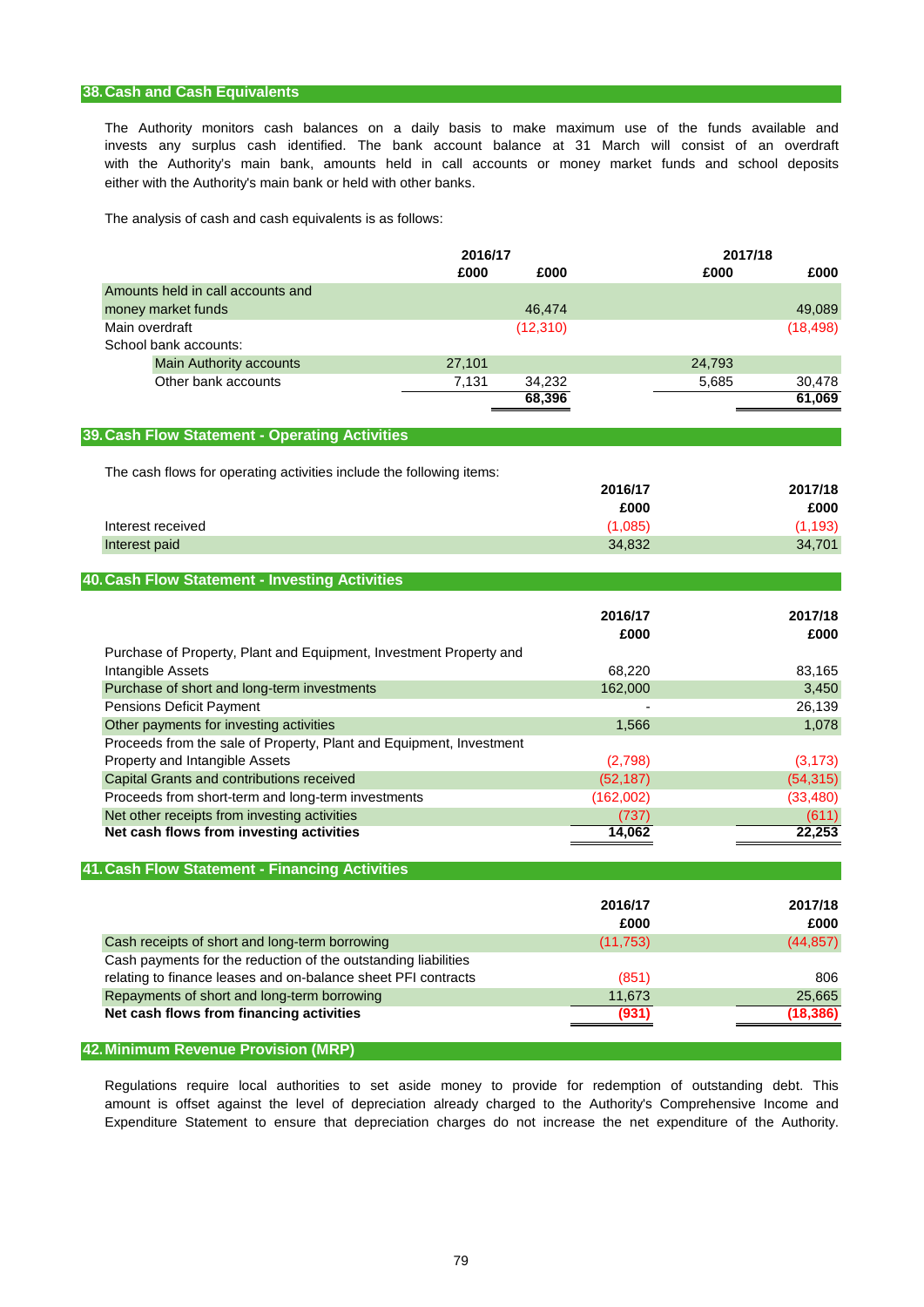# **38.Cash and Cash Equivalents**

with the Authority's main bank, amounts held in call accounts or money market funds and school deposits invests any surplus cash identified. The bank account balance at 31 March will consist of an overdraft either with the Authority's main bank or held with other banks. The Authority monitors cash balances on a daily basis to make maximum use of the funds available and

The analysis of cash and cash equivalents is as follows:

|                                                                      | 2016/17 |           |           | 2017/18 |           |
|----------------------------------------------------------------------|---------|-----------|-----------|---------|-----------|
|                                                                      | £000    | £000      |           | £000    | £000      |
| Amounts held in call accounts and                                    |         |           |           |         |           |
| money market funds                                                   |         | 46,474    |           |         | 49,089    |
| Main overdraft                                                       |         | (12, 310) |           |         | (18, 498) |
| School bank accounts:                                                |         |           |           |         |           |
| <b>Main Authority accounts</b>                                       | 27,101  |           |           | 24,793  |           |
| Other bank accounts                                                  | 7,131   | 34,232    |           | 5,685   | 30,478    |
|                                                                      |         | 68,396    |           |         | 61,069    |
| 39. Cash Flow Statement - Operating Activities                       |         |           |           |         |           |
| The cash flows for operating activities include the following items: |         |           |           |         |           |
|                                                                      |         |           | 2016/17   |         | 2017/18   |
|                                                                      |         |           | £000      |         | £000      |
| Interest received                                                    |         |           | (1,085)   |         | (1, 193)  |
| Interest paid                                                        |         |           | 34,832    |         | 34,701    |
|                                                                      |         |           |           |         |           |
| 40. Cash Flow Statement - Investing Activities                       |         |           |           |         |           |
|                                                                      |         |           | 2016/17   |         | 2017/18   |
|                                                                      |         |           | £000      |         | £000      |
| Purchase of Property, Plant and Equipment, Investment Property and   |         |           |           |         |           |
| Intangible Assets                                                    |         |           | 68,220    |         | 83,165    |
| Purchase of short and long-term investments                          |         |           | 162,000   |         | 3,450     |
| <b>Pensions Deficit Payment</b>                                      |         |           |           |         | 26,139    |
| Other payments for investing activities                              |         |           | 1,566     |         | 1,078     |
| Proceeds from the sale of Property, Plant and Equipment, Investment  |         |           |           |         |           |
| Property and Intangible Assets                                       |         |           | (2,798)   |         | (3, 173)  |
| Capital Grants and contributions received                            |         |           | (52, 187) |         | (54, 315) |
| Proceeds from short-term and long-term investments                   |         |           | (162,002) |         | (33, 480) |
| Net other receipts from investing activities                         |         |           | (737)     |         | (611)     |
| Net cash flows from investing activities                             |         |           | 14,062    |         | 22,253    |
|                                                                      |         |           |           |         |           |
| 41. Cash Flow Statement - Financing Activities                       |         |           |           |         |           |
|                                                                      |         |           | 2016/17   |         | 2017/18   |
|                                                                      |         |           | £000      |         | £000      |
| Cash receipts of short and long-term borrowing                       |         |           | (11, 753) |         | (44, 857) |
| Cash payments for the reduction of the outstanding liabilities       |         |           |           |         |           |
| relating to finance leases and on-balance sheet PFI contracts        |         |           | (851)     |         | 806       |
| Repayments of short and long-term borrowing                          |         |           | 11,673    |         | 25,665    |
| Net cash flows from financing activities                             |         |           | (931)     |         | (18, 386) |
|                                                                      |         |           |           |         |           |
| 42. Minimum Revenue Provision (MRP)                                  |         |           |           |         |           |

Expenditure Statement to ensure that depreciation charges do not increase the net expenditure of the Authority. Regulations require local authorities to set aside money to provide for redemption of outstanding debt. This amount is offset against the level of depreciation already charged to the Authority's Comprehensive Income and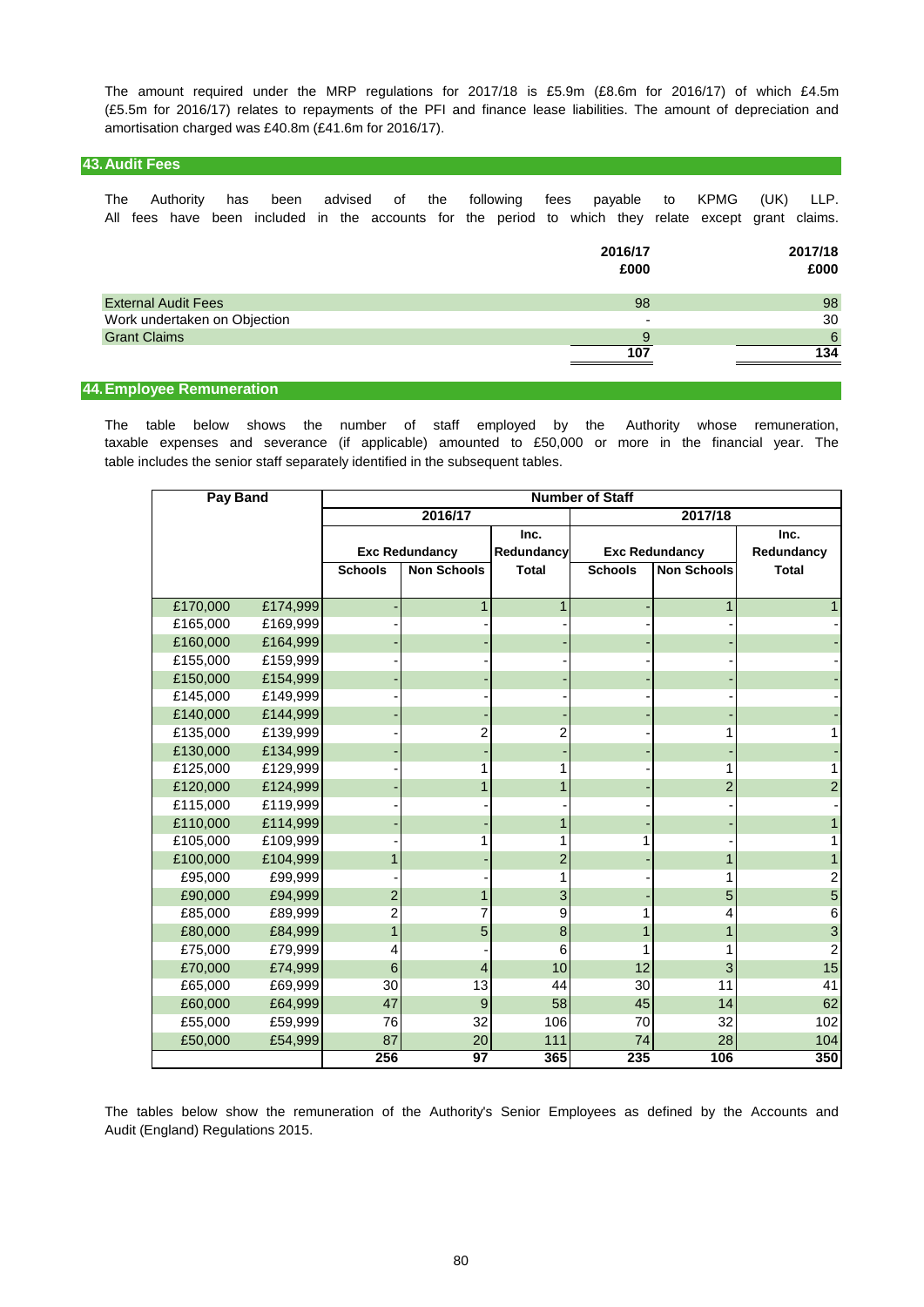amortisation charged was £40.8m (£41.6m for 2016/17). The amount required under the MRP regulations for 2017/18 is £5.9m (£8.6m for 2016/17) of which £4.5m (£5.5m for 2016/17) relates to repayments of the PFI and finance lease liabilities. The amount of depreciation and

# **43.Audit Fees**

|  |  | The Authority has been advised of the following fees payable to KPMG (UK) LLP.                       |  |  |  |  |  |  |  |
|--|--|------------------------------------------------------------------------------------------------------|--|--|--|--|--|--|--|
|  |  | All fees have been included in the accounts for the period to which they relate except grant claims. |  |  |  |  |  |  |  |

|                              | 2016/17<br>£000 | 2017/18<br>£000 |
|------------------------------|-----------------|-----------------|
| <b>External Audit Fees</b>   | 98              | 98              |
| Work undertaken on Objection |                 | 30              |
| <b>Grant Claims</b>          | a               | 6               |
|                              | 107             | 134             |

## **44.Employee Remuneration**

table includes the senior staff separately identified in the subsequent tables. The table below shows the number of staff employed by the Authority whose remuneration, taxable expenses and severance (if applicable) amounted to £50,000 or more in the financial year. The

| Pay Band |          | <b>Number of Staff</b> |                       |                |                |                       |                         |  |  |
|----------|----------|------------------------|-----------------------|----------------|----------------|-----------------------|-------------------------|--|--|
|          |          |                        | 2016/17               |                |                | 2017/18               |                         |  |  |
|          |          |                        |                       | Inc.           |                | Inc.                  |                         |  |  |
|          |          |                        | <b>Exc Redundancy</b> | Redundancy     |                | <b>Exc Redundancy</b> | Redundancy              |  |  |
|          |          | <b>Schools</b>         | <b>Non Schools</b>    | <b>Total</b>   | <b>Schools</b> | <b>Non Schools</b>    | <b>Total</b>            |  |  |
|          |          |                        |                       |                |                |                       |                         |  |  |
| £170,000 | £174,999 |                        | 1                     | 1              |                |                       | 1                       |  |  |
| £165,000 | £169,999 |                        |                       |                |                |                       |                         |  |  |
| £160,000 | £164,999 |                        |                       |                |                |                       |                         |  |  |
| £155,000 | £159,999 |                        |                       |                |                |                       |                         |  |  |
| £150,000 | £154,999 |                        |                       |                |                |                       |                         |  |  |
| £145,000 | £149,999 |                        |                       |                |                |                       |                         |  |  |
| £140,000 | £144,999 |                        |                       |                |                |                       |                         |  |  |
| £135,000 | £139,999 |                        | 2                     | 2              |                |                       | 1                       |  |  |
| £130,000 | £134,999 |                        |                       |                |                |                       |                         |  |  |
| £125,000 | £129,999 |                        |                       | 1              |                |                       | 1                       |  |  |
| £120,000 | £124,999 |                        | 1                     | 1              |                | $\overline{2}$        | $\overline{2}$          |  |  |
| £115,000 | £119,999 |                        |                       |                |                |                       |                         |  |  |
| £110,000 | £114,999 |                        |                       | 1              |                |                       | 1                       |  |  |
| £105,000 | £109,999 |                        | 1                     |                |                |                       | 1                       |  |  |
| £100,000 | £104,999 | 1                      |                       | $\overline{2}$ |                |                       | $\mathbf{1}$            |  |  |
| £95,000  | £99,999  |                        |                       | 1              |                |                       | $\overline{\mathbf{c}}$ |  |  |
| £90,000  | £94,999  | 2                      | 1                     | 3              |                | 5                     | 5                       |  |  |
| £85,000  | £89,999  | 2                      | 7                     | 9              |                | 4                     | 6                       |  |  |
| £80,000  | £84,999  | 1                      | 5                     | 8              |                |                       | $\mathbf{3}$            |  |  |
| £75,000  | £79,999  | 4                      |                       | 6              |                |                       | 2                       |  |  |
| £70,000  | £74,999  | $6\phantom{1}6$        | 4                     | 10             | 12             | 3                     | 15                      |  |  |
| £65,000  | £69,999  | 30                     | 13                    | 44             | 30             | 11                    | 41                      |  |  |
| £60,000  | £64,999  | 47                     | $9$                   | 58             | 45             | 14                    | 62                      |  |  |
| £55,000  | £59,999  | 76                     | 32                    | 106            | 70             | 32                    | 102                     |  |  |
| £50,000  | £54,999  | 87                     | 20                    | 111            | 74             | 28                    | 104                     |  |  |
|          |          | 256                    | 97                    | 365            | 235            | 106                   | 350                     |  |  |

Audit (England) Regulations 2015. The tables below show the remuneration of the Authority's Senior Employees as defined by the Accounts and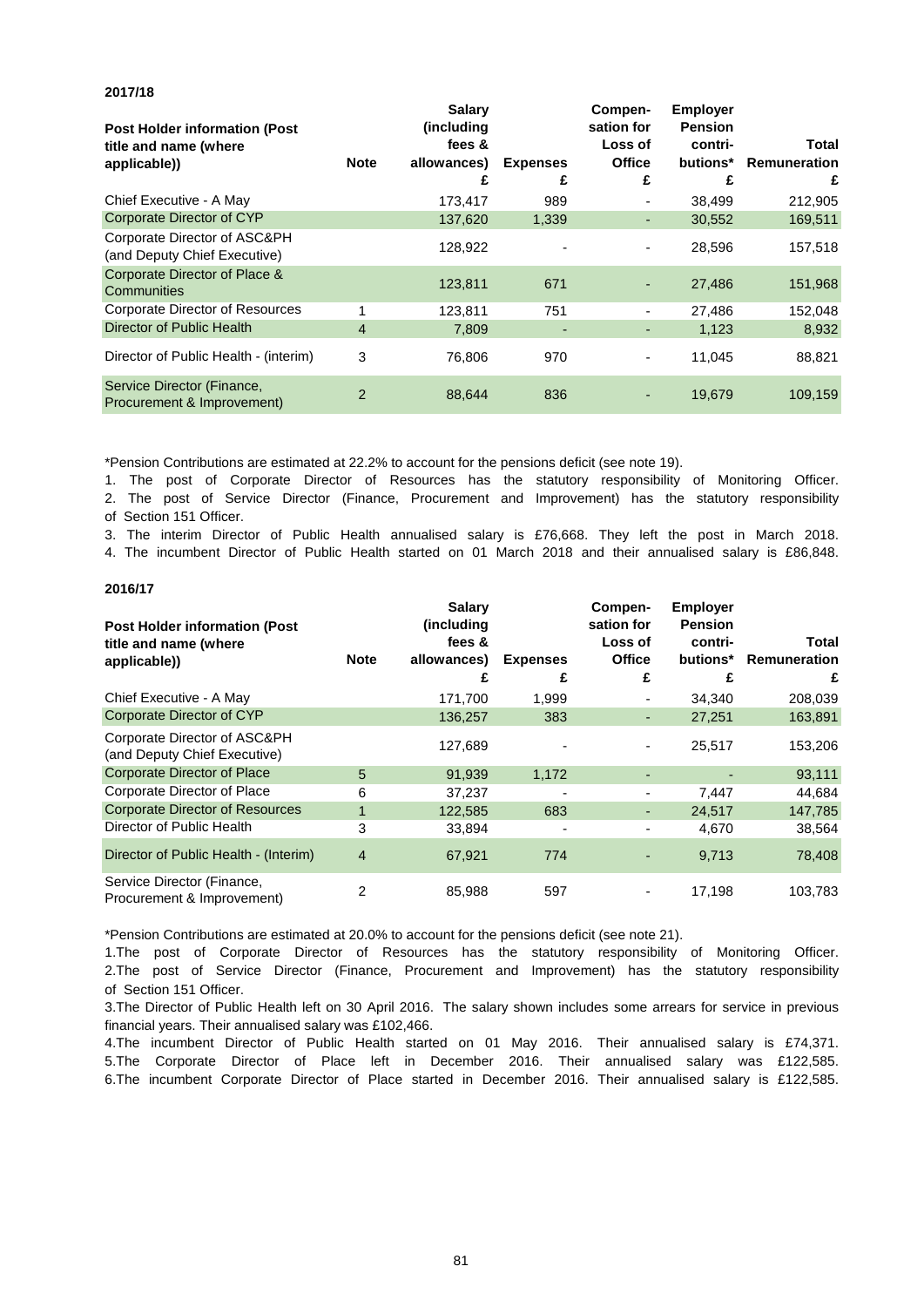**Note Salary (including fees & allowances) Expenses Compensation for Loss of Office Employer Pension contributions\* Remuneration Total £ £ £ £ £** Chief Executive - A May 173,417 989 - 38,499 212,905 137,620 1,339 - 30,552 169,511 128,922 - - 28,596 157,518 123,811 671 - 27,486 151,968 1 123,811 751 - 27,486 152,048 4 7,809 - - 1,123 8,932 3 76,806 970 - 11,045 88,821 2 88,644 836 - 19,679 109,159 **Post Holder information (Post title and name (where applicable))** Corporate Director of Resources Corporate Director of Place & **Communities** Director of Public Health Service Director (Finance, Procurement & Improvement) Director of Public Health - (interim) Corporate Director of ASC&PH (and Deputy Chief Executive) Corporate Director of CYP

\*Pension Contributions are estimated at 22.2% to account for the pensions deficit (see note 19).

**2017/18**

**2016/17**

2. The post of Service Director (Finance, Procurement and Improvement) has the statutory responsibility of Section 151 Officer. 1. The post of Corporate Director of Resources has the statutory responsibility of Monitoring Officer.

3. The interim Director of Public Health annualised salary is £76,668. They left the post in March 2018.

4. The incumbent Director of Public Health started on 01 March 2018 and their annualised salary is £86,848.

| <b>Post Holder information (Post</b><br>title and name (where<br>applicable)) | <b>Note</b>  | <b>Salary</b><br>(including<br>fees &<br>allowances)<br>£ | <b>Expenses</b><br>£ | Compen-<br>sation for<br>Loss of<br><b>Office</b><br>£ | <b>Employer</b><br><b>Pension</b><br>contri-<br>butions* | Total<br>Remuneration<br>£ |
|-------------------------------------------------------------------------------|--------------|-----------------------------------------------------------|----------------------|--------------------------------------------------------|----------------------------------------------------------|----------------------------|
| Chief Executive - A May                                                       |              | 171,700                                                   | 1,999                |                                                        | 34.340                                                   | 208,039                    |
| Corporate Director of CYP                                                     |              | 136,257                                                   | 383                  | ۰                                                      | 27,251                                                   | 163,891                    |
| Corporate Director of ASC&PH<br>(and Deputy Chief Executive)                  |              | 127,689                                                   |                      | ٠                                                      | 25,517                                                   | 153,206                    |
| <b>Corporate Director of Place</b>                                            | 5            | 91,939                                                    | 1,172                |                                                        |                                                          | 93,111                     |
| Corporate Director of Place                                                   | 6            | 37,237                                                    |                      | ٠                                                      | 7,447                                                    | 44,684                     |
| <b>Corporate Director of Resources</b>                                        | $\mathbf{1}$ | 122,585                                                   | 683                  | ٠                                                      | 24,517                                                   | 147,785                    |
| Director of Public Health                                                     | 3            | 33,894                                                    |                      |                                                        | 4,670                                                    | 38,564                     |
| Director of Public Health - (Interim)                                         | 4            | 67,921                                                    | 774                  |                                                        | 9,713                                                    | 78,408                     |
| Service Director (Finance,<br>Procurement & Improvement)                      | 2            | 85,988                                                    | 597                  |                                                        | 17,198                                                   | 103,783                    |

\*Pension Contributions are estimated at 20.0% to account for the pensions deficit (see note 21).

1.The post of Corporate Director of Resources has the statutory responsibility of Monitoring Officer. 2.The post of Service Director (Finance, Procurement and Improvement) has the statutory responsibility of Section 151 Officer.

3.The Director of Public Health left on 30 April 2016. The salary shown includes some arrears for service in previous financial years. Their annualised salary was £102,466.

4.The incumbent Director of Public Health started on 01 May 2016. Their annualised salary is £74,371. 5.The Corporate Director of Place left in December 2016. Their annualised salary was £122,585. 6.The incumbent Corporate Director of Place started in December 2016. Their annualised salary is £122,585.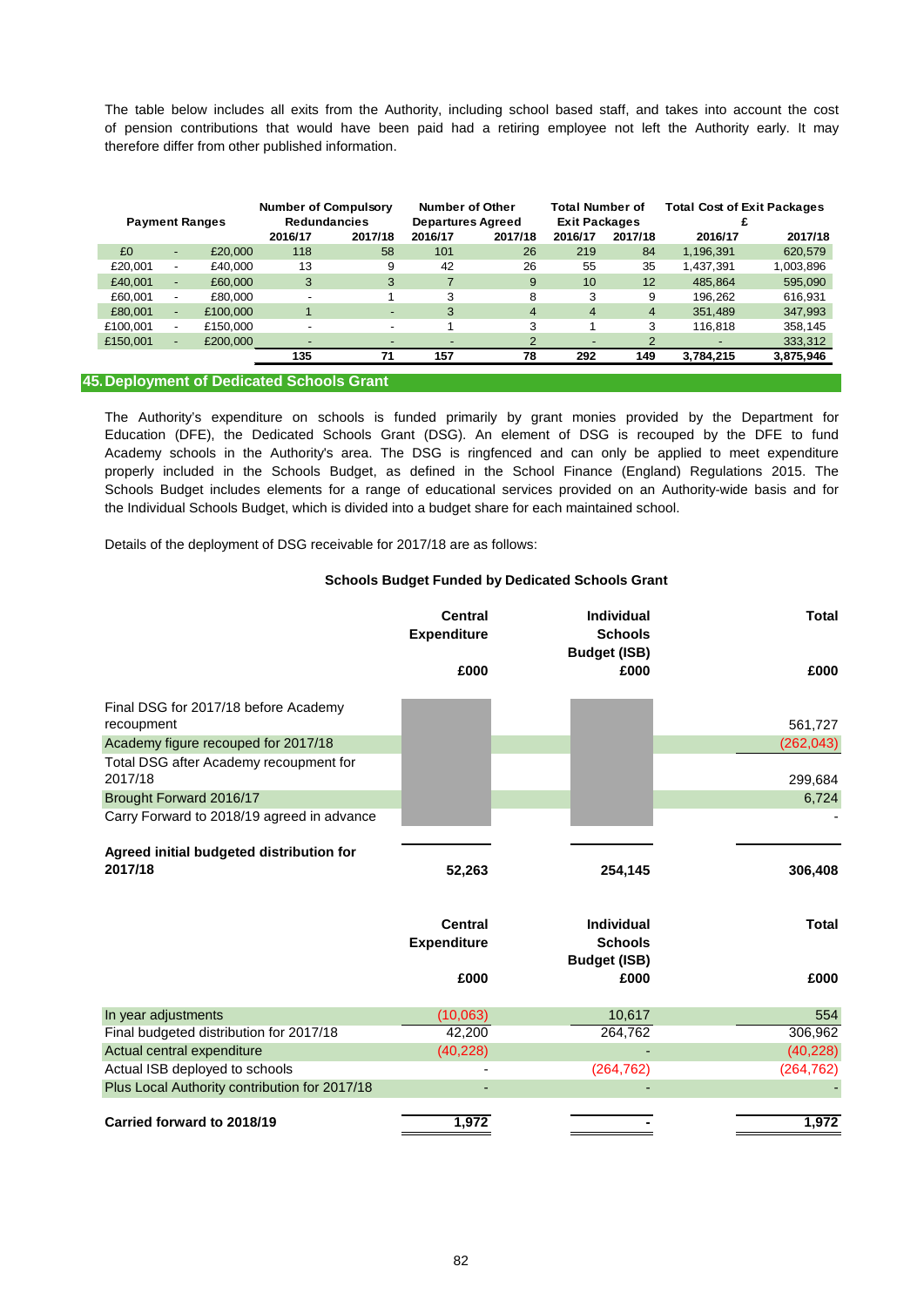therefore differ from other published information. of pension contributions that would have been paid had a retiring employee not left the Authority early. It may The table below includes all exits from the Authority, including school based staff, and takes into account the cost

| <b>Payment Ranges</b> |                          | <b>Number of Compulsory</b><br><b>Redundancies</b> |         | Number of Other<br><b>Departures Agreed</b> |                          | <b>Total Number of</b><br><b>Exit Packages</b> |                          | <b>Total Cost of Exit Packages</b> |           |           |
|-----------------------|--------------------------|----------------------------------------------------|---------|---------------------------------------------|--------------------------|------------------------------------------------|--------------------------|------------------------------------|-----------|-----------|
|                       |                          |                                                    | 2016/17 | 2017/18                                     | 2016/17                  | 2017/18                                        | 2016/17                  | 2017/18                            | 2016/17   | 2017/18   |
| £O                    | $\overline{\phantom{0}}$ | £20,000                                            | 118     | 58                                          | 101                      | 26                                             | 219                      | 84                                 | 1,196,391 | 620,579   |
| £20.001               | $\overline{\phantom{0}}$ | £40.000                                            | 13      | 9                                           | 42                       | 26                                             | 55                       | 35                                 | 1,437,391 | 1,003,896 |
| £40,001               | $\overline{a}$           | £60,000                                            | 3       | 3                                           |                          | 9                                              | 10                       | 12                                 | 485.864   | 595,090   |
| £60.001               |                          | £80,000                                            |         |                                             | 3                        | 8                                              | 3                        | 9                                  | 196.262   | 616,931   |
| £80,001               | $\overline{\phantom{0}}$ | £100,000                                           |         | ٠                                           | 3                        | $\overline{4}$                                 | 4                        | $\overline{4}$                     | 351.489   | 347,993   |
| £100.001              |                          | £150.000                                           |         | $\overline{\phantom{0}}$                    |                          | 3                                              |                          | 3                                  | 116.818   | 358,145   |
| £150,001              | $\overline{\phantom{0}}$ | £200,000                                           |         | -                                           | $\overline{\phantom{0}}$ | $\overline{2}$                                 | $\overline{\phantom{0}}$ | 2                                  |           | 333,312   |
|                       |                          |                                                    | 135     | 71                                          | 157                      | 78                                             | 292                      | 149                                | 3,784,215 | 3,875,946 |
|                       |                          |                                                    | .       |                                             |                          |                                                |                          |                                    |           |           |

#### **45.Deployment of Dedicated Schools Grant**

Academy schools in the Authority's area. The DSG is ringfenced and can only be applied to meet expenditure Schools Budget includes elements for a range of educational services provided on an Authority-wide basis and for the Individual Schools Budget, which is divided into a budget share for each maintained school. properly included in the Schools Budget, as defined in the School Finance (England) Regulations 2015. The Education (DFE), the Dedicated Schools Grant (DSG). An element of DSG is recouped by the DFE to fund The Authority's expenditure on schools is funded primarily by grant monies provided by the Department for

Details of the deployment of DSG receivable for 2017/18 are as follows:

#### **Schools Budget Funded by Dedicated Schools Grant**

|                                                     | <b>Central</b><br><b>Expenditure</b> | <b>Individual</b><br><b>Schools</b><br><b>Budget (ISB)</b> | <b>Total</b> |
|-----------------------------------------------------|--------------------------------------|------------------------------------------------------------|--------------|
|                                                     | £000                                 | £000                                                       | £000         |
| Final DSG for 2017/18 before Academy                |                                      |                                                            |              |
| recoupment                                          |                                      |                                                            | 561,727      |
| Academy figure recouped for 2017/18                 |                                      |                                                            | (262, 043)   |
| Total DSG after Academy recoupment for<br>2017/18   |                                      |                                                            | 299,684      |
| Brought Forward 2016/17                             |                                      |                                                            | 6,724        |
| Carry Forward to 2018/19 agreed in advance          |                                      |                                                            |              |
| Agreed initial budgeted distribution for<br>2017/18 | 52,263                               | 254,145                                                    | 306,408      |
|                                                     | <b>Central</b><br><b>Expenditure</b> | Individual<br><b>Schools</b><br><b>Budget (ISB)</b>        | <b>Total</b> |
|                                                     | £000                                 | £000                                                       | £000         |
| In year adjustments                                 | (10,063)                             | 10,617                                                     | 554          |
| Final budgeted distribution for 2017/18             | 42,200                               | 264,762                                                    | 306,962      |
| Actual central expenditure                          | (40, 228)                            |                                                            | (40, 228)    |
| Actual ISB deployed to schools                      |                                      | (264, 762)                                                 | (264, 762)   |
| Plus Local Authority contribution for 2017/18       |                                      |                                                            |              |
| Carried forward to 2018/19                          | 1,972                                |                                                            | 1,972        |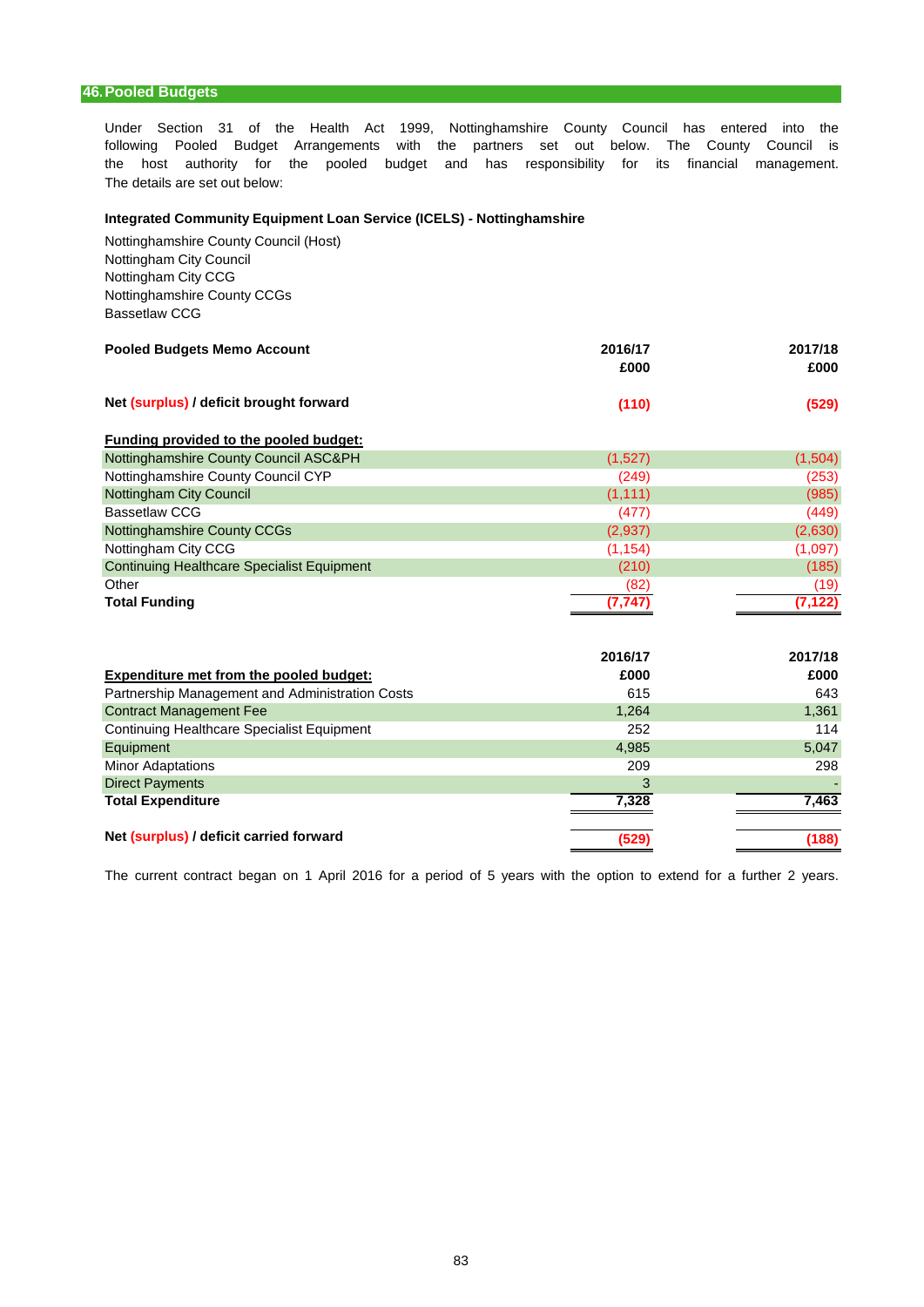# **46.Pooled Budgets**

Under Section 31 of the Health Act 1999, Nottinghamshire County Council has entered into the the host authority for the pooled budget and has responsibility for its financial management. following Pooled Budget Arrangements with the partners set out below. The County Council is The details are set out below:

## **Integrated Community Equipment Loan Service (ICELS) - Nottinghamshire**

Nottinghamshire County Council (Host) Nottingham City Council Nottingham City CCG Nottinghamshire County CCGs Bassetlaw CCG

| <b>Pooled Budgets Memo Account</b>      | 2016/17<br>£000 | 2017/18<br>£000 |
|-----------------------------------------|-----------------|-----------------|
| Net (surplus) / deficit brought forward | (110)           | (529)           |

# **Funding provided to the pooled budget:**

| Nottinghamshire County Council ASC&PH             | (1,527)  | (1,504)  |
|---------------------------------------------------|----------|----------|
| Nottinghamshire County Council CYP                | (249)    | (253)    |
| Nottingham City Council                           | (1, 111) | (985)    |
| <b>Bassetlaw CCG</b>                              | (477)    | (449)    |
| Nottinghamshire County CCGs                       | (2,937)  | (2,630)  |
| Nottingham City CCG                               | (1, 154) | (1,097)  |
| <b>Continuing Healthcare Specialist Equipment</b> | (210)    | (185)    |
| Other                                             | (82)     | (19)     |
| <b>Total Funding</b>                              | (7.747)  | (7, 122) |

| Expenditure met from the pooled budget:         | 2016/17<br>£000 | 2017/18<br>£000 |
|-------------------------------------------------|-----------------|-----------------|
| Partnership Management and Administration Costs | 615             | 643             |
| <b>Contract Management Fee</b>                  | 1,264           | 1,361           |
| Continuing Healthcare Specialist Equipment      | 252             | 114             |
| Equipment                                       | 4,985           | 5,047           |
| <b>Minor Adaptations</b>                        | 209             | 298             |
| <b>Direct Payments</b>                          | 3               |                 |
| <b>Total Expenditure</b>                        | 7,328           | 7,463           |
| Net (surplus) / deficit carried forward         | (529            | (188)           |

The current contract began on 1 April 2016 for a period of 5 years with the option to extend for a further 2 years.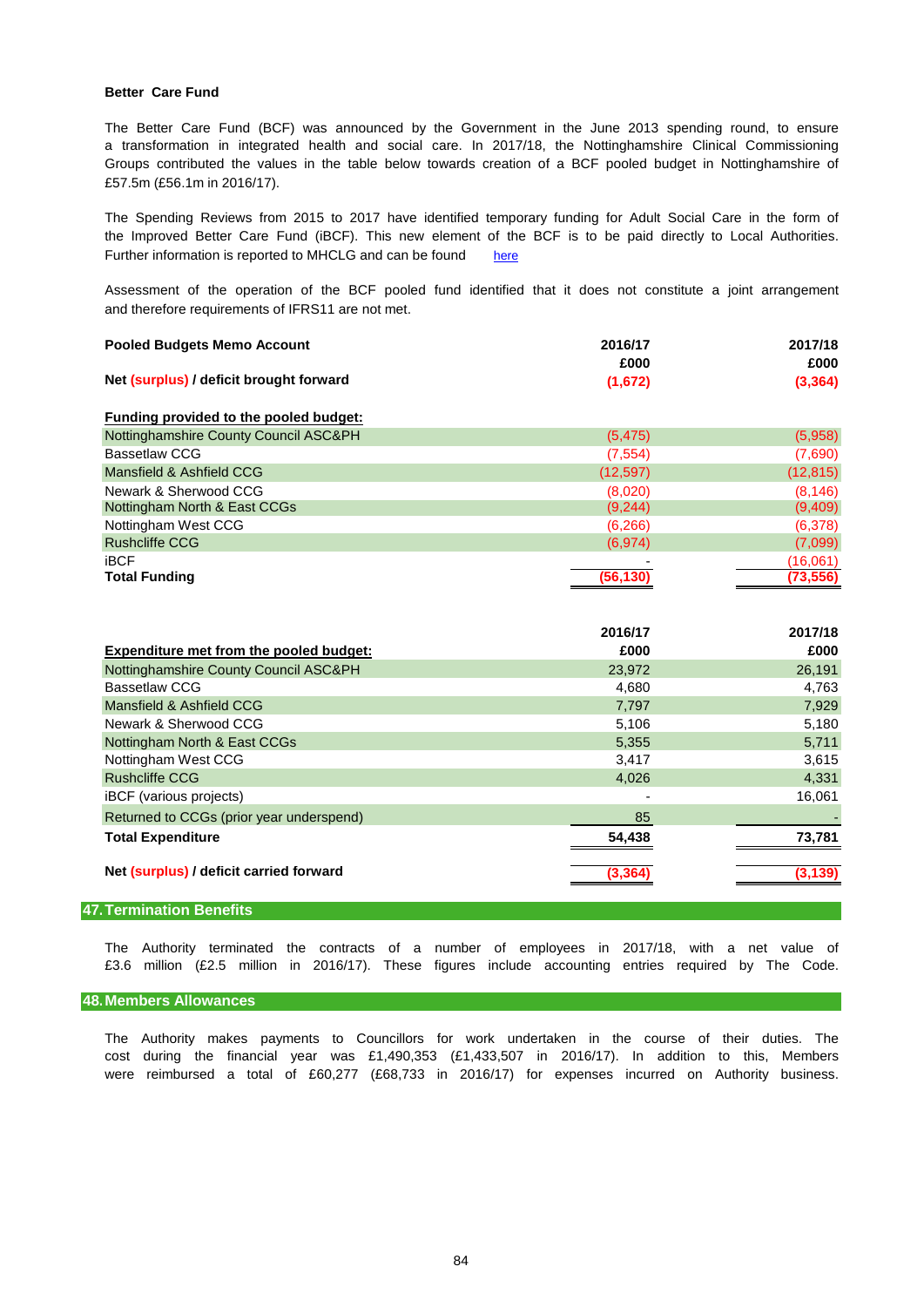### **Better Care Fund**

£57.5m (£56.1m in 2016/17). The Better Care Fund (BCF) was announced by the Government in the June 2013 spending round, to ensure a transformation in integrated health and social care. In 2017/18, the Nottinghamshire Clinical Commissioning Groups contributed the values in the table below towards creation of a BCF pooled budget in Nottinghamshire of

Further information is reported to MHCLG and can be found [here](http://www.nottinghamshire.gov.uk/dmsadmin/Meetings/tabid/70/ctl/ViewMeetingPublic/mid/397/Meeting/3968/Committee/514/SelectedTab/Documents/Default.aspx) The Spending Reviews from 2015 to 2017 have identified temporary funding for Adult Social Care in the form of the Improved Better Care Fund (iBCF). This new element of the BCF is to be paid directly to Local Authorities.

and therefore requirements of IFRS11 are not met. Assessment of the operation of the BCF pooled fund identified that it does not constitute a joint arrangement

| <b>Pooled Budgets Memo Account</b>      | 2016/17   | 2017/18   |  |
|-----------------------------------------|-----------|-----------|--|
|                                         | £000      | £000      |  |
| Net (surplus) / deficit brought forward | (1,672)   | (3, 364)  |  |
| Funding provided to the pooled budget:  |           |           |  |
| Nottinghamshire County Council ASC&PH   | (5, 475)  | (5,958)   |  |
| Bassetlaw CCG                           | (7, 554)  | (7,690)   |  |
| Mansfield & Ashfield CCG                | (12, 597) | (12, 815) |  |
| Newark & Sherwood CCG                   | (8,020)   | (8, 146)  |  |
| Nottingham North & East CCGs            | (9,244)   | (9,409)   |  |
| Nottingham West CCG                     | (6,266)   | (6,378)   |  |
| <b>Rushcliffe CCG</b>                   | (6,974)   | (7,099)   |  |
| <b>iBCF</b>                             |           | (16,061)  |  |
| <b>Total Funding</b>                    | (56, 130) | (73, 556) |  |

|                                                | 2016/17 | 2017/18  |
|------------------------------------------------|---------|----------|
| <b>Expenditure met from the pooled budget:</b> | £000    | £000     |
| Nottinghamshire County Council ASC&PH          | 23,972  | 26,191   |
| <b>Bassetlaw CCG</b>                           | 4,680   | 4,763    |
| Mansfield & Ashfield CCG                       | 7,797   | 7,929    |
| Newark & Sherwood CCG                          | 5,106   | 5,180    |
| Nottingham North & East CCGs                   | 5,355   | 5,711    |
| Nottingham West CCG                            | 3,417   | 3,615    |
| <b>Rushcliffe CCG</b>                          | 4,026   | 4,331    |
| iBCF (various projects)                        |         | 16,061   |
| Returned to CCGs (prior year underspend)       | 85      |          |
| <b>Total Expenditure</b>                       | 54.438  | 73,781   |
| Net (surplus) / deficit carried forward        | (3,364) | (3, 139) |

## **47.Termination Benefits**

The Authority terminated the contracts of a number of employees in 2017/18, with a net value of £3.6 million (£2.5 million in 2016/17). These figures include accounting entries required by The Code.

#### **48.Members Allowances**

The Authority makes payments to Councillors for work undertaken in the course of their duties. The cost during the financial year was £1,490,353 (£1,433,507 in 2016/17). In addition to this, Members were reimbursed a total of £60,277 (£68,733 in 2016/17) for expenses incurred on Authority business.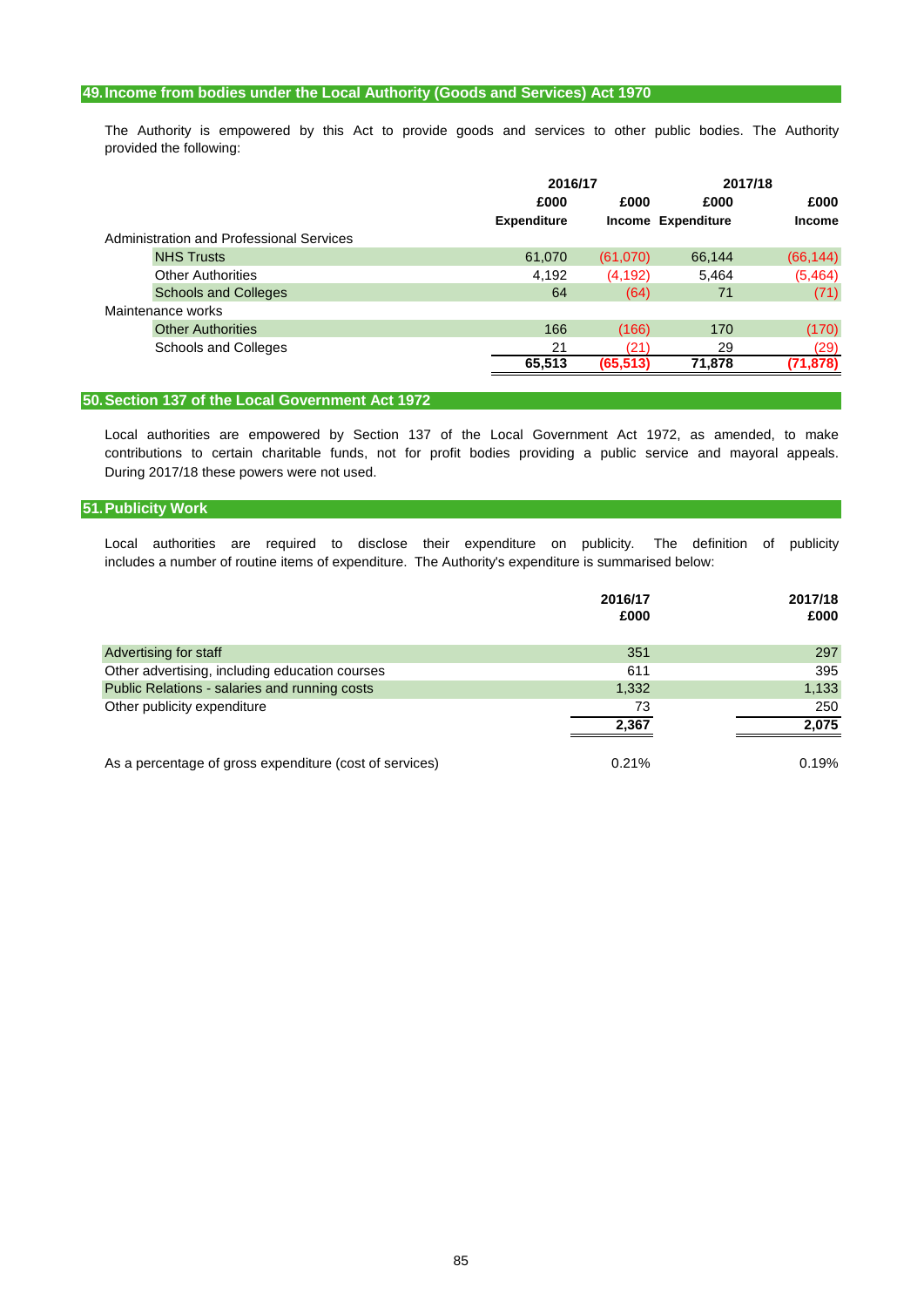## **49.Income from bodies under the Local Authority (Goods and Services) Act 1970**

provided the following: The Authority is empowered by this Act to provide goods and services to other public bodies. The Authority

|                                          |                    | 2017/18<br>2016/17 |                    |               |
|------------------------------------------|--------------------|--------------------|--------------------|---------------|
|                                          | £000               | £000               | £000               | £000          |
|                                          | <b>Expenditure</b> |                    | Income Expenditure | <b>Income</b> |
| Administration and Professional Services |                    |                    |                    |               |
| <b>NHS Trusts</b>                        | 61,070             | (61,070)           | 66,144             | (66, 144)     |
| <b>Other Authorities</b>                 | 4,192              | (4, 192)           | 5,464              | (5,464)       |
| <b>Schools and Colleges</b>              | 64                 | (64)               | 71                 | (71)          |
| Maintenance works                        |                    |                    |                    |               |
| <b>Other Authorities</b>                 | 166                | (166)              | 170                | (170)         |
| Schools and Colleges                     | 21                 | (21)               | 29                 | (29)          |
|                                          | 65,513             | (65, 513)          | 71,878             | (71, 878)     |

# **50.Section 137 of the Local Government Act 1972**

During 2017/18 these powers were not used. contributions to certain charitable funds, not for profit bodies providing a public service and mayoral appeals. Local authorities are empowered by Section 137 of the Local Government Act 1972, as amended, to make

## **51.Publicity Work**

Local authorities are required to disclose their expenditure on publicity. The definition of publicity includes a number of routine items of expenditure. The Authority's expenditure is summarised below:

|                                                         | 2016/17<br>£000 | 2017/18<br>£000 |
|---------------------------------------------------------|-----------------|-----------------|
| Advertising for staff                                   | 351             | 297             |
| Other advertising, including education courses          | 611             | 395             |
| Public Relations - salaries and running costs           | 1,332           | 1,133           |
| Other publicity expenditure                             | 73              | 250             |
|                                                         | 2.367           | 2,075           |
| As a percentage of gross expenditure (cost of services) | 0.21%           | 0.19%           |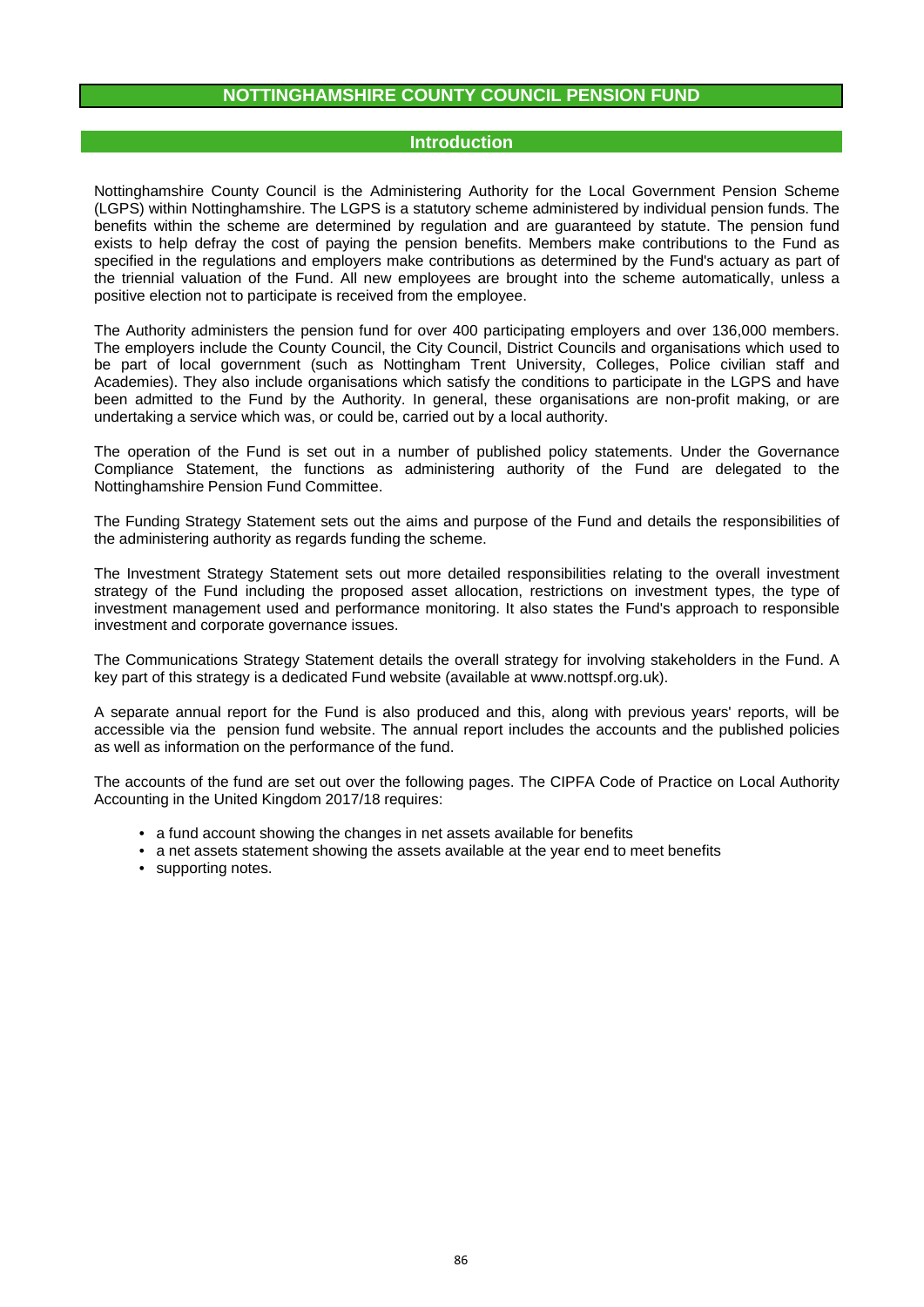# **NOTTINGHAMSHIRE COUNTY COUNCIL PENSION FUND**

# **Introduction**

Nottinghamshire County Council is the Administering Authority for the Local Government Pension Scheme (LGPS) within Nottinghamshire. The LGPS is a statutory scheme administered by individual pension funds. The benefits within the scheme are determined by regulation and are guaranteed by statute. The pension fund exists to help defray the cost of paying the pension benefits. Members make contributions to the Fund as specified in the regulations and employers make contributions as determined by the Fund's actuary as part of the triennial valuation of the Fund. All new employees are brought into the scheme automatically, unless a positive election not to participate is received from the employee.

The Authority administers the pension fund for over 400 participating employers and over 136,000 members. The employers include the County Council, the City Council, District Councils and organisations which used to be part of local government (such as Nottingham Trent University, Colleges, Police civilian staff and Academies). They also include organisations which satisfy the conditions to participate in the LGPS and have been admitted to the Fund by the Authority. In general, these organisations are non-profit making, or are undertaking a service which was, or could be, carried out by a local authority.

The operation of the Fund is set out in a number of published policy statements. Under the Governance Compliance Statement, the functions as administering authority of the Fund are delegated to the Nottinghamshire Pension Fund Committee.

The Funding Strategy Statement sets out the aims and purpose of the Fund and details the responsibilities of the administering authority as regards funding the scheme.

The Investment Strategy Statement sets out more detailed responsibilities relating to the overall investment strategy of the Fund including the proposed asset allocation, restrictions on investment types, the type of investment management used and performance monitoring. It also states the Fund's approach to responsible investment and corporate governance issues.

The Communications Strategy Statement details the overall strategy for involving stakeholders in the Fund. A key part of this strategy is a dedicated Fund website (available at www.nottspf.org.uk).

A separate annual report for the Fund is also produced and this, along with previous years' reports, will be accessible via the pension fund website. The annual report includes the accounts and the published policies as well as information on the performance of the fund.

The accounts of the fund are set out over the following pages. The CIPFA Code of Practice on Local Authority Accounting in the United Kingdom 2017/18 requires:

- a fund account showing the changes in net assets available for benefits
- a net assets statement showing the assets available at the year end to meet benefits
- supporting notes.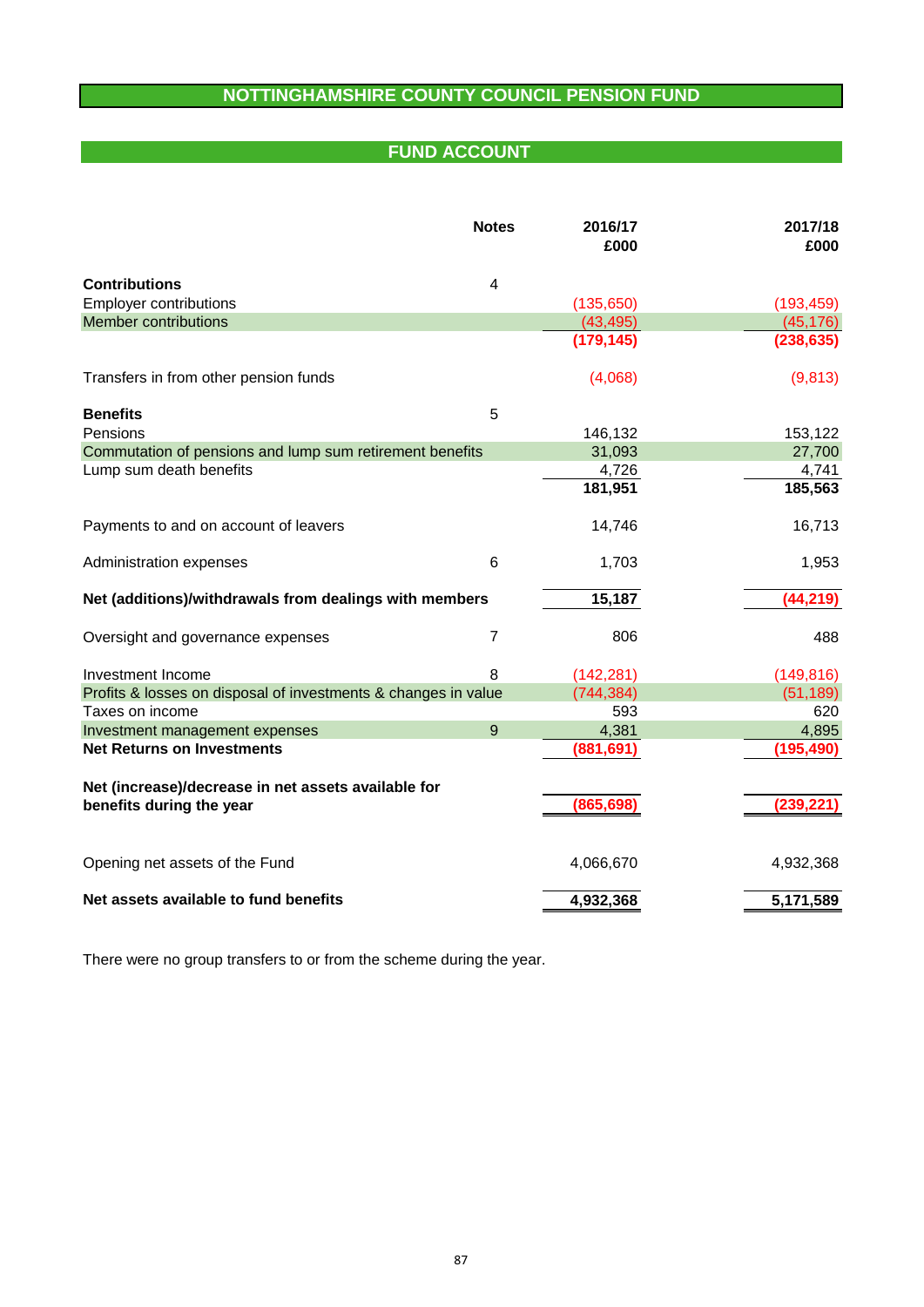# **NOTTINGHAMSHIRE COUNTY COUNCIL PENSION FUND**

# **FUND ACCOUNT**

|                                                                | <b>Notes</b>   | 2016/17<br>£000 | 2017/18<br>£000 |
|----------------------------------------------------------------|----------------|-----------------|-----------------|
| <b>Contributions</b>                                           | 4              |                 |                 |
| <b>Employer contributions</b>                                  |                | (135, 650)      | (193, 459)      |
| <b>Member contributions</b>                                    |                | (43, 495)       | (45, 176)       |
|                                                                |                | (179, 145)      | (238, 635)      |
| Transfers in from other pension funds                          |                | (4,068)         | (9, 813)        |
| <b>Benefits</b>                                                | 5              |                 |                 |
| Pensions                                                       |                | 146,132         | 153,122         |
| Commutation of pensions and lump sum retirement benefits       |                | 31,093          | 27,700          |
| Lump sum death benefits                                        |                | 4,726           | 4,741           |
|                                                                |                | 181,951         | 185,563         |
| Payments to and on account of leavers                          |                | 14,746          | 16,713          |
| Administration expenses                                        | 6              | 1,703           | 1,953           |
| Net (additions)/withdrawals from dealings with members         |                | 15,187          | (44, 219)       |
| Oversight and governance expenses                              | $\overline{7}$ | 806             | 488             |
| Investment Income                                              | 8              | (142, 281)      | (149, 816)      |
| Profits & losses on disposal of investments & changes in value |                | (744, 384)      | (51, 189)       |
| Taxes on income                                                |                | 593             | 620             |
| Investment management expenses                                 | 9              | 4,381           | 4,895           |
| <b>Net Returns on Investments</b>                              |                | (881,691)       | (195, 490)      |
| Net (increase)/decrease in net assets available for            |                |                 |                 |
| benefits during the year                                       |                | (865, 698)      | (239, 221)      |
| Opening net assets of the Fund                                 |                | 4,066,670       | 4,932,368       |
| Net assets available to fund benefits                          |                | 4,932,368       | 5,171,589       |

There were no group transfers to or from the scheme during the year.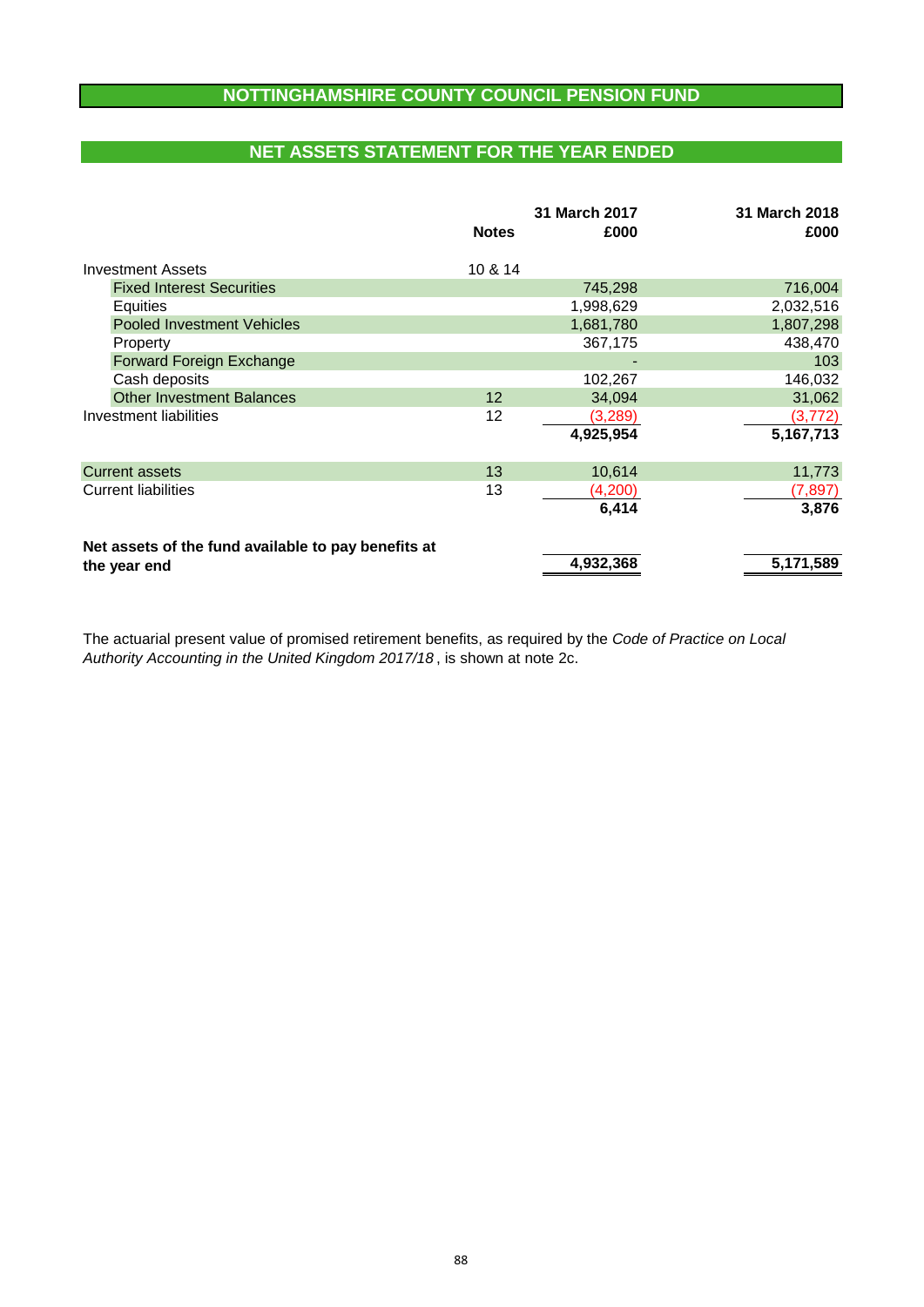# **NOTTINGHAMSHIRE COUNTY COUNCIL PENSION FUND**

# **NET ASSETS STATEMENT FOR THE YEAR ENDED**

|                                                     | <b>Notes</b> | 31 March 2017<br>£000 | 31 March 2018<br>£000 |
|-----------------------------------------------------|--------------|-----------------------|-----------------------|
| <b>Investment Assets</b>                            | 10 & 14      |                       |                       |
| <b>Fixed Interest Securities</b>                    |              | 745,298               | 716,004               |
| Equities                                            |              | 1,998,629             | 2,032,516             |
| <b>Pooled Investment Vehicles</b>                   |              | 1,681,780             | 1,807,298             |
| Property                                            |              | 367,175               | 438,470               |
| Forward Foreign Exchange                            |              |                       | 103                   |
| Cash deposits                                       |              | 102,267               | 146,032               |
| <b>Other Investment Balances</b>                    | 12           | 34,094                | 31,062                |
| Investment liabilities                              | 12           | (3,289)               | (3, 772)              |
|                                                     |              | 4,925,954             | 5,167,713             |
| <b>Current assets</b>                               | 13           | 10,614                | 11,773                |
| <b>Current liabilities</b>                          | 13           | (4,200)               | (7, 897)              |
|                                                     |              | 6,414                 | 3,876                 |
| Net assets of the fund available to pay benefits at |              |                       |                       |
| the year end                                        |              | 4,932,368             | 5,171,589             |

*Authority Accounting in the United Kingdom 2017/18* , is shown at note 2c. The actuarial present value of promised retirement benefits, as required by the *Code of Practice on Local*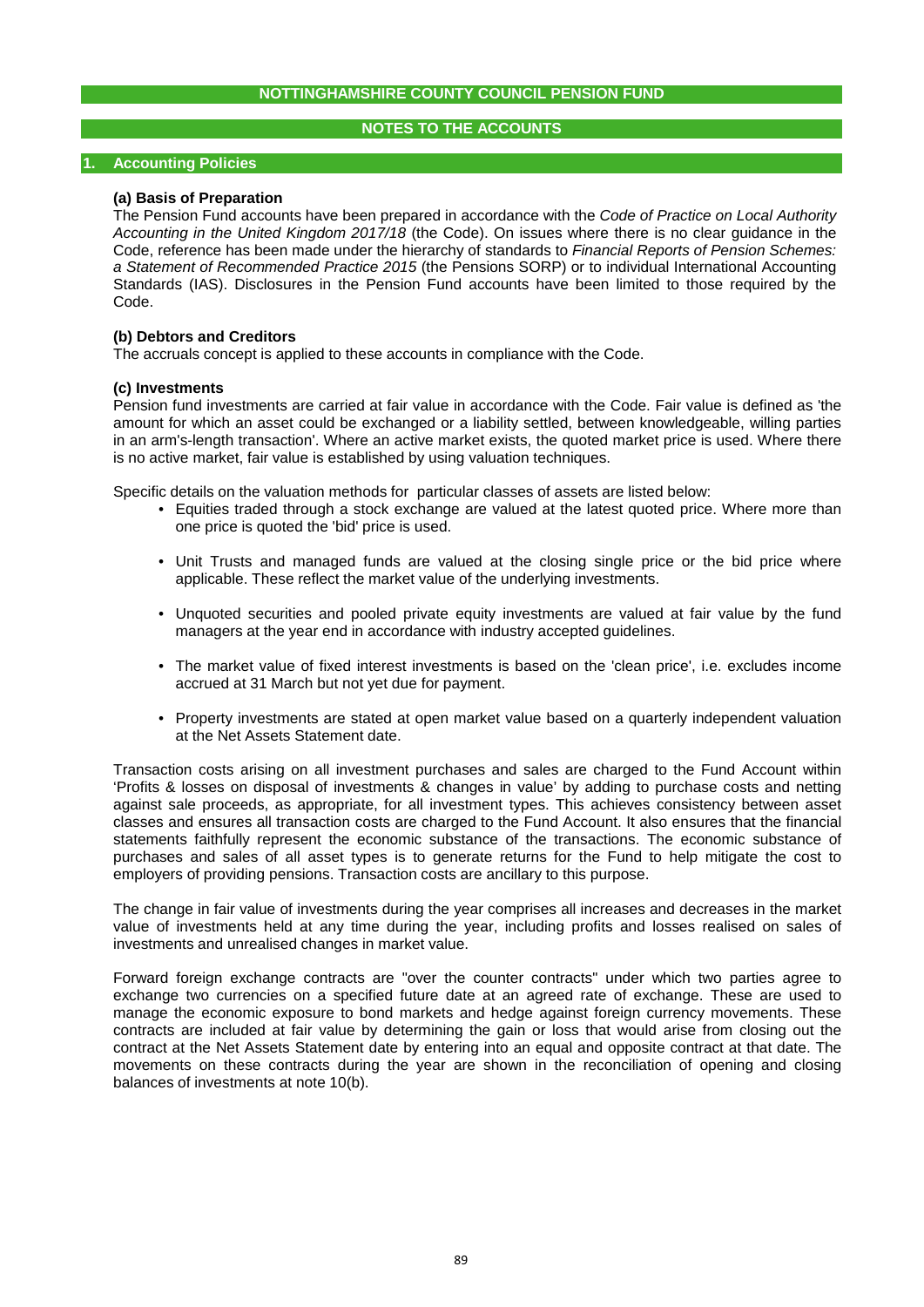# **NOTES TO THE ACCOUNTS**

# **1. Accounting Policies**

## **(a) Basis of Preparation**

The Pension Fund accounts have been prepared in accordance with the *Code of Practice on Local Authority Accounting in the United Kingdom 2017/18* (the Code). On issues where there is no clear guidance in the Code, reference has been made under the hierarchy of standards to *Financial Reports of Pension Schemes: a Statement of Recommended Practice 2015* (the Pensions SORP) or to individual International Accounting Standards (IAS). Disclosures in the Pension Fund accounts have been limited to those required by the Code.

# **(b) Debtors and Creditors**

The accruals concept is applied to these accounts in compliance with the Code.

#### **(c) Investments**

Pension fund investments are carried at fair value in accordance with the Code. Fair value is defined as 'the amount for which an asset could be exchanged or a liability settled, between knowledgeable, willing parties in an arm's-length transaction'. Where an active market exists, the quoted market price is used. Where there is no active market, fair value is established by using valuation techniques.

Specific details on the valuation methods for particular classes of assets are listed below:

- Equities traded through a stock exchange are valued at the latest quoted price. Where more than one price is quoted the 'bid' price is used.
- Unit Trusts and managed funds are valued at the closing single price or the bid price where applicable. These reflect the market value of the underlying investments.
- Unquoted securities and pooled private equity investments are valued at fair value by the fund managers at the year end in accordance with industry accepted guidelines.
- The market value of fixed interest investments is based on the 'clean price', i.e. excludes income accrued at 31 March but not yet due for payment.
- Property investments are stated at open market value based on a quarterly independent valuation at the Net Assets Statement date.

Transaction costs arising on all investment purchases and sales are charged to the Fund Account within 'Profits & losses on disposal of investments & changes in value' by adding to purchase costs and netting against sale proceeds, as appropriate, for all investment types. This achieves consistency between asset classes and ensures all transaction costs are charged to the Fund Account. It also ensures that the financial statements faithfully represent the economic substance of the transactions. The economic substance of purchases and sales of all asset types is to generate returns for the Fund to help mitigate the cost to employers of providing pensions. Transaction costs are ancillary to this purpose.

The change in fair value of investments during the year comprises all increases and decreases in the market value of investments held at any time during the year, including profits and losses realised on sales of investments and unrealised changes in market value.

Forward foreign exchange contracts are "over the counter contracts" under which two parties agree to exchange two currencies on a specified future date at an agreed rate of exchange. These are used to manage the economic exposure to bond markets and hedge against foreign currency movements. These contracts are included at fair value by determining the gain or loss that would arise from closing out the contract at the Net Assets Statement date by entering into an equal and opposite contract at that date. The movements on these contracts during the year are shown in the reconciliation of opening and closing balances of investments at note 10(b).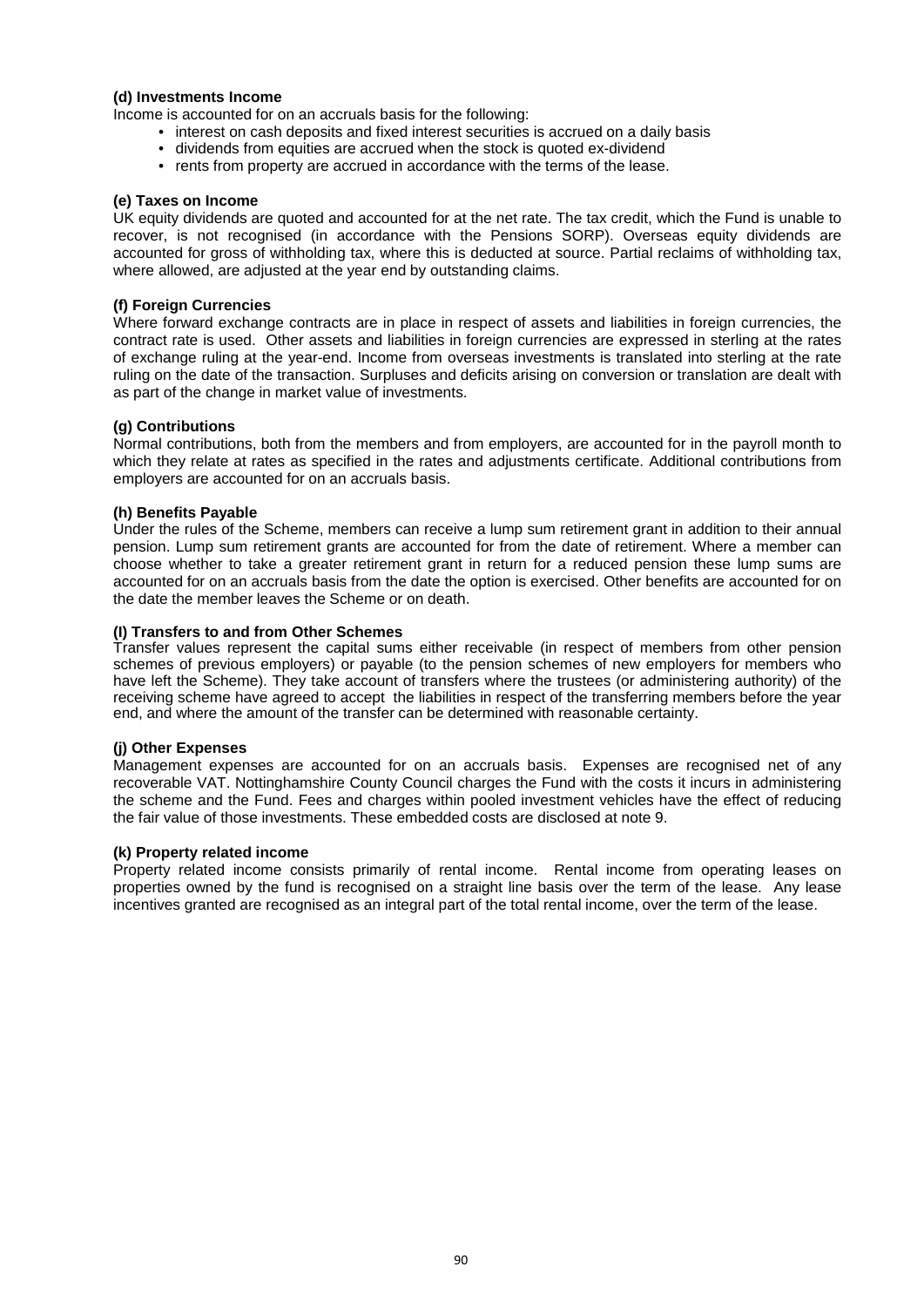# **(d) Investments Income**

Income is accounted for on an accruals basis for the following:

- interest on cash deposits and fixed interest securities is accrued on a daily basis
- dividends from equities are accrued when the stock is quoted ex-dividend
- rents from property are accrued in accordance with the terms of the lease.

# **(e) Taxes on Income**

UK equity dividends are quoted and accounted for at the net rate. The tax credit, which the Fund is unable to recover, is not recognised (in accordance with the Pensions SORP). Overseas equity dividends are accounted for gross of withholding tax, where this is deducted at source. Partial reclaims of withholding tax, where allowed, are adjusted at the year end by outstanding claims.

# **(f) Foreign Currencies**

Where forward exchange contracts are in place in respect of assets and liabilities in foreign currencies, the contract rate is used. Other assets and liabilities in foreign currencies are expressed in sterling at the rates of exchange ruling at the year-end. Income from overseas investments is translated into sterling at the rate ruling on the date of the transaction. Surpluses and deficits arising on conversion or translation are dealt with as part of the change in market value of investments.

# **(g) Contributions**

Normal contributions, both from the members and from employers, are accounted for in the payroll month to which they relate at rates as specified in the rates and adjustments certificate. Additional contributions from employers are accounted for on an accruals basis.

# **(h) Benefits Payable**

Under the rules of the Scheme, members can receive a lump sum retirement grant in addition to their annual pension. Lump sum retirement grants are accounted for from the date of retirement. Where a member can choose whether to take a greater retirement grant in return for a reduced pension these lump sums are accounted for on an accruals basis from the date the option is exercised. Other benefits are accounted for on the date the member leaves the Scheme or on death.

# **(I) Transfers to and from Other Schemes**

Transfer values represent the capital sums either receivable (in respect of members from other pension schemes of previous employers) or payable (to the pension schemes of new employers for members who have left the Scheme). They take account of transfers where the trustees (or administering authority) of the receiving scheme have agreed to accept the liabilities in respect of the transferring members before the year end, and where the amount of the transfer can be determined with reasonable certainty.

# **(j) Other Expenses**

Management expenses are accounted for on an accruals basis. Expenses are recognised net of any recoverable VAT. Nottinghamshire County Council charges the Fund with the costs it incurs in administering the scheme and the Fund. Fees and charges within pooled investment vehicles have the effect of reducing the fair value of those investments. These embedded costs are disclosed at note 9.

# **(k) Property related income**

Property related income consists primarily of rental income. Rental income from operating leases on properties owned by the fund is recognised on a straight line basis over the term of the lease. Any lease incentives granted are recognised as an integral part of the total rental income, over the term of the lease.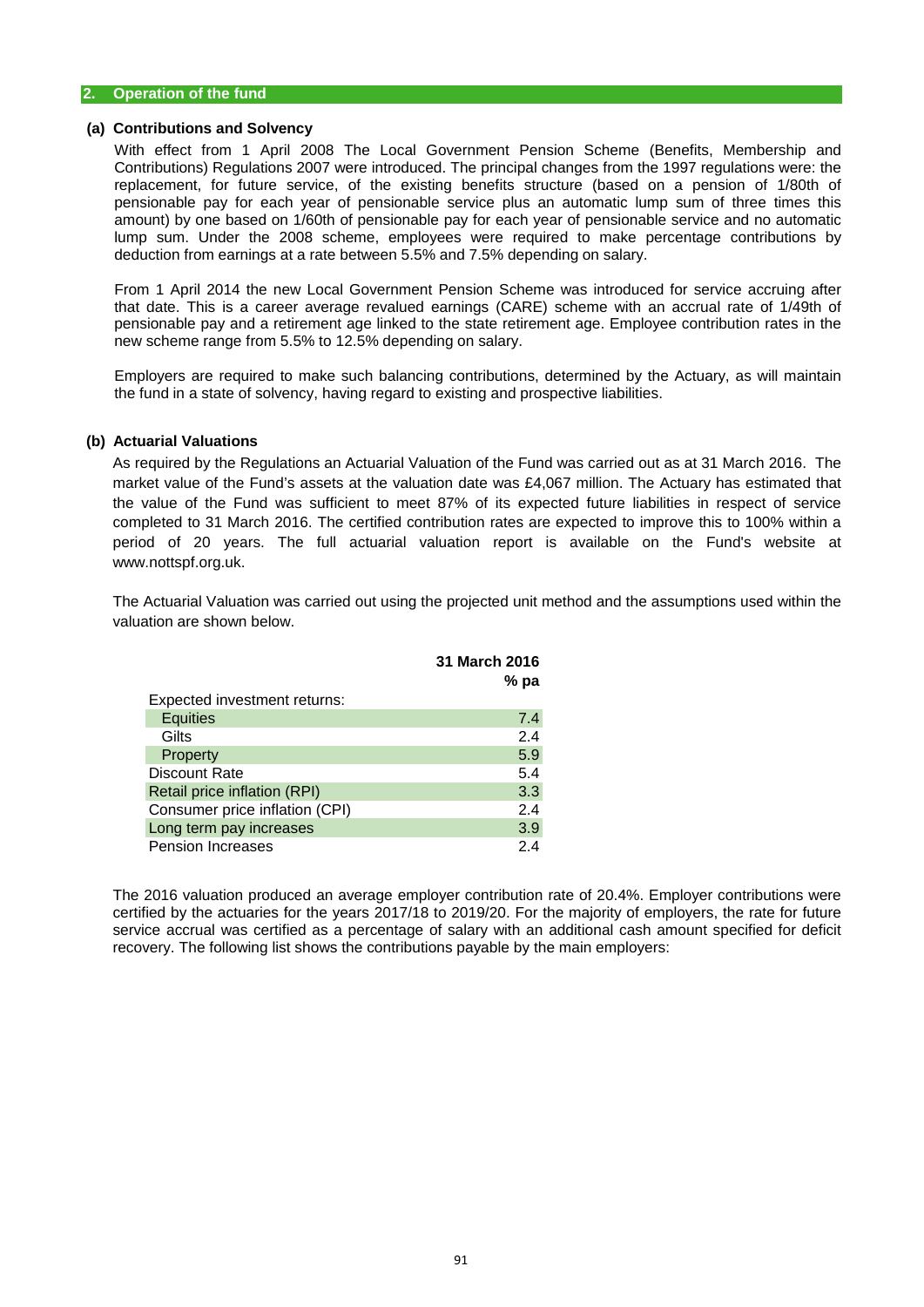## **(a) Contributions and Solvency**

With effect from 1 April 2008 The Local Government Pension Scheme (Benefits, Membership and Contributions) Regulations 2007 were introduced. The principal changes from the 1997 regulations were: the replacement, for future service, of the existing benefits structure (based on a pension of 1/80th of pensionable pay for each year of pensionable service plus an automatic lump sum of three times this amount) by one based on 1/60th of pensionable pay for each year of pensionable service and no automatic lump sum. Under the 2008 scheme, employees were required to make percentage contributions by deduction from earnings at a rate between 5.5% and 7.5% depending on salary.

From 1 April 2014 the new Local Government Pension Scheme was introduced for service accruing after that date. This is a career average revalued earnings (CARE) scheme with an accrual rate of 1/49th of pensionable pay and a retirement age linked to the state retirement age. Employee contribution rates in the new scheme range from 5.5% to 12.5% depending on salary.

Employers are required to make such balancing contributions, determined by the Actuary, as will maintain the fund in a state of solvency, having regard to existing and prospective liabilities.

# **(b) Actuarial Valuations**

As required by the Regulations an Actuarial Valuation of the Fund was carried out as at 31 March 2016. The market value of the Fund's assets at the valuation date was £4,067 million. The Actuary has estimated that the value of the Fund was sufficient to meet 87% of its expected future liabilities in respect of service completed to 31 March 2016. The certified contribution rates are expected to improve this to 100% within a period of 20 years. The full actuarial valuation report is available on the Fund's website at www.nottspf.org.uk.

The Actuarial Valuation was carried out using the projected unit method and the assumptions used within the valuation are shown below.

|                                | 31 March 2016 |
|--------------------------------|---------------|
|                                | $%$ pa        |
| Expected investment returns:   |               |
| <b>Equities</b>                | 7.4           |
| Gilts                          | 2.4           |
| Property                       | 5.9           |
| <b>Discount Rate</b>           | 5.4           |
| Retail price inflation (RPI)   | 3.3           |
| Consumer price inflation (CPI) | 2.4           |
| Long term pay increases        | 3.9           |
| <b>Pension Increases</b>       | 24            |

The 2016 valuation produced an average employer contribution rate of 20.4%. Employer contributions were certified by the actuaries for the years 2017/18 to 2019/20. For the majority of employers, the rate for future service accrual was certified as a percentage of salary with an additional cash amount specified for deficit recovery. The following list shows the contributions payable by the main employers: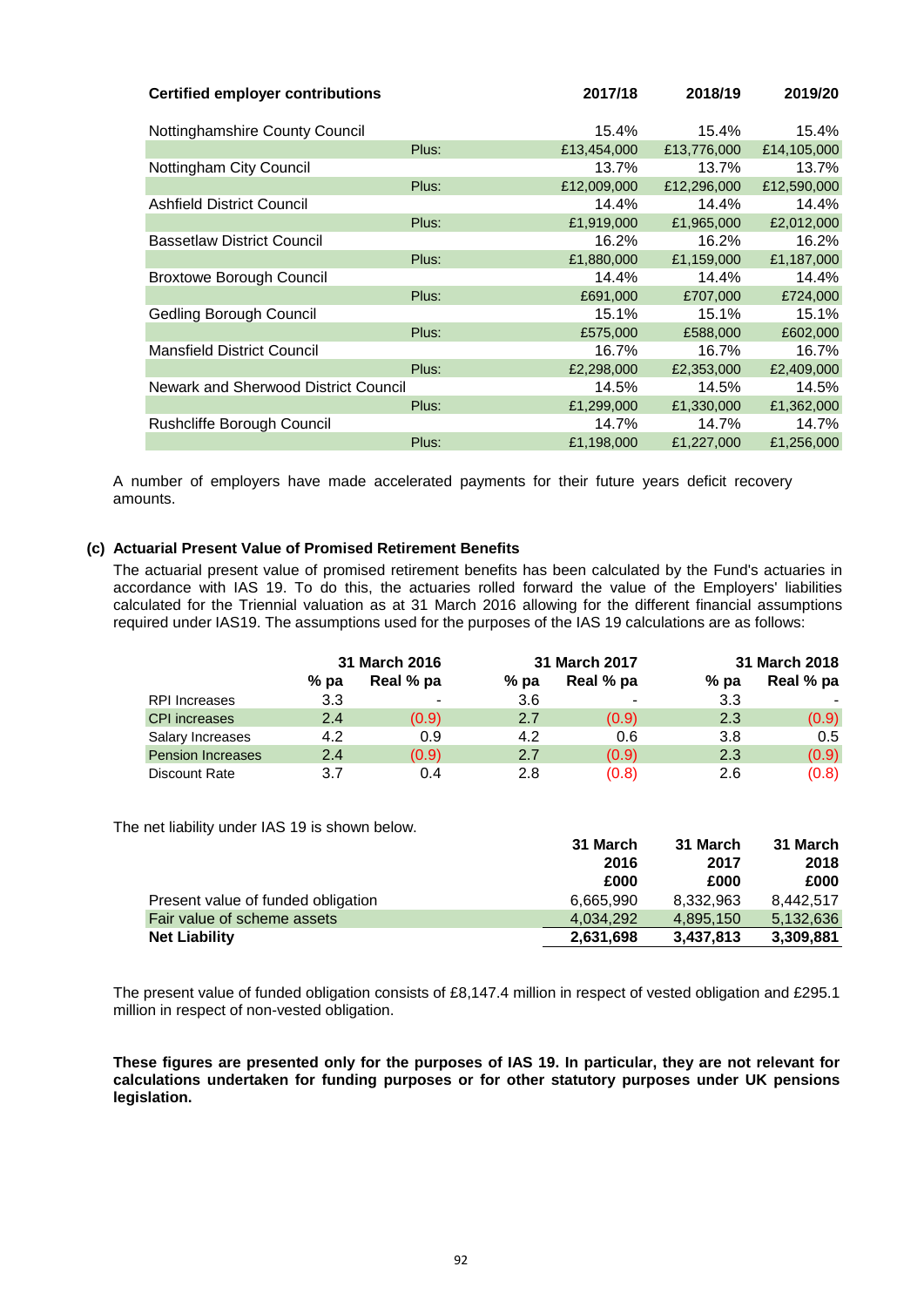| <b>Certified employer contributions</b> |       | 2017/18     | 2018/19     | 2019/20     |
|-----------------------------------------|-------|-------------|-------------|-------------|
| Nottinghamshire County Council          |       | 15.4%       | 15.4%       | 15.4%       |
|                                         | Plus: | £13,454,000 | £13,776,000 | £14,105,000 |
| Nottingham City Council                 |       | 13.7%       | 13.7%       | 13.7%       |
|                                         | Plus: | £12,009,000 | £12,296,000 | £12,590,000 |
| <b>Ashfield District Council</b>        |       | 14.4%       | 14.4%       | 14.4%       |
|                                         | Plus: | £1,919,000  | £1,965,000  | £2,012,000  |
| <b>Bassetlaw District Council</b>       |       | 16.2%       | 16.2%       | 16.2%       |
|                                         | Plus: | £1,880,000  | £1,159,000  | £1,187,000  |
| <b>Broxtowe Borough Council</b>         |       | 14.4%       | 14.4%       | 14.4%       |
|                                         | Plus: | £691,000    | £707,000    | £724,000    |
| Gedling Borough Council                 |       | 15.1%       | 15.1%       | 15.1%       |
|                                         | Plus: | £575,000    | £588,000    | £602,000    |
| <b>Mansfield District Council</b>       |       | 16.7%       | 16.7%       | 16.7%       |
|                                         | Plus: | £2,298,000  | £2,353,000  | £2,409,000  |
| Newark and Sherwood District Council    |       | 14.5%       | 14.5%       | 14.5%       |
|                                         | Plus: | £1,299,000  | £1,330,000  | £1,362,000  |
| Rushcliffe Borough Council              |       | 14.7%       | 14.7%       | 14.7%       |
|                                         | Plus: | £1,198,000  | £1,227,000  | £1,256,000  |

A number of employers have made accelerated payments for their future years deficit recovery amounts.

# **(c) Actuarial Present Value of Promised Retirement Benefits**

The actuarial present value of promised retirement benefits has been calculated by the Fund's actuaries in accordance with IAS 19. To do this, the actuaries rolled forward the value of the Employers' liabilities calculated for the Triennial valuation as at 31 March 2016 allowing for the different financial assumptions required under IAS19. The assumptions used for the purposes of the IAS 19 calculations are as follows:

|                          | 31 March 2016 |           | 31 March 2017 |                |        | 31 March 2018 |
|--------------------------|---------------|-----------|---------------|----------------|--------|---------------|
|                          | $%$ pa        | Real % pa | $%$ pa        | Real % pa      | $%$ pa | Real % pa     |
| <b>RPI</b> Increases     | 3.3           | -         | 3.6           | $\blacksquare$ | 3.3    |               |
| <b>CPI</b> increases     | 2.4           | (0.9)     | 2.7           | (0.9)          | 2.3    | (0.9)         |
| Salary Increases         | 4.2           | 0.9       | 4.2           | 0.6            | 3.8    | 0.5           |
| <b>Pension Increases</b> | 2.4           | (0.9)     | 2.7           | (0.9)          | 2.3    | (0.9)         |
| <b>Discount Rate</b>     | 3.7           | 0.4       | 2.8           | (0.8)          | 2.6    | (0.8)         |

The net liability under IAS 19 is shown below.

| $\overline{\phantom{a}}$ is shown below. |           |           |           |
|------------------------------------------|-----------|-----------|-----------|
|                                          | 31 March  | 31 March  | 31 March  |
|                                          | 2016      | 2017      | 2018      |
|                                          | £000      | £000      | £000      |
| Present value of funded obligation       | 6.665.990 | 8.332.963 | 8.442.517 |
| Fair value of scheme assets              | 4.034.292 | 4,895,150 | 5,132,636 |
| <b>Net Liability</b>                     | 2,631,698 | 3.437.813 | 3,309,881 |

The present value of funded obligation consists of £8,147.4 million in respect of vested obligation and £295.1 million in respect of non-vested obligation.

These figures are presented only for the purposes of IAS 19. In particular, they are not relevant for **calculations undertaken for funding purposes or for other statutory purposes under UK pensions legislation.**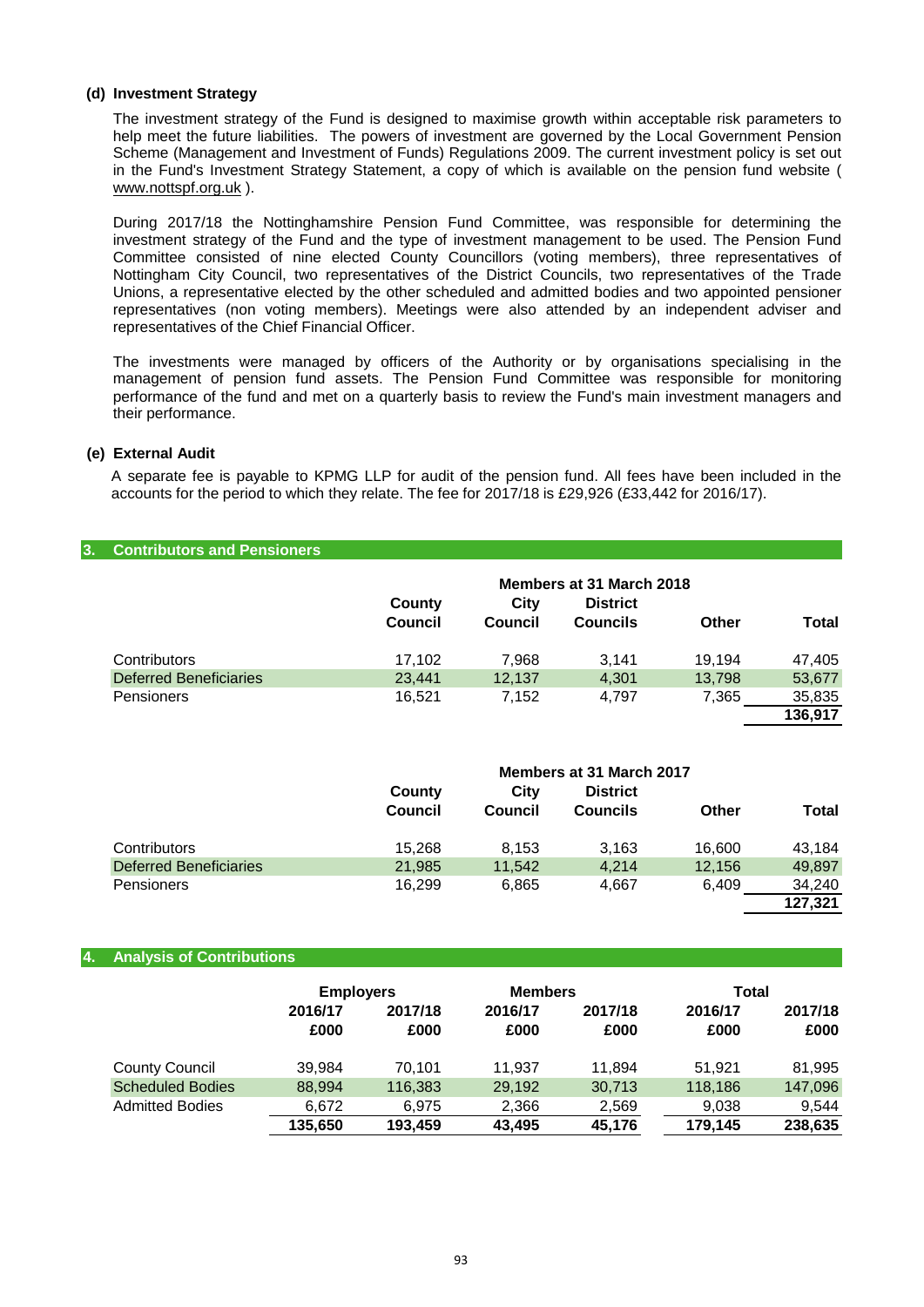## **(d) Investment Strategy**

The investment strategy of the Fund is designed to maximise growth within acceptable risk parameters to help meet the future liabilities. The powers of investment are governed by the Local Government Pension Scheme (Management and Investment of Funds) Regulations 2009. The current investment policy is set out in the Fund's Investment Strategy Statement, a copy of which is available on the pension fund website ( [www.nottspf.org.uk](http://www.nottspf.or.uk/) ).

During 2017/18 the Nottinghamshire Pension Fund Committee, was responsible for determining the investment strategy of the Fund and the type of investment management to be used. The Pension Fund Committee consisted of nine elected County Councillors (voting members), three representatives of Nottingham City Council, two representatives of the District Councils, two representatives of the Trade Unions, a representative elected by the other scheduled and admitted bodies and two appointed pensioner representatives (non voting members). Meetings were also attended by an independent adviser and representatives of the Chief Financial Officer.

The investments were managed by officers of the Authority or by organisations specialising in the management of pension fund assets. The Pension Fund Committee was responsible for monitoring performance of the fund and met on a quarterly basis to review the Fund's main investment managers and their performance.

# **(e) External Audit**

A separate fee is payable to KPMG LLP for audit of the pension fund. All fees have been included in the accounts for the period to which they relate. The fee for 2017/18 is £29,926 (£33,442 for 2016/17).

## **3. Contributors and Pensioners**

|                               |                |         | Members at 31 March 2018 |        |              |
|-------------------------------|----------------|---------|--------------------------|--------|--------------|
|                               | County         | City    | <b>District</b>          |        |              |
|                               | <b>Council</b> | Council | <b>Councils</b>          | Other  | <b>Total</b> |
| Contributors                  | 17.102         | 7.968   | 3.141                    | 19.194 | 47,405       |
| <b>Deferred Beneficiaries</b> | 23.441         | 12.137  | 4,301                    | 13.798 | 53,677       |
| Pensioners                    | 16.521         | 7.152   | 4.797                    | 7.365  | 35,835       |
|                               |                |         |                          |        | 136.917      |

|                               |                |         | Members at 31 March 2017 |        |         |
|-------------------------------|----------------|---------|--------------------------|--------|---------|
|                               | County         | City    | <b>District</b>          |        |         |
|                               | <b>Council</b> | Council | Councils                 | Other  | Total   |
| Contributors                  | 15.268         | 8.153   | 3.163                    | 16.600 | 43.184  |
| <b>Deferred Beneficiaries</b> | 21,985         | 11,542  | 4.214                    | 12,156 | 49,897  |
| <b>Pensioners</b>             | 16.299         | 6,865   | 4,667                    | 6.409  | 34,240  |
|                               |                |         |                          |        | 127.321 |

## **4. Analysis of Contributions**

|                         | <b>Employers</b><br><b>Members</b> |                 |                 |                 |                 | Total           |  |
|-------------------------|------------------------------------|-----------------|-----------------|-----------------|-----------------|-----------------|--|
|                         | 2016/17<br>£000                    | 2017/18<br>£000 | 2016/17<br>£000 | 2017/18<br>£000 | 2016/17<br>£000 | 2017/18<br>£000 |  |
| <b>County Council</b>   | 39,984                             | 70.101          | 11.937          | 11.894          | 51.921          | 81,995          |  |
| <b>Scheduled Bodies</b> | 88,994                             | 116,383         | 29,192          | 30,713          | 118,186         | 147,096         |  |
| <b>Admitted Bodies</b>  | 6,672                              | 6.975           | 2,366           | 2,569           | 9,038           | 9.544           |  |
|                         | 135.650                            | 193,459         | 43.495          | 45.176          | 179,145         | 238,635         |  |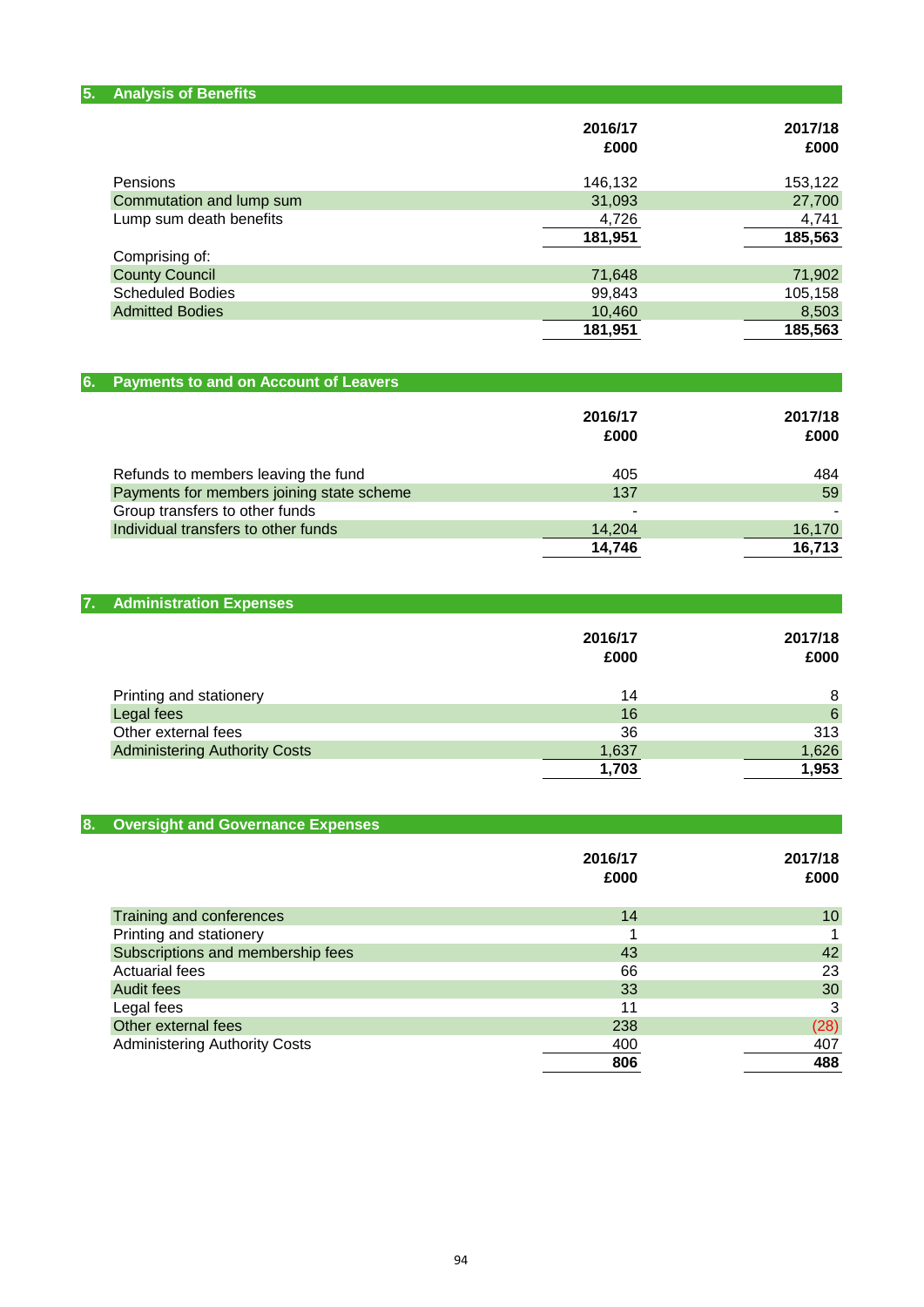| 5.<br><b>Analysis of Benefits</b> |         |         |
|-----------------------------------|---------|---------|
|                                   | 2016/17 | 2017/18 |
|                                   | £000    | £000    |
| Pensions                          | 146,132 | 153,122 |
| Commutation and lump sum          | 31,093  | 27,700  |
| Lump sum death benefits           | 4,726   | 4,741   |
|                                   | 181,951 | 185,563 |
| Comprising of:                    |         |         |
| <b>County Council</b>             | 71,648  | 71,902  |
| <b>Scheduled Bodies</b>           | 99,843  | 105,158 |
| <b>Admitted Bodies</b>            | 10,460  | 8,503   |
|                                   | 181,951 | 185,563 |

| 6. Payments to and on Account of Leavers  |                 |                 |
|-------------------------------------------|-----------------|-----------------|
|                                           | 2016/17<br>£000 | 2017/18<br>£000 |
| Refunds to members leaving the fund       | 405             | 484             |
| Payments for members joining state scheme | 137             | 59              |
| Group transfers to other funds            |                 |                 |
| Individual transfers to other funds       | 14,204          | 16,170          |
|                                           | 14.746          | 16.713          |

| 7. Administration Expenses           |                 |                 |
|--------------------------------------|-----------------|-----------------|
|                                      | 2016/17<br>£000 | 2017/18<br>£000 |
| Printing and stationery              | 14              | 8               |
| Legal fees                           | 16              | 6               |
| Other external fees                  | 36              | 313             |
| <b>Administering Authority Costs</b> | 1,637           | 1,626           |
|                                      | 1,703           | 1,953           |
|                                      |                 |                 |

| <b>Oversight and Governance Expenses</b><br>8. |                 |                 |
|------------------------------------------------|-----------------|-----------------|
|                                                | 2016/17<br>£000 | 2017/18<br>£000 |
| Training and conferences                       | 14              | 10 <sup>1</sup> |
| Printing and stationery                        |                 |                 |
| Subscriptions and membership fees              | 43              | 42              |
| <b>Actuarial fees</b>                          | 66              | 23              |
| <b>Audit fees</b>                              | 33              | 30              |
| Legal fees                                     | 11              | 3               |
| Other external fees                            | 238             | (28)            |
| <b>Administering Authority Costs</b>           | 400             | 407             |
|                                                | 806             | 488             |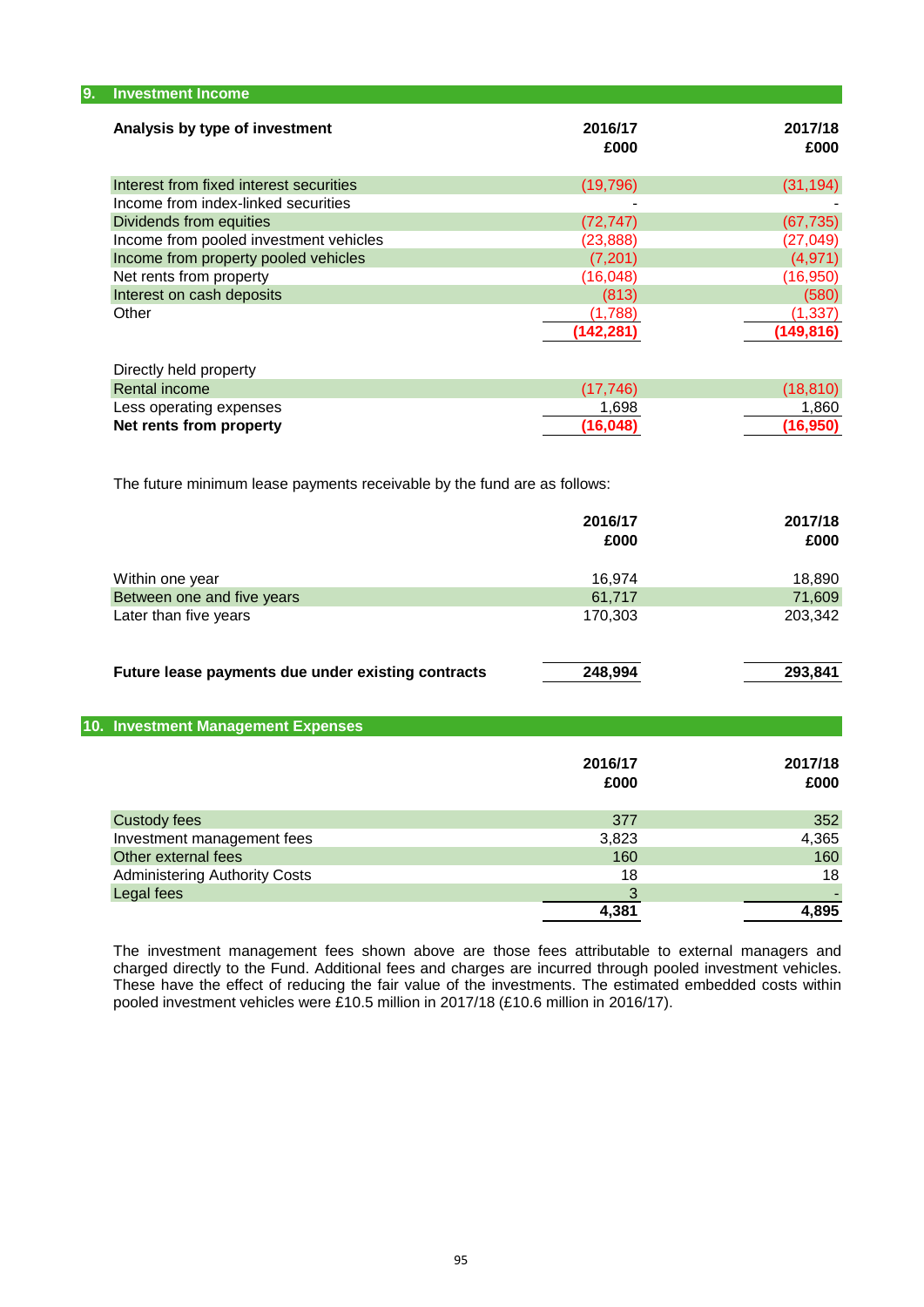| 9.<br><b>Investment Income</b>          |                 |                 |
|-----------------------------------------|-----------------|-----------------|
| Analysis by type of investment          | 2016/17<br>£000 | 2017/18<br>£000 |
| Interest from fixed interest securities | (19, 796)       | (31, 194)       |
| Income from index-linked securities     |                 |                 |
| Dividends from equities                 | (72, 747)       | (67, 735)       |
| Income from pooled investment vehicles  | (23, 888)       | (27, 049)       |
| Income from property pooled vehicles    | (7, 201)        | (4,971)         |
| Net rents from property                 | (16, 048)       | (16, 950)       |
| Interest on cash deposits               | (813)           | (580)           |
| Other                                   | (1,788)         | (1, 337)        |
|                                         | (142, 281)      | (149, 816)      |

| Directly held property  |          |          |
|-------------------------|----------|----------|
| Rental income           | (17.746) | (18.810) |
| Less operating expenses | 1.698    | 1.860    |
| Net rents from property | (16.048) | (16.950) |
|                         |          |          |

The future minimum lease payments receivable by the fund are as follows:

|                                                    | 2016/17<br>£000 | 2017/18<br>£000 |
|----------------------------------------------------|-----------------|-----------------|
| Within one year                                    | 16.974          | 18,890          |
| Between one and five years                         | 61,717          | 71,609          |
| Later than five years                              | 170,303         | 203,342         |
| Future lease payments due under existing contracts | 248,994         | 293,841         |

| 10. Investment Management Expenses   |                 |                 |
|--------------------------------------|-----------------|-----------------|
|                                      | 2016/17<br>£000 | 2017/18<br>£000 |
| <b>Custody fees</b>                  | 377             | 352             |
| Investment management fees           | 3,823           | 4,365           |
| Other external fees                  | 160             | 160             |
| <b>Administering Authority Costs</b> | 18              | 18              |
| Legal fees                           |                 |                 |
|                                      | 4,381           | 4,895           |
|                                      |                 |                 |

The investment management fees shown above are those fees attributable to external managers and charged directly to the Fund. Additional fees and charges are incurred through pooled investment vehicles. These have the effect of reducing the fair value of the investments. The estimated embedded costs within pooled investment vehicles were £10.5 million in 2017/18 (£10.6 million in 2016/17).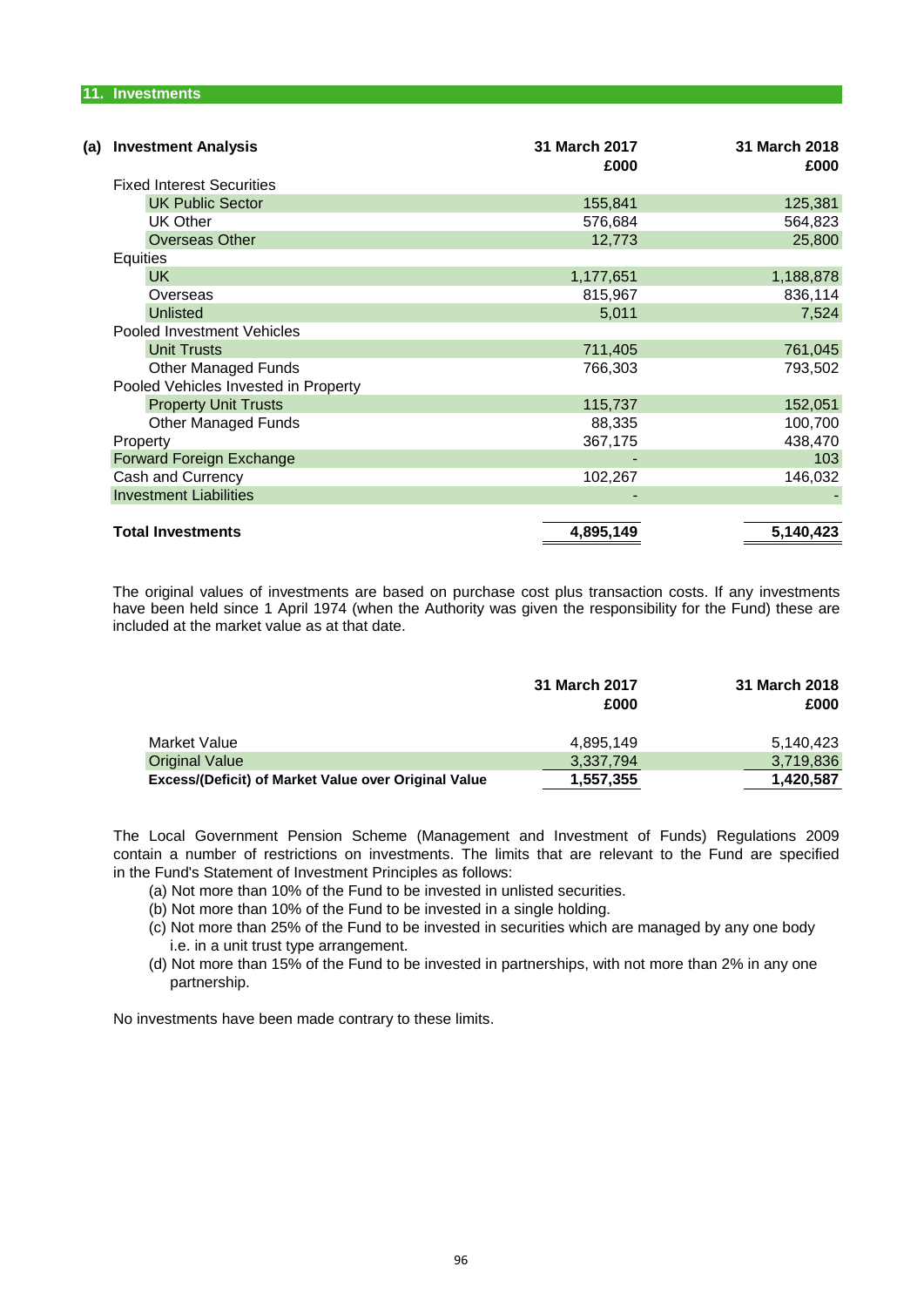| (a) | <b>Investment Analysis</b>           | 31 March 2017<br>£000 | 31 March 2018<br>£000 |
|-----|--------------------------------------|-----------------------|-----------------------|
|     | <b>Fixed Interest Securities</b>     |                       |                       |
|     | <b>UK Public Sector</b>              | 155,841               | 125,381               |
|     | <b>UK Other</b>                      | 576,684               | 564,823               |
|     | <b>Overseas Other</b>                | 12,773                | 25,800                |
|     | <b>Equities</b>                      |                       |                       |
|     | UK.                                  | 1,177,651             | 1,188,878             |
|     | Overseas                             | 815,967               | 836,114               |
|     | <b>Unlisted</b>                      | 5,011                 | 7,524                 |
|     | Pooled Investment Vehicles           |                       |                       |
|     | <b>Unit Trusts</b>                   | 711,405               | 761,045               |
|     | <b>Other Managed Funds</b>           | 766,303               | 793,502               |
|     | Pooled Vehicles Invested in Property |                       |                       |
|     | <b>Property Unit Trusts</b>          | 115,737               | 152,051               |
|     | <b>Other Managed Funds</b>           | 88,335                | 100,700               |
|     | Property                             | 367,175               | 438,470               |
|     | Forward Foreign Exchange             |                       | 103                   |
|     | Cash and Currency                    | 102,267               | 146,032               |
|     | <b>Investment Liabilities</b>        |                       |                       |
|     |                                      |                       |                       |
|     | <b>Total Investments</b>             | 4,895,149             | 5,140,423             |

The original values of investments are based on purchase cost plus transaction costs. If any investments have been held since 1 April 1974 (when the Authority was given the responsibility for the Fund) these are included at the market value as at that date.

|                                                      | 31 March 2017<br>£000 | 31 March 2018<br>£000 |
|------------------------------------------------------|-----------------------|-----------------------|
| Market Value                                         | 4.895.149             | 5,140,423             |
| <b>Original Value</b>                                | 3,337,794             | 3,719,836             |
| Excess/(Deficit) of Market Value over Original Value | 1,557,355             | 1,420,587             |

in the Fund's Statement of Investment Principles as follows: The Local Government Pension Scheme (Management and Investment of Funds) Regulations 2009 contain a number of restrictions on investments. The limits that are relevant to the Fund are specified

- (a) Not more than 10% of the Fund to be invested in unlisted securities.
- (b) Not more than 10% of the Fund to be invested in a single holding.
- i.e. in a unit trust type arrangement. (c) Not more than 25% of the Fund to be invested in securities which are managed by any one body
- (d) Not more than 15% of the Fund to be invested in partnerships, with not more than 2% in any one partnership.

No investments have been made contrary to these limits.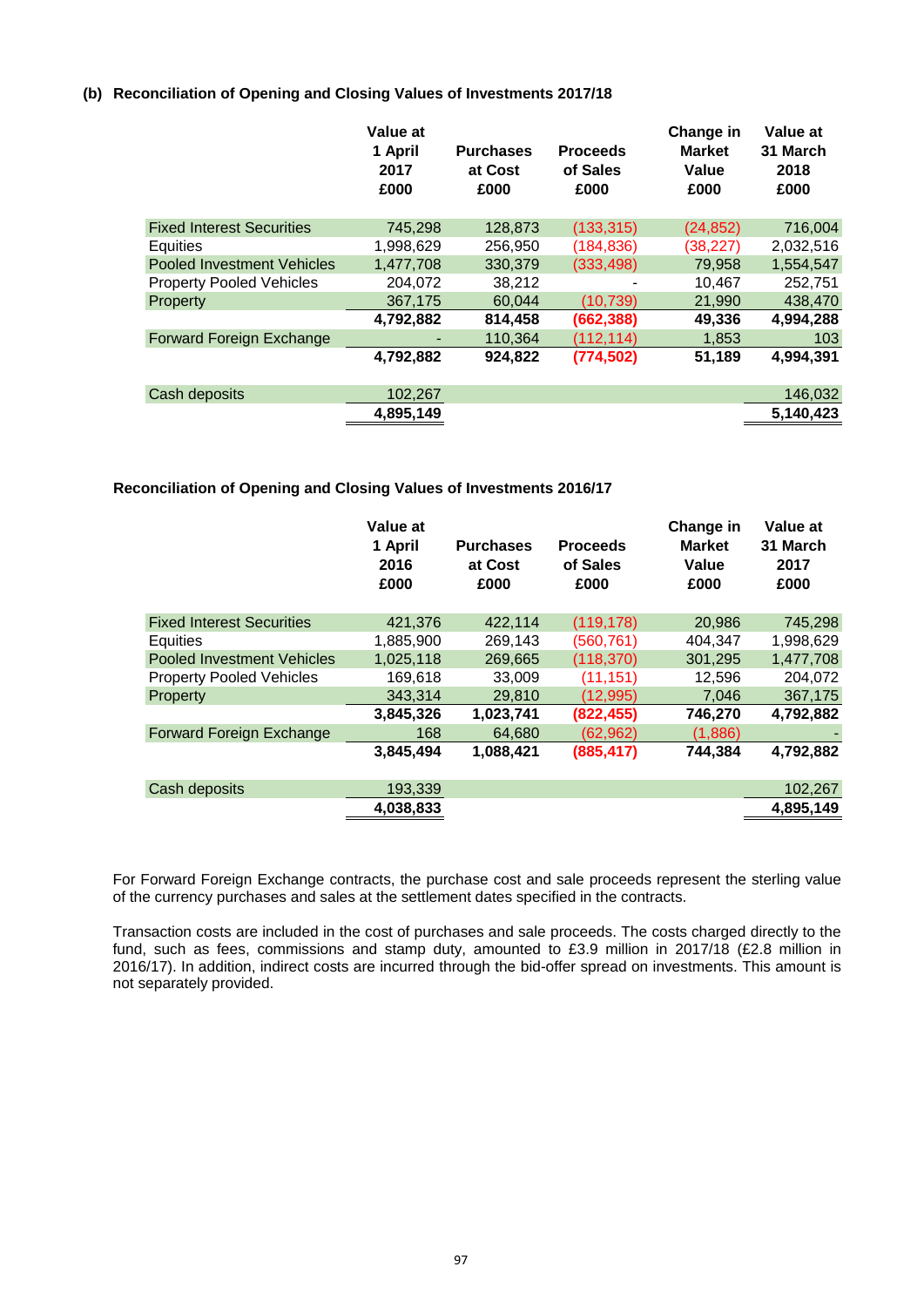# **(b) Reconciliation of Opening and Closing Values of Investments 2017/18**

|                                   | Value at<br>1 April<br>2017<br>£000 | <b>Purchases</b><br>at Cost<br>£000 | <b>Proceeds</b><br>of Sales<br>£000 | Change in<br><b>Market</b><br>Value<br>£000 | Value at<br>31 March<br>2018<br>£000 |
|-----------------------------------|-------------------------------------|-------------------------------------|-------------------------------------|---------------------------------------------|--------------------------------------|
| <b>Fixed Interest Securities</b>  | 745.298                             | 128,873                             | (133, 315)                          | (24, 852)                                   | 716,004                              |
| Equities                          | 1,998,629                           | 256,950                             | (184, 836)                          | (38, 227)                                   | 2,032,516                            |
| <b>Pooled Investment Vehicles</b> | 1.477.708                           | 330,379                             | (333, 498)                          | 79,958                                      | 1,554,547                            |
| <b>Property Pooled Vehicles</b>   | 204,072                             | 38,212                              |                                     | 10,467                                      | 252,751                              |
| Property                          | 367.175                             | 60.044                              | (10, 739)                           | 21,990                                      | 438,470                              |
|                                   | 4,792,882                           | 814,458                             | (662, 388)                          | 49,336                                      | 4,994,288                            |
| Forward Foreign Exchange          |                                     | 110.364                             | (112, 114)                          | 1,853                                       | 103                                  |
|                                   | 4,792,882                           | 924,822                             | (774, 502)                          | 51,189                                      | 4,994,391                            |
| Cash deposits                     | 102,267                             |                                     |                                     |                                             | 146,032                              |
|                                   | 4,895,149                           |                                     |                                     |                                             | 5,140,423                            |

# **Reconciliation of Opening and Closing Values of Investments 2016/17**

|                                  | Value at<br>1 April<br>2016<br>£000 | <b>Purchases</b><br>at Cost<br>£000 | <b>Proceeds</b><br>of Sales<br>£000 | Change in<br><b>Market</b><br>Value<br>£000 | Value at<br>31 March<br>2017<br>£000 |
|----------------------------------|-------------------------------------|-------------------------------------|-------------------------------------|---------------------------------------------|--------------------------------------|
| <b>Fixed Interest Securities</b> | 421,376                             | 422.114                             | (119, 178)                          | 20,986                                      | 745,298                              |
| Equities                         | 1,885,900                           | 269,143                             | (560, 761)                          | 404,347                                     | 1,998,629                            |
| Pooled Investment Vehicles       | 1,025,118                           | 269,665                             | (118, 370)                          | 301,295                                     | 1,477,708                            |
| <b>Property Pooled Vehicles</b>  | 169,618                             | 33,009                              | (11, 151)                           | 12,596                                      | 204,072                              |
| Property                         | 343.314                             | 29,810                              | (12, 995)                           | 7,046                                       | 367,175                              |
|                                  | 3,845,326                           | 1,023,741                           | (822, 455)                          | 746,270                                     | 4,792,882                            |
| Forward Foreign Exchange         | 168                                 | 64,680                              | (62, 962)                           | (1,886)                                     |                                      |
|                                  | 3,845,494                           | 1,088,421                           | (885, 417)                          | 744.384                                     | 4,792,882                            |
| Cash deposits                    | 193,339                             |                                     |                                     |                                             | 102,267                              |
|                                  | 4,038,833                           |                                     |                                     |                                             | 4,895,149                            |

For Forward Foreign Exchange contracts, the purchase cost and sale proceeds represent the sterling value of the currency purchases and sales at the settlement dates specified in the contracts.

Transaction costs are included in the cost of purchases and sale proceeds. The costs charged directly to the fund, such as fees, commissions and stamp duty, amounted to £3.9 million in 2017/18 (£2.8 million in 2016/17). In addition, indirect costs are incurred through the bid-offer spread on investments. This amount is not separately provided.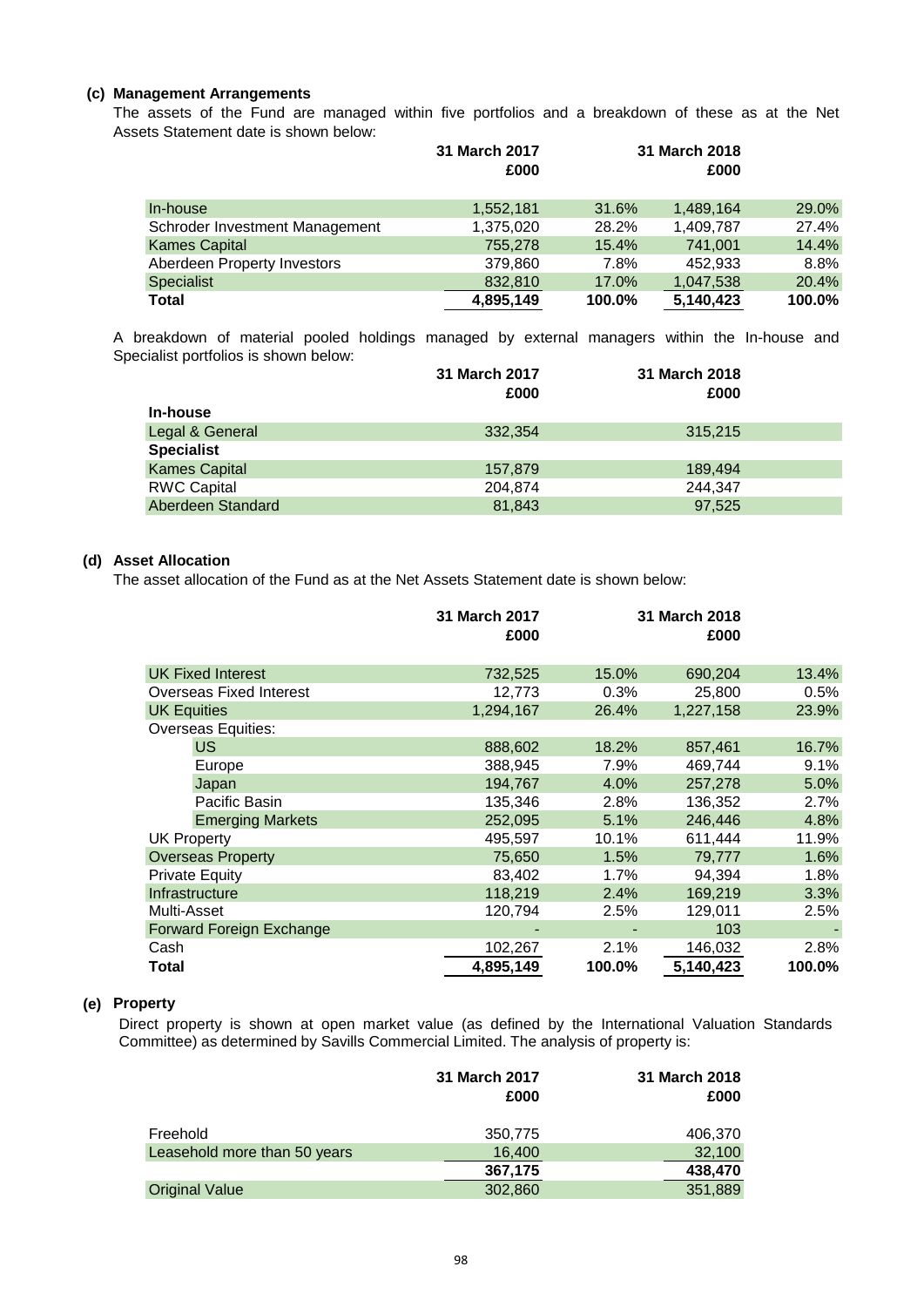# **(c) Management Arrangements**

Assets Statement date is shown below: The assets of the Fund are managed within five portfolios and a breakdown of these as at the Net

|                                | 31 March 2017<br>£000 |        | 31 March 2018<br>£000 |        |
|--------------------------------|-----------------------|--------|-----------------------|--------|
| In-house                       | 1,552,181             | 31.6%  | 1,489,164             | 29.0%  |
| Schroder Investment Management | 1,375,020             | 28.2%  | 1,409,787             | 27.4%  |
| <b>Kames Capital</b>           | 755,278               | 15.4%  | 741.001               | 14.4%  |
| Aberdeen Property Investors    | 379,860               | 7.8%   | 452.933               | 8.8%   |
| <b>Specialist</b>              | 832,810               | 17.0%  | 1,047,538             | 20.4%  |
| <b>Total</b>                   | 4,895,149             | 100.0% | 5.140.423             | 100.0% |

Specialist portfolios is shown below: A breakdown of material pooled holdings managed by external managers within the In-house and

|                      | 31 March 2017 | 31 March 2018 |  |
|----------------------|---------------|---------------|--|
|                      | £000          | £000          |  |
| In-house             |               |               |  |
| Legal & General      | 332.354       | 315,215       |  |
| <b>Specialist</b>    |               |               |  |
| <b>Kames Capital</b> | 157.879       | 189.494       |  |
| <b>RWC Capital</b>   | 204,874       | 244.347       |  |
| Aberdeen Standard    | 81.843        | 97.525        |  |

# **(d) Asset Allocation**

The asset allocation of the Fund as at the Net Assets Statement date is shown below:

|                           | 31 March 2017<br>£000 |        | 31 March 2018<br>£000 |        |
|---------------------------|-----------------------|--------|-----------------------|--------|
| <b>UK Fixed Interest</b>  | 732,525               | 15.0%  | 690,204               | 13.4%  |
| Overseas Fixed Interest   | 12,773                | 0.3%   | 25,800                | 0.5%   |
| <b>UK Equities</b>        | 1,294,167             | 26.4%  | 1,227,158             | 23.9%  |
| <b>Overseas Equities:</b> |                       |        |                       |        |
| US.                       | 888,602               | 18.2%  | 857,461               | 16.7%  |
| Europe                    | 388,945               | 7.9%   | 469.744               | 9.1%   |
| Japan                     | 194,767               | 4.0%   | 257,278               | 5.0%   |
| Pacific Basin             | 135,346               | 2.8%   | 136,352               | 2.7%   |
| <b>Emerging Markets</b>   | 252,095               | 5.1%   | 246,446               | 4.8%   |
| UK Property               | 495,597               | 10.1%  | 611,444               | 11.9%  |
| <b>Overseas Property</b>  | 75,650                | 1.5%   | 79,777                | 1.6%   |
| <b>Private Equity</b>     | 83,402                | 1.7%   | 94,394                | 1.8%   |
| Infrastructure            | 118,219               | 2.4%   | 169,219               | 3.3%   |
| Multi-Asset               | 120,794               | 2.5%   | 129,011               | 2.5%   |
| Forward Foreign Exchange  |                       |        | 103                   |        |
| Cash                      | 102,267               | 2.1%   | 146,032               | 2.8%   |
| Total                     | 4,895,149             | 100.0% | 5,140,423             | 100.0% |

# **(e) Property**

Direct property is shown at open market value (as defined by the International Valuation Standards Committee) as determined by Savills Commercial Limited. The analysis of property is:

|                              | 31 March 2017<br>£000 | 31 March 2018<br>£000 |
|------------------------------|-----------------------|-----------------------|
| Freehold                     | 350,775               | 406,370               |
| Leasehold more than 50 years | 16,400                | 32,100                |
|                              | 367,175               | 438,470               |
| <b>Original Value</b>        | 302,860               | 351,889               |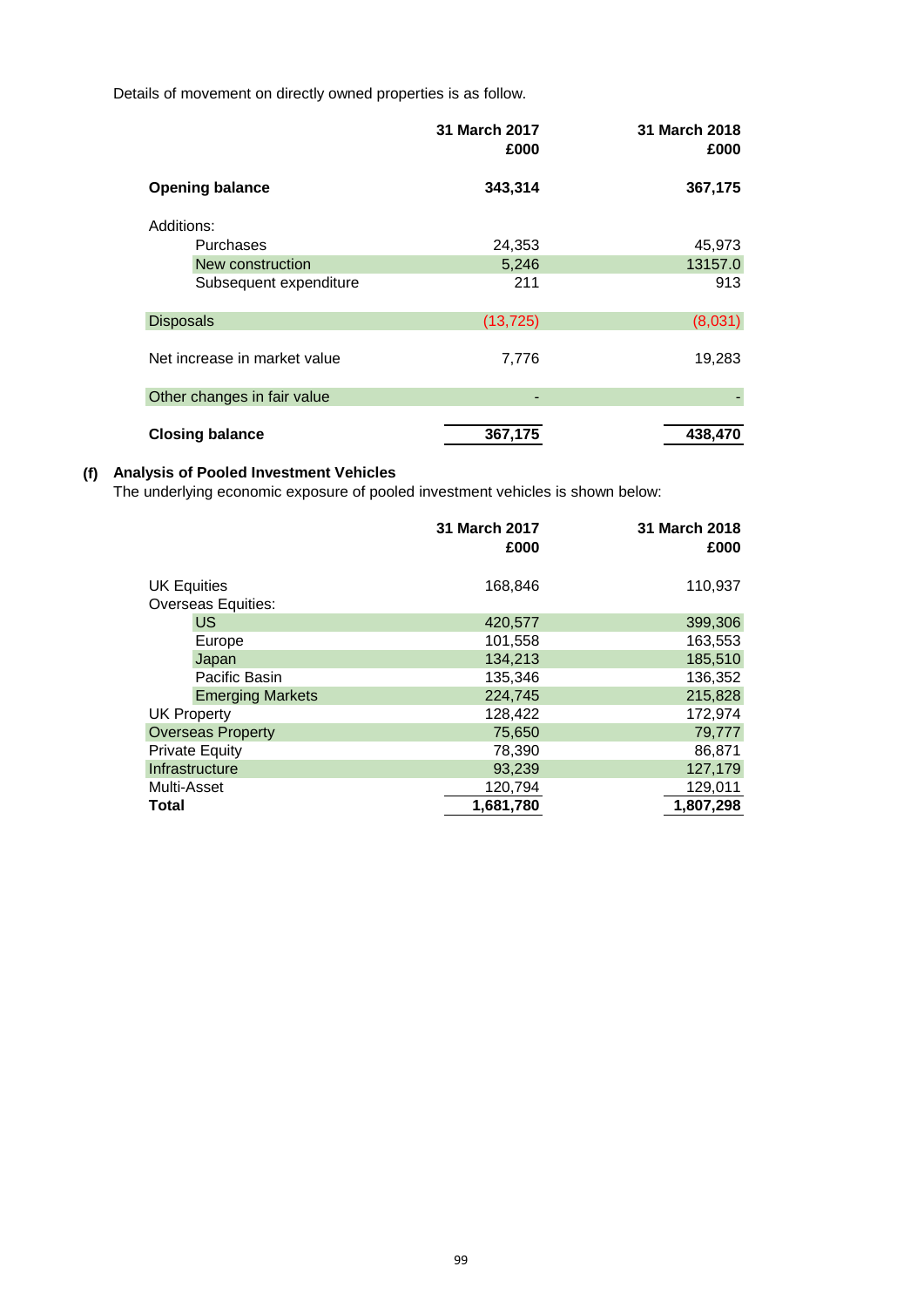Details of movement on directly owned properties is as follow.

|                              | 31 March 2017<br>£000 | 31 March 2018<br>£000 |
|------------------------------|-----------------------|-----------------------|
| <b>Opening balance</b>       | 343,314               | 367,175               |
| Additions:                   |                       |                       |
| <b>Purchases</b>             | 24,353                | 45,973                |
| New construction             | 5,246                 | 13157.0               |
| Subsequent expenditure       | 211                   | 913                   |
| <b>Disposals</b>             | (13, 725)             | (8,031)               |
| Net increase in market value | 7,776                 | 19,283                |
| Other changes in fair value  |                       |                       |
| <b>Closing balance</b>       | 367,175               | 438,470               |

# **(f) Analysis of Pooled Investment Vehicles**

The underlying economic exposure of pooled investment vehicles is shown below:

|                    |                          | 31 March 2017<br>£000 | 31 March 2018<br>£000 |
|--------------------|--------------------------|-----------------------|-----------------------|
|                    |                          |                       |                       |
| <b>UK Equities</b> |                          | 168,846               | 110,937               |
|                    | Overseas Equities:       |                       |                       |
|                    | <b>US</b>                | 420,577               | 399,306               |
|                    | Europe                   | 101,558               | 163,553               |
|                    | Japan                    | 134,213               | 185,510               |
|                    | Pacific Basin            | 135,346               | 136,352               |
|                    | <b>Emerging Markets</b>  | 224,745               | 215,828               |
| <b>UK Property</b> |                          | 128,422               | 172,974               |
|                    | <b>Overseas Property</b> | 75,650                | 79,777                |
|                    | <b>Private Equity</b>    | 78,390                | 86,871                |
|                    | Infrastructure           | 93,239                | 127,179               |
| Multi-Asset        |                          | 120,794               | 129,011               |
| Total              |                          | 1,681,780             | 1,807,298             |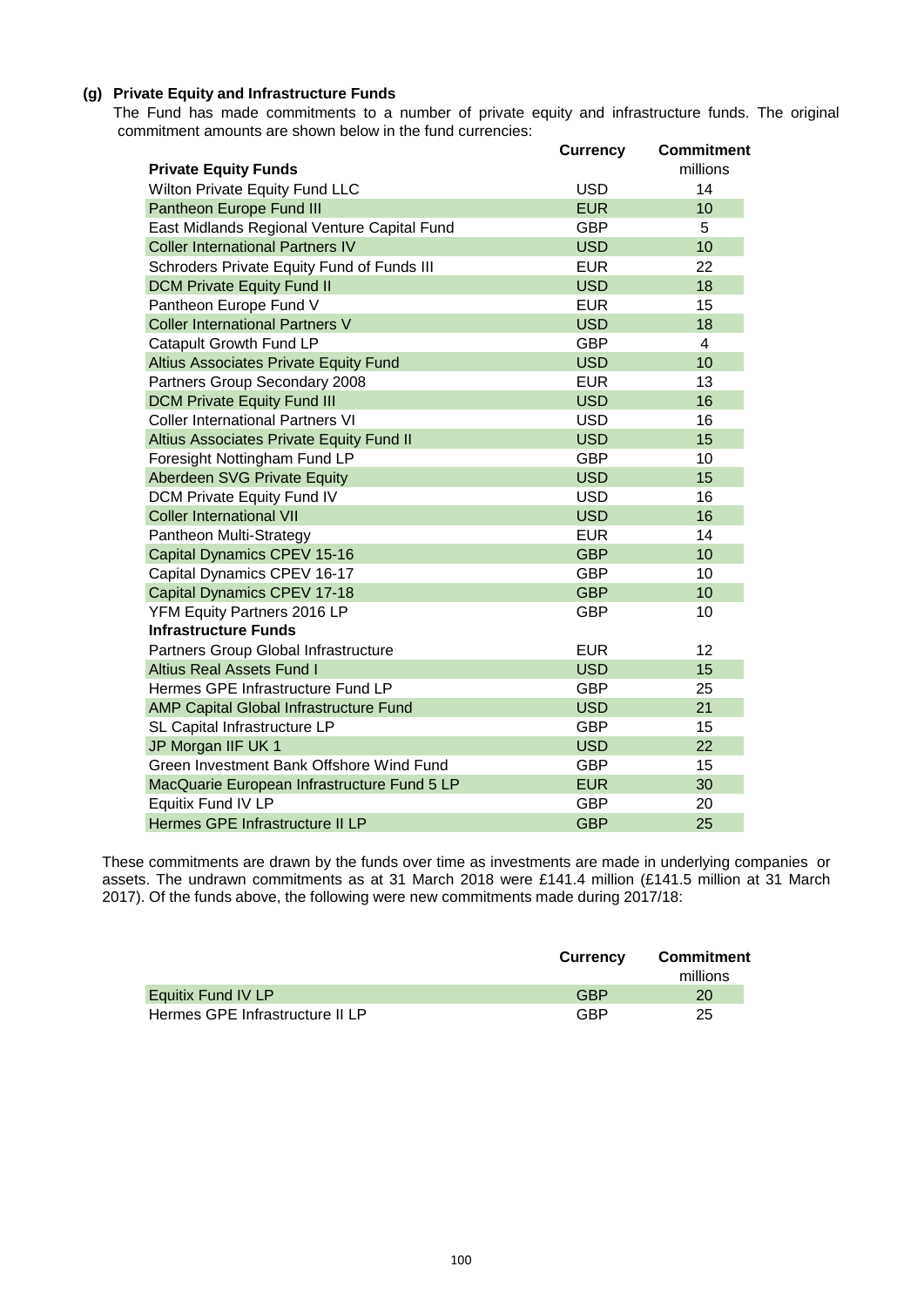# **(g) Private Equity and Infrastructure Funds**

 commitment amounts are shown below in the fund currencies: The Fund has made commitments to a number of private equity and infrastructure funds. The original

|                                              | <b>Currency</b> | Commitment     |
|----------------------------------------------|-----------------|----------------|
| <b>Private Equity Funds</b>                  |                 | millions       |
| Wilton Private Equity Fund LLC               | <b>USD</b>      | 14             |
| Pantheon Europe Fund III                     | <b>EUR</b>      | 10             |
| East Midlands Regional Venture Capital Fund  | <b>GBP</b>      | 5              |
| <b>Coller International Partners IV</b>      | <b>USD</b>      | 10             |
| Schroders Private Equity Fund of Funds III   | <b>EUR</b>      | 22             |
| <b>DCM Private Equity Fund II</b>            | <b>USD</b>      | 18             |
| Pantheon Europe Fund V                       | <b>EUR</b>      | 15             |
| <b>Coller International Partners V</b>       | <b>USD</b>      | 18             |
| Catapult Growth Fund LP                      | <b>GBP</b>      | $\overline{4}$ |
| <b>Altius Associates Private Equity Fund</b> | <b>USD</b>      | 10             |
| Partners Group Secondary 2008                | <b>EUR</b>      | 13             |
| <b>DCM Private Equity Fund III</b>           | <b>USD</b>      | 16             |
| <b>Coller International Partners VI</b>      | <b>USD</b>      | 16             |
| Altius Associates Private Equity Fund II     | <b>USD</b>      | 15             |
| Foresight Nottingham Fund LP                 | <b>GBP</b>      | 10             |
| Aberdeen SVG Private Equity                  | <b>USD</b>      | 15             |
| DCM Private Equity Fund IV                   | <b>USD</b>      | 16             |
| <b>Coller International VII</b>              | <b>USD</b>      | 16             |
| Pantheon Multi-Strategy                      | <b>EUR</b>      | 14             |
| Capital Dynamics CPEV 15-16                  | <b>GBP</b>      | 10             |
| Capital Dynamics CPEV 16-17                  | <b>GBP</b>      | 10             |
| Capital Dynamics CPEV 17-18                  | <b>GBP</b>      | 10             |
| YFM Equity Partners 2016 LP                  | <b>GBP</b>      | 10             |
| <b>Infrastructure Funds</b>                  |                 |                |
| Partners Group Global Infrastructure         | <b>EUR</b>      | 12             |
| <b>Altius Real Assets Fund I</b>             | <b>USD</b>      | 15             |
| Hermes GPE Infrastructure Fund LP            | <b>GBP</b>      | 25             |
| AMP Capital Global Infrastructure Fund       | <b>USD</b>      | 21             |
| SL Capital Infrastructure LP                 | <b>GBP</b>      | 15             |
| JP Morgan IIF UK 1                           | <b>USD</b>      | 22             |
| Green Investment Bank Offshore Wind Fund     | <b>GBP</b>      | 15             |
| MacQuarie European Infrastructure Fund 5 LP  | <b>EUR</b>      | 30             |
| Equitix Fund IV LP                           | <b>GBP</b>      | 20             |
| Hermes GPE Infrastructure II LP              | <b>GBP</b>      | 25             |

These commitments are drawn by the funds over time as investments are made in underlying companies or assets. The undrawn commitments as at 31 March 2018 were £141.4 million (£141.5 million at 31 March 2017). Of the funds above, the following were new commitments made during 2017/18:

|                                 | <b>Currency</b> | <b>Commitment</b> |
|---------------------------------|-----------------|-------------------|
|                                 |                 | millions          |
| <b>Equitix Fund IV LP</b>       | GBP             | 20                |
| Hermes GPE Infrastructure II LP | GBP             | 25                |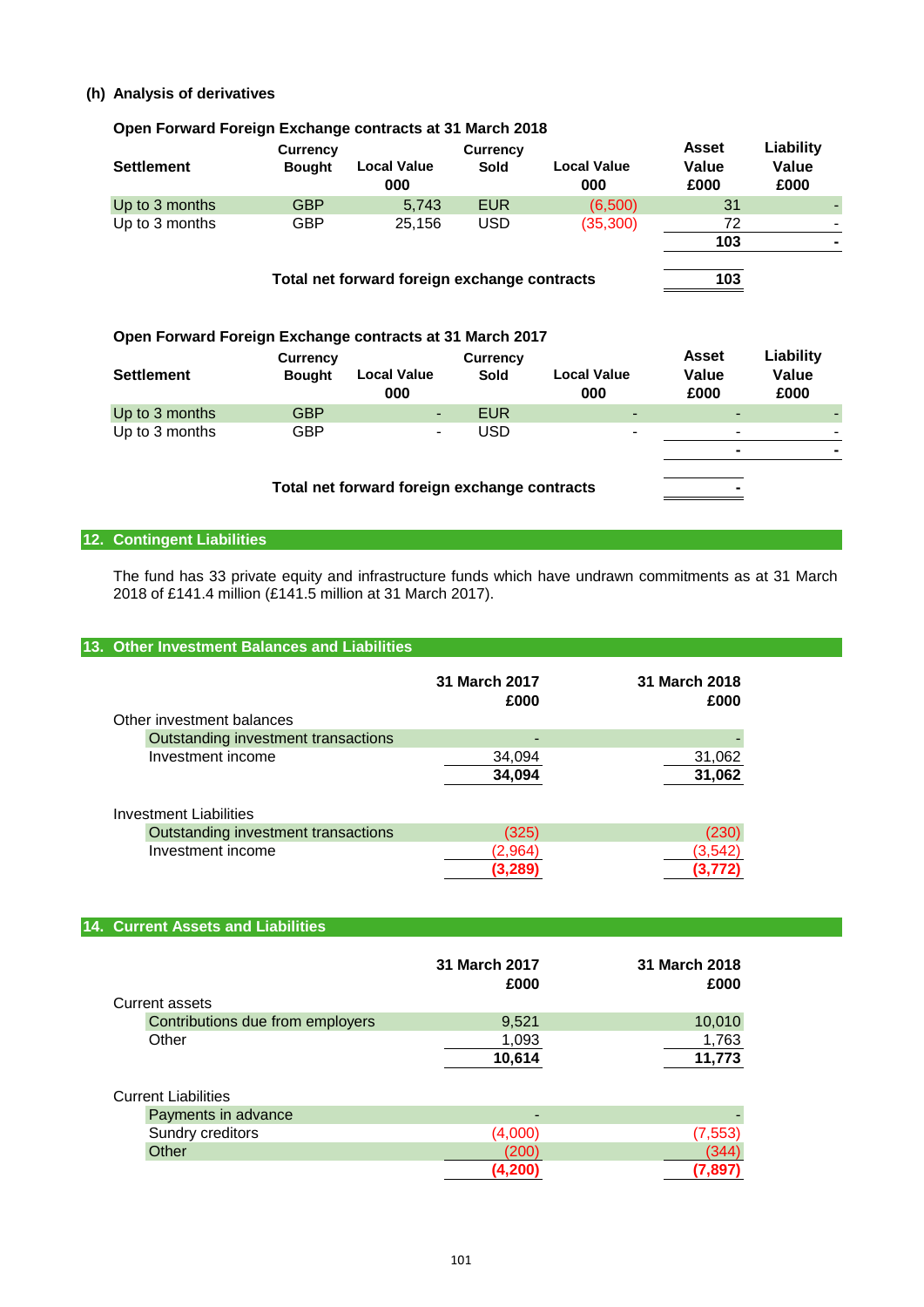# **(h) Analysis of derivatives**

# **Open Forward Foreign Exchange contracts at 31 March 2018**

| <b>Settlement</b>                                        | <b>Currency</b><br><b>Bought</b> | Local Value<br>000                           | <b>Currency</b><br>Sold | Local Value<br>000 | <b>Asset</b><br>Value<br>£000 | Liability<br>Value<br>£000 |
|----------------------------------------------------------|----------------------------------|----------------------------------------------|-------------------------|--------------------|-------------------------------|----------------------------|
| Up to 3 months                                           | <b>GBP</b>                       | 5,743                                        | <b>EUR</b>              | (6,500)            | 31                            |                            |
| Up to 3 months                                           | <b>GBP</b>                       | 25,156                                       | <b>USD</b>              | (35, 300)          | 72                            |                            |
|                                                          |                                  |                                              |                         |                    | 103                           |                            |
|                                                          |                                  | Total net forward foreign exchange contracts |                         |                    | 103                           |                            |
| Open Forward Foreign Exchange contracts at 31 March 2017 |                                  |                                              |                         |                    |                               |                            |
|                                                          | <b>Currency</b>                  |                                              | <b>Currency</b>         |                    | <b>Asset</b>                  | Liability                  |

| <b>Settlement</b> | <b>Bought</b> | <b>Local Value</b><br>000 | Sold       | <b>Local Value</b><br>000 | Value<br>£000            | Value<br>£000 |
|-------------------|---------------|---------------------------|------------|---------------------------|--------------------------|---------------|
| Up to 3 months    | GBP           | ٠                         | <b>EUR</b> | -                         | $\overline{\phantom{a}}$ |               |
| Up to 3 months    | GBP           | $\blacksquare$            | USD        | -                         | -                        |               |
|                   |               |                           |            |                           |                          |               |
|                   |               |                           |            |                           |                          |               |

# **Total net forward foreign exchange contracts -**

# **12. Contingent Liabilities**

The fund has 33 private equity and infrastructure funds which have undrawn commitments as at 31 March 2018 of £141.4 million (£141.5 million at 31 March 2017).

# **13. Other Investment Balances and Liabilities**

| Other investment balances           | 31 March 2017<br>£000 | 31 March 2018<br>£000 |
|-------------------------------------|-----------------------|-----------------------|
| Outstanding investment transactions |                       |                       |
| Investment income                   | 34,094                | 31,062                |
|                                     | 34,094                | 31,062                |
| <b>Investment Liabilities</b>       |                       |                       |
| Outstanding investment transactions | (325)                 | (230)                 |
| Investment income                   | (2.964)               | 3.542                 |
|                                     | (3,289                |                       |

# **14. Current Assets and Liabilities**

| Current assets                   | 31 March 2017<br>£000 | 31 March 2018<br>£000 |
|----------------------------------|-----------------------|-----------------------|
| Contributions due from employers | 9,521                 | 10,010                |
| Other                            | 1,093                 | 1,763                 |
|                                  | 10,614                | 11,773                |
| <b>Current Liabilities</b>       |                       |                       |
| Payments in advance              |                       |                       |
| Sundry creditors                 | (4,000)               | (7, 553)              |
| Other                            | (200)                 |                       |

**(4,200) (7,897)**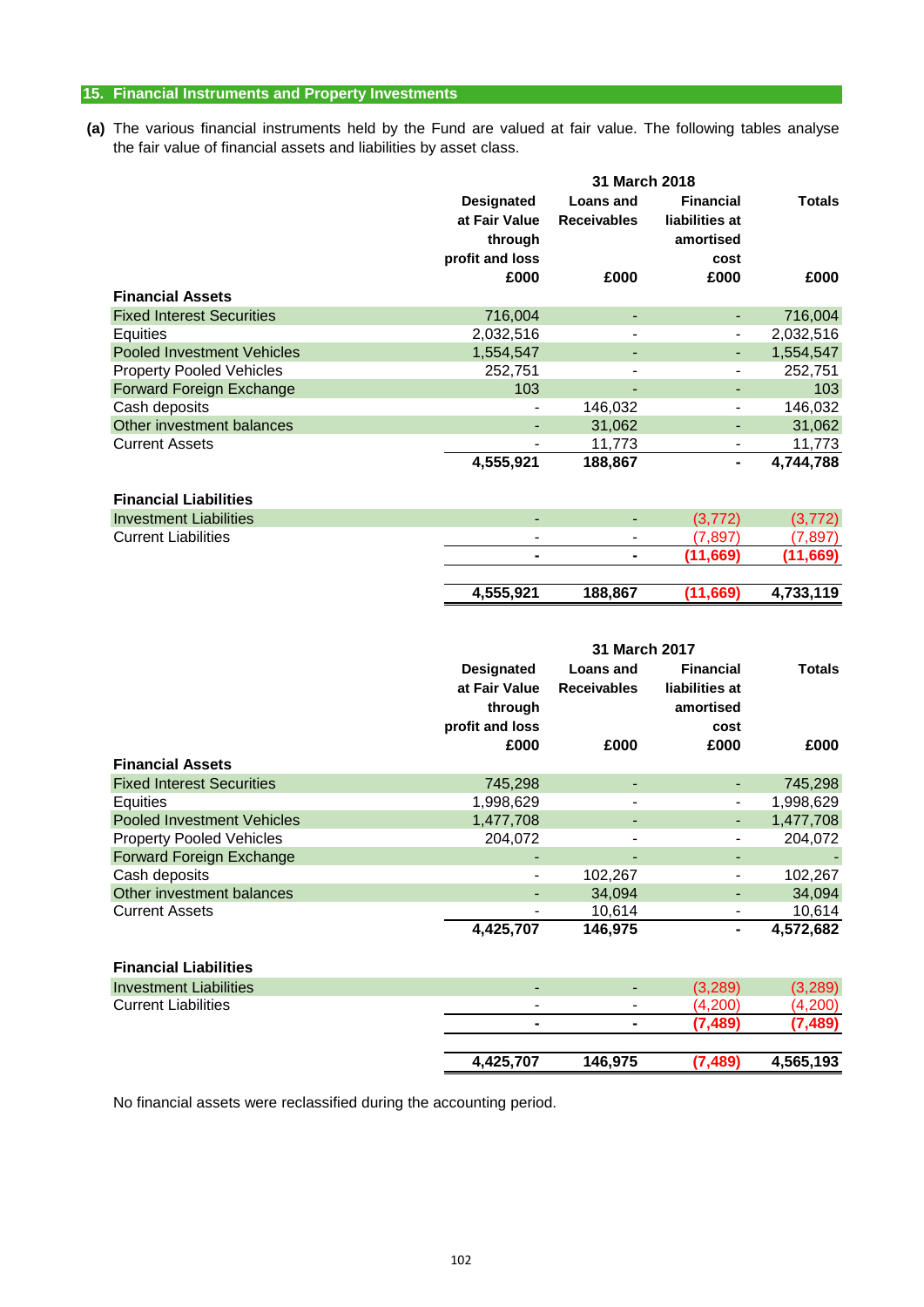# **15. Financial Instruments and Property Investments**

**(a)** The various financial instruments held by the Fund are valued at fair value. The following tables analyse the fair value of financial assets and liabilities by asset class.

|                                   |                   | 31 March 2018      |                  |               |  |
|-----------------------------------|-------------------|--------------------|------------------|---------------|--|
|                                   | <b>Designated</b> | Loans and          | <b>Financial</b> | <b>Totals</b> |  |
|                                   | at Fair Value     | <b>Receivables</b> | liabilities at   |               |  |
|                                   | through           |                    | amortised        |               |  |
|                                   | profit and loss   |                    | cost             |               |  |
|                                   | £000              | £000               | £000             | £000          |  |
| <b>Financial Assets</b>           |                   |                    |                  |               |  |
| <b>Fixed Interest Securities</b>  | 716,004           | ٠                  |                  | 716,004       |  |
| <b>Equities</b>                   | 2,032,516         |                    |                  | 2,032,516     |  |
| <b>Pooled Investment Vehicles</b> | 1,554,547         | ۰                  |                  | 1,554,547     |  |
| <b>Property Pooled Vehicles</b>   | 252,751           |                    |                  | 252,751       |  |
| Forward Foreign Exchange          | 103               |                    |                  | 103           |  |
| Cash deposits                     |                   | 146,032            |                  | 146,032       |  |
| Other investment balances         |                   | 31,062             | ٠                | 31,062        |  |
| <b>Current Assets</b>             |                   | 11,773             | $\blacksquare$   | 11,773        |  |
|                                   | 4,555,921         | 188,867            | ۰                | 4,744,788     |  |
| <b>Financial Liabilities</b>      |                   |                    |                  |               |  |
| <b>Investment Liabilities</b>     | ٠                 | ٠                  | (3, 772)         | (3, 772)      |  |
| <b>Current Liabilities</b>        |                   | -                  | (7, 897)         | (7, 897)      |  |
|                                   |                   | $\blacksquare$     | (11, 669)        | (11,669)      |  |
|                                   | 4,555,921         | 188,867            | (11, 669)        | 4,733,119     |  |
|                                   |                   | 24 Marah 2047      |                  |               |  |

|                                   |                                                                  | <b>31 MAIGH ZUI</b> N           |                                                         |               |
|-----------------------------------|------------------------------------------------------------------|---------------------------------|---------------------------------------------------------|---------------|
|                                   | <b>Designated</b><br>at Fair Value<br>through<br>profit and loss | Loans and<br><b>Receivables</b> | <b>Financial</b><br>liabilities at<br>amortised<br>cost | <b>Totals</b> |
|                                   | £000                                                             | £000                            | £000                                                    | £000          |
| <b>Financial Assets</b>           |                                                                  |                                 |                                                         |               |
| <b>Fixed Interest Securities</b>  | 745,298                                                          |                                 |                                                         | 745,298       |
| <b>Equities</b>                   | 1,998,629                                                        |                                 |                                                         | 1,998,629     |
| <b>Pooled Investment Vehicles</b> | 1,477,708                                                        | $\overline{\phantom{a}}$        | $\overline{\phantom{a}}$                                | 1,477,708     |
| <b>Property Pooled Vehicles</b>   | 204,072                                                          |                                 |                                                         | 204,072       |
| Forward Foreign Exchange          |                                                                  |                                 |                                                         |               |
| Cash deposits                     |                                                                  | 102,267                         |                                                         | 102,267       |
| Other investment balances         | -                                                                | 34,094                          |                                                         | 34,094        |
| <b>Current Assets</b>             | -                                                                | 10,614                          |                                                         | 10,614        |
|                                   | 4,425,707                                                        | 146,975                         | ۰                                                       | 4,572,682     |
| <b>Financial Liabilities</b>      |                                                                  |                                 |                                                         |               |
| <b>Investment Liabilities</b>     |                                                                  |                                 | (3,289)                                                 | (3, 289)      |
| <b>Current Liabilities</b>        | -                                                                |                                 | (4,200)                                                 | (4,200)       |
|                                   | $\blacksquare$                                                   | ٠                               | (7, 489)                                                | (7, 489)      |
|                                   | 4,425,707                                                        | 146,975                         | (7, 489)                                                | 4,565,193     |

No financial assets were reclassified during the accounting period.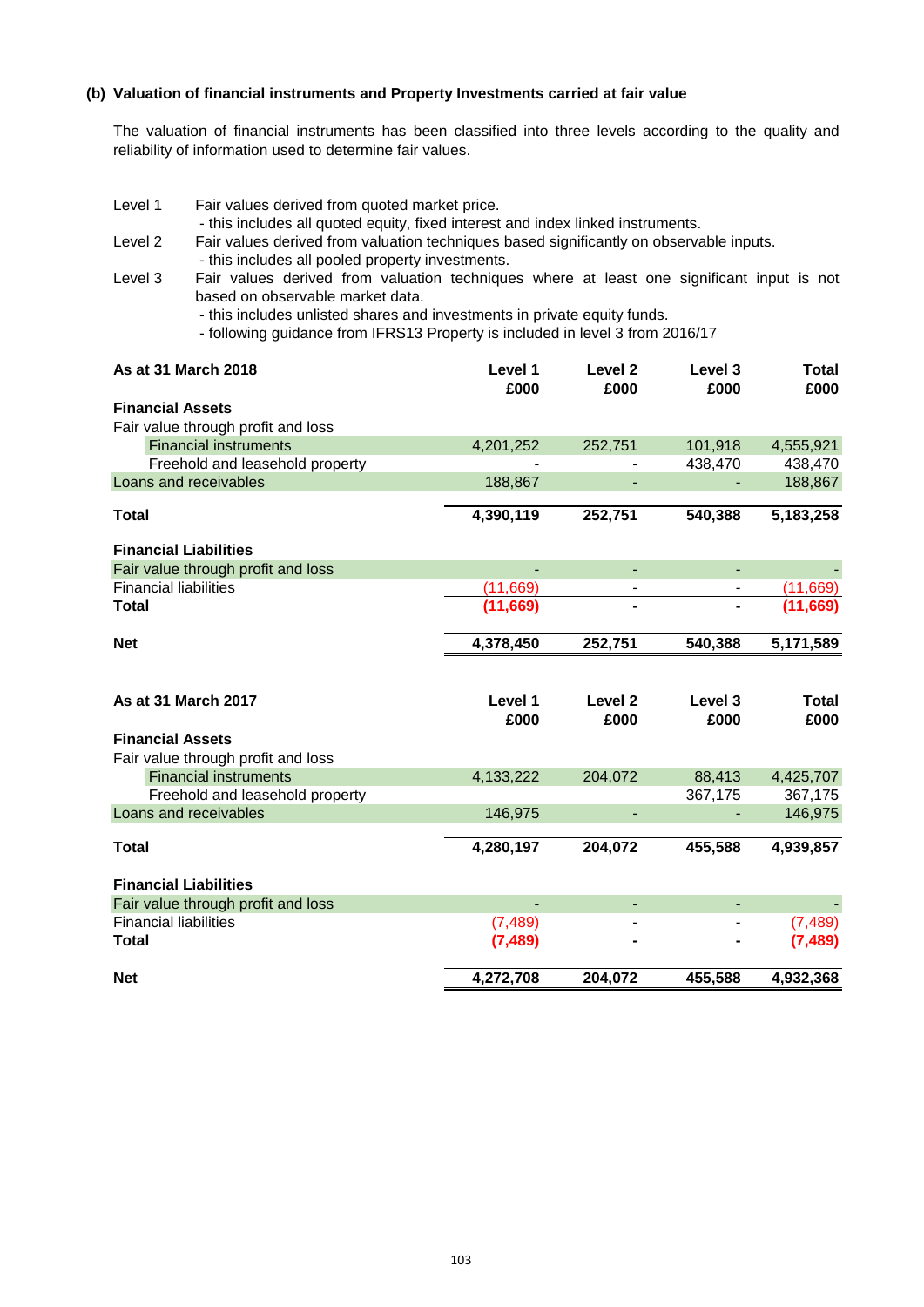# **(b) Valuation of financial instruments and Property Investments carried at fair value**

The valuation of financial instruments has been classified into three levels according to the quality and reliability of information used to determine fair values.

- Level 1 Fair values derived from quoted market price.
	- this includes all quoted equity, fixed interest and index linked instruments.
- Level 2 Fair values derived from valuation techniques based significantly on observable inputs.
	- this includes all pooled property investments.
- Level 3 based on observable market data. Fair values derived from valuation techniques where at least one significant input is not
	- this includes unlisted shares and investments in private equity funds.
	- following guidance from IFRS13 Property is included in level 3 from 2016/17

| As at 31 March 2018                | Level 1<br>£000 | Level <sub>2</sub><br>£000 | Level 3<br>£000 | <b>Total</b><br>£000 |
|------------------------------------|-----------------|----------------------------|-----------------|----------------------|
| <b>Financial Assets</b>            |                 |                            |                 |                      |
| Fair value through profit and loss |                 |                            |                 |                      |
| <b>Financial instruments</b>       | 4,201,252       | 252,751                    | 101,918         | 4,555,921            |
| Freehold and leasehold property    |                 |                            | 438,470         | 438,470              |
| Loans and receivables              | 188,867         |                            |                 | 188,867              |
|                                    |                 |                            |                 |                      |
| <b>Total</b>                       | 4,390,119       | 252,751                    | 540,388         | 5,183,258            |
| <b>Financial Liabilities</b>       |                 |                            |                 |                      |
| Fair value through profit and loss |                 | L,                         | $\blacksquare$  |                      |
| <b>Financial liabilities</b>       | (11, 669)       |                            |                 | (11,669)             |
| <b>Total</b>                       | (11, 669)       |                            |                 | (11,669)             |
|                                    |                 |                            |                 |                      |
| <b>Net</b>                         | 4,378,450       | 252,751                    | 540,388         | 5,171,589            |
|                                    |                 |                            |                 |                      |
|                                    |                 |                            |                 |                      |
| As at 31 March 2017                | Level 1         | Level 2                    | Level 3         | <b>Total</b>         |
|                                    | £000            | £000                       | £000            | £000                 |
| <b>Financial Assets</b>            |                 |                            |                 |                      |
| Fair value through profit and loss |                 |                            |                 |                      |
| <b>Financial instruments</b>       | 4,133,222       | 204,072                    | 88,413          | 4,425,707            |
| Freehold and leasehold property    |                 |                            | 367,175         | 367,175              |
| Loans and receivables              | 146,975         | ٠                          |                 | 146,975              |
|                                    |                 |                            |                 |                      |
| <b>Total</b>                       | 4,280,197       | 204,072                    | 455,588         | 4,939,857            |
| <b>Financial Liabilities</b>       |                 |                            |                 |                      |
| Fair value through profit and loss |                 | ÷,                         |                 |                      |
| <b>Financial liabilities</b>       | (7, 489)        | $\overline{\phantom{a}}$   | $\blacksquare$  | (7.489)              |
| <b>Total</b>                       | (7.489)         |                            |                 |                      |
| <b>Net</b>                         | 4,272,708       | 204,072                    | 455,588         | 4,932,368            |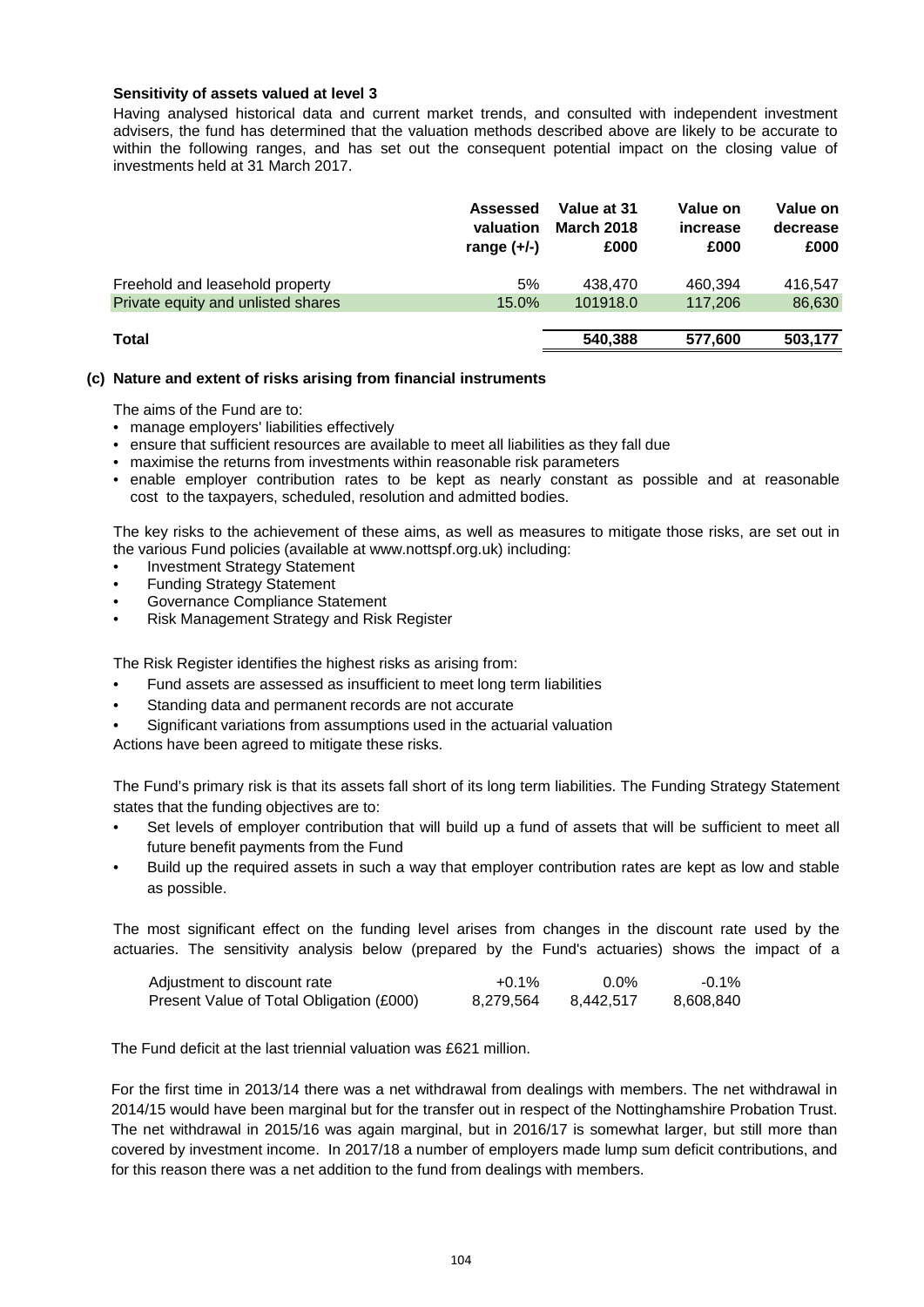# **Sensitivity of assets valued at level 3**

Having analysed historical data and current market trends, and consulted with independent investment advisers, the fund has determined that the valuation methods described above are likely to be accurate to within the following ranges, and has set out the consequent potential impact on the closing value of investments held at 31 March 2017.

|                                    | Assessed<br>valuation<br>range $(+/-)$ | Value at 31<br><b>March 2018</b><br>£000 | Value on<br>increase<br>£000 | Value on<br>decrease<br>£000 |
|------------------------------------|----------------------------------------|------------------------------------------|------------------------------|------------------------------|
| Freehold and leasehold property    | 5%                                     | 438,470                                  | 460.394                      | 416.547                      |
| Private equity and unlisted shares | 15.0%                                  | 101918.0                                 | 117,206                      | 86,630                       |
|                                    |                                        |                                          |                              |                              |
| <b>Total</b>                       |                                        | 540.388                                  | 577,600                      | 503.177                      |

# **(c) Nature and extent of risks arising from financial instruments**

The aims of the Fund are to:

- manage employers' liabilities effectively
- ensure that sufficient resources are available to meet all liabilities as they fall due
- maximise the returns from investments within reasonable risk parameters
- enable employer contribution rates to be kept as nearly constant as possible and at reasonable cost to the taxpayers, scheduled, resolution and admitted bodies.

The key risks to the achievement of these aims, as well as measures to mitigate those risks, are set out in the various Fund policies (available at www.nottspf.org.uk) including:

- Investment Strategy Statement
- Funding Strategy Statement
- Governance Compliance Statement
- Risk Management Strategy and Risk Register

The Risk Register identifies the highest risks as arising from:

- Fund assets are assessed as insufficient to meet long term liabilities
- Standing data and permanent records are not accurate
- Significant variations from assumptions used in the actuarial valuation

Actions have been agreed to mitigate these risks.

The Fund's primary risk is that its assets fall short of its long term liabilities. The Funding Strategy Statement states that the funding objectives are to:

- Set levels of employer contribution that will build up a fund of assets that will be sufficient to meet all future benefit payments from the Fund
- Build up the required assets in such a way that employer contribution rates are kept as low and stable as possible.

The most significant effect on the funding level arises from changes in the discount rate used by the actuaries. The sensitivity analysis below (prepared by the Fund's actuaries) shows the impact of a

| Adjustment to discount rate              | $+0.1\%$  | $0.0\%$   | $-0.1\%$  |
|------------------------------------------|-----------|-----------|-----------|
| Present Value of Total Obligation (£000) | 8.279.564 | 8,442,517 | 8.608.840 |

The Fund deficit at the last triennial valuation was £621 million.

For the first time in 2013/14 there was a net withdrawal from dealings with members. The net withdrawal in 2014/15 would have been marginal but for the transfer out in respect of the Nottinghamshire Probation Trust. The net withdrawal in 2015/16 was again marginal, but in 2016/17 is somewhat larger, but still more than covered by investment income. In 2017/18 a number of employers made lump sum deficit contributions, and for this reason there was a net addition to the fund from dealings with members.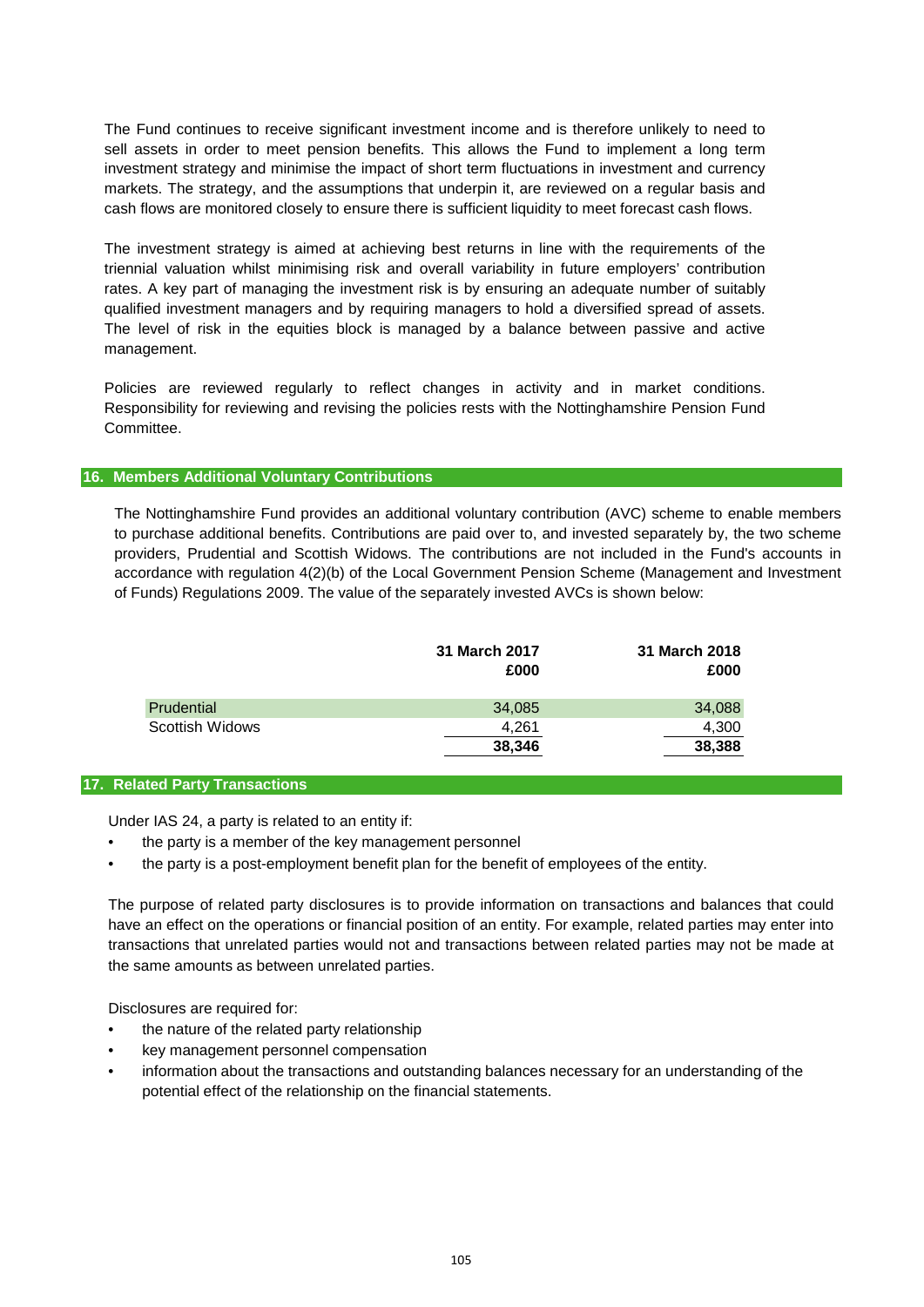The Fund continues to receive significant investment income and is therefore unlikely to need to sell assets in order to meet pension benefits. This allows the Fund to implement a long term investment strategy and minimise the impact of short term fluctuations in investment and currency markets. The strategy, and the assumptions that underpin it, are reviewed on a regular basis and cash flows are monitored closely to ensure there is sufficient liquidity to meet forecast cash flows.

The investment strategy is aimed at achieving best returns in line with the requirements of the triennial valuation whilst minimising risk and overall variability in future employers' contribution rates. A key part of managing the investment risk is by ensuring an adequate number of suitably qualified investment managers and by requiring managers to hold a diversified spread of assets. The level of risk in the equities block is managed by a balance between passive and active management.

Policies are reviewed regularly to reflect changes in activity and in market conditions. Responsibility for reviewing and revising the policies rests with the Nottinghamshire Pension Fund Committee.

# **16. Members Additional Voluntary Contributions**

The Nottinghamshire Fund provides an additional voluntary contribution (AVC) scheme to enable members to purchase additional benefits. Contributions are paid over to, and invested separately by, the two scheme providers, Prudential and Scottish Widows. The contributions are not included in the Fund's accounts in accordance with regulation 4(2)(b) of the Local Government Pension Scheme (Management and Investment of Funds) Regulations 2009. The value of the separately invested AVCs is shown below:

|                        | 31 March 2017<br>£000 | 31 March 2018<br>£000 |
|------------------------|-----------------------|-----------------------|
| Prudential             | 34,085                | 34,088                |
| <b>Scottish Widows</b> | 4,261                 | 4,300                 |
|                        | 38,346                | 38,388                |

# **17. Related Party Transactions**

Under IAS 24, a party is related to an entity if:

- the party is a member of the key management personnel
- the party is a post-employment benefit plan for the benefit of employees of the entity.

The purpose of related party disclosures is to provide information on transactions and balances that could have an effect on the operations or financial position of an entity. For example, related parties may enter into transactions that unrelated parties would not and transactions between related parties may not be made at the same amounts as between unrelated parties.

Disclosures are required for:

- the nature of the related party relationship
- key management personnel compensation
- information about the transactions and outstanding balances necessary for an understanding of the potential effect of the relationship on the financial statements.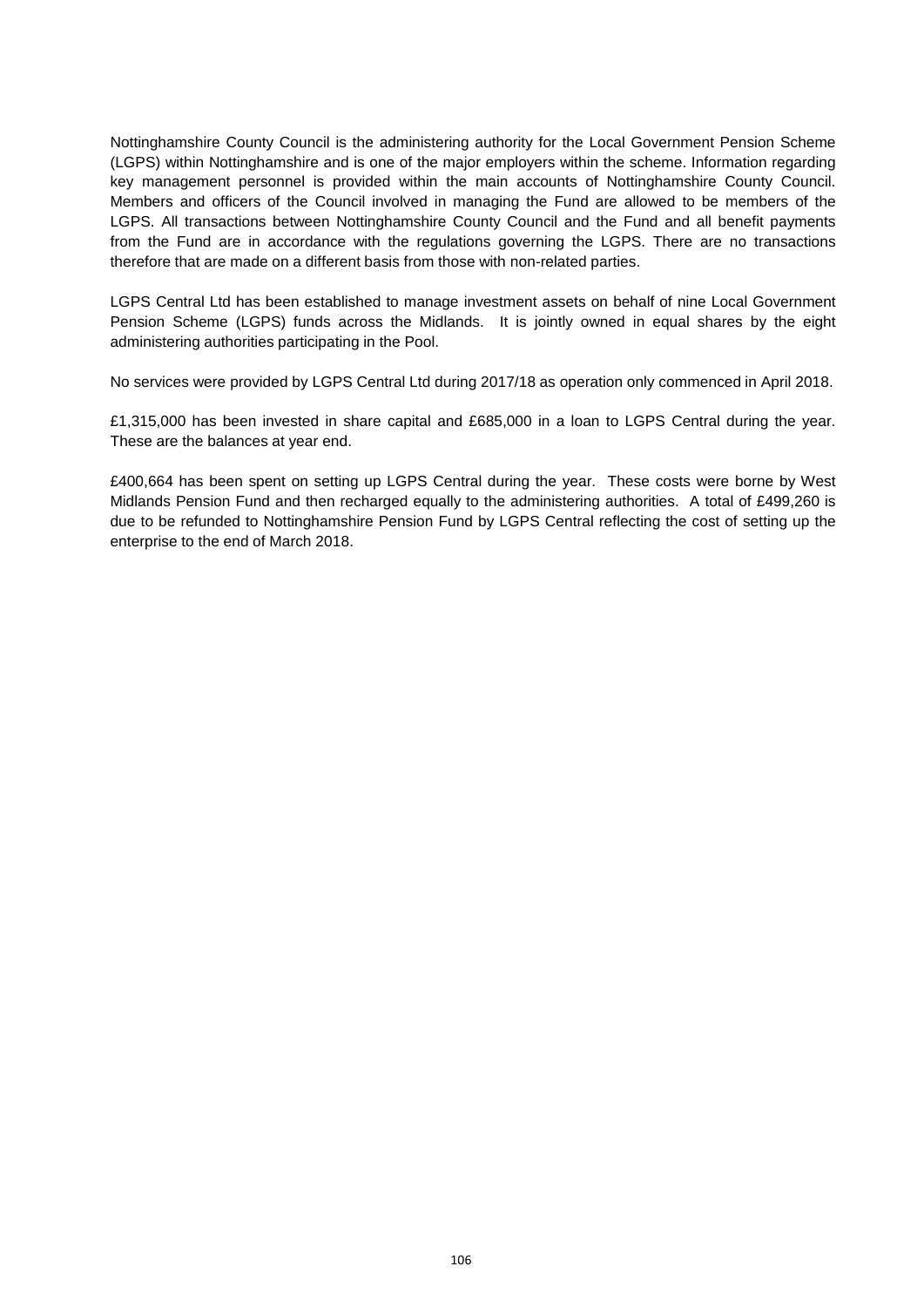Nottinghamshire County Council is the administering authority for the Local Government Pension Scheme (LGPS) within Nottinghamshire and is one of the major employers within the scheme. Information regarding key management personnel is provided within the main accounts of Nottinghamshire County Council. Members and officers of the Council involved in managing the Fund are allowed to be members of the LGPS. All transactions between Nottinghamshire County Council and the Fund and all benefit payments from the Fund are in accordance with the regulations governing the LGPS. There are no transactions therefore that are made on a different basis from those with non-related parties.

LGPS Central Ltd has been established to manage investment assets on behalf of nine Local Government Pension Scheme (LGPS) funds across the Midlands. It is jointly owned in equal shares by the eight administering authorities participating in the Pool.

No services were provided by LGPS Central Ltd during 2017/18 as operation only commenced in April 2018.

£1,315,000 has been invested in share capital and £685,000 in a loan to LGPS Central during the year. These are the balances at year end.

£400,664 has been spent on setting up LGPS Central during the year. These costs were borne by West Midlands Pension Fund and then recharged equally to the administering authorities. A total of £499,260 is due to be refunded to Nottinghamshire Pension Fund by LGPS Central reflecting the cost of setting up the enterprise to the end of March 2018.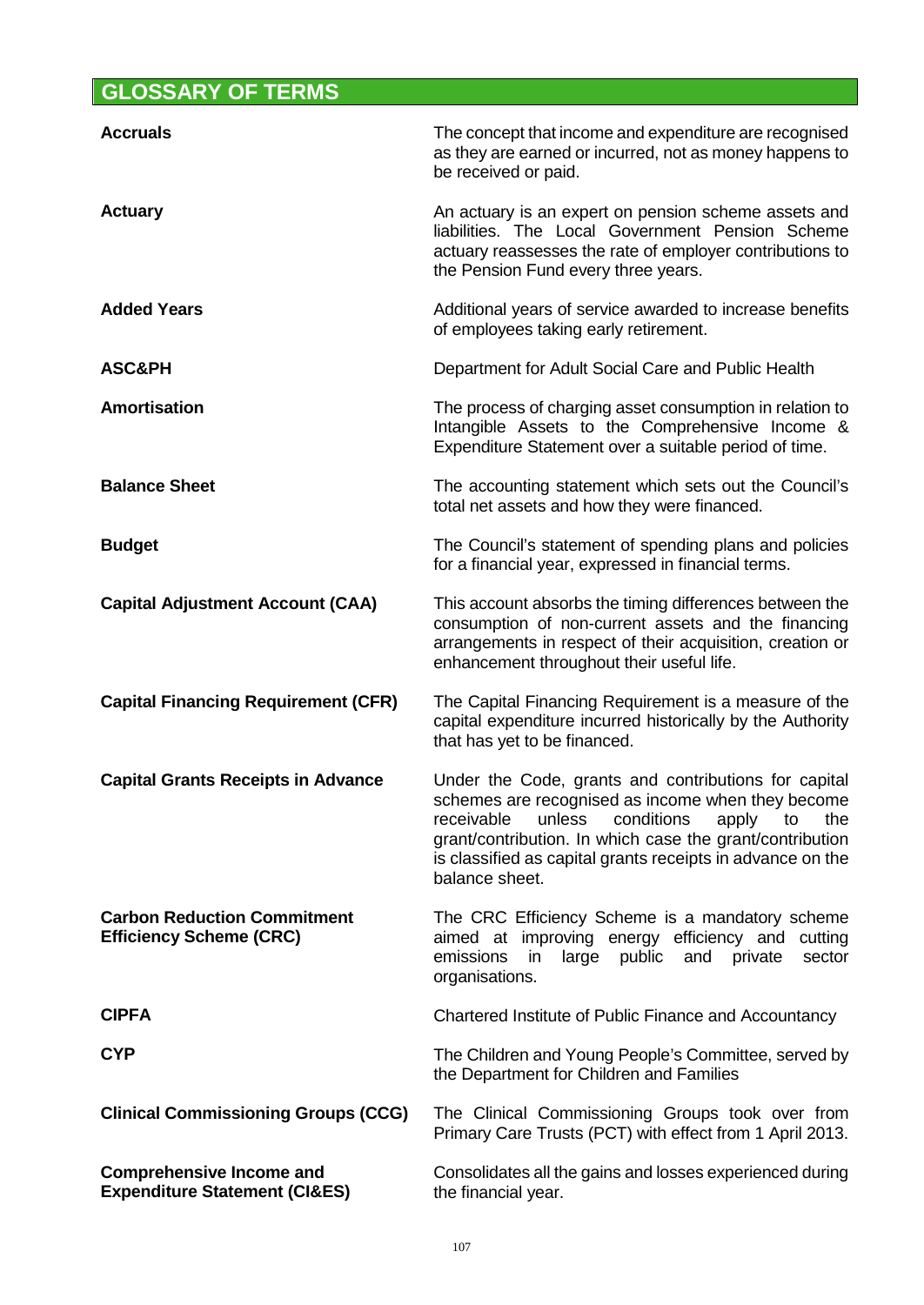# **GLOSSARY OF TERMS**

| <b>Accruals</b>                                                             | The concept that income and expenditure are recognised<br>as they are earned or incurred, not as money happens to<br>be received or paid.                                                                                                                                                                         |
|-----------------------------------------------------------------------------|-------------------------------------------------------------------------------------------------------------------------------------------------------------------------------------------------------------------------------------------------------------------------------------------------------------------|
| <b>Actuary</b>                                                              | An actuary is an expert on pension scheme assets and<br>liabilities. The Local Government Pension Scheme<br>actuary reassesses the rate of employer contributions to<br>the Pension Fund every three years.                                                                                                       |
| <b>Added Years</b>                                                          | Additional years of service awarded to increase benefits<br>of employees taking early retirement.                                                                                                                                                                                                                 |
| <b>ASC&amp;PH</b>                                                           | Department for Adult Social Care and Public Health                                                                                                                                                                                                                                                                |
| Amortisation                                                                | The process of charging asset consumption in relation to<br>Intangible Assets to the Comprehensive Income &<br>Expenditure Statement over a suitable period of time.                                                                                                                                              |
| <b>Balance Sheet</b>                                                        | The accounting statement which sets out the Council's<br>total net assets and how they were financed.                                                                                                                                                                                                             |
| <b>Budget</b>                                                               | The Council's statement of spending plans and policies<br>for a financial year, expressed in financial terms.                                                                                                                                                                                                     |
| <b>Capital Adjustment Account (CAA)</b>                                     | This account absorbs the timing differences between the<br>consumption of non-current assets and the financing<br>arrangements in respect of their acquisition, creation or<br>enhancement throughout their useful life.                                                                                          |
| <b>Capital Financing Requirement (CFR)</b>                                  | The Capital Financing Requirement is a measure of the<br>capital expenditure incurred historically by the Authority<br>that has yet to be financed.                                                                                                                                                               |
| <b>Capital Grants Receipts in Advance</b>                                   | Under the Code, grants and contributions for capital<br>schemes are recognised as income when they become<br>receivable<br>unless<br>conditions<br>the<br>apply<br>to<br>grant/contribution. In which case the grant/contribution<br>is classified as capital grants receipts in advance on the<br>balance sheet. |
| <b>Carbon Reduction Commitment</b><br><b>Efficiency Scheme (CRC)</b>        | The CRC Efficiency Scheme is a mandatory scheme<br>aimed at improving energy efficiency and<br>cutting<br>public<br>emissions<br>large<br>private<br>sector<br>in<br>and<br>organisations.                                                                                                                        |
| <b>CIPFA</b>                                                                | Chartered Institute of Public Finance and Accountancy                                                                                                                                                                                                                                                             |
| <b>CYP</b>                                                                  | The Children and Young People's Committee, served by<br>the Department for Children and Families                                                                                                                                                                                                                  |
| <b>Clinical Commissioning Groups (CCG)</b>                                  | The Clinical Commissioning Groups took over from<br>Primary Care Trusts (PCT) with effect from 1 April 2013.                                                                                                                                                                                                      |
| <b>Comprehensive Income and</b><br><b>Expenditure Statement (CI&amp;ES)</b> | Consolidates all the gains and losses experienced during<br>the financial year.                                                                                                                                                                                                                                   |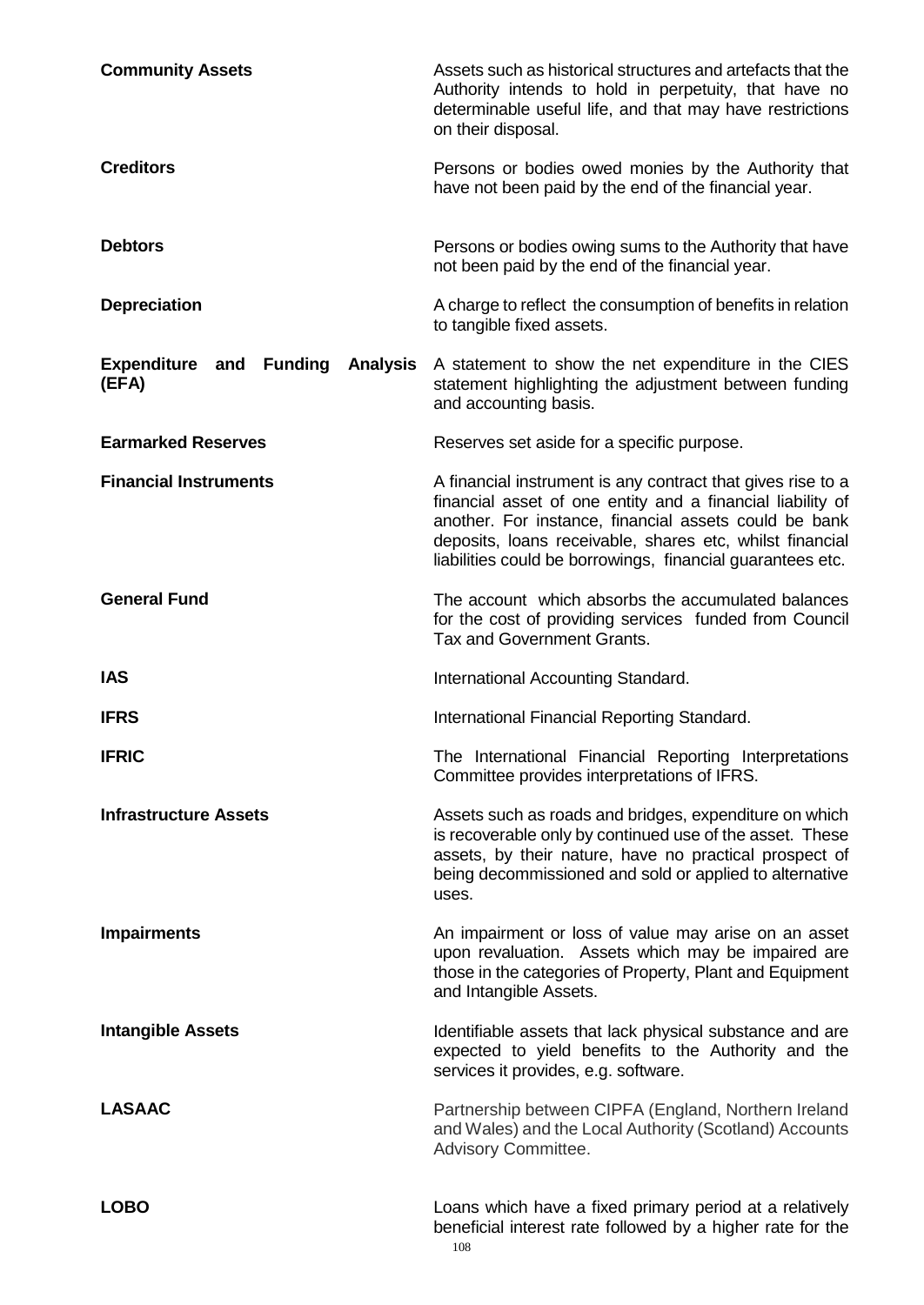| <b>Community Assets</b>                                              | Assets such as historical structures and artefacts that the<br>Authority intends to hold in perpetuity, that have no<br>determinable useful life, and that may have restrictions<br>on their disposal.                                                                                                       |
|----------------------------------------------------------------------|--------------------------------------------------------------------------------------------------------------------------------------------------------------------------------------------------------------------------------------------------------------------------------------------------------------|
| <b>Creditors</b>                                                     | Persons or bodies owed monies by the Authority that<br>have not been paid by the end of the financial year.                                                                                                                                                                                                  |
| <b>Debtors</b>                                                       | Persons or bodies owing sums to the Authority that have<br>not been paid by the end of the financial year.                                                                                                                                                                                                   |
| <b>Depreciation</b>                                                  | A charge to reflect the consumption of benefits in relation<br>to tangible fixed assets.                                                                                                                                                                                                                     |
| <b>Expenditure and</b><br><b>Funding</b><br><b>Analysis</b><br>(EFA) | A statement to show the net expenditure in the CIES<br>statement highlighting the adjustment between funding<br>and accounting basis.                                                                                                                                                                        |
| <b>Earmarked Reserves</b>                                            | Reserves set aside for a specific purpose.                                                                                                                                                                                                                                                                   |
| <b>Financial Instruments</b>                                         | A financial instrument is any contract that gives rise to a<br>financial asset of one entity and a financial liability of<br>another. For instance, financial assets could be bank<br>deposits, loans receivable, shares etc, whilst financial<br>liabilities could be borrowings, financial guarantees etc. |
| <b>General Fund</b>                                                  | The account which absorbs the accumulated balances<br>for the cost of providing services funded from Council<br>Tax and Government Grants.                                                                                                                                                                   |
|                                                                      |                                                                                                                                                                                                                                                                                                              |
| <b>IAS</b>                                                           | International Accounting Standard.                                                                                                                                                                                                                                                                           |
| <b>IFRS</b>                                                          | International Financial Reporting Standard.                                                                                                                                                                                                                                                                  |
| <b>IFRIC</b>                                                         | The International Financial Reporting Interpretations<br>Committee provides interpretations of IFRS.                                                                                                                                                                                                         |
| <b>Infrastructure Assets</b>                                         | Assets such as roads and bridges, expenditure on which<br>is recoverable only by continued use of the asset. These<br>assets, by their nature, have no practical prospect of<br>being decommissioned and sold or applied to alternative<br>uses.                                                             |
| <b>Impairments</b>                                                   | An impairment or loss of value may arise on an asset<br>upon revaluation. Assets which may be impaired are<br>those in the categories of Property, Plant and Equipment<br>and Intangible Assets.                                                                                                             |
| <b>Intangible Assets</b>                                             | Identifiable assets that lack physical substance and are<br>expected to yield benefits to the Authority and the<br>services it provides, e.g. software.                                                                                                                                                      |
| <b>LASAAC</b>                                                        | Partnership between CIPFA (England, Northern Ireland<br>and Wales) and the Local Authority (Scotland) Accounts<br>Advisory Committee.                                                                                                                                                                        |